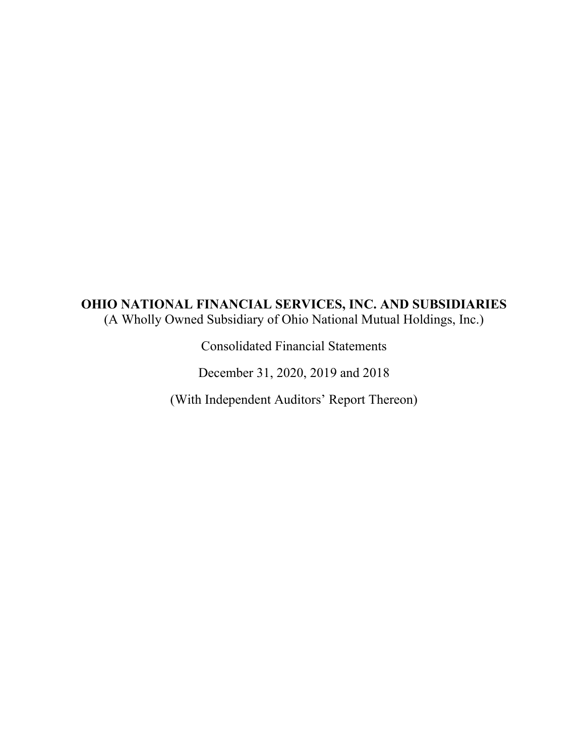# **OHIO NATIONAL FINANCIAL SERVICES, INC. AND SUBSIDIARIES**  (A Wholly Owned Subsidiary of Ohio National Mutual Holdings, Inc.)

Consolidated Financial Statements

December 31, 2020, 2019 and 2018

(With Independent Auditors' Report Thereon)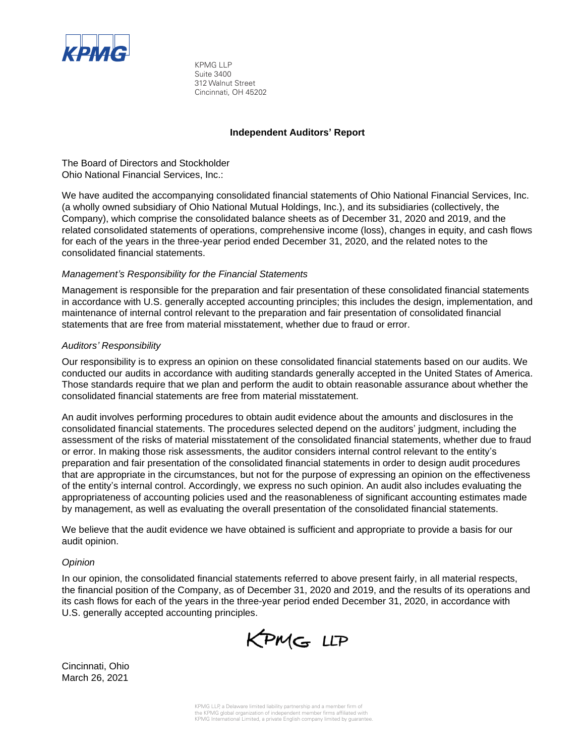

KPMG LLP Suite 3400 312 Walnut Street Cincinnati, OH 45202

#### **Independent Auditors' Report**

The Board of Directors and Stockholder Ohio National Financial Services, Inc.:

We have audited the accompanying consolidated financial statements of Ohio National Financial Services, Inc. (a wholly owned subsidiary of Ohio National Mutual Holdings, Inc.), and its subsidiaries (collectively, the Company), which comprise the consolidated balance sheets as of December 31, 2020 and 2019, and the related consolidated statements of operations, comprehensive income (loss), changes in equity, and cash flows for each of the years in the three-year period ended December 31, 2020, and the related notes to the consolidated financial statements.

#### *Management's Responsibility for the Financial Statements*

Management is responsible for the preparation and fair presentation of these consolidated financial statements in accordance with U.S. generally accepted accounting principles; this includes the design, implementation, and maintenance of internal control relevant to the preparation and fair presentation of consolidated financial statements that are free from material misstatement, whether due to fraud or error.

#### *Auditors' Responsibility*

Our responsibility is to express an opinion on these consolidated financial statements based on our audits. We conducted our audits in accordance with auditing standards generally accepted in the United States of America. Those standards require that we plan and perform the audit to obtain reasonable assurance about whether the consolidated financial statements are free from material misstatement.

An audit involves performing procedures to obtain audit evidence about the amounts and disclosures in the consolidated financial statements. The procedures selected depend on the auditors' judgment, including the assessment of the risks of material misstatement of the consolidated financial statements, whether due to fraud or error. In making those risk assessments, the auditor considers internal control relevant to the entity's preparation and fair presentation of the consolidated financial statements in order to design audit procedures that are appropriate in the circumstances, but not for the purpose of expressing an opinion on the effectiveness of the entity's internal control. Accordingly, we express no such opinion. An audit also includes evaluating the appropriateness of accounting policies used and the reasonableness of significant accounting estimates made by management, as well as evaluating the overall presentation of the consolidated financial statements.

We believe that the audit evidence we have obtained is sufficient and appropriate to provide a basis for our audit opinion.

#### *Opinion*

In our opinion, the consolidated financial statements referred to above present fairly, in all material respects, the financial position of the Company, as of December 31, 2020 and 2019, and the results of its operations and its cash flows for each of the years in the three-year period ended December 31, 2020, in accordance with U.S. generally accepted accounting principles.



Cincinnati, Ohio March 26, 2021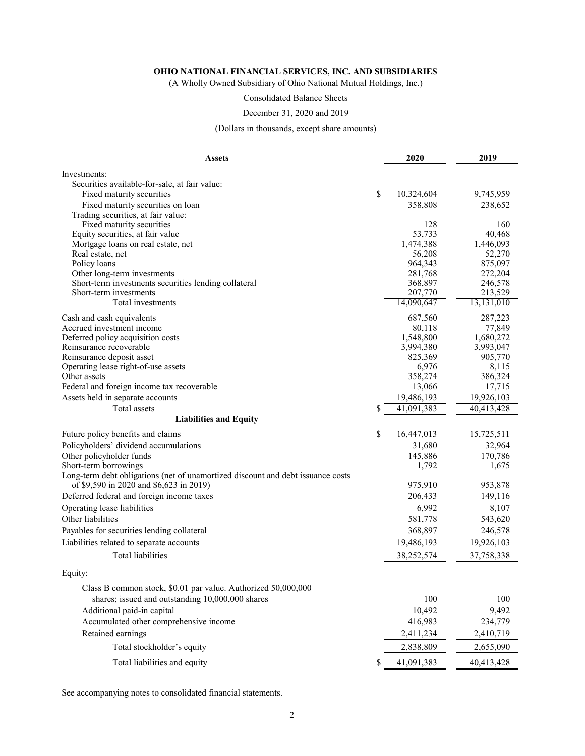(A Wholly Owned Subsidiary of Ohio National Mutual Holdings, Inc.)

## Consolidated Balance Sheets

#### December 31, 2020 and 2019

#### (Dollars in thousands, except share amounts)

| <b>Assets</b>                                                                   | 2020                | 2019                   |
|---------------------------------------------------------------------------------|---------------------|------------------------|
| Investments:                                                                    |                     |                        |
| Securities available-for-sale, at fair value:                                   |                     |                        |
| Fixed maturity securities                                                       | \$<br>10,324,604    | 9,745,959              |
| Fixed maturity securities on loan                                               | 358,808             | 238,652                |
| Trading securities, at fair value:                                              |                     |                        |
| Fixed maturity securities                                                       | 128                 | 160                    |
| Equity securities, at fair value                                                | 53,733              | 40,468                 |
| Mortgage loans on real estate, net<br>Real estate, net                          | 1,474,388<br>56,208 | 1,446,093<br>52,270    |
| Policy loans                                                                    | 964,343             | 875,097                |
| Other long-term investments                                                     | 281,768             | 272,204                |
| Short-term investments securities lending collateral                            | 368,897             | 246,578                |
| Short-term investments                                                          | 207,770             | 213,529                |
| Total investments                                                               | 14,090,647          | 13,131,010             |
|                                                                                 |                     |                        |
| Cash and cash equivalents                                                       | 687,560             | 287,223                |
| Accrued investment income                                                       | 80,118<br>1,548,800 | 77,849                 |
| Deferred policy acquisition costs<br>Reinsurance recoverable                    | 3,994,380           | 1,680,272<br>3,993,047 |
| Reinsurance deposit asset                                                       | 825,369             | 905,770                |
| Operating lease right-of-use assets                                             | 6,976               | 8,115                  |
| Other assets                                                                    | 358,274             | 386,324                |
| Federal and foreign income tax recoverable                                      | 13,066              | 17,715                 |
| Assets held in separate accounts                                                | 19,486,193          | 19,926,103             |
| Total assets                                                                    | \$<br>41,091,383    | 40,413,428             |
| <b>Liabilities and Equity</b>                                                   |                     |                        |
| Future policy benefits and claims                                               | \$<br>16,447,013    | 15,725,511             |
| Policyholders' dividend accumulations                                           | 31,680              | 32,964                 |
| Other policyholder funds                                                        | 145,886             | 170,786                |
| Short-term borrowings                                                           | 1,792               | 1,675                  |
| Long-term debt obligations (net of unamortized discount and debt issuance costs |                     |                        |
| of \$9,590 in 2020 and \$6,623 in 2019)                                         | 975,910             | 953,878                |
| Deferred federal and foreign income taxes                                       | 206,433             | 149,116                |
| Operating lease liabilities                                                     | 6,992               | 8,107                  |
| Other liabilities                                                               | 581,778             | 543,620                |
| Payables for securities lending collateral                                      | 368,897             | 246,578                |
| Liabilities related to separate accounts                                        | 19,486,193          | 19,926,103             |
| <b>Total liabilities</b>                                                        | 38,252,574          | 37,758,338             |
| Equity:                                                                         |                     |                        |
|                                                                                 |                     |                        |
| Class B common stock, \$0.01 par value. Authorized 50,000,000                   |                     |                        |
| shares; issued and outstanding 10,000,000 shares                                | 100                 | 100                    |
| Additional paid-in capital                                                      | 10,492              | 9,492                  |
| Accumulated other comprehensive income                                          | 416,983             | 234,779                |
| Retained earnings                                                               | 2,411,234           | 2,410,719              |
| Total stockholder's equity                                                      | 2,838,809           | 2,655,090              |
| Total liabilities and equity                                                    | \$<br>41,091,383    | 40,413,428             |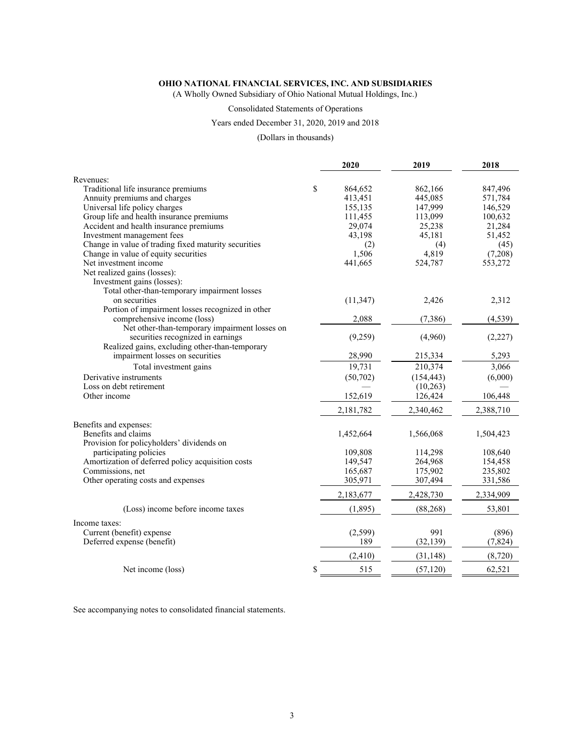(A Wholly Owned Subsidiary of Ohio National Mutual Holdings, Inc.)

#### Consolidated Statements of Operations

#### Years ended December 31, 2020, 2019 and 2018

(Dollars in thousands)

|                                                      | 2020           | 2019       | 2018             |
|------------------------------------------------------|----------------|------------|------------------|
| Revenues:                                            |                |            |                  |
| Traditional life insurance premiums                  | \$<br>864,652  | 862,166    | 847,496          |
| Annuity premiums and charges                         | 413,451        | 445,085    | 571,784          |
| Universal life policy charges                        | 155,135        | 147,999    | 146,529          |
| Group life and health insurance premiums             | 111,455        | 113,099    | 100,632          |
| Accident and health insurance premiums               | 29,074         | 25,238     | 21,284           |
| Investment management fees                           | 43,198         | 45,181     | 51,452           |
| Change in value of trading fixed maturity securities | (2)            | (4)        | (45)             |
| Change in value of equity securities                 | 1,506          | 4,819      | (7,208)          |
| Net investment income                                | 441,665        | 524,787    | 553,272          |
| Net realized gains (losses):                         |                |            |                  |
| Investment gains (losses):                           |                |            |                  |
| Total other-than-temporary impairment losses         |                |            |                  |
| on securities                                        | (11, 347)      | 2,426      | 2,312            |
| Portion of impairment losses recognized in other     |                |            |                  |
| comprehensive income (loss)                          | 2,088          | (7, 386)   | (4, 539)         |
| Net other-than-temporary impairment losses on        |                |            |                  |
| securities recognized in earnings                    | (9,259)        | (4,960)    | (2,227)          |
| Realized gains, excluding other-than-temporary       |                |            |                  |
| impairment losses on securities                      | 28,990         | 215,334    | 5,293            |
| Total investment gains                               | 19,731         | 210,374    | 3,066            |
| Derivative instruments                               | (50, 702)      | (154, 443) | (6,000)          |
| Loss on debt retirement                              |                | (10,263)   |                  |
| Other income                                         | 152,619        | 126,424    | 106,448          |
|                                                      | 2,181,782      | 2,340,462  | 2,388,710        |
| Benefits and expenses:                               |                |            |                  |
| Benefits and claims                                  | 1,452,664      | 1,566,068  | 1,504,423        |
| Provision for policyholders' dividends on            |                |            |                  |
| participating policies                               | 109,808        | 114,298    | 108,640          |
| Amortization of deferred policy acquisition costs    | 149,547        | 264,968    | 154,458          |
| Commissions, net                                     | 165,687        | 175,902    | 235,802          |
| Other operating costs and expenses                   | 305,971        | 307,494    | 331,586          |
|                                                      | 2,183,677      | 2,428,730  | 2,334,909        |
| (Loss) income before income taxes                    | (1, 895)       | (88, 268)  | 53,801           |
|                                                      |                |            |                  |
| Income taxes:<br>Current (benefit) expense           |                | 991        |                  |
| Deferred expense (benefit)                           | (2,599)<br>189 | (32, 139)  | (896)<br>(7,824) |
|                                                      |                |            |                  |
|                                                      | (2, 410)       | (31, 148)  | (8,720)          |
| Net income (loss)                                    | \$<br>515      | (57, 120)  | 62,521           |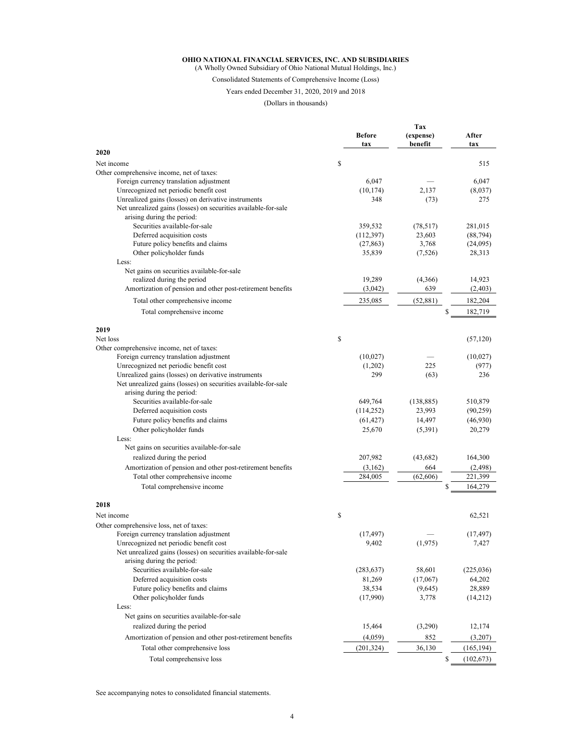(A Wholly Owned Subsidiary of Ohio National Mutual Holdings, Inc.)

Consolidated Statements of Comprehensive Income (Loss)

Years ended December 31, 2020, 2019 and 2018

(Dollars in thousands)

|                                                                                              | <b>Before</b><br>tax | Tax<br>(expense)<br>benefit | After<br>tax |
|----------------------------------------------------------------------------------------------|----------------------|-----------------------------|--------------|
| 2020                                                                                         |                      |                             |              |
| Net income                                                                                   | \$                   |                             | 515          |
| Other comprehensive income, net of taxes:<br>Foreign currency translation adjustment         | 6,047                |                             | 6,047        |
| Unrecognized net periodic benefit cost                                                       | (10, 174)            | 2,137                       | (8,037)      |
| Unrealized gains (losses) on derivative instruments                                          | 348                  | (73)                        | 275          |
| Net unrealized gains (losses) on securities available-for-sale<br>arising during the period: |                      |                             |              |
| Securities available-for-sale                                                                | 359,532              | (78, 517)                   | 281,015      |
| Deferred acquisition costs                                                                   | (112,397)            | 23,603                      | (88, 794)    |
| Future policy benefits and claims                                                            | (27, 863)            | 3,768                       | (24,095)     |
| Other policyholder funds<br>Less:                                                            | 35,839               | (7, 526)                    | 28,313       |
| Net gains on securities available-for-sale                                                   |                      |                             |              |
| realized during the period                                                                   | 19,289               | (4,366)                     | 14,923       |
| Amortization of pension and other post-retirement benefits                                   | (3,042)              | 639                         | (2,403)      |
| Total other comprehensive income                                                             | 235,085              | (52, 881)                   | 182,204      |
| Total comprehensive income                                                                   |                      | \$                          | 182,719      |
|                                                                                              |                      |                             |              |
| 2019<br>Net loss                                                                             | \$                   |                             |              |
| Other comprehensive income, net of taxes:                                                    |                      |                             | (57, 120)    |
| Foreign currency translation adjustment                                                      | (10,027)             |                             | (10, 027)    |
| Unrecognized net periodic benefit cost                                                       | (1,202)              | 225                         | (977)        |
| Unrealized gains (losses) on derivative instruments                                          | 299                  | (63)                        | 236          |
| Net unrealized gains (losses) on securities available-for-sale                               |                      |                             |              |
| arising during the period:                                                                   |                      |                             |              |
| Securities available-for-sale                                                                | 649,764              | (138, 885)                  | 510,879      |
| Deferred acquisition costs                                                                   | (114, 252)           | 23,993                      | (90,259)     |
| Future policy benefits and claims                                                            | (61, 427)            | 14,497                      | (46,930)     |
| Other policyholder funds<br>Less:                                                            | 25,670               | (5,391)                     | 20,279       |
| Net gains on securities available-for-sale                                                   |                      |                             |              |
| realized during the period                                                                   | 207,982              | (43, 682)                   | 164,300      |
| Amortization of pension and other post-retirement benefits                                   | (3,162)              | 664                         | (2, 498)     |
| Total other comprehensive income                                                             | 284,005              | (62, 606)                   | 221,399      |
| Total comprehensive income                                                                   |                      | \$                          | 164,279      |
| 2018                                                                                         |                      |                             |              |
| Net income                                                                                   | \$                   |                             | 62,521       |
| Other comprehensive loss, net of taxes:                                                      |                      |                             |              |
| Foreign currency translation adjustment                                                      | (17, 497)            |                             | (17, 497)    |
| Unrecognized net periodic benefit cost                                                       | 9,402                | (1,975)                     | 7,427        |
| Net unrealized gains (losses) on securities available-for-sale                               |                      |                             |              |
| arising during the period:<br>Securities available-for-sale                                  | (283, 637)           | 58,601                      | (225, 036)   |
| Deferred acquisition costs                                                                   | 81,269               | (17,067)                    | 64,202       |
| Future policy benefits and claims                                                            | 38,534               | (9,645)                     | 28,889       |
| Other policyholder funds                                                                     | (17,990)             | 3,778                       | (14,212)     |
| Less:                                                                                        |                      |                             |              |
| Net gains on securities available-for-sale                                                   |                      |                             |              |
| realized during the period                                                                   | 15,464               | (3,290)                     | 12,174       |
| Amortization of pension and other post-retirement benefits                                   | (4,059)              | 852                         | (3,207)      |
| Total other comprehensive loss                                                               | (201, 324)           | 36,130                      | (165, 194)   |
| Total comprehensive loss                                                                     |                      | \$                          | (102, 673)   |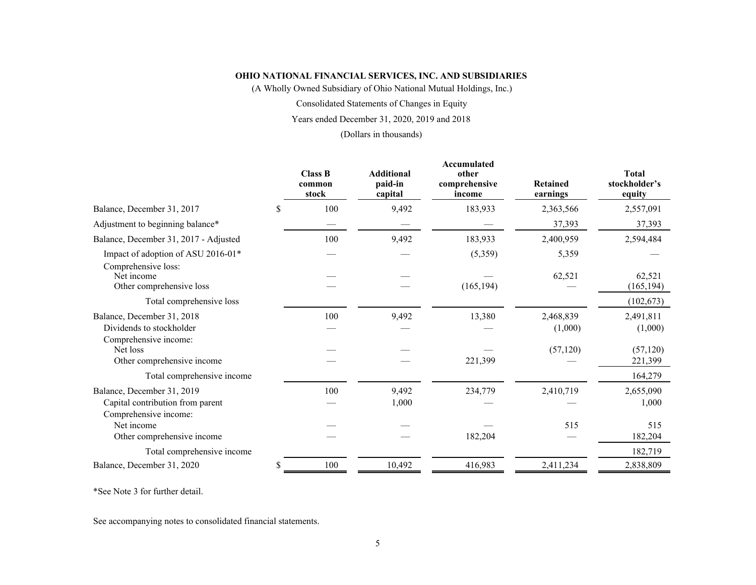(A Wholly Owned Subsidiary of Ohio National Mutual Holdings, Inc.)

Consolidated Statements of Changes in Equity

Years ended December 31, 2020, 2019 and 2018

(Dollars in thousands)

|                                                                                 | <b>Class B</b><br>common<br>stock | <b>Additional</b><br>paid-in<br>capital | Accumulated<br>other<br>comprehensive<br>income | <b>Retained</b><br>earnings | <b>Total</b><br>stockholder's<br>equity |
|---------------------------------------------------------------------------------|-----------------------------------|-----------------------------------------|-------------------------------------------------|-----------------------------|-----------------------------------------|
| Balance, December 31, 2017                                                      | \$<br>100                         | 9,492                                   | 183,933                                         | 2,363,566                   | 2,557,091                               |
| Adjustment to beginning balance*                                                |                                   |                                         |                                                 | 37,393                      | 37,393                                  |
| Balance, December 31, 2017 - Adjusted                                           | 100                               | 9,492                                   | 183,933                                         | 2,400,959                   | 2,594,484                               |
| Impact of adoption of ASU 2016-01*                                              |                                   |                                         | (5,359)                                         | 5,359                       |                                         |
| Comprehensive loss:<br>Net income<br>Other comprehensive loss                   |                                   |                                         | (165, 194)                                      | 62,521                      | 62,521<br>(165, 194)                    |
| Total comprehensive loss                                                        |                                   |                                         |                                                 |                             | (102, 673)                              |
| Balance, December 31, 2018<br>Dividends to stockholder<br>Comprehensive income: | 100                               | 9,492                                   | 13,380                                          | 2,468,839<br>(1,000)        | 2,491,811<br>(1,000)                    |
| Net loss<br>Other comprehensive income                                          |                                   |                                         | 221,399                                         | (57, 120)                   | (57, 120)<br>221,399                    |
| Total comprehensive income                                                      |                                   |                                         |                                                 |                             | 164,279                                 |
| Balance, December 31, 2019<br>Capital contribution from parent                  | 100                               | 9,492<br>1,000                          | 234,779                                         | 2,410,719                   | 2,655,090<br>1,000                      |
| Comprehensive income:<br>Net income<br>Other comprehensive income               |                                   |                                         | 182,204                                         | 515                         | 515<br>182,204                          |
| Total comprehensive income                                                      |                                   |                                         |                                                 |                             | 182,719                                 |
| Balance, December 31, 2020                                                      | 100                               | 10,492                                  | 416,983                                         | 2,411,234                   | 2,838,809                               |

\*See Note 3 for further detail.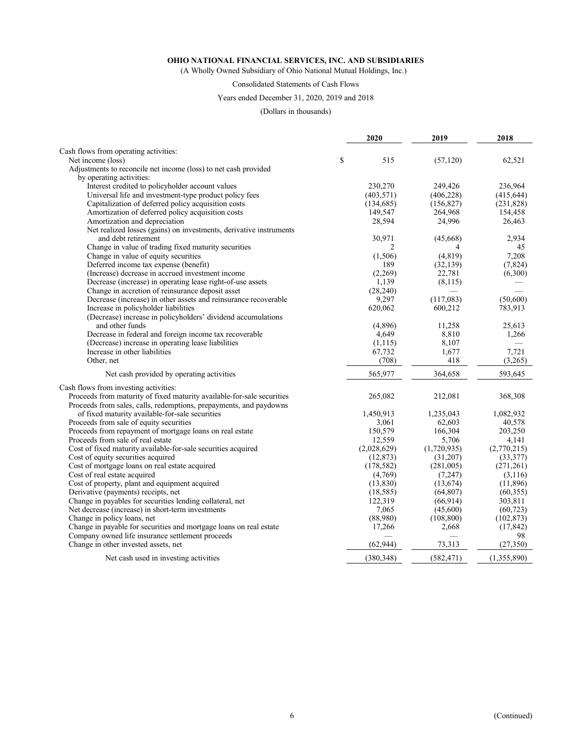(A Wholly Owned Subsidiary of Ohio National Mutual Holdings, Inc.)

## Consolidated Statements of Cash Flows

#### Years ended December 31, 2020, 2019 and 2018

(Dollars in thousands)

|                                                                                           | 2020        | 2019        | 2018        |
|-------------------------------------------------------------------------------------------|-------------|-------------|-------------|
| Cash flows from operating activities:                                                     |             |             |             |
| Net income (loss)                                                                         | \$<br>515   | (57, 120)   | 62,521      |
| Adjustments to reconcile net income (loss) to net cash provided                           |             |             |             |
| by operating activities:                                                                  |             |             |             |
| Interest credited to policyholder account values                                          | 230,270     | 249,426     | 236,964     |
| Universal life and investment-type product policy fees                                    | (403, 571)  | (406, 228)  | (415, 644)  |
| Capitalization of deferred policy acquisition costs                                       | (134, 685)  | (156, 827)  | (231, 828)  |
| Amortization of deferred policy acquisition costs                                         | 149,547     | 264,968     | 154,458     |
| Amortization and depreciation                                                             | 28,594      | 24,996      | 26,463      |
| Net realized losses (gains) on investments, derivative instruments                        |             |             |             |
| and debt retirement                                                                       | 30,971      | (45,668)    | 2,934       |
| Change in value of trading fixed maturity securities                                      | 2           | 4           | 45          |
| Change in value of equity securities                                                      | (1,506)     | (4, 819)    | 7,208       |
|                                                                                           | 189         | (32, 139)   | (7, 824)    |
| Deferred income tax expense (benefit)<br>(Increase) decrease in accrued investment income |             |             |             |
|                                                                                           | (2,269)     | 22,781      | (6,300)     |
| Decrease (increase) in operating lease right-of-use assets                                | 1,139       | (8, 115)    |             |
| Change in accretion of reinsurance deposit asset                                          | (28, 240)   |             |             |
| Decrease (increase) in other assets and reinsurance recoverable                           | 9,297       | (117,083)   | (50,600)    |
| Increase in policyholder liabilities                                                      | 620,062     | 600,212     | 783,913     |
| (Decrease) increase in policyholders' dividend accumulations                              |             |             |             |
| and other funds                                                                           | (4,896)     | 11,258      | 25,613      |
| Decrease in federal and foreign income tax recoverable                                    | 4,649       | 8,810       | 1,266       |
| (Decrease) increase in operating lease liabilities                                        | (1, 115)    | 8,107       |             |
| Increase in other liabilities                                                             | 67,732      | 1,677       | 7,721       |
| Other, net                                                                                | (708)       | 418         | (3,265)     |
| Net cash provided by operating activities                                                 | 565,977     | 364,658     | 593,645     |
| Cash flows from investing activities:                                                     |             |             |             |
| Proceeds from maturity of fixed maturity available-for-sale securities                    | 265,082     | 212,081     | 368,308     |
| Proceeds from sales, calls, redemptions, prepayments, and paydowns                        |             |             |             |
| of fixed maturity available-for-sale securities                                           | 1,450,913   | 1,235,043   | 1,082,932   |
| Proceeds from sale of equity securities                                                   | 3,061       | 62,603      | 40,578      |
| Proceeds from repayment of mortgage loans on real estate                                  | 150,579     | 166,304     | 203,250     |
| Proceeds from sale of real estate                                                         | 12,559      | 5,706       | 4,141       |
| Cost of fixed maturity available-for-sale securities acquired                             | (2,028,629) | (1,720,935) | (2,770,215) |
| Cost of equity securities acquired                                                        | (12, 873)   | (31,207)    | (33, 377)   |
| Cost of mortgage loans on real estate acquired                                            | (178, 582)  | (281,005)   | (271,261)   |
| Cost of real estate acquired                                                              | (4,769)     | (7, 247)    | (3,116)     |
| Cost of property, plant and equipment acquired                                            | (13, 830)   | (13, 674)   | (11,896)    |
|                                                                                           |             | (64, 807)   |             |
| Derivative (payments) receipts, net                                                       | (18, 585)   |             | (60, 355)   |
| Change in payables for securities lending collateral, net                                 | 122,319     | (66, 914)   | 303,811     |
| Net decrease (increase) in short-term investments                                         | 7,065       | (45,600)    | (60, 723)   |
| Change in policy loans, net                                                               | (88,980)    | (108, 800)  | (102, 873)  |
| Change in payable for securities and mortgage loans on real estate                        | 17,266      | 2,668       | (17, 842)   |
| Company owned life insurance settlement proceeds                                          |             |             | 98          |
| Change in other invested assets, net                                                      | (62, 944)   | 73,313      | (27,350)    |
| Net cash used in investing activities                                                     | (380, 348)  | (582, 471)  | (1,355,890) |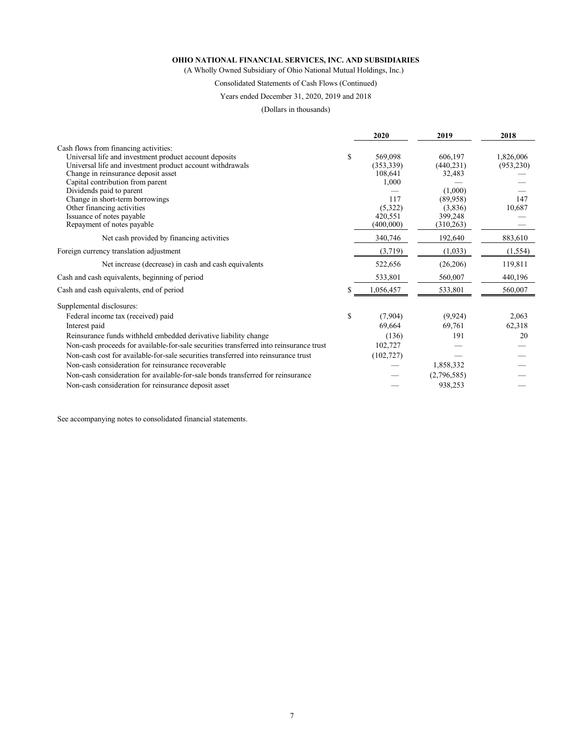(A Wholly Owned Subsidiary of Ohio National Mutual Holdings, Inc.)

#### Consolidated Statements of Cash Flows (Continued)

#### Years ended December 31, 2020, 2019 and 2018

(Dollars in thousands)

|                                                                                        |    | 2020       | 2019        | 2018       |
|----------------------------------------------------------------------------------------|----|------------|-------------|------------|
| Cash flows from financing activities:                                                  |    |            |             |            |
| Universal life and investment product account deposits                                 | \$ | 569,098    | 606,197     | 1,826,006  |
| Universal life and investment product account withdrawals                              |    | (353, 339) | (440, 231)  | (953, 230) |
| Change in reinsurance deposit asset                                                    |    | 108.641    | 32,483      |            |
| Capital contribution from parent                                                       |    | 1,000      |             |            |
| Dividends paid to parent                                                               |    |            | (1,000)     |            |
| Change in short-term borrowings                                                        |    | 117        | (89,958)    | 147        |
| Other financing activities                                                             |    | (5,322)    | (3,836)     | 10,687     |
| Issuance of notes payable                                                              |    | 420,551    | 399,248     |            |
| Repayment of notes payable                                                             |    | (400,000)  | (310, 263)  |            |
| Net cash provided by financing activities                                              |    | 340,746    | 192,640     | 883,610    |
| Foreign currency translation adjustment                                                |    | (3,719)    | (1,033)     | (1, 554)   |
| Net increase (decrease) in cash and cash equivalents                                   |    | 522,656    | (26, 206)   | 119,811    |
| Cash and cash equivalents, beginning of period                                         |    | 533,801    | 560,007     | 440,196    |
| Cash and cash equivalents, end of period                                               | S. | 1,056,457  | 533,801     | 560,007    |
| Supplemental disclosures:                                                              |    |            |             |            |
| Federal income tax (received) paid                                                     | \$ | (7,904)    | (9, 924)    | 2,063      |
| Interest paid                                                                          |    | 69,664     | 69.761      | 62,318     |
| Reinsurance funds withheld embedded derivative liability change                        |    | (136)      | 191         | 20         |
| Non-cash proceeds for available-for-sale securities transferred into reinsurance trust |    | 102,727    |             |            |
| Non-cash cost for available-for-sale securities transferred into reinsurance trust     |    | (102, 727) |             |            |
| Non-cash consideration for reinsurance recoverable                                     |    |            | 1,858,332   |            |
| Non-cash consideration for available-for-sale bonds transferred for reinsurance        |    |            | (2,796,585) |            |
| Non-cash consideration for reinsurance deposit asset                                   |    |            | 938.253     |            |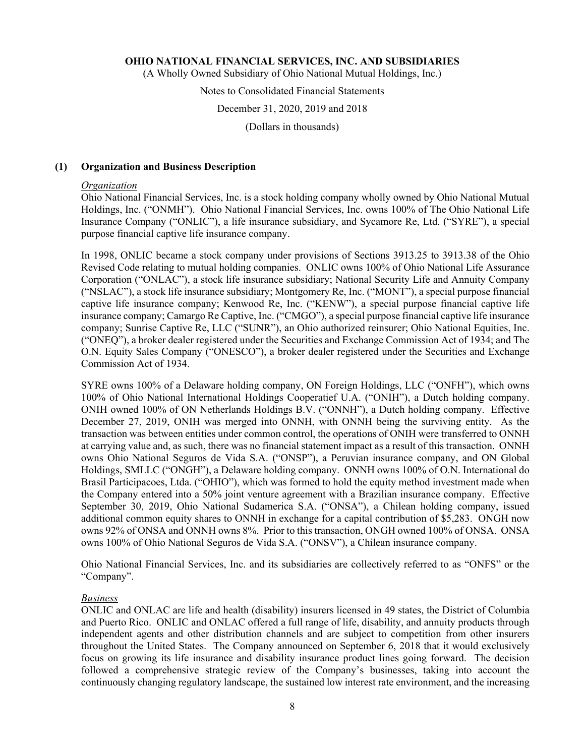(A Wholly Owned Subsidiary of Ohio National Mutual Holdings, Inc.)

## Notes to Consolidated Financial Statements

#### December 31, 2020, 2019 and 2018

(Dollars in thousands)

#### **(1) Organization and Business Description**

#### *Organization*

Ohio National Financial Services, Inc. is a stock holding company wholly owned by Ohio National Mutual Holdings, Inc. ("ONMH"). Ohio National Financial Services, Inc. owns 100% of The Ohio National Life Insurance Company ("ONLIC"), a life insurance subsidiary, and Sycamore Re, Ltd. ("SYRE"), a special purpose financial captive life insurance company.

In 1998, ONLIC became a stock company under provisions of Sections 3913.25 to 3913.38 of the Ohio Revised Code relating to mutual holding companies. ONLIC owns 100% of Ohio National Life Assurance Corporation ("ONLAC"), a stock life insurance subsidiary; National Security Life and Annuity Company ("NSLAC"), a stock life insurance subsidiary; Montgomery Re, Inc. ("MONT"), a special purpose financial captive life insurance company; Kenwood Re, Inc. ("KENW"), a special purpose financial captive life insurance company; Camargo Re Captive, Inc. ("CMGO"), a special purpose financial captive life insurance company; Sunrise Captive Re, LLC ("SUNR"), an Ohio authorized reinsurer; Ohio National Equities, Inc. ("ONEQ"), a broker dealer registered under the Securities and Exchange Commission Act of 1934; and The O.N. Equity Sales Company ("ONESCO"), a broker dealer registered under the Securities and Exchange Commission Act of 1934.

SYRE owns 100% of a Delaware holding company, ON Foreign Holdings, LLC ("ONFH"), which owns 100% of Ohio National International Holdings Cooperatief U.A. ("ONIH"), a Dutch holding company. ONIH owned 100% of ON Netherlands Holdings B.V. ("ONNH"), a Dutch holding company. Effective December 27, 2019, ONIH was merged into ONNH, with ONNH being the surviving entity. As the transaction was between entities under common control, the operations of ONIH were transferred to ONNH at carrying value and, as such, there was no financial statement impact as a result of this transaction. ONNH owns Ohio National Seguros de Vida S.A. ("ONSP"), a Peruvian insurance company, and ON Global Holdings, SMLLC ("ONGH"), a Delaware holding company. ONNH owns 100% of O.N. International do Brasil Participacoes, Ltda. ("OHIO"), which was formed to hold the equity method investment made when the Company entered into a 50% joint venture agreement with a Brazilian insurance company. Effective September 30, 2019, Ohio National Sudamerica S.A. ("ONSA"), a Chilean holding company, issued additional common equity shares to ONNH in exchange for a capital contribution of \$5,283. ONGH now owns 92% of ONSA and ONNH owns 8%. Prior to this transaction, ONGH owned 100% of ONSA. ONSA owns 100% of Ohio National Seguros de Vida S.A. ("ONSV"), a Chilean insurance company.

Ohio National Financial Services, Inc. and its subsidiaries are collectively referred to as "ONFS" or the "Company".

#### *Business*

ONLIC and ONLAC are life and health (disability) insurers licensed in 49 states, the District of Columbia and Puerto Rico. ONLIC and ONLAC offered a full range of life, disability, and annuity products through independent agents and other distribution channels and are subject to competition from other insurers throughout the United States. The Company announced on September 6, 2018 that it would exclusively focus on growing its life insurance and disability insurance product lines going forward. The decision followed a comprehensive strategic review of the Company's businesses, taking into account the continuously changing regulatory landscape, the sustained low interest rate environment, and the increasing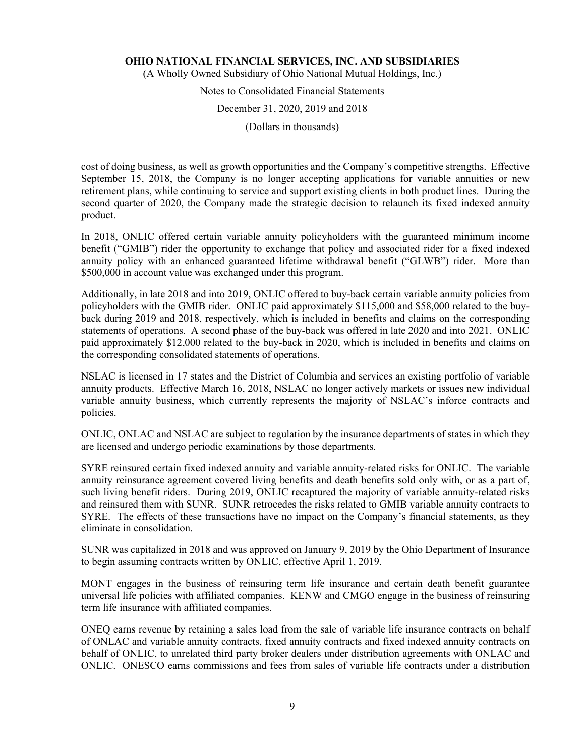(A Wholly Owned Subsidiary of Ohio National Mutual Holdings, Inc.)

## Notes to Consolidated Financial Statements

#### December 31, 2020, 2019 and 2018

(Dollars in thousands)

cost of doing business, as well as growth opportunities and the Company's competitive strengths. Effective September 15, 2018, the Company is no longer accepting applications for variable annuities or new retirement plans, while continuing to service and support existing clients in both product lines. During the second quarter of 2020, the Company made the strategic decision to relaunch its fixed indexed annuity product.

In 2018, ONLIC offered certain variable annuity policyholders with the guaranteed minimum income benefit ("GMIB") rider the opportunity to exchange that policy and associated rider for a fixed indexed annuity policy with an enhanced guaranteed lifetime withdrawal benefit ("GLWB") rider. More than \$500,000 in account value was exchanged under this program.

Additionally, in late 2018 and into 2019, ONLIC offered to buy-back certain variable annuity policies from policyholders with the GMIB rider. ONLIC paid approximately \$115,000 and \$58,000 related to the buyback during 2019 and 2018, respectively, which is included in benefits and claims on the corresponding statements of operations. A second phase of the buy-back was offered in late 2020 and into 2021. ONLIC paid approximately \$12,000 related to the buy-back in 2020, which is included in benefits and claims on the corresponding consolidated statements of operations.

NSLAC is licensed in 17 states and the District of Columbia and services an existing portfolio of variable annuity products. Effective March 16, 2018, NSLAC no longer actively markets or issues new individual variable annuity business, which currently represents the majority of NSLAC's inforce contracts and policies.

ONLIC, ONLAC and NSLAC are subject to regulation by the insurance departments of states in which they are licensed and undergo periodic examinations by those departments.

SYRE reinsured certain fixed indexed annuity and variable annuity-related risks for ONLIC. The variable annuity reinsurance agreement covered living benefits and death benefits sold only with, or as a part of, such living benefit riders. During 2019, ONLIC recaptured the majority of variable annuity-related risks and reinsured them with SUNR. SUNR retrocedes the risks related to GMIB variable annuity contracts to SYRE. The effects of these transactions have no impact on the Company's financial statements, as they eliminate in consolidation.

SUNR was capitalized in 2018 and was approved on January 9, 2019 by the Ohio Department of Insurance to begin assuming contracts written by ONLIC, effective April 1, 2019.

MONT engages in the business of reinsuring term life insurance and certain death benefit guarantee universal life policies with affiliated companies. KENW and CMGO engage in the business of reinsuring term life insurance with affiliated companies.

ONEQ earns revenue by retaining a sales load from the sale of variable life insurance contracts on behalf of ONLAC and variable annuity contracts, fixed annuity contracts and fixed indexed annuity contracts on behalf of ONLIC, to unrelated third party broker dealers under distribution agreements with ONLAC and ONLIC. ONESCO earns commissions and fees from sales of variable life contracts under a distribution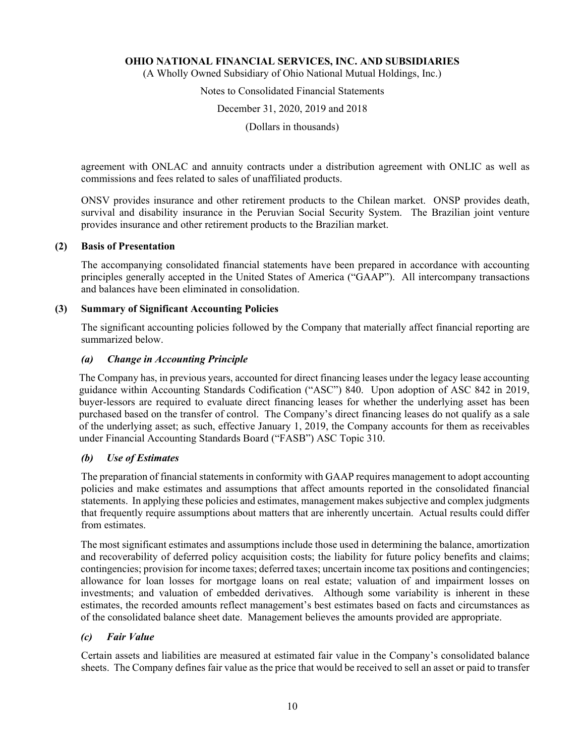(A Wholly Owned Subsidiary of Ohio National Mutual Holdings, Inc.)

## Notes to Consolidated Financial Statements

December 31, 2020, 2019 and 2018

(Dollars in thousands)

agreement with ONLAC and annuity contracts under a distribution agreement with ONLIC as well as commissions and fees related to sales of unaffiliated products.

ONSV provides insurance and other retirement products to the Chilean market. ONSP provides death, survival and disability insurance in the Peruvian Social Security System. The Brazilian joint venture provides insurance and other retirement products to the Brazilian market.

#### **(2) Basis of Presentation**

The accompanying consolidated financial statements have been prepared in accordance with accounting principles generally accepted in the United States of America ("GAAP"). All intercompany transactions and balances have been eliminated in consolidation.

#### **(3) Summary of Significant Accounting Policies**

The significant accounting policies followed by the Company that materially affect financial reporting are summarized below.

#### *(a) Change in Accounting Principle*

The Company has, in previous years, accounted for direct financing leases under the legacy lease accounting guidance within Accounting Standards Codification ("ASC") 840. Upon adoption of ASC 842 in 2019, buyer-lessors are required to evaluate direct financing leases for whether the underlying asset has been purchased based on the transfer of control. The Company's direct financing leases do not qualify as a sale of the underlying asset; as such, effective January 1, 2019, the Company accounts for them as receivables under Financial Accounting Standards Board ("FASB") ASC Topic 310.

#### *(b) Use of Estimates*

The preparation of financial statements in conformity with GAAP requires management to adopt accounting policies and make estimates and assumptions that affect amounts reported in the consolidated financial statements. In applying these policies and estimates, management makes subjective and complex judgments that frequently require assumptions about matters that are inherently uncertain. Actual results could differ from estimates.

The most significant estimates and assumptions include those used in determining the balance, amortization and recoverability of deferred policy acquisition costs; the liability for future policy benefits and claims; contingencies; provision for income taxes; deferred taxes; uncertain income tax positions and contingencies; allowance for loan losses for mortgage loans on real estate; valuation of and impairment losses on investments; and valuation of embedded derivatives. Although some variability is inherent in these estimates, the recorded amounts reflect management's best estimates based on facts and circumstances as of the consolidated balance sheet date. Management believes the amounts provided are appropriate.

#### *(c) Fair Value*

Certain assets and liabilities are measured at estimated fair value in the Company's consolidated balance sheets. The Company defines fair value as the price that would be received to sell an asset or paid to transfer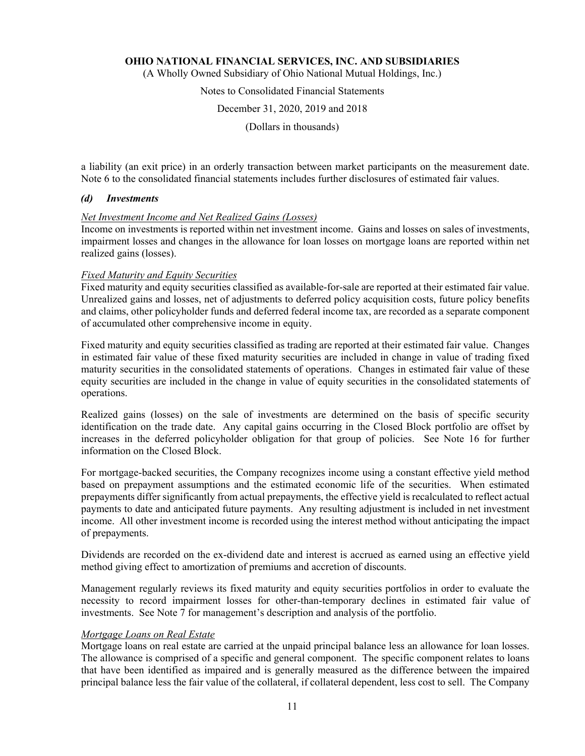(A Wholly Owned Subsidiary of Ohio National Mutual Holdings, Inc.)

## Notes to Consolidated Financial Statements

December 31, 2020, 2019 and 2018

(Dollars in thousands)

a liability (an exit price) in an orderly transaction between market participants on the measurement date. Note 6 to the consolidated financial statements includes further disclosures of estimated fair values.

#### *(d) Investments*

#### *Net Investment Income and Net Realized Gains (Losses)*

Income on investments is reported within net investment income. Gains and losses on sales of investments, impairment losses and changes in the allowance for loan losses on mortgage loans are reported within net realized gains (losses).

#### *Fixed Maturity and Equity Securities*

Fixed maturity and equity securities classified as available-for-sale are reported at their estimated fair value. Unrealized gains and losses, net of adjustments to deferred policy acquisition costs, future policy benefits and claims, other policyholder funds and deferred federal income tax, are recorded as a separate component of accumulated other comprehensive income in equity.

Fixed maturity and equity securities classified as trading are reported at their estimated fair value. Changes in estimated fair value of these fixed maturity securities are included in change in value of trading fixed maturity securities in the consolidated statements of operations. Changes in estimated fair value of these equity securities are included in the change in value of equity securities in the consolidated statements of operations.

Realized gains (losses) on the sale of investments are determined on the basis of specific security identification on the trade date. Any capital gains occurring in the Closed Block portfolio are offset by increases in the deferred policyholder obligation for that group of policies. See Note 16 for further information on the Closed Block.

For mortgage-backed securities, the Company recognizes income using a constant effective yield method based on prepayment assumptions and the estimated economic life of the securities. When estimated prepayments differ significantly from actual prepayments, the effective yield is recalculated to reflect actual payments to date and anticipated future payments. Any resulting adjustment is included in net investment income. All other investment income is recorded using the interest method without anticipating the impact of prepayments.

Dividends are recorded on the ex-dividend date and interest is accrued as earned using an effective yield method giving effect to amortization of premiums and accretion of discounts.

Management regularly reviews its fixed maturity and equity securities portfolios in order to evaluate the necessity to record impairment losses for other-than-temporary declines in estimated fair value of investments. See Note 7 for management's description and analysis of the portfolio.

#### *Mortgage Loans on Real Estate*

Mortgage loans on real estate are carried at the unpaid principal balance less an allowance for loan losses. The allowance is comprised of a specific and general component. The specific component relates to loans that have been identified as impaired and is generally measured as the difference between the impaired principal balance less the fair value of the collateral, if collateral dependent, less cost to sell. The Company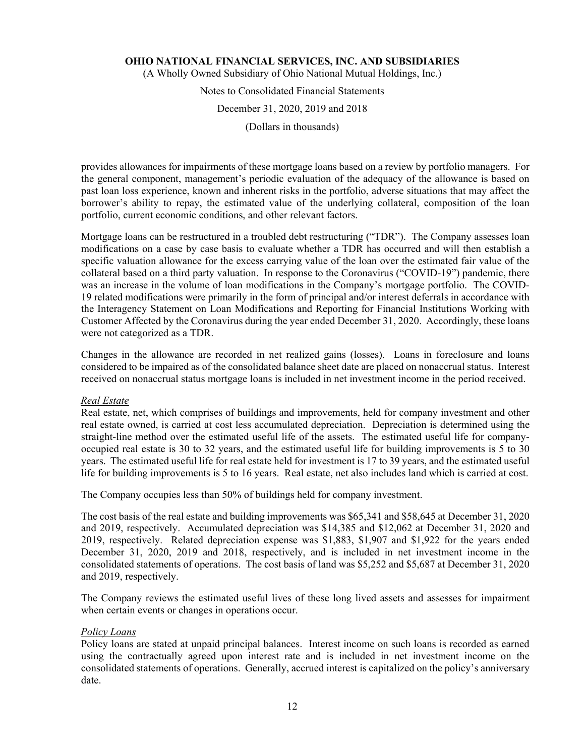(A Wholly Owned Subsidiary of Ohio National Mutual Holdings, Inc.)

# Notes to Consolidated Financial Statements December 31, 2020, 2019 and 2018

(Dollars in thousands)

provides allowances for impairments of these mortgage loans based on a review by portfolio managers. For the general component, management's periodic evaluation of the adequacy of the allowance is based on past loan loss experience, known and inherent risks in the portfolio, adverse situations that may affect the borrower's ability to repay, the estimated value of the underlying collateral, composition of the loan portfolio, current economic conditions, and other relevant factors.

Mortgage loans can be restructured in a troubled debt restructuring ("TDR"). The Company assesses loan modifications on a case by case basis to evaluate whether a TDR has occurred and will then establish a specific valuation allowance for the excess carrying value of the loan over the estimated fair value of the collateral based on a third party valuation. In response to the Coronavirus ("COVID-19") pandemic, there was an increase in the volume of loan modifications in the Company's mortgage portfolio. The COVID-19 related modifications were primarily in the form of principal and/or interest deferrals in accordance with the Interagency Statement on Loan Modifications and Reporting for Financial Institutions Working with Customer Affected by the Coronavirus during the year ended December 31, 2020. Accordingly, these loans were not categorized as a TDR.

Changes in the allowance are recorded in net realized gains (losses). Loans in foreclosure and loans considered to be impaired as of the consolidated balance sheet date are placed on nonaccrual status. Interest received on nonaccrual status mortgage loans is included in net investment income in the period received.

#### *Real Estate*

Real estate, net, which comprises of buildings and improvements, held for company investment and other real estate owned, is carried at cost less accumulated depreciation. Depreciation is determined using the straight-line method over the estimated useful life of the assets. The estimated useful life for companyoccupied real estate is 30 to 32 years, and the estimated useful life for building improvements is 5 to 30 years. The estimated useful life for real estate held for investment is 17 to 39 years, and the estimated useful life for building improvements is 5 to 16 years. Real estate, net also includes land which is carried at cost.

The Company occupies less than 50% of buildings held for company investment.

The cost basis of the real estate and building improvements was \$65,341 and \$58,645 at December 31, 2020 and 2019, respectively. Accumulated depreciation was \$14,385 and \$12,062 at December 31, 2020 and 2019, respectively. Related depreciation expense was \$1,883, \$1,907 and \$1,922 for the years ended December 31, 2020, 2019 and 2018, respectively, and is included in net investment income in the consolidated statements of operations. The cost basis of land was \$5,252 and \$5,687 at December 31, 2020 and 2019, respectively.

The Company reviews the estimated useful lives of these long lived assets and assesses for impairment when certain events or changes in operations occur.

#### *Policy Loans*

Policy loans are stated at unpaid principal balances. Interest income on such loans is recorded as earned using the contractually agreed upon interest rate and is included in net investment income on the consolidated statements of operations. Generally, accrued interest is capitalized on the policy's anniversary date.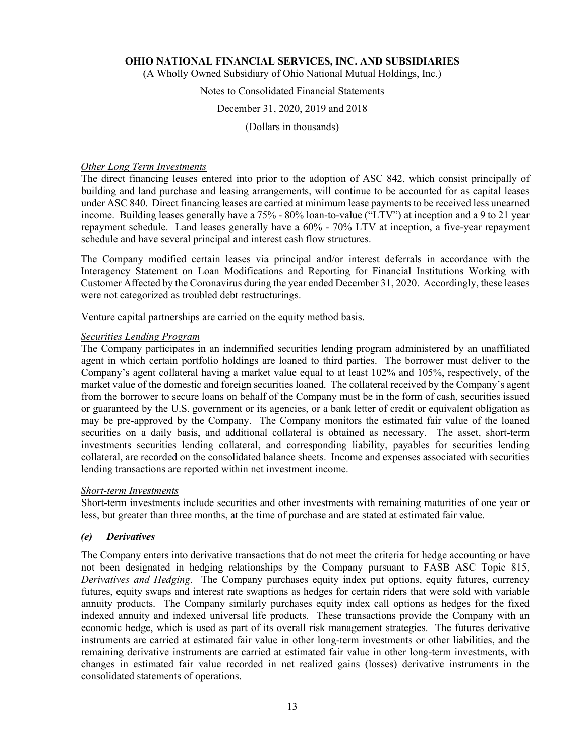(A Wholly Owned Subsidiary of Ohio National Mutual Holdings, Inc.)

## Notes to Consolidated Financial Statements

#### December 31, 2020, 2019 and 2018

(Dollars in thousands)

#### *Other Long Term Investments*

The direct financing leases entered into prior to the adoption of ASC 842, which consist principally of building and land purchase and leasing arrangements, will continue to be accounted for as capital leases under ASC 840. Direct financing leases are carried at minimum lease payments to be received less unearned income. Building leases generally have a 75% - 80% loan-to-value ("LTV") at inception and a 9 to 21 year repayment schedule. Land leases generally have a 60% - 70% LTV at inception, a five-year repayment schedule and have several principal and interest cash flow structures.

The Company modified certain leases via principal and/or interest deferrals in accordance with the Interagency Statement on Loan Modifications and Reporting for Financial Institutions Working with Customer Affected by the Coronavirus during the year ended December 31, 2020. Accordingly, these leases were not categorized as troubled debt restructurings.

Venture capital partnerships are carried on the equity method basis.

#### *Securities Lending Program*

The Company participates in an indemnified securities lending program administered by an unaffiliated agent in which certain portfolio holdings are loaned to third parties. The borrower must deliver to the Company's agent collateral having a market value equal to at least 102% and 105%, respectively, of the market value of the domestic and foreign securities loaned. The collateral received by the Company's agent from the borrower to secure loans on behalf of the Company must be in the form of cash, securities issued or guaranteed by the U.S. government or its agencies, or a bank letter of credit or equivalent obligation as may be pre-approved by the Company. The Company monitors the estimated fair value of the loaned securities on a daily basis, and additional collateral is obtained as necessary. The asset, short-term investments securities lending collateral, and corresponding liability, payables for securities lending collateral, are recorded on the consolidated balance sheets. Income and expenses associated with securities lending transactions are reported within net investment income.

#### *Short-term Investments*

Short-term investments include securities and other investments with remaining maturities of one year or less, but greater than three months, at the time of purchase and are stated at estimated fair value.

## *(e) Derivatives*

The Company enters into derivative transactions that do not meet the criteria for hedge accounting or have not been designated in hedging relationships by the Company pursuant to FASB ASC Topic 815, *Derivatives and Hedging*. The Company purchases equity index put options, equity futures, currency futures, equity swaps and interest rate swaptions as hedges for certain riders that were sold with variable annuity products. The Company similarly purchases equity index call options as hedges for the fixed indexed annuity and indexed universal life products. These transactions provide the Company with an economic hedge, which is used as part of its overall risk management strategies. The futures derivative instruments are carried at estimated fair value in other long-term investments or other liabilities, and the remaining derivative instruments are carried at estimated fair value in other long-term investments, with changes in estimated fair value recorded in net realized gains (losses) derivative instruments in the consolidated statements of operations.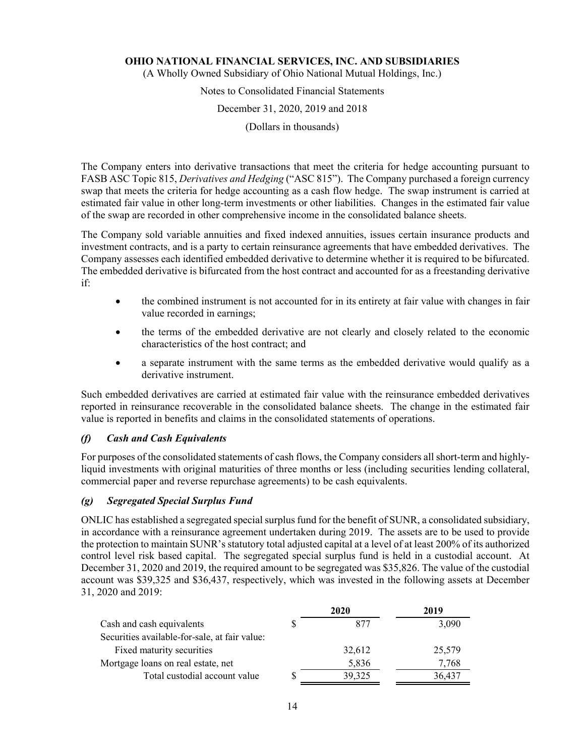(A Wholly Owned Subsidiary of Ohio National Mutual Holdings, Inc.)

# Notes to Consolidated Financial Statements

#### December 31, 2020, 2019 and 2018

(Dollars in thousands)

The Company enters into derivative transactions that meet the criteria for hedge accounting pursuant to FASB ASC Topic 815, *Derivatives and Hedging* ("ASC 815"). The Company purchased a foreign currency swap that meets the criteria for hedge accounting as a cash flow hedge. The swap instrument is carried at estimated fair value in other long-term investments or other liabilities. Changes in the estimated fair value of the swap are recorded in other comprehensive income in the consolidated balance sheets.

The Company sold variable annuities and fixed indexed annuities, issues certain insurance products and investment contracts, and is a party to certain reinsurance agreements that have embedded derivatives. The Company assesses each identified embedded derivative to determine whether it is required to be bifurcated. The embedded derivative is bifurcated from the host contract and accounted for as a freestanding derivative if:

- the combined instrument is not accounted for in its entirety at fair value with changes in fair value recorded in earnings;
- the terms of the embedded derivative are not clearly and closely related to the economic characteristics of the host contract; and
- a separate instrument with the same terms as the embedded derivative would qualify as a derivative instrument.

Such embedded derivatives are carried at estimated fair value with the reinsurance embedded derivatives reported in reinsurance recoverable in the consolidated balance sheets. The change in the estimated fair value is reported in benefits and claims in the consolidated statements of operations.

# *(f) Cash and Cash Equivalents*

For purposes of the consolidated statements of cash flows, the Company considers all short-term and highlyliquid investments with original maturities of three months or less (including securities lending collateral, commercial paper and reverse repurchase agreements) to be cash equivalents.

## *(g) Segregated Special Surplus Fund*

ONLIC has established a segregated special surplus fund for the benefit of SUNR, a consolidated subsidiary, in accordance with a reinsurance agreement undertaken during 2019. The assets are to be used to provide the protection to maintain SUNR's statutory total adjusted capital at a level of at least 200% of its authorized control level risk based capital. The segregated special surplus fund is held in a custodial account. At December 31, 2020 and 2019, the required amount to be segregated was \$35,826. The value of the custodial account was \$39,325 and \$36,437, respectively, which was invested in the following assets at December 31, 2020 and 2019:

|                                               | 2020   | 2019   |
|-----------------------------------------------|--------|--------|
| Cash and cash equivalents                     | 877    | 3,090  |
| Securities available-for-sale, at fair value: |        |        |
| Fixed maturity securities                     | 32,612 | 25,579 |
| Mortgage loans on real estate, net            | 5,836  | 7,768  |
| Total custodial account value                 | 39,325 | 36,437 |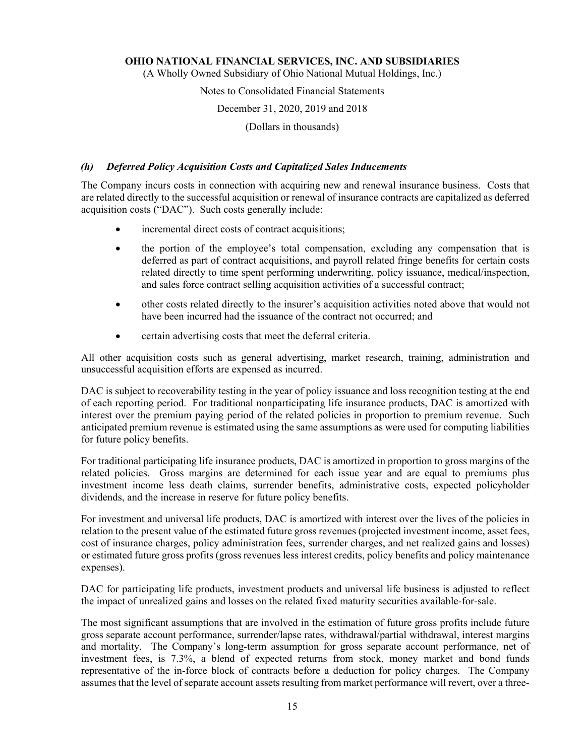(A Wholly Owned Subsidiary of Ohio National Mutual Holdings, Inc.)

# Notes to Consolidated Financial Statements

#### December 31, 2020, 2019 and 2018

(Dollars in thousands)

#### *(h) Deferred Policy Acquisition Costs and Capitalized Sales Inducements*

The Company incurs costs in connection with acquiring new and renewal insurance business. Costs that are related directly to the successful acquisition or renewal of insurance contracts are capitalized as deferred acquisition costs ("DAC"). Such costs generally include:

- incremental direct costs of contract acquisitions;
- the portion of the employee's total compensation, excluding any compensation that is deferred as part of contract acquisitions, and payroll related fringe benefits for certain costs related directly to time spent performing underwriting, policy issuance, medical/inspection, and sales force contract selling acquisition activities of a successful contract;
- other costs related directly to the insurer's acquisition activities noted above that would not have been incurred had the issuance of the contract not occurred; and
- certain advertising costs that meet the deferral criteria.

All other acquisition costs such as general advertising, market research, training, administration and unsuccessful acquisition efforts are expensed as incurred.

DAC is subject to recoverability testing in the year of policy issuance and loss recognition testing at the end of each reporting period. For traditional nonparticipating life insurance products, DAC is amortized with interest over the premium paying period of the related policies in proportion to premium revenue. Such anticipated premium revenue is estimated using the same assumptions as were used for computing liabilities for future policy benefits.

For traditional participating life insurance products, DAC is amortized in proportion to gross margins of the related policies. Gross margins are determined for each issue year and are equal to premiums plus investment income less death claims, surrender benefits, administrative costs, expected policyholder dividends, and the increase in reserve for future policy benefits.

For investment and universal life products, DAC is amortized with interest over the lives of the policies in relation to the present value of the estimated future gross revenues (projected investment income, asset fees, cost of insurance charges, policy administration fees, surrender charges, and net realized gains and losses) or estimated future gross profits (gross revenues less interest credits, policy benefits and policy maintenance expenses).

DAC for participating life products, investment products and universal life business is adjusted to reflect the impact of unrealized gains and losses on the related fixed maturity securities available-for-sale.

The most significant assumptions that are involved in the estimation of future gross profits include future gross separate account performance, surrender/lapse rates, withdrawal/partial withdrawal, interest margins and mortality. The Company's long-term assumption for gross separate account performance, net of investment fees, is 7.3%, a blend of expected returns from stock, money market and bond funds representative of the in-force block of contracts before a deduction for policy charges. The Company assumes that the level of separate account assets resulting from market performance will revert, over a three-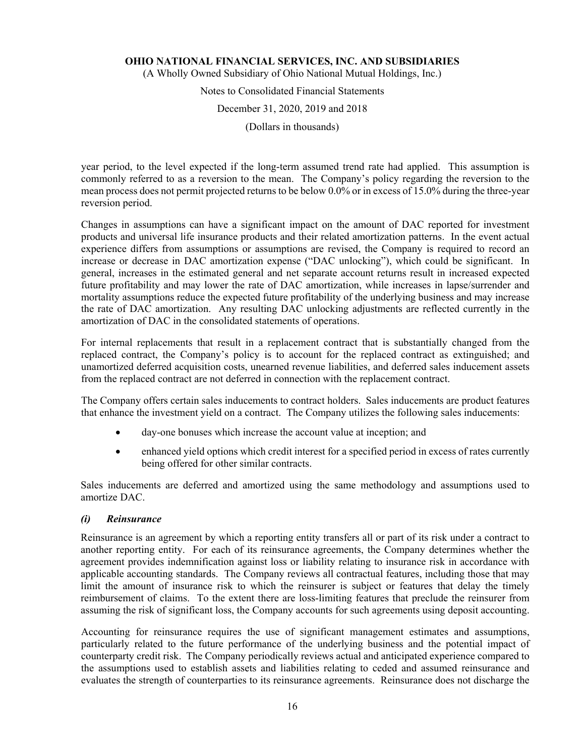(A Wholly Owned Subsidiary of Ohio National Mutual Holdings, Inc.)

# Notes to Consolidated Financial Statements

#### December 31, 2020, 2019 and 2018

(Dollars in thousands)

year period, to the level expected if the long-term assumed trend rate had applied. This assumption is commonly referred to as a reversion to the mean. The Company's policy regarding the reversion to the mean process does not permit projected returns to be below 0.0% or in excess of 15.0% during the three-year reversion period.

Changes in assumptions can have a significant impact on the amount of DAC reported for investment products and universal life insurance products and their related amortization patterns. In the event actual experience differs from assumptions or assumptions are revised, the Company is required to record an increase or decrease in DAC amortization expense ("DAC unlocking"), which could be significant. In general, increases in the estimated general and net separate account returns result in increased expected future profitability and may lower the rate of DAC amortization, while increases in lapse/surrender and mortality assumptions reduce the expected future profitability of the underlying business and may increase the rate of DAC amortization. Any resulting DAC unlocking adjustments are reflected currently in the amortization of DAC in the consolidated statements of operations.

For internal replacements that result in a replacement contract that is substantially changed from the replaced contract, the Company's policy is to account for the replaced contract as extinguished; and unamortized deferred acquisition costs, unearned revenue liabilities, and deferred sales inducement assets from the replaced contract are not deferred in connection with the replacement contract.

The Company offers certain sales inducements to contract holders. Sales inducements are product features that enhance the investment yield on a contract. The Company utilizes the following sales inducements:

- day-one bonuses which increase the account value at inception; and
- enhanced yield options which credit interest for a specified period in excess of rates currently being offered for other similar contracts.

Sales inducements are deferred and amortized using the same methodology and assumptions used to amortize DAC.

## *(i) Reinsurance*

Reinsurance is an agreement by which a reporting entity transfers all or part of its risk under a contract to another reporting entity. For each of its reinsurance agreements, the Company determines whether the agreement provides indemnification against loss or liability relating to insurance risk in accordance with applicable accounting standards. The Company reviews all contractual features, including those that may limit the amount of insurance risk to which the reinsurer is subject or features that delay the timely reimbursement of claims. To the extent there are loss-limiting features that preclude the reinsurer from assuming the risk of significant loss, the Company accounts for such agreements using deposit accounting.

Accounting for reinsurance requires the use of significant management estimates and assumptions, particularly related to the future performance of the underlying business and the potential impact of counterparty credit risk. The Company periodically reviews actual and anticipated experience compared to the assumptions used to establish assets and liabilities relating to ceded and assumed reinsurance and evaluates the strength of counterparties to its reinsurance agreements. Reinsurance does not discharge the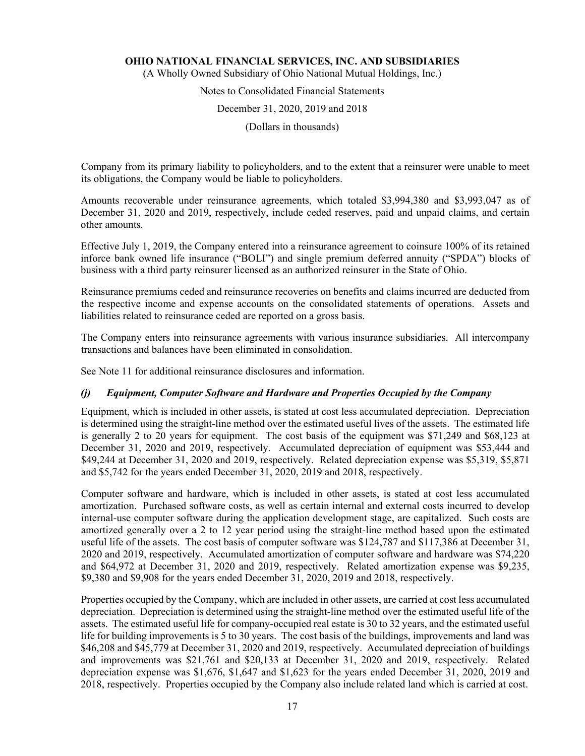(A Wholly Owned Subsidiary of Ohio National Mutual Holdings, Inc.)

## Notes to Consolidated Financial Statements

#### December 31, 2020, 2019 and 2018

(Dollars in thousands)

Company from its primary liability to policyholders, and to the extent that a reinsurer were unable to meet its obligations, the Company would be liable to policyholders.

Amounts recoverable under reinsurance agreements, which totaled \$3,994,380 and \$3,993,047 as of December 31, 2020 and 2019, respectively, include ceded reserves, paid and unpaid claims, and certain other amounts.

Effective July 1, 2019, the Company entered into a reinsurance agreement to coinsure 100% of its retained inforce bank owned life insurance ("BOLI") and single premium deferred annuity ("SPDA") blocks of business with a third party reinsurer licensed as an authorized reinsurer in the State of Ohio.

Reinsurance premiums ceded and reinsurance recoveries on benefits and claims incurred are deducted from the respective income and expense accounts on the consolidated statements of operations. Assets and liabilities related to reinsurance ceded are reported on a gross basis.

The Company enters into reinsurance agreements with various insurance subsidiaries. All intercompany transactions and balances have been eliminated in consolidation.

See Note 11 for additional reinsurance disclosures and information.

#### *(j) Equipment, Computer Software and Hardware and Properties Occupied by the Company*

Equipment, which is included in other assets, is stated at cost less accumulated depreciation. Depreciation is determined using the straight-line method over the estimated useful lives of the assets. The estimated life is generally 2 to 20 years for equipment. The cost basis of the equipment was \$71,249 and \$68,123 at December 31, 2020 and 2019, respectively. Accumulated depreciation of equipment was \$53,444 and \$49,244 at December 31, 2020 and 2019, respectively. Related depreciation expense was \$5,319, \$5,871 and \$5,742 for the years ended December 31, 2020, 2019 and 2018, respectively.

Computer software and hardware, which is included in other assets, is stated at cost less accumulated amortization. Purchased software costs, as well as certain internal and external costs incurred to develop internal-use computer software during the application development stage, are capitalized. Such costs are amortized generally over a 2 to 12 year period using the straight-line method based upon the estimated useful life of the assets. The cost basis of computer software was \$124,787 and \$117,386 at December 31, 2020 and 2019, respectively. Accumulated amortization of computer software and hardware was \$74,220 and \$64,972 at December 31, 2020 and 2019, respectively. Related amortization expense was \$9,235, \$9,380 and \$9,908 for the years ended December 31, 2020, 2019 and 2018, respectively.

Properties occupied by the Company, which are included in other assets, are carried at cost less accumulated depreciation. Depreciation is determined using the straight-line method over the estimated useful life of the assets. The estimated useful life for company-occupied real estate is 30 to 32 years, and the estimated useful life for building improvements is 5 to 30 years. The cost basis of the buildings, improvements and land was \$46,208 and \$45,779 at December 31, 2020 and 2019, respectively. Accumulated depreciation of buildings and improvements was \$21,761 and \$20,133 at December 31, 2020 and 2019, respectively. Related depreciation expense was \$1,676, \$1,647 and \$1,623 for the years ended December 31, 2020, 2019 and 2018, respectively. Properties occupied by the Company also include related land which is carried at cost.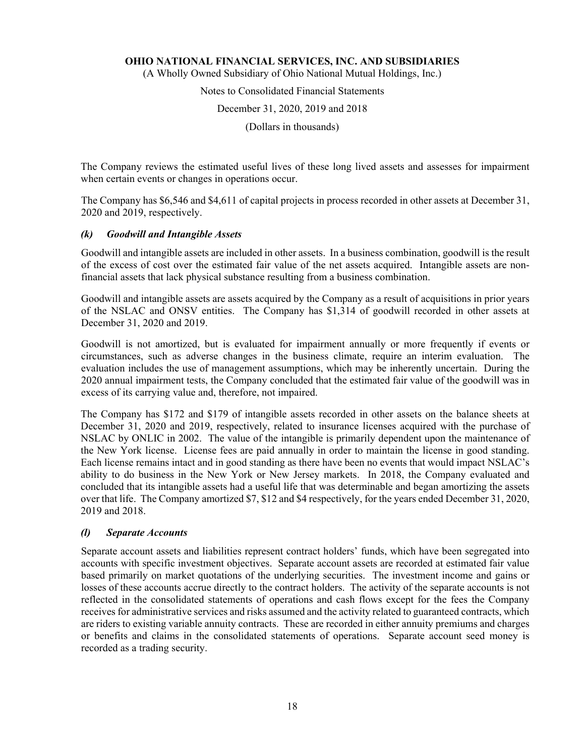(A Wholly Owned Subsidiary of Ohio National Mutual Holdings, Inc.)

# Notes to Consolidated Financial Statements

December 31, 2020, 2019 and 2018

(Dollars in thousands)

The Company reviews the estimated useful lives of these long lived assets and assesses for impairment when certain events or changes in operations occur.

The Company has \$6,546 and \$4,611 of capital projects in process recorded in other assets at December 31, 2020 and 2019, respectively.

## *(k) Goodwill and Intangible Assets*

Goodwill and intangible assets are included in other assets. In a business combination, goodwill is the result of the excess of cost over the estimated fair value of the net assets acquired. Intangible assets are nonfinancial assets that lack physical substance resulting from a business combination.

Goodwill and intangible assets are assets acquired by the Company as a result of acquisitions in prior years of the NSLAC and ONSV entities. The Company has \$1,314 of goodwill recorded in other assets at December 31, 2020 and 2019.

Goodwill is not amortized, but is evaluated for impairment annually or more frequently if events or circumstances, such as adverse changes in the business climate, require an interim evaluation. The evaluation includes the use of management assumptions, which may be inherently uncertain. During the 2020 annual impairment tests, the Company concluded that the estimated fair value of the goodwill was in excess of its carrying value and, therefore, not impaired.

The Company has \$172 and \$179 of intangible assets recorded in other assets on the balance sheets at December 31, 2020 and 2019, respectively, related to insurance licenses acquired with the purchase of NSLAC by ONLIC in 2002. The value of the intangible is primarily dependent upon the maintenance of the New York license. License fees are paid annually in order to maintain the license in good standing. Each license remains intact and in good standing as there have been no events that would impact NSLAC's ability to do business in the New York or New Jersey markets. In 2018, the Company evaluated and concluded that its intangible assets had a useful life that was determinable and began amortizing the assets over that life. The Company amortized \$7, \$12 and \$4 respectively, for the years ended December 31, 2020, 2019 and 2018.

## *(l) Separate Accounts*

Separate account assets and liabilities represent contract holders' funds, which have been segregated into accounts with specific investment objectives. Separate account assets are recorded at estimated fair value based primarily on market quotations of the underlying securities. The investment income and gains or losses of these accounts accrue directly to the contract holders. The activity of the separate accounts is not reflected in the consolidated statements of operations and cash flows except for the fees the Company receives for administrative services and risks assumed and the activity related to guaranteed contracts, which are riders to existing variable annuity contracts. These are recorded in either annuity premiums and charges or benefits and claims in the consolidated statements of operations. Separate account seed money is recorded as a trading security.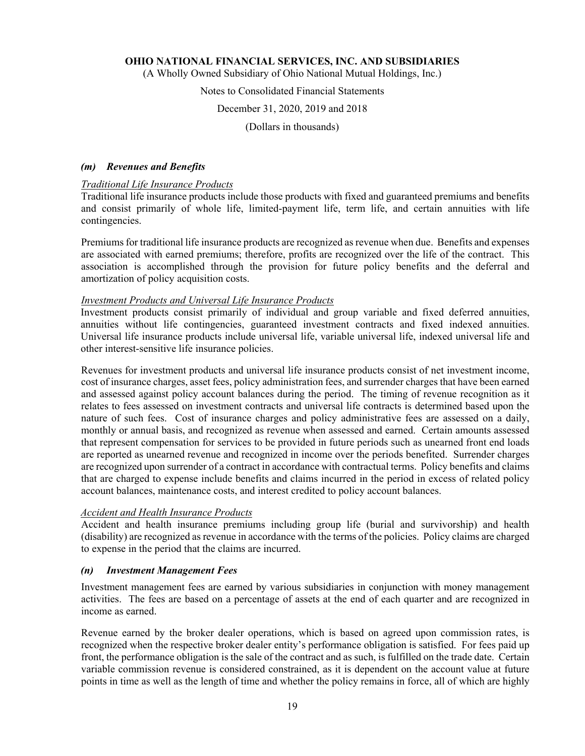(A Wholly Owned Subsidiary of Ohio National Mutual Holdings, Inc.)

## Notes to Consolidated Financial Statements

#### December 31, 2020, 2019 and 2018

(Dollars in thousands)

#### *(m) Revenues and Benefits*

#### *Traditional Life Insurance Products*

Traditional life insurance products include those products with fixed and guaranteed premiums and benefits and consist primarily of whole life, limited-payment life, term life, and certain annuities with life contingencies.

Premiums for traditional life insurance products are recognized as revenue when due. Benefits and expenses are associated with earned premiums; therefore, profits are recognized over the life of the contract. This association is accomplished through the provision for future policy benefits and the deferral and amortization of policy acquisition costs.

#### *Investment Products and Universal Life Insurance Products*

Investment products consist primarily of individual and group variable and fixed deferred annuities, annuities without life contingencies, guaranteed investment contracts and fixed indexed annuities. Universal life insurance products include universal life, variable universal life, indexed universal life and other interest-sensitive life insurance policies.

Revenues for investment products and universal life insurance products consist of net investment income, cost of insurance charges, asset fees, policy administration fees, and surrender charges that have been earned and assessed against policy account balances during the period. The timing of revenue recognition as it relates to fees assessed on investment contracts and universal life contracts is determined based upon the nature of such fees. Cost of insurance charges and policy administrative fees are assessed on a daily, monthly or annual basis, and recognized as revenue when assessed and earned. Certain amounts assessed that represent compensation for services to be provided in future periods such as unearned front end loads are reported as unearned revenue and recognized in income over the periods benefited. Surrender charges are recognized upon surrender of a contract in accordance with contractual terms. Policy benefits and claims that are charged to expense include benefits and claims incurred in the period in excess of related policy account balances, maintenance costs, and interest credited to policy account balances.

#### *Accident and Health Insurance Products*

Accident and health insurance premiums including group life (burial and survivorship) and health (disability) are recognized as revenue in accordance with the terms of the policies. Policy claims are charged to expense in the period that the claims are incurred.

#### *(n) Investment Management Fees*

Investment management fees are earned by various subsidiaries in conjunction with money management activities. The fees are based on a percentage of assets at the end of each quarter and are recognized in income as earned.

Revenue earned by the broker dealer operations, which is based on agreed upon commission rates, is recognized when the respective broker dealer entity's performance obligation is satisfied. For fees paid up front, the performance obligation is the sale of the contract and as such, is fulfilled on the trade date. Certain variable commission revenue is considered constrained, as it is dependent on the account value at future points in time as well as the length of time and whether the policy remains in force, all of which are highly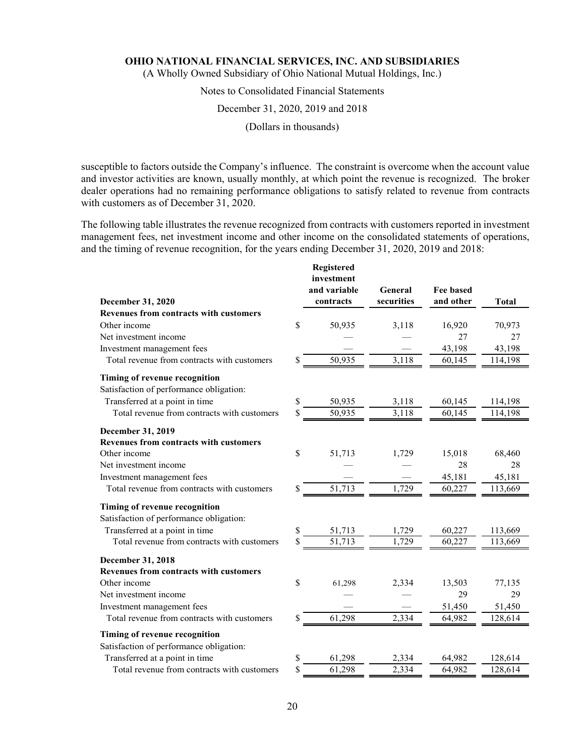(A Wholly Owned Subsidiary of Ohio National Mutual Holdings, Inc.)

# Notes to Consolidated Financial Statements

#### December 31, 2020, 2019 and 2018

(Dollars in thousands)

susceptible to factors outside the Company's influence. The constraint is overcome when the account value and investor activities are known, usually monthly, at which point the revenue is recognized. The broker dealer operations had no remaining performance obligations to satisfy related to revenue from contracts with customers as of December 31, 2020.

The following table illustrates the revenue recognized from contracts with customers reported in investment management fees, net investment income and other income on the consolidated statements of operations, and the timing of revenue recognition, for the years ending December 31, 2020, 2019 and 2018:

**Registered** 

| December 31, 2020                             | negistel eu<br>investment<br>and variable<br>contracts | General<br>securities | <b>Fee based</b><br>and other | <b>Total</b> |
|-----------------------------------------------|--------------------------------------------------------|-----------------------|-------------------------------|--------------|
| <b>Revenues from contracts with customers</b> |                                                        |                       |                               |              |
| Other income                                  | \$<br>50,935                                           | 3,118                 | 16,920                        | 70,973       |
| Net investment income                         |                                                        |                       | 27                            | 27           |
| Investment management fees                    |                                                        |                       | 43,198                        | 43,198       |
| Total revenue from contracts with customers   | \$<br>50,935                                           | 3,118                 | 60,145                        | 114,198      |
| Timing of revenue recognition                 |                                                        |                       |                               |              |
| Satisfaction of performance obligation:       |                                                        |                       |                               |              |
| Transferred at a point in time                | \$<br>50,935                                           | 3,118                 | 60,145                        | 114,198      |
| Total revenue from contracts with customers   | \$<br>50,935                                           | 3,118                 | 60,145                        | 114,198      |
| December 31, 2019                             |                                                        |                       |                               |              |
| <b>Revenues from contracts with customers</b> |                                                        |                       |                               |              |
| Other income                                  | \$<br>51,713                                           | 1,729                 | 15,018                        | 68,460       |
| Net investment income                         |                                                        |                       | 28                            | 28           |
| Investment management fees                    |                                                        |                       | 45,181                        | 45,181       |
| Total revenue from contracts with customers   | \$<br>51,713                                           | 1,729                 | 60,227                        | 113,669      |
| Timing of revenue recognition                 |                                                        |                       |                               |              |
| Satisfaction of performance obligation:       |                                                        |                       |                               |              |
| Transferred at a point in time                | \$<br>51,713                                           | 1,729                 | 60,227                        | 113,669      |
| Total revenue from contracts with customers   | \$<br>51,713                                           | 1,729                 | 60,227                        | 113,669      |
| <b>December 31, 2018</b>                      |                                                        |                       |                               |              |
| <b>Revenues from contracts with customers</b> |                                                        |                       |                               |              |
| Other income                                  | \$<br>61,298                                           | 2,334                 | 13,503                        | 77,135       |
| Net investment income                         |                                                        |                       | 29                            | 29           |
| Investment management fees                    |                                                        |                       | 51,450                        | 51,450       |
| Total revenue from contracts with customers   | \$<br>61,298                                           | 2,334                 | 64,982                        | 128,614      |
| Timing of revenue recognition                 |                                                        |                       |                               |              |
| Satisfaction of performance obligation:       |                                                        |                       |                               |              |
| Transferred at a point in time                | \$<br>61,298                                           | 2,334                 | 64,982                        | 128,614      |
| Total revenue from contracts with customers   | \$<br>61,298                                           | 2,334                 | 64,982                        | 128,614      |
|                                               |                                                        |                       |                               |              |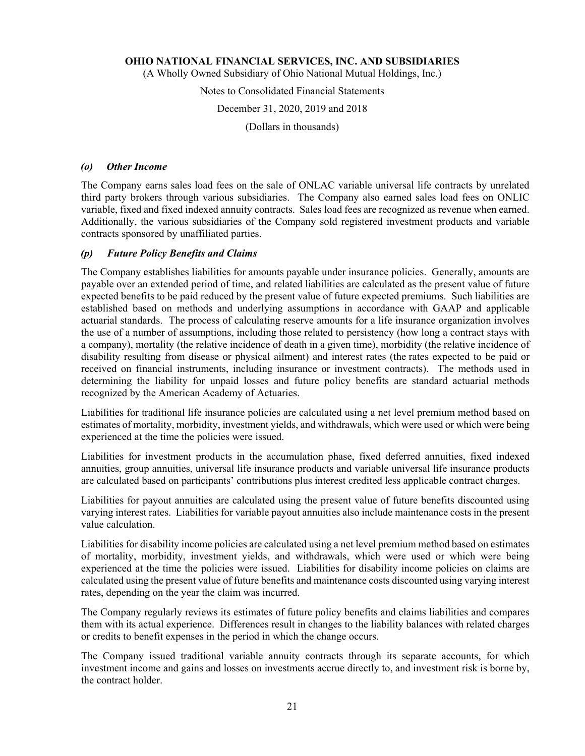(A Wholly Owned Subsidiary of Ohio National Mutual Holdings, Inc.)

## Notes to Consolidated Financial Statements

December 31, 2020, 2019 and 2018

(Dollars in thousands)

#### *(o) Other Income*

The Company earns sales load fees on the sale of ONLAC variable universal life contracts by unrelated third party brokers through various subsidiaries. The Company also earned sales load fees on ONLIC variable, fixed and fixed indexed annuity contracts. Sales load fees are recognized as revenue when earned. Additionally, the various subsidiaries of the Company sold registered investment products and variable contracts sponsored by unaffiliated parties.

### *(p) Future Policy Benefits and Claims*

The Company establishes liabilities for amounts payable under insurance policies. Generally, amounts are payable over an extended period of time, and related liabilities are calculated as the present value of future expected benefits to be paid reduced by the present value of future expected premiums. Such liabilities are established based on methods and underlying assumptions in accordance with GAAP and applicable actuarial standards. The process of calculating reserve amounts for a life insurance organization involves the use of a number of assumptions, including those related to persistency (how long a contract stays with a company), mortality (the relative incidence of death in a given time), morbidity (the relative incidence of disability resulting from disease or physical ailment) and interest rates (the rates expected to be paid or received on financial instruments, including insurance or investment contracts). The methods used in determining the liability for unpaid losses and future policy benefits are standard actuarial methods recognized by the American Academy of Actuaries.

Liabilities for traditional life insurance policies are calculated using a net level premium method based on estimates of mortality, morbidity, investment yields, and withdrawals, which were used or which were being experienced at the time the policies were issued.

Liabilities for investment products in the accumulation phase, fixed deferred annuities, fixed indexed annuities, group annuities, universal life insurance products and variable universal life insurance products are calculated based on participants' contributions plus interest credited less applicable contract charges.

Liabilities for payout annuities are calculated using the present value of future benefits discounted using varying interest rates. Liabilities for variable payout annuities also include maintenance costs in the present value calculation.

Liabilities for disability income policies are calculated using a net level premium method based on estimates of mortality, morbidity, investment yields, and withdrawals, which were used or which were being experienced at the time the policies were issued. Liabilities for disability income policies on claims are calculated using the present value of future benefits and maintenance costs discounted using varying interest rates, depending on the year the claim was incurred.

The Company regularly reviews its estimates of future policy benefits and claims liabilities and compares them with its actual experience. Differences result in changes to the liability balances with related charges or credits to benefit expenses in the period in which the change occurs.

The Company issued traditional variable annuity contracts through its separate accounts, for which investment income and gains and losses on investments accrue directly to, and investment risk is borne by, the contract holder.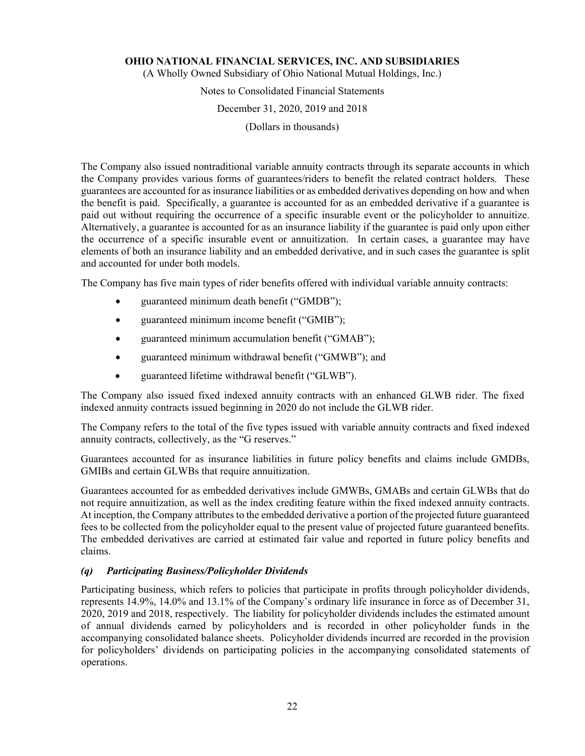(A Wholly Owned Subsidiary of Ohio National Mutual Holdings, Inc.)

# Notes to Consolidated Financial Statements

## December 31, 2020, 2019 and 2018

(Dollars in thousands)

The Company also issued nontraditional variable annuity contracts through its separate accounts in which the Company provides various forms of guarantees/riders to benefit the related contract holders. These guarantees are accounted for as insurance liabilities or as embedded derivatives depending on how and when the benefit is paid. Specifically, a guarantee is accounted for as an embedded derivative if a guarantee is paid out without requiring the occurrence of a specific insurable event or the policyholder to annuitize. Alternatively, a guarantee is accounted for as an insurance liability if the guarantee is paid only upon either the occurrence of a specific insurable event or annuitization. In certain cases, a guarantee may have elements of both an insurance liability and an embedded derivative, and in such cases the guarantee is split and accounted for under both models.

The Company has five main types of rider benefits offered with individual variable annuity contracts:

- guaranteed minimum death benefit ("GMDB");
- guaranteed minimum income benefit ("GMIB");
- guaranteed minimum accumulation benefit ("GMAB");
- guaranteed minimum withdrawal benefit ("GMWB"); and
- guaranteed lifetime withdrawal benefit ("GLWB").

The Company also issued fixed indexed annuity contracts with an enhanced GLWB rider. The fixed indexed annuity contracts issued beginning in 2020 do not include the GLWB rider.

The Company refers to the total of the five types issued with variable annuity contracts and fixed indexed annuity contracts, collectively, as the "G reserves."

Guarantees accounted for as insurance liabilities in future policy benefits and claims include GMDBs, GMIBs and certain GLWBs that require annuitization.

Guarantees accounted for as embedded derivatives include GMWBs, GMABs and certain GLWBs that do not require annuitization, as well as the index crediting feature within the fixed indexed annuity contracts. At inception, the Company attributes to the embedded derivative a portion of the projected future guaranteed fees to be collected from the policyholder equal to the present value of projected future guaranteed benefits. The embedded derivatives are carried at estimated fair value and reported in future policy benefits and claims.

## *(q) Participating Business/Policyholder Dividends*

Participating business, which refers to policies that participate in profits through policyholder dividends, represents 14.9%, 14.0% and 13.1% of the Company's ordinary life insurance in force as of December 31, 2020, 2019 and 2018, respectively. The liability for policyholder dividends includes the estimated amount of annual dividends earned by policyholders and is recorded in other policyholder funds in the accompanying consolidated balance sheets. Policyholder dividends incurred are recorded in the provision for policyholders' dividends on participating policies in the accompanying consolidated statements of operations.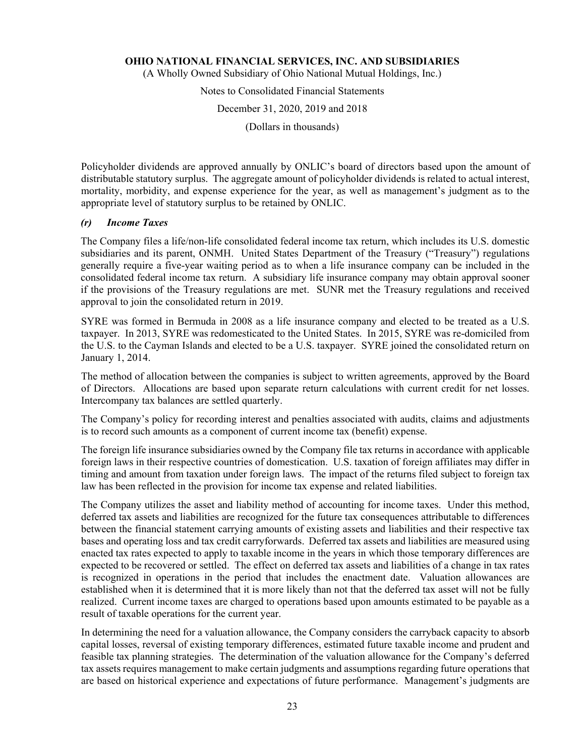(A Wholly Owned Subsidiary of Ohio National Mutual Holdings, Inc.)

Notes to Consolidated Financial Statements

December 31, 2020, 2019 and 2018

(Dollars in thousands)

Policyholder dividends are approved annually by ONLIC's board of directors based upon the amount of distributable statutory surplus. The aggregate amount of policyholder dividends is related to actual interest, mortality, morbidity, and expense experience for the year, as well as management's judgment as to the appropriate level of statutory surplus to be retained by ONLIC.

#### *(r) Income Taxes*

The Company files a life/non-life consolidated federal income tax return, which includes its U.S. domestic subsidiaries and its parent, ONMH. United States Department of the Treasury ("Treasury") regulations generally require a five-year waiting period as to when a life insurance company can be included in the consolidated federal income tax return. A subsidiary life insurance company may obtain approval sooner if the provisions of the Treasury regulations are met. SUNR met the Treasury regulations and received approval to join the consolidated return in 2019.

SYRE was formed in Bermuda in 2008 as a life insurance company and elected to be treated as a U.S. taxpayer. In 2013, SYRE was redomesticated to the United States. In 2015, SYRE was re-domiciled from the U.S. to the Cayman Islands and elected to be a U.S. taxpayer. SYRE joined the consolidated return on January 1, 2014.

The method of allocation between the companies is subject to written agreements, approved by the Board of Directors. Allocations are based upon separate return calculations with current credit for net losses. Intercompany tax balances are settled quarterly.

The Company's policy for recording interest and penalties associated with audits, claims and adjustments is to record such amounts as a component of current income tax (benefit) expense.

The foreign life insurance subsidiaries owned by the Company file tax returns in accordance with applicable foreign laws in their respective countries of domestication. U.S. taxation of foreign affiliates may differ in timing and amount from taxation under foreign laws. The impact of the returns filed subject to foreign tax law has been reflected in the provision for income tax expense and related liabilities.

The Company utilizes the asset and liability method of accounting for income taxes. Under this method, deferred tax assets and liabilities are recognized for the future tax consequences attributable to differences between the financial statement carrying amounts of existing assets and liabilities and their respective tax bases and operating loss and tax credit carryforwards. Deferred tax assets and liabilities are measured using enacted tax rates expected to apply to taxable income in the years in which those temporary differences are expected to be recovered or settled. The effect on deferred tax assets and liabilities of a change in tax rates is recognized in operations in the period that includes the enactment date. Valuation allowances are established when it is determined that it is more likely than not that the deferred tax asset will not be fully realized. Current income taxes are charged to operations based upon amounts estimated to be payable as a result of taxable operations for the current year.

In determining the need for a valuation allowance, the Company considers the carryback capacity to absorb capital losses, reversal of existing temporary differences, estimated future taxable income and prudent and feasible tax planning strategies. The determination of the valuation allowance for the Company's deferred tax assets requires management to make certain judgments and assumptions regarding future operations that are based on historical experience and expectations of future performance. Management's judgments are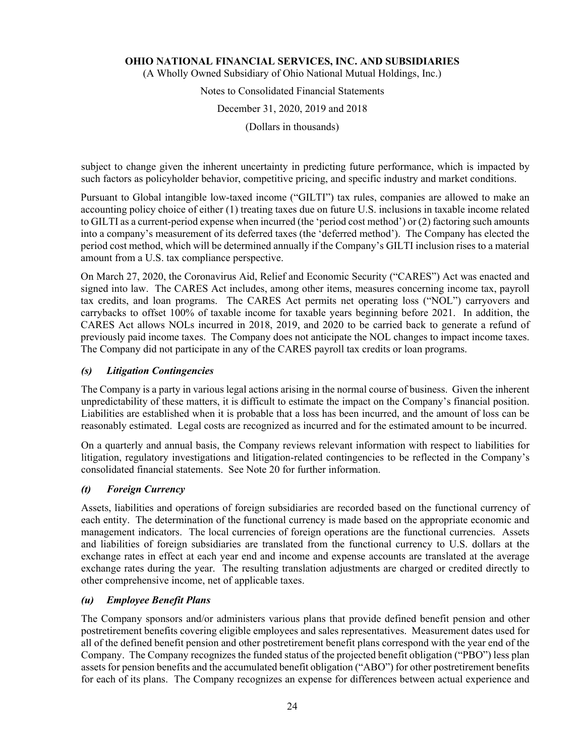(A Wholly Owned Subsidiary of Ohio National Mutual Holdings, Inc.)

# Notes to Consolidated Financial Statements December 31, 2020, 2019 and 2018

(Dollars in thousands)

subject to change given the inherent uncertainty in predicting future performance, which is impacted by such factors as policyholder behavior, competitive pricing, and specific industry and market conditions.

Pursuant to Global intangible low-taxed income ("GILTI") tax rules, companies are allowed to make an accounting policy choice of either (1) treating taxes due on future U.S. inclusions in taxable income related to GILTI as a current-period expense when incurred (the 'period cost method') or (2) factoring such amounts into a company's measurement of its deferred taxes (the 'deferred method'). The Company has elected the period cost method, which will be determined annually if the Company's GILTI inclusion rises to a material amount from a U.S. tax compliance perspective.

On March 27, 2020, the Coronavirus Aid, Relief and Economic Security ("CARES") Act was enacted and signed into law. The CARES Act includes, among other items, measures concerning income tax, payroll tax credits, and loan programs. The CARES Act permits net operating loss ("NOL") carryovers and carrybacks to offset 100% of taxable income for taxable years beginning before 2021. In addition, the CARES Act allows NOLs incurred in 2018, 2019, and 2020 to be carried back to generate a refund of previously paid income taxes. The Company does not anticipate the NOL changes to impact income taxes. The Company did not participate in any of the CARES payroll tax credits or loan programs.

## *(s) Litigation Contingencies*

The Company is a party in various legal actions arising in the normal course of business. Given the inherent unpredictability of these matters, it is difficult to estimate the impact on the Company's financial position. Liabilities are established when it is probable that a loss has been incurred, and the amount of loss can be reasonably estimated. Legal costs are recognized as incurred and for the estimated amount to be incurred.

On a quarterly and annual basis, the Company reviews relevant information with respect to liabilities for litigation, regulatory investigations and litigation-related contingencies to be reflected in the Company's consolidated financial statements. See Note 20 for further information.

## *(t) Foreign Currency*

Assets, liabilities and operations of foreign subsidiaries are recorded based on the functional currency of each entity. The determination of the functional currency is made based on the appropriate economic and management indicators. The local currencies of foreign operations are the functional currencies. Assets and liabilities of foreign subsidiaries are translated from the functional currency to U.S. dollars at the exchange rates in effect at each year end and income and expense accounts are translated at the average exchange rates during the year. The resulting translation adjustments are charged or credited directly to other comprehensive income, net of applicable taxes.

## *(u) Employee Benefit Plans*

The Company sponsors and/or administers various plans that provide defined benefit pension and other postretirement benefits covering eligible employees and sales representatives. Measurement dates used for all of the defined benefit pension and other postretirement benefit plans correspond with the year end of the Company. The Company recognizes the funded status of the projected benefit obligation ("PBO") less plan assets for pension benefits and the accumulated benefit obligation ("ABO") for other postretirement benefits for each of its plans. The Company recognizes an expense for differences between actual experience and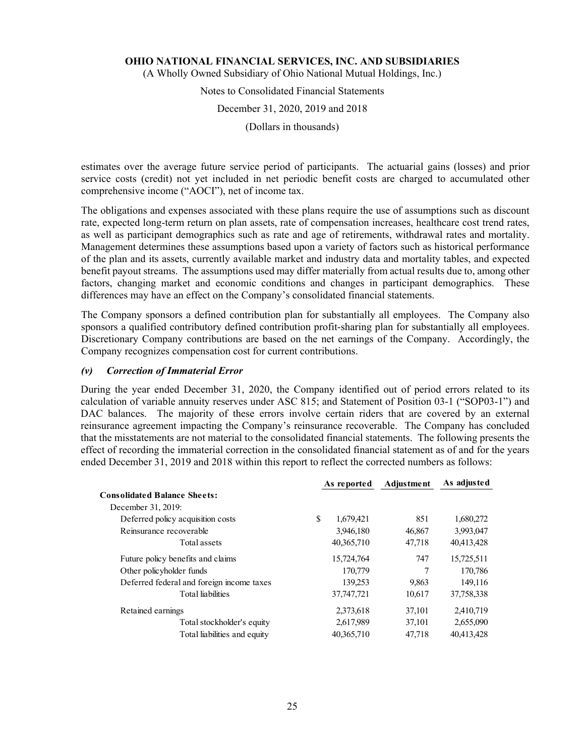(A Wholly Owned Subsidiary of Ohio National Mutual Holdings, Inc.)

# Notes to Consolidated Financial Statements

#### December 31, 2020, 2019 and 2018

(Dollars in thousands)

estimates over the average future service period of participants. The actuarial gains (losses) and prior service costs (credit) not yet included in net periodic benefit costs are charged to accumulated other comprehensive income ("AOCI"), net of income tax.

The obligations and expenses associated with these plans require the use of assumptions such as discount rate, expected long-term return on plan assets, rate of compensation increases, healthcare cost trend rates, as well as participant demographics such as rate and age of retirements, withdrawal rates and mortality. Management determines these assumptions based upon a variety of factors such as historical performance of the plan and its assets, currently available market and industry data and mortality tables, and expected benefit payout streams. The assumptions used may differ materially from actual results due to, among other factors, changing market and economic conditions and changes in participant demographics. These differences may have an effect on the Company's consolidated financial statements.

The Company sponsors a defined contribution plan for substantially all employees. The Company also sponsors a qualified contributory defined contribution profit-sharing plan for substantially all employees. Discretionary Company contributions are based on the net earnings of the Company. Accordingly, the Company recognizes compensation cost for current contributions.

#### *(v) Correction of Immaterial Error*

During the year ended December 31, 2020, the Company identified out of period errors related to its calculation of variable annuity reserves under ASC 815; and Statement of Position 03-1 ("SOP03-1") and DAC balances. The majority of these errors involve certain riders that are covered by an external reinsurance agreement impacting the Company's reinsurance recoverable. The Company has concluded that the misstatements are not material to the consolidated financial statements. The following presents the effect of recording the immaterial correction in the consolidated financial statement as of and for the years ended December 31, 2019 and 2018 within this report to reflect the corrected numbers as follows:

|                                           | As reported     | <b>Adjustment</b> | As adjusted |
|-------------------------------------------|-----------------|-------------------|-------------|
| <b>Consolidated Balance Sheets:</b>       |                 |                   |             |
| December 31, 2019:                        |                 |                   |             |
| Deferred policy acquisition costs         | \$<br>1,679,421 | 851               | 1,680,272   |
| Reinsurance recoverable                   | 3,946,180       | 46,867            | 3,993,047   |
| Total assets                              | 40,365,710      | 47,718            | 40,413,428  |
| Future policy benefits and claims         | 15,724,764      | 747               | 15,725,511  |
| Other policyholder funds                  | 170,779         | 7                 | 170,786     |
| Deferred federal and foreign income taxes | 139,253         | 9.863             | 149.116     |
| <b>Total liabilities</b>                  | 37,747,721      | 10,617            | 37,758,338  |
| Retained earnings                         | 2,373,618       | 37,101            | 2,410,719   |
| Total stockholder's equity                | 2,617,989       | 37,101            | 2,655,090   |
| Total liabilities and equity              | 40.365.710      | 47,718            | 40.413.428  |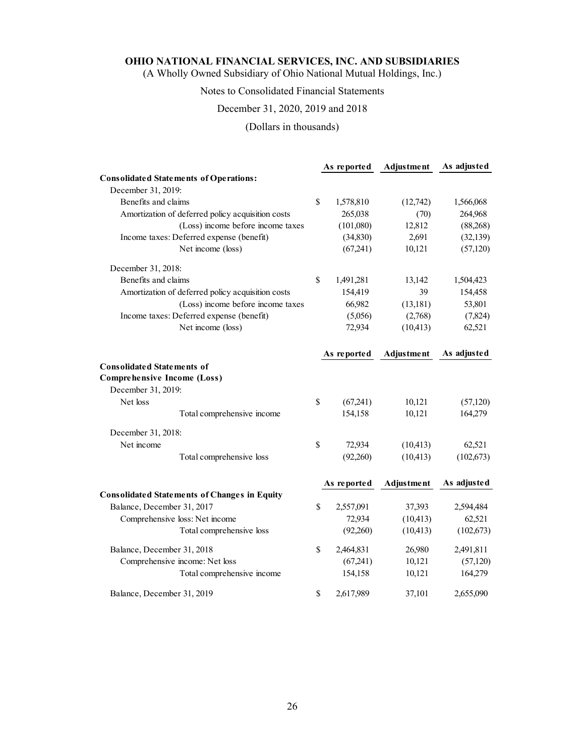(A Wholly Owned Subsidiary of Ohio National Mutual Holdings, Inc.)

# Notes to Consolidated Financial Statements

#### December 31, 2020, 2019 and 2018

(Dollars in thousands)

|                                                     |               | As reported | <b>Adjustment</b> | As adjusted |
|-----------------------------------------------------|---------------|-------------|-------------------|-------------|
| <b>Consolidated Statements of Operations:</b>       |               |             |                   |             |
| December 31, 2019:                                  |               |             |                   |             |
| Benefits and claims                                 | \$            | 1,578,810   | (12,742)          | 1,566,068   |
| Amortization of deferred policy acquisition costs   |               | 265,038     | (70)              | 264,968     |
| (Loss) income before income taxes                   |               | (101,080)   | 12,812            | (88, 268)   |
| Income taxes: Deferred expense (benefit)            |               | (34,830)    | 2,691             | (32, 139)   |
| Net income (loss)                                   |               | (67,241)    | 10,121            | (57, 120)   |
| December 31, 2018:                                  |               |             |                   |             |
| Benefits and claims                                 | \$            | 1,491,281   | 13,142            | 1,504,423   |
| Amortization of deferred policy acquisition costs   |               | 154,419     | 39                | 154,458     |
| (Loss) income before income taxes                   |               | 66,982      | (13, 181)         | 53,801      |
| Income taxes: Deferred expense (benefit)            |               | (5,056)     | (2,768)           | (7, 824)    |
| Net income (loss)                                   |               | 72,934      | (10, 413)         | 62,521      |
|                                                     |               | As reported | <b>Adjustment</b> | As adjusted |
| <b>Consolidated Statements of</b>                   |               |             |                   |             |
| Comprehensive Income (Loss)                         |               |             |                   |             |
| December 31, 2019:                                  |               |             |                   |             |
| Net loss                                            | \$            | (67,241)    | 10,121            | (57, 120)   |
| Total comprehensive income                          |               | 154,158     | 10,121            | 164,279     |
|                                                     |               |             |                   |             |
| December 31, 2018:                                  |               |             |                   |             |
| Net income                                          | \$            | 72,934      | (10, 413)         | 62,521      |
| Total comprehensive loss                            |               | (92,260)    | (10, 413)         | (102, 673)  |
|                                                     |               | As reported | Adjustment        | As adjusted |
| <b>Consolidated Statements of Changes in Equity</b> |               |             |                   |             |
| Balance, December 31, 2017                          | <sup>\$</sup> | 2,557,091   | 37,393            | 2,594,484   |
| Comprehensive loss: Net income                      |               | 72,934      | (10, 413)         | 62,521      |
| Total comprehensive loss                            |               | (92,260)    | (10, 413)         | (102, 673)  |
|                                                     |               |             |                   |             |
| Balance, December 31, 2018                          | \$            | 2,464,831   | 26,980            | 2,491,811   |
| Comprehensive income: Net loss                      |               | (67,241)    | 10,121            | (57, 120)   |
| Total comprehensive income                          |               | 154,158     | 10,121            | 164,279     |
| Balance, December 31, 2019                          | \$            | 2,617,989   | 37,101            | 2,655,090   |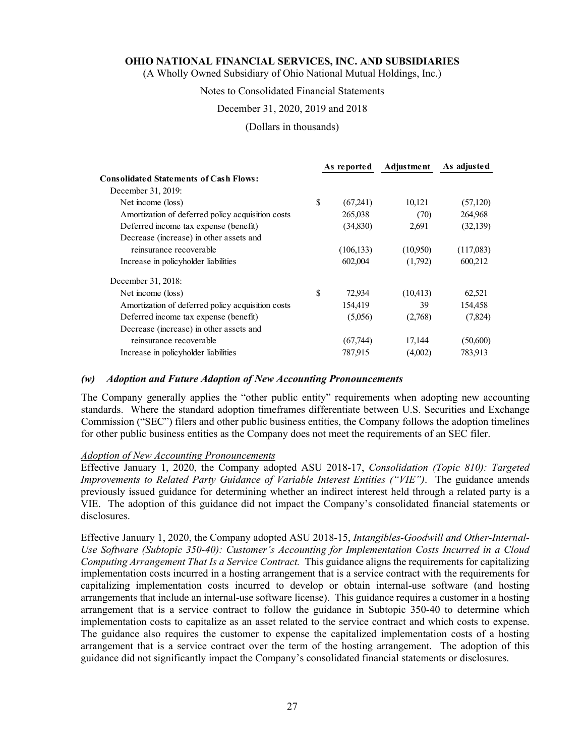(A Wholly Owned Subsidiary of Ohio National Mutual Holdings, Inc.)

#### Notes to Consolidated Financial Statements

#### December 31, 2020, 2019 and 2018

(Dollars in thousands)

|                                                   | As reported    | Adjustment | As adjusted |
|---------------------------------------------------|----------------|------------|-------------|
| <b>Consolidated Statements of Cash Flows:</b>     |                |            |             |
| December 31, 2019:                                |                |            |             |
| Net income (loss)                                 | \$<br>(67,241) | 10,121     | (57,120)    |
| Amortization of deferred policy acquisition costs | 265,038        | (70)       | 264,968     |
| Deferred income tax expense (benefit)             | (34, 830)      | 2,691      | (32, 139)   |
| Decrease (increase) in other assets and           |                |            |             |
| reinsurance recoverable                           | (106, 133)     | (10,950)   | (117,083)   |
| Increase in policyholder liabilities              | 602,004        | (1,792)    | 600,212     |
| December 31, 2018:                                |                |            |             |
| Net income (loss)                                 | \$<br>72,934   | (10, 413)  | 62,521      |
| Amortization of deferred policy acquisition costs | 154,419        | 39         | 154,458     |
| Deferred income tax expense (benefit)             | (5,056)        | (2,768)    | (7,824)     |
| Decrease (increase) in other assets and           |                |            |             |
| reinsurance recoverable                           | (67, 744)      | 17,144     | (50,600)    |
| Increase in policyholder liabilities              | 787,915        | (4,002)    | 783,913     |

#### *(w) Adoption and Future Adoption of New Accounting Pronouncements*

The Company generally applies the "other public entity" requirements when adopting new accounting standards. Where the standard adoption timeframes differentiate between U.S. Securities and Exchange Commission ("SEC") filers and other public business entities, the Company follows the adoption timelines for other public business entities as the Company does not meet the requirements of an SEC filer.

#### *Adoption of New Accounting Pronouncements*

Effective January 1, 2020, the Company adopted ASU 2018-17, *Consolidation (Topic 810): Targeted Improvements to Related Party Guidance of Variable Interest Entities ("VIE")*. The guidance amends previously issued guidance for determining whether an indirect interest held through a related party is a VIE. The adoption of this guidance did not impact the Company's consolidated financial statements or disclosures.

Effective January 1, 2020, the Company adopted ASU 2018-15, *Intangibles-Goodwill and Other-Internal-Use Software (Subtopic 350-40): Customer's Accounting for Implementation Costs Incurred in a Cloud Computing Arrangement That Is a Service Contract.* This guidance aligns the requirements for capitalizing implementation costs incurred in a hosting arrangement that is a service contract with the requirements for capitalizing implementation costs incurred to develop or obtain internal-use software (and hosting arrangements that include an internal-use software license). This guidance requires a customer in a hosting arrangement that is a service contract to follow the guidance in Subtopic 350-40 to determine which implementation costs to capitalize as an asset related to the service contract and which costs to expense. The guidance also requires the customer to expense the capitalized implementation costs of a hosting arrangement that is a service contract over the term of the hosting arrangement. The adoption of this guidance did not significantly impact the Company's consolidated financial statements or disclosures.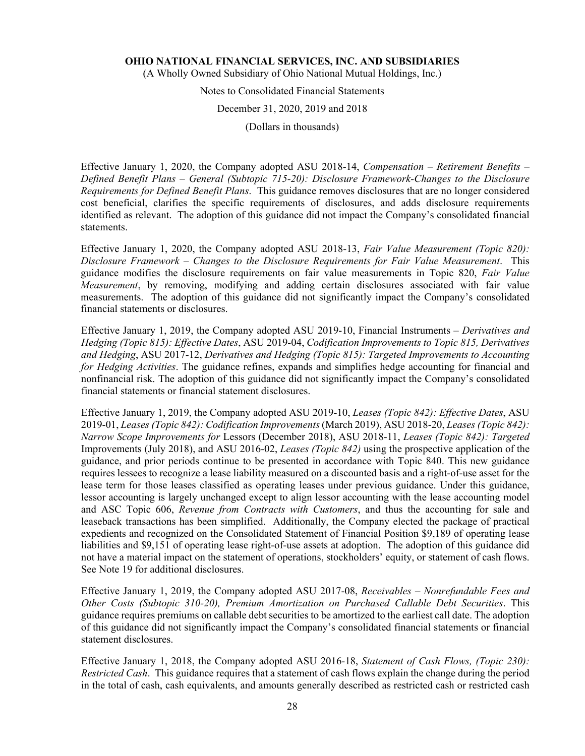(A Wholly Owned Subsidiary of Ohio National Mutual Holdings, Inc.)

# Notes to Consolidated Financial Statements

#### December 31, 2020, 2019 and 2018

(Dollars in thousands)

Effective January 1, 2020, the Company adopted ASU 2018-14, *Compensation – Retirement Benefits – Defined Benefit Plans – General (Subtopic 715-20): Disclosure Framework-Changes to the Disclosure Requirements for Defined Benefit Plans*. This guidance removes disclosures that are no longer considered cost beneficial, clarifies the specific requirements of disclosures, and adds disclosure requirements identified as relevant. The adoption of this guidance did not impact the Company's consolidated financial statements.

Effective January 1, 2020, the Company adopted ASU 2018-13, *Fair Value Measurement (Topic 820): Disclosure Framework – Changes to the Disclosure Requirements for Fair Value Measurement*. This guidance modifies the disclosure requirements on fair value measurements in Topic 820, *Fair Value Measurement*, by removing, modifying and adding certain disclosures associated with fair value measurements. The adoption of this guidance did not significantly impact the Company's consolidated financial statements or disclosures.

Effective January 1, 2019, the Company adopted ASU 2019-10, Financial Instruments – *Derivatives and Hedging (Topic 815): Effective Dates*, ASU 2019-04, *Codification Improvements to Topic 815, Derivatives and Hedging*, ASU 2017-12, *Derivatives and Hedging (Topic 815): Targeted Improvements to Accounting for Hedging Activities*. The guidance refines, expands and simplifies hedge accounting for financial and nonfinancial risk. The adoption of this guidance did not significantly impact the Company's consolidated financial statements or financial statement disclosures.

Effective January 1, 2019, the Company adopted ASU 2019-10, *Leases (Topic 842): Effective Dates*, ASU 2019-01, *Leases (Topic 842): Codification Improvements* (March 2019), ASU 2018-20, *Leases (Topic 842): Narrow Scope Improvements for* Lessors (December 2018), ASU 2018-11, *Leases (Topic 842): Targeted*  Improvements (July 2018), and ASU 2016-02, *Leases (Topic 842)* using the prospective application of the guidance, and prior periods continue to be presented in accordance with Topic 840. This new guidance requires lessees to recognize a lease liability measured on a discounted basis and a right-of-use asset for the lease term for those leases classified as operating leases under previous guidance. Under this guidance, lessor accounting is largely unchanged except to align lessor accounting with the lease accounting model and ASC Topic 606, *Revenue from Contracts with Customers*, and thus the accounting for sale and leaseback transactions has been simplified. Additionally, the Company elected the package of practical expedients and recognized on the Consolidated Statement of Financial Position \$9,189 of operating lease liabilities and \$9,151 of operating lease right-of-use assets at adoption. The adoption of this guidance did not have a material impact on the statement of operations, stockholders' equity, or statement of cash flows. See Note 19 for additional disclosures.

Effective January 1, 2019, the Company adopted ASU 2017-08, *Receivables – Nonrefundable Fees and Other Costs (Subtopic 310-20), Premium Amortization on Purchased Callable Debt Securities*. This guidance requires premiums on callable debt securities to be amortized to the earliest call date. The adoption of this guidance did not significantly impact the Company's consolidated financial statements or financial statement disclosures.

Effective January 1, 2018, the Company adopted ASU 2016-18, *Statement of Cash Flows, (Topic 230): Restricted Cash*. This guidance requires that a statement of cash flows explain the change during the period in the total of cash, cash equivalents, and amounts generally described as restricted cash or restricted cash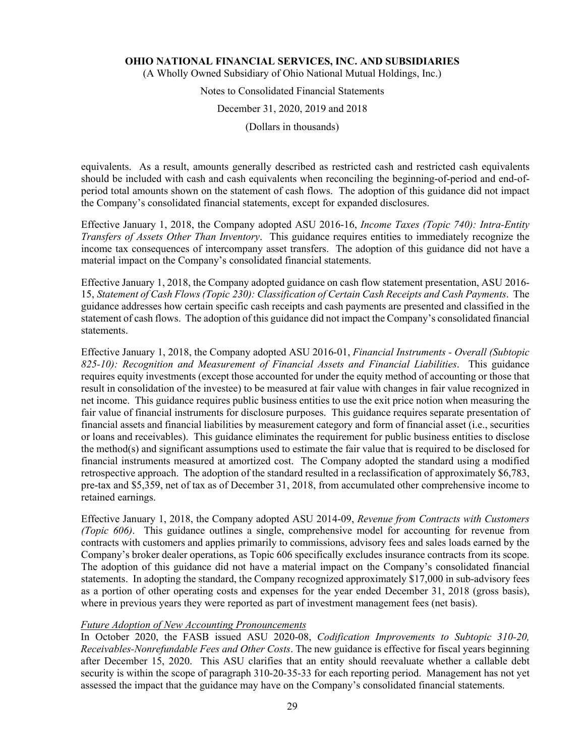(A Wholly Owned Subsidiary of Ohio National Mutual Holdings, Inc.)

# Notes to Consolidated Financial Statements December 31, 2020, 2019 and 2018

(Dollars in thousands)

equivalents. As a result, amounts generally described as restricted cash and restricted cash equivalents should be included with cash and cash equivalents when reconciling the beginning-of-period and end-ofperiod total amounts shown on the statement of cash flows. The adoption of this guidance did not impact the Company's consolidated financial statements, except for expanded disclosures.

Effective January 1, 2018, the Company adopted ASU 2016-16, *Income Taxes (Topic 740): Intra-Entity Transfers of Assets Other Than Inventory*. This guidance requires entities to immediately recognize the income tax consequences of intercompany asset transfers. The adoption of this guidance did not have a material impact on the Company's consolidated financial statements.

Effective January 1, 2018, the Company adopted guidance on cash flow statement presentation, ASU 2016- 15, *Statement of Cash Flows (Topic 230): Classification of Certain Cash Receipts and Cash Payments*. The guidance addresses how certain specific cash receipts and cash payments are presented and classified in the statement of cash flows. The adoption of this guidance did not impact the Company's consolidated financial statements.

Effective January 1, 2018, the Company adopted ASU 2016-01, *Financial Instruments - Overall (Subtopic 825-10): Recognition and Measurement of Financial Assets and Financial Liabilities*. This guidance requires equity investments (except those accounted for under the equity method of accounting or those that result in consolidation of the investee) to be measured at fair value with changes in fair value recognized in net income. This guidance requires public business entities to use the exit price notion when measuring the fair value of financial instruments for disclosure purposes. This guidance requires separate presentation of financial assets and financial liabilities by measurement category and form of financial asset (i.e., securities or loans and receivables). This guidance eliminates the requirement for public business entities to disclose the method(s) and significant assumptions used to estimate the fair value that is required to be disclosed for financial instruments measured at amortized cost. The Company adopted the standard using a modified retrospective approach. The adoption of the standard resulted in a reclassification of approximately \$6,783, pre-tax and \$5,359, net of tax as of December 31, 2018, from accumulated other comprehensive income to retained earnings.

Effective January 1, 2018, the Company adopted ASU 2014-09, *Revenue from Contracts with Customers (Topic 606)*. This guidance outlines a single, comprehensive model for accounting for revenue from contracts with customers and applies primarily to commissions, advisory fees and sales loads earned by the Company's broker dealer operations, as Topic 606 specifically excludes insurance contracts from its scope. The adoption of this guidance did not have a material impact on the Company's consolidated financial statements. In adopting the standard, the Company recognized approximately \$17,000 in sub-advisory fees as a portion of other operating costs and expenses for the year ended December 31, 2018 (gross basis), where in previous years they were reported as part of investment management fees (net basis).

## *Future Adoption of New Accounting Pronouncements*

In October 2020, the FASB issued ASU 2020-08, *Codification Improvements to Subtopic 310-20, Receivables-Nonrefundable Fees and Other Costs*. The new guidance is effective for fiscal years beginning after December 15, 2020. This ASU clarifies that an entity should reevaluate whether a callable debt security is within the scope of paragraph 310-20-35-33 for each reporting period. Management has not yet assessed the impact that the guidance may have on the Company's consolidated financial statements.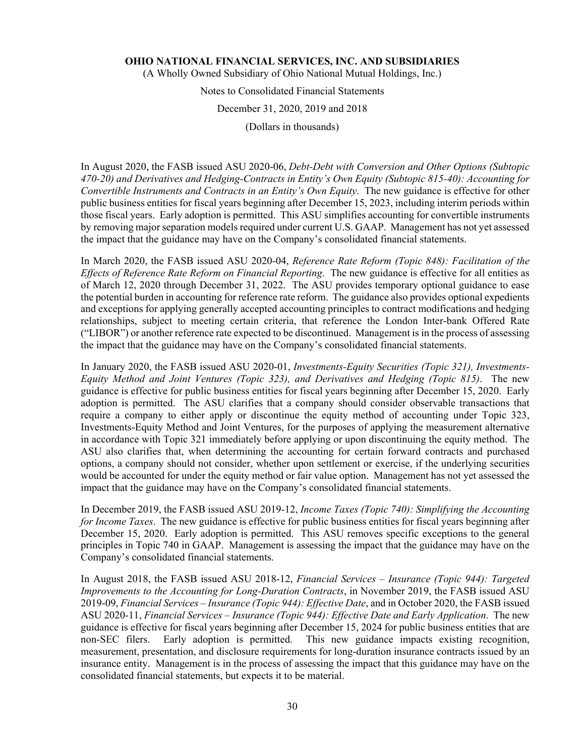(A Wholly Owned Subsidiary of Ohio National Mutual Holdings, Inc.)

# Notes to Consolidated Financial Statements

#### December 31, 2020, 2019 and 2018

(Dollars in thousands)

In August 2020, the FASB issued ASU 2020-06, *Debt-Debt with Conversion and Other Options (Subtopic 470-20) and Derivatives and Hedging-Contracts in Entity's Own Equity (Subtopic 815-40): Accounting for Convertible Instruments and Contracts in an Entity's Own Equity*. The new guidance is effective for other public business entities for fiscal years beginning after December 15, 2023, including interim periods within those fiscal years. Early adoption is permitted. This ASU simplifies accounting for convertible instruments by removing major separation models required under current U.S. GAAP. Management has not yet assessed the impact that the guidance may have on the Company's consolidated financial statements.

In March 2020, the FASB issued ASU 2020-04, *Reference Rate Reform (Topic 848): Facilitation of the Effects of Reference Rate Reform on Financial Reporting*. The new guidance is effective for all entities as of March 12, 2020 through December 31, 2022. The ASU provides temporary optional guidance to ease the potential burden in accounting for reference rate reform. The guidance also provides optional expedients and exceptions for applying generally accepted accounting principles to contract modifications and hedging relationships, subject to meeting certain criteria, that reference the London Inter-bank Offered Rate ("LIBOR") or another reference rate expected to be discontinued. Management is in the process of assessing the impact that the guidance may have on the Company's consolidated financial statements.

In January 2020, the FASB issued ASU 2020-01, *Investments-Equity Securities (Topic 321), Investments-Equity Method and Joint Ventures (Topic 323), and Derivatives and Hedging (Topic 815)*. The new guidance is effective for public business entities for fiscal years beginning after December 15, 2020. Early adoption is permitted. The ASU clarifies that a company should consider observable transactions that require a company to either apply or discontinue the equity method of accounting under Topic 323, Investments-Equity Method and Joint Ventures, for the purposes of applying the measurement alternative in accordance with Topic 321 immediately before applying or upon discontinuing the equity method. The ASU also clarifies that, when determining the accounting for certain forward contracts and purchased options, a company should not consider, whether upon settlement or exercise, if the underlying securities would be accounted for under the equity method or fair value option. Management has not yet assessed the impact that the guidance may have on the Company's consolidated financial statements.

In December 2019, the FASB issued ASU 2019-12, *Income Taxes (Topic 740): Simplifying the Accounting for Income Taxes*. The new guidance is effective for public business entities for fiscal years beginning after December 15, 2020. Early adoption is permitted. This ASU removes specific exceptions to the general principles in Topic 740 in GAAP. Management is assessing the impact that the guidance may have on the Company's consolidated financial statements.

In August 2018, the FASB issued ASU 2018-12, *Financial Services – Insurance (Topic 944): Targeted Improvements to the Accounting for Long-Duration Contracts*, in November 2019, the FASB issued ASU 2019-09, *Financial Services – Insurance (Topic 944): Effective Date*, and in October 2020, the FASB issued ASU 2020-11, *Financial Services – Insurance (Topic 944): Effective Date and Early Application*.The new guidance is effective for fiscal years beginning after December 15, 2024 for public business entities that are non-SEC filers. Early adoption is permitted. This new guidance impacts existing recognition, measurement, presentation, and disclosure requirements for long-duration insurance contracts issued by an insurance entity. Management is in the process of assessing the impact that this guidance may have on the consolidated financial statements, but expects it to be material.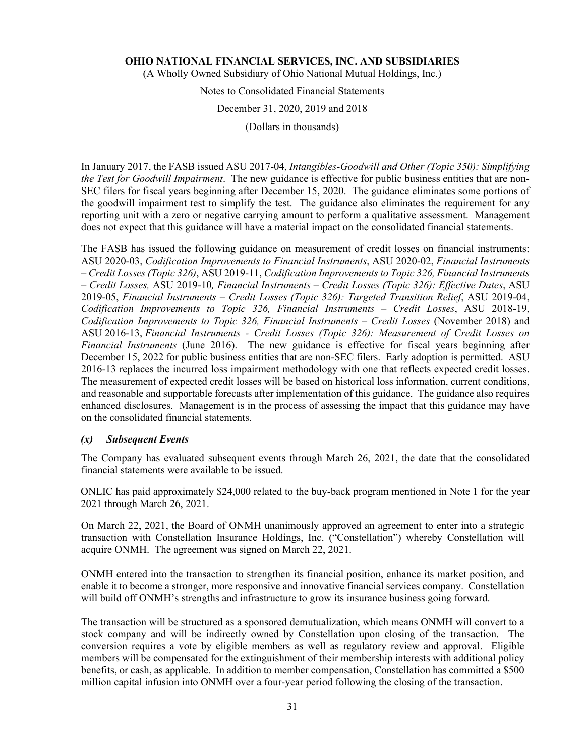(A Wholly Owned Subsidiary of Ohio National Mutual Holdings, Inc.)

# Notes to Consolidated Financial Statements

#### December 31, 2020, 2019 and 2018

(Dollars in thousands)

In January 2017, the FASB issued ASU 2017-04, *Intangibles-Goodwill and Other (Topic 350): Simplifying the Test for Goodwill Impairment*. The new guidance is effective for public business entities that are non-SEC filers for fiscal years beginning after December 15, 2020. The guidance eliminates some portions of the goodwill impairment test to simplify the test. The guidance also eliminates the requirement for any reporting unit with a zero or negative carrying amount to perform a qualitative assessment. Management does not expect that this guidance will have a material impact on the consolidated financial statements.

The FASB has issued the following guidance on measurement of credit losses on financial instruments: ASU 2020-03, *Codification Improvements to Financial Instruments*, ASU 2020-02, *Financial Instruments – Credit Losses (Topic 326)*, ASU 2019-11, *Codification Improvements to Topic 326, Financial Instruments – Credit Losses,* ASU 2019-10*, Financial Instruments – Credit Losses (Topic 326): Effective Dates*, ASU 2019-05, *Financial Instruments – Credit Losses (Topic 326): Targeted Transition Relief*, ASU 2019-04, *Codification Improvements to Topic 326, Financial Instruments – Credit Losses*, ASU 2018-19, *Codification Improvements to Topic 326, Financial Instruments – Credit Losses* (November 2018) and ASU 2016-13, *Financial Instruments - Credit Losses (Topic 326): Measurement of Credit Losses on Financial Instruments* (June 2016). The new guidance is effective for fiscal years beginning after December 15, 2022 for public business entities that are non-SEC filers. Early adoption is permitted. ASU 2016-13 replaces the incurred loss impairment methodology with one that reflects expected credit losses. The measurement of expected credit losses will be based on historical loss information, current conditions, and reasonable and supportable forecasts after implementation of this guidance. The guidance also requires enhanced disclosures. Management is in the process of assessing the impact that this guidance may have on the consolidated financial statements.

#### *(x) Subsequent Events*

The Company has evaluated subsequent events through March 26, 2021, the date that the consolidated financial statements were available to be issued.

ONLIC has paid approximately \$24,000 related to the buy-back program mentioned in Note 1 for the year 2021 through March 26, 2021.

On March 22, 2021, the Board of ONMH unanimously approved an agreement to enter into a strategic transaction with Constellation Insurance Holdings, Inc. ("Constellation") whereby Constellation will acquire ONMH. The agreement was signed on March 22, 2021.

ONMH entered into the transaction to strengthen its financial position, enhance its market position, and enable it to become a stronger, more responsive and innovative financial services company. Constellation will build off ONMH's strengths and infrastructure to grow its insurance business going forward.

The transaction will be structured as a sponsored demutualization, which means ONMH will convert to a stock company and will be indirectly owned by Constellation upon closing of the transaction. The conversion requires a vote by eligible members as well as regulatory review and approval. Eligible members will be compensated for the extinguishment of their membership interests with additional policy benefits, or cash, as applicable. In addition to member compensation, Constellation has committed a \$500 million capital infusion into ONMH over a four-year period following the closing of the transaction.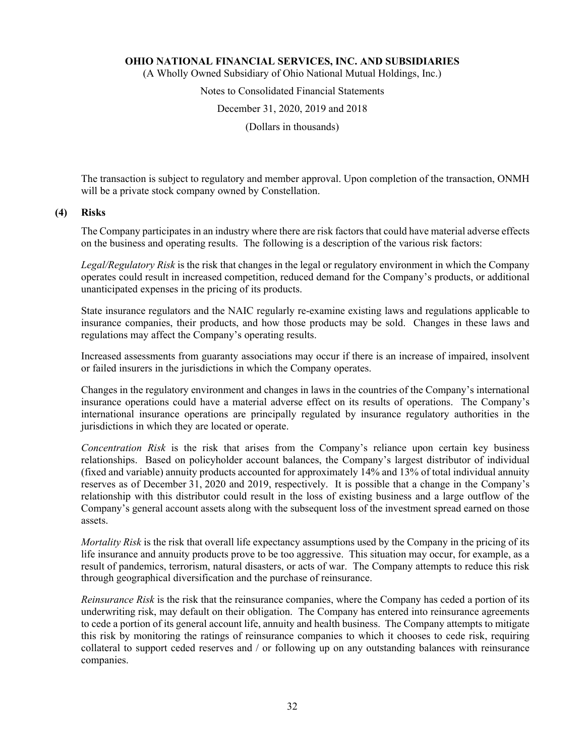(A Wholly Owned Subsidiary of Ohio National Mutual Holdings, Inc.)

### Notes to Consolidated Financial Statements

December 31, 2020, 2019 and 2018

(Dollars in thousands)

The transaction is subject to regulatory and member approval. Upon completion of the transaction, ONMH will be a private stock company owned by Constellation.

#### **(4) Risks**

The Company participates in an industry where there are risk factors that could have material adverse effects on the business and operating results. The following is a description of the various risk factors:

*Legal/Regulatory Risk* is the risk that changes in the legal or regulatory environment in which the Company operates could result in increased competition, reduced demand for the Company's products, or additional unanticipated expenses in the pricing of its products.

State insurance regulators and the NAIC regularly re-examine existing laws and regulations applicable to insurance companies, their products, and how those products may be sold. Changes in these laws and regulations may affect the Company's operating results.

Increased assessments from guaranty associations may occur if there is an increase of impaired, insolvent or failed insurers in the jurisdictions in which the Company operates.

Changes in the regulatory environment and changes in laws in the countries of the Company's international insurance operations could have a material adverse effect on its results of operations. The Company's international insurance operations are principally regulated by insurance regulatory authorities in the jurisdictions in which they are located or operate.

*Concentration Risk* is the risk that arises from the Company's reliance upon certain key business relationships. Based on policyholder account balances, the Company's largest distributor of individual (fixed and variable) annuity products accounted for approximately 14% and 13% of total individual annuity reserves as of December 31, 2020 and 2019, respectively. It is possible that a change in the Company's relationship with this distributor could result in the loss of existing business and a large outflow of the Company's general account assets along with the subsequent loss of the investment spread earned on those assets.

*Mortality Risk* is the risk that overall life expectancy assumptions used by the Company in the pricing of its life insurance and annuity products prove to be too aggressive. This situation may occur, for example, as a result of pandemics, terrorism, natural disasters, or acts of war. The Company attempts to reduce this risk through geographical diversification and the purchase of reinsurance.

*Reinsurance Risk* is the risk that the reinsurance companies, where the Company has ceded a portion of its underwriting risk, may default on their obligation. The Company has entered into reinsurance agreements to cede a portion of its general account life, annuity and health business. The Company attempts to mitigate this risk by monitoring the ratings of reinsurance companies to which it chooses to cede risk, requiring collateral to support ceded reserves and / or following up on any outstanding balances with reinsurance companies.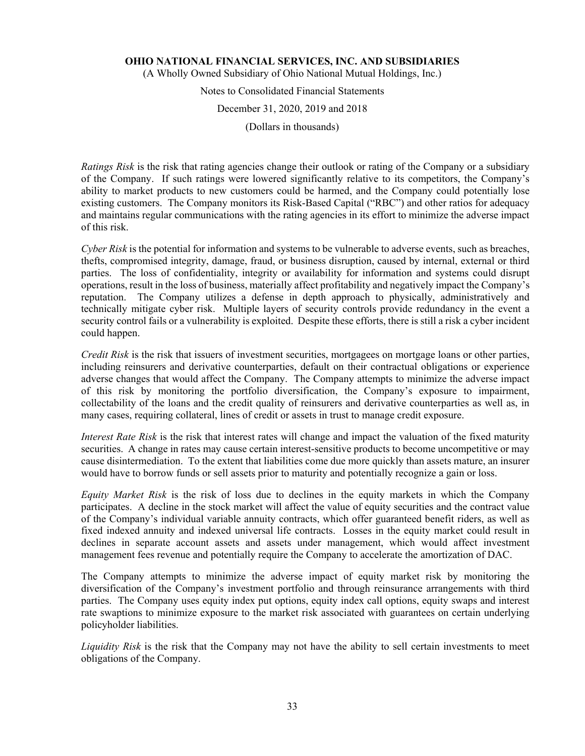(A Wholly Owned Subsidiary of Ohio National Mutual Holdings, Inc.)

# Notes to Consolidated Financial Statements

#### December 31, 2020, 2019 and 2018

(Dollars in thousands)

*Ratings Risk* is the risk that rating agencies change their outlook or rating of the Company or a subsidiary of the Company. If such ratings were lowered significantly relative to its competitors, the Company's ability to market products to new customers could be harmed, and the Company could potentially lose existing customers. The Company monitors its Risk-Based Capital ("RBC") and other ratios for adequacy and maintains regular communications with the rating agencies in its effort to minimize the adverse impact of this risk.

*Cyber Risk* is the potential for information and systems to be vulnerable to adverse events, such as breaches, thefts, compromised integrity, damage, fraud, or business disruption, caused by internal, external or third parties. The loss of confidentiality, integrity or availability for information and systems could disrupt operations, result in the loss of business, materially affect profitability and negatively impact the Company's reputation. The Company utilizes a defense in depth approach to physically, administratively and technically mitigate cyber risk. Multiple layers of security controls provide redundancy in the event a security control fails or a vulnerability is exploited. Despite these efforts, there is still a risk a cyber incident could happen.

*Credit Risk* is the risk that issuers of investment securities, mortgagees on mortgage loans or other parties, including reinsurers and derivative counterparties, default on their contractual obligations or experience adverse changes that would affect the Company. The Company attempts to minimize the adverse impact of this risk by monitoring the portfolio diversification, the Company's exposure to impairment, collectability of the loans and the credit quality of reinsurers and derivative counterparties as well as, in many cases, requiring collateral, lines of credit or assets in trust to manage credit exposure.

*Interest Rate Risk* is the risk that interest rates will change and impact the valuation of the fixed maturity securities. A change in rates may cause certain interest-sensitive products to become uncompetitive or may cause disintermediation. To the extent that liabilities come due more quickly than assets mature, an insurer would have to borrow funds or sell assets prior to maturity and potentially recognize a gain or loss.

*Equity Market Risk* is the risk of loss due to declines in the equity markets in which the Company participates. A decline in the stock market will affect the value of equity securities and the contract value of the Company's individual variable annuity contracts, which offer guaranteed benefit riders, as well as fixed indexed annuity and indexed universal life contracts. Losses in the equity market could result in declines in separate account assets and assets under management, which would affect investment management fees revenue and potentially require the Company to accelerate the amortization of DAC.

The Company attempts to minimize the adverse impact of equity market risk by monitoring the diversification of the Company's investment portfolio and through reinsurance arrangements with third parties. The Company uses equity index put options, equity index call options, equity swaps and interest rate swaptions to minimize exposure to the market risk associated with guarantees on certain underlying policyholder liabilities.

*Liquidity Risk* is the risk that the Company may not have the ability to sell certain investments to meet obligations of the Company.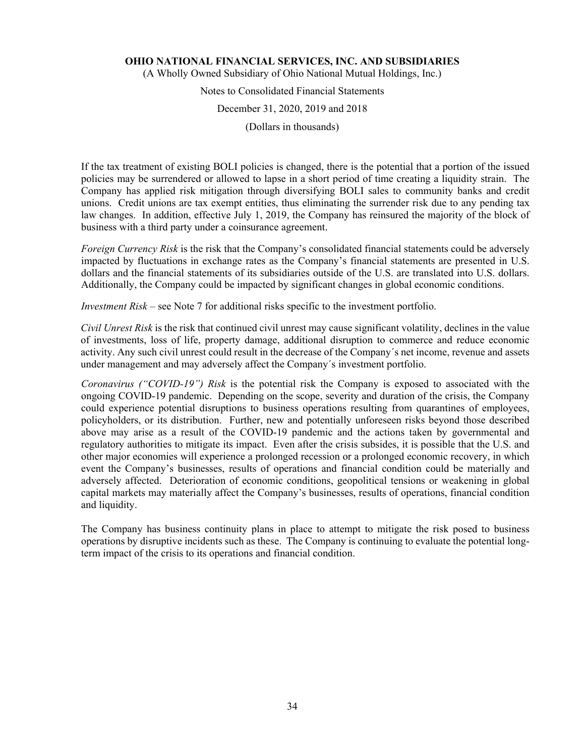(A Wholly Owned Subsidiary of Ohio National Mutual Holdings, Inc.)

Notes to Consolidated Financial Statements December 31, 2020, 2019 and 2018 (Dollars in thousands)

If the tax treatment of existing BOLI policies is changed, there is the potential that a portion of the issued policies may be surrendered or allowed to lapse in a short period of time creating a liquidity strain. The Company has applied risk mitigation through diversifying BOLI sales to community banks and credit unions. Credit unions are tax exempt entities, thus eliminating the surrender risk due to any pending tax law changes. In addition, effective July 1, 2019, the Company has reinsured the majority of the block of business with a third party under a coinsurance agreement.

*Foreign Currency Risk* is the risk that the Company's consolidated financial statements could be adversely impacted by fluctuations in exchange rates as the Company's financial statements are presented in U.S. dollars and the financial statements of its subsidiaries outside of the U.S. are translated into U.S. dollars. Additionally, the Company could be impacted by significant changes in global economic conditions.

*Investment Risk* – see Note 7 for additional risks specific to the investment portfolio.

*Civil Unrest Risk* is the risk that continued civil unrest may cause significant volatility, declines in the value of investments, loss of life, property damage, additional disruption to commerce and reduce economic activity. Any such civil unrest could result in the decrease of the Company´s net income, revenue and assets under management and may adversely affect the Company´s investment portfolio.

*Coronavirus ("COVID-19") Risk* is the potential risk the Company is exposed to associated with the ongoing COVID-19 pandemic. Depending on the scope, severity and duration of the crisis, the Company could experience potential disruptions to business operations resulting from quarantines of employees, policyholders, or its distribution. Further, new and potentially unforeseen risks beyond those described above may arise as a result of the COVID-19 pandemic and the actions taken by governmental and regulatory authorities to mitigate its impact. Even after the crisis subsides, it is possible that the U.S. and other major economies will experience a prolonged recession or a prolonged economic recovery, in which event the Company's businesses, results of operations and financial condition could be materially and adversely affected. Deterioration of economic conditions, geopolitical tensions or weakening in global capital markets may materially affect the Company's businesses, results of operations, financial condition and liquidity.

The Company has business continuity plans in place to attempt to mitigate the risk posed to business operations by disruptive incidents such as these. The Company is continuing to evaluate the potential longterm impact of the crisis to its operations and financial condition.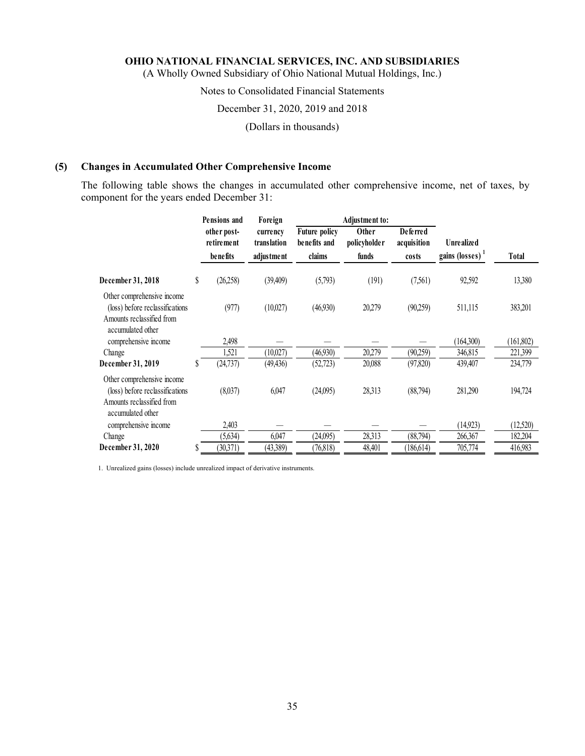(A Wholly Owned Subsidiary of Ohio National Mutual Holdings, Inc.)

## Notes to Consolidated Financial Statements

#### December 31, 2020, 2019 and 2018

(Dollars in thousands)

#### **(5) Changes in Accumulated Other Comprehensive Income**

The following table shows the changes in accumulated other comprehensive income, net of taxes, by component for the years ended December 31:

|                                                                                                                 |   | <b>Pensions and</b>                          | Foreign                               |                                                | Adjustment to:                 |                                         |                                                  |              |
|-----------------------------------------------------------------------------------------------------------------|---|----------------------------------------------|---------------------------------------|------------------------------------------------|--------------------------------|-----------------------------------------|--------------------------------------------------|--------------|
|                                                                                                                 |   | other post-<br>retirement<br><b>benefits</b> | currency<br>translation<br>adjustment | <b>Future policy</b><br>benefits and<br>claims | Other<br>policyholder<br>funds | <b>Deferred</b><br>acquisition<br>costs | <b>Unrealized</b><br>gains (losses) <sup>1</sup> | <b>Total</b> |
| December 31, 2018                                                                                               | S | (26, 258)                                    | (39, 409)                             | (5,793)                                        | (191)                          | (7,561)                                 | 92,592                                           | 13,380       |
| Other comprehensive income<br>(loss) before reclassifications<br>Amounts reclassified from<br>accumulated other |   | (977)                                        | (10,027)                              | (46,930)                                       | 20,279                         | (90,259)                                | 511,115                                          | 383,201      |
| comprehensive income                                                                                            |   | 2,498                                        |                                       |                                                |                                |                                         | (164,300)                                        | (161, 802)   |
| Change                                                                                                          |   | 1,521                                        | (10,027)                              | (46,930)                                       | 20,279                         | (90,259)                                | 346,815                                          | 221,399      |
| December 31, 2019                                                                                               |   | (24, 737)                                    | (49,436)                              | (52, 723)                                      | 20,088                         | (97, 820)                               | 439,407                                          | 234,779      |
| Other comprehensive income<br>(loss) before reclassifications<br>Amounts reclassified from<br>accumulated other |   | (8,037)                                      | 6,047                                 | (24,095)                                       | 28,313                         | (88,794)                                | 281,290                                          | 194,724      |
| comprehensive income                                                                                            |   | 2,403                                        |                                       |                                                |                                |                                         | (14, 923)                                        | (12,520)     |
| Change                                                                                                          |   | (5,634)                                      | 6,047                                 | (24,095)                                       | 28,313                         | (88,794)                                | 266,367                                          | 182,204      |
| December 31, 2020                                                                                               | S | (30,371)                                     | (43,389)                              | (76, 818)                                      | 48,401                         | (186, 614)                              | 705,774                                          | 416,983      |

1. Unrealized gains (losses) include unrealized impact of derivative instruments.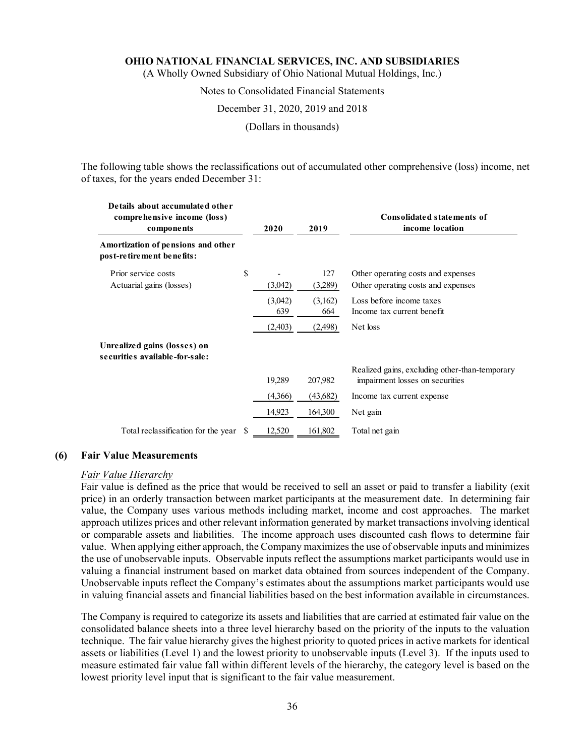(A Wholly Owned Subsidiary of Ohio National Mutual Holdings, Inc.)

#### Notes to Consolidated Financial Statements

#### December 31, 2020, 2019 and 2018

(Dollars in thousands)

The following table shows the reclassifications out of accumulated other comprehensive (loss) income, net of taxes, for the years ended December 31:

| Details about accumulated other<br>comprehensive income (loss)<br>components |              | 2020           | 2019           | Consolidated statements of<br>income location                                     |
|------------------------------------------------------------------------------|--------------|----------------|----------------|-----------------------------------------------------------------------------------|
| Amortization of pensions and other<br>post-retirement benefits:              |              |                |                |                                                                                   |
| Prior service costs<br>Actuarial gains (losses)                              | \$           | (3,042)        | 127<br>(3,289) | Other operating costs and expenses<br>Other operating costs and expenses          |
|                                                                              |              | (3,042)<br>639 | (3,162)<br>664 | Loss before income taxes<br>Income tax current benefit                            |
|                                                                              |              | (2,403)        | (2,498)        | Net loss                                                                          |
| Unrealized gains (losses) on<br>securities available-for-sale:               |              |                |                |                                                                                   |
|                                                                              |              | 19,289         | 207,982        | Realized gains, excluding other-than-temporary<br>impairment losses on securities |
|                                                                              |              | (4,366)        | (43,682)       | Income tax current expense                                                        |
|                                                                              |              | 14,923         | 164,300        | Net gain                                                                          |
| Total reclassification for the year                                          | <sup>S</sup> | 12,520         | 161,802        | Total net gain                                                                    |

#### **(6) Fair Value Measurements**

#### *Fair Value Hierarchy*

Fair value is defined as the price that would be received to sell an asset or paid to transfer a liability (exit price) in an orderly transaction between market participants at the measurement date. In determining fair value, the Company uses various methods including market, income and cost approaches. The market approach utilizes prices and other relevant information generated by market transactions involving identical or comparable assets and liabilities. The income approach uses discounted cash flows to determine fair value. When applying either approach, the Company maximizes the use of observable inputs and minimizes the use of unobservable inputs. Observable inputs reflect the assumptions market participants would use in valuing a financial instrument based on market data obtained from sources independent of the Company. Unobservable inputs reflect the Company's estimates about the assumptions market participants would use in valuing financial assets and financial liabilities based on the best information available in circumstances.

The Company is required to categorize its assets and liabilities that are carried at estimated fair value on the consolidated balance sheets into a three level hierarchy based on the priority of the inputs to the valuation technique. The fair value hierarchy gives the highest priority to quoted prices in active markets for identical assets or liabilities (Level 1) and the lowest priority to unobservable inputs (Level 3). If the inputs used to measure estimated fair value fall within different levels of the hierarchy, the category level is based on the lowest priority level input that is significant to the fair value measurement.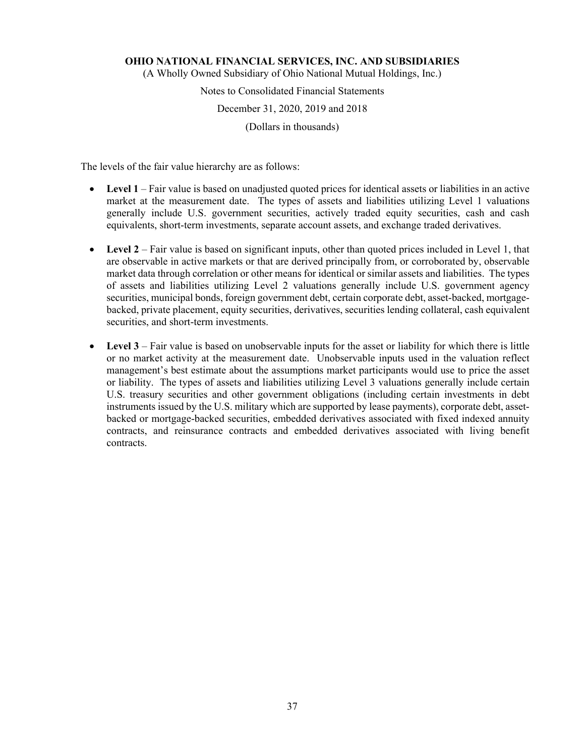(A Wholly Owned Subsidiary of Ohio National Mutual Holdings, Inc.)

# Notes to Consolidated Financial Statements December 31, 2020, 2019 and 2018 (Dollars in thousands)

The levels of the fair value hierarchy are as follows:

- Level 1 Fair value is based on unadjusted quoted prices for identical assets or liabilities in an active market at the measurement date. The types of assets and liabilities utilizing Level 1 valuations generally include U.S. government securities, actively traded equity securities, cash and cash equivalents, short-term investments, separate account assets, and exchange traded derivatives.
- Level 2 Fair value is based on significant inputs, other than quoted prices included in Level 1, that are observable in active markets or that are derived principally from, or corroborated by, observable market data through correlation or other means for identical or similar assets and liabilities. The types of assets and liabilities utilizing Level 2 valuations generally include U.S. government agency securities, municipal bonds, foreign government debt, certain corporate debt, asset-backed, mortgagebacked, private placement, equity securities, derivatives, securities lending collateral, cash equivalent securities, and short-term investments.
- **Level 3** Fair value is based on unobservable inputs for the asset or liability for which there is little or no market activity at the measurement date. Unobservable inputs used in the valuation reflect management's best estimate about the assumptions market participants would use to price the asset or liability. The types of assets and liabilities utilizing Level 3 valuations generally include certain U.S. treasury securities and other government obligations (including certain investments in debt instruments issued by the U.S. military which are supported by lease payments), corporate debt, assetbacked or mortgage-backed securities, embedded derivatives associated with fixed indexed annuity contracts, and reinsurance contracts and embedded derivatives associated with living benefit contracts.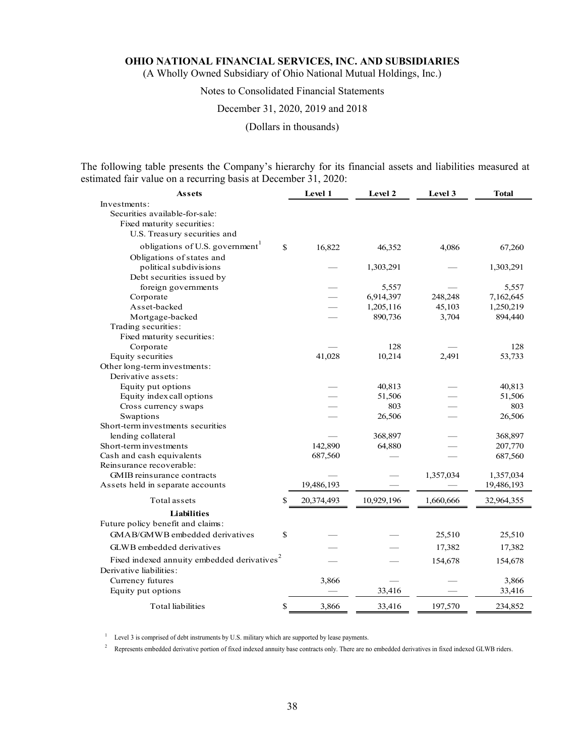(A Wholly Owned Subsidiary of Ohio National Mutual Holdings, Inc.)

# Notes to Consolidated Financial Statements

#### December 31, 2020, 2019 and 2018

(Dollars in thousands)

The following table presents the Company's hierarchy for its financial assets and liabilities measured at estimated fair value on a recurring basis at December 31, 2020:

| <b>Assets</b>                                           | Level 1          | Level 2    | Level 3   | <b>Total</b> |
|---------------------------------------------------------|------------------|------------|-----------|--------------|
| Investments:                                            |                  |            |           |              |
| Securities available-for-sale:                          |                  |            |           |              |
| Fixed maturity securities:                              |                  |            |           |              |
| U.S. Treasury securities and                            |                  |            |           |              |
| obligations of U.S. government                          | \$<br>16,822     | 46,352     | 4,086     | 67,260       |
| Obligations of states and                               |                  |            |           |              |
| political subdivisions                                  |                  | 1,303,291  |           | 1,303,291    |
| Debt securities issued by                               |                  |            |           |              |
| foreign governments                                     |                  | 5,557      |           | 5,557        |
| Corporate                                               |                  | 6,914,397  | 248,248   | 7,162,645    |
| Asset-backed                                            |                  | 1,205,116  | 45,103    | 1,250,219    |
| Mortgage-backed                                         |                  | 890,736    | 3,704     | 894,440      |
| Trading securities:                                     |                  |            |           |              |
| Fixed maturity securities:                              |                  |            |           |              |
| Corporate                                               |                  | 128        |           | 128          |
| Equity securities                                       | 41,028           | 10,214     | 2,491     | 53,733       |
| Other long-term investments:                            |                  |            |           |              |
| Derivative assets:                                      |                  |            |           |              |
| Equity put options                                      |                  | 40,813     |           | 40,813       |
| Equity index call options                               |                  | 51,506     |           | 51,506       |
| Cross currency swaps                                    |                  | 803        |           | 803          |
| Swaptions                                               |                  | 26,506     |           | 26,506       |
| Short-term investments securities                       |                  |            |           |              |
| lending collateral                                      |                  | 368,897    |           | 368,897      |
| Short-term investments                                  | 142,890          | 64,880     |           | 207,770      |
| Cash and cash equivalents                               | 687,560          |            |           | 687,560      |
| Reinsurance recoverable:<br>GMIB reinsurance contracts  |                  |            |           |              |
|                                                         |                  |            | 1,357,034 | 1,357,034    |
| Assets held in separate accounts                        | 19,486,193       |            |           | 19,486,193   |
| Total assets                                            | \$<br>20,374,493 | 10,929,196 | 1,660,666 | 32,964,355   |
| <b>Liabilities</b>                                      |                  |            |           |              |
| Future policy benefit and claims:                       |                  |            |           |              |
| GMAB/GMWB embedded derivatives                          | \$               |            | 25,510    | 25,510       |
| GLWB embedded derivatives                               |                  |            | 17,382    | 17,382       |
| Fixed indexed annuity embedded derivatives <sup>2</sup> |                  |            | 154,678   | 154,678      |
| Derivative liabilities:                                 |                  |            |           |              |
| Currency futures                                        | 3,866            |            |           | 3,866        |
| Equity put options                                      |                  | 33,416     |           | 33,416       |
| Total liabilities                                       | \$<br>3,866      | 33,416     | 197,570   | 234,852      |

<sup>1</sup> Level 3 is comprised of debt instruments by U.S. military which are supported by lease payments.

<sup>2</sup> Represents embedded derivative portion of fixed indexed annuity base contracts only. There are no embedded derivatives in fixed indexed GLWB riders.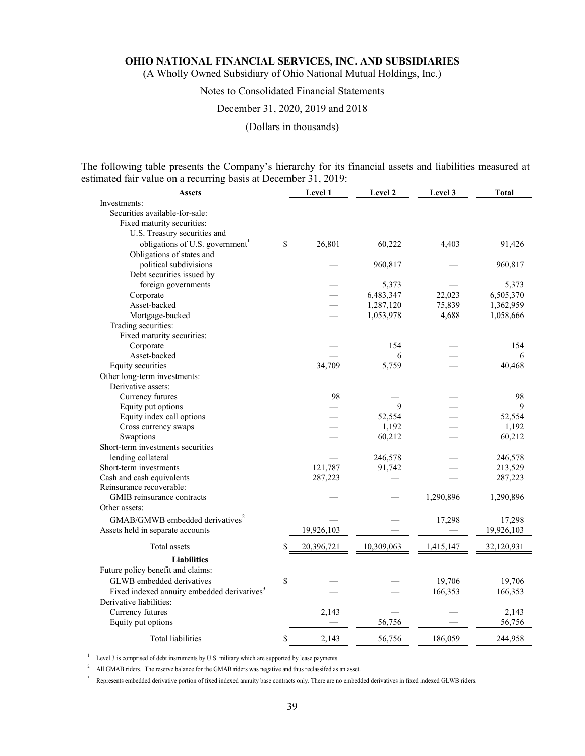(A Wholly Owned Subsidiary of Ohio National Mutual Holdings, Inc.)

# Notes to Consolidated Financial Statements

## December 31, 2020, 2019 and 2018

(Dollars in thousands)

The following table presents the Company's hierarchy for its financial assets and liabilities measured at estimated fair value on a recurring basis at December 31, 2019:

| <b>Assets</b>                                           | Level 1          | Level 2    | Level 3   | <b>Total</b> |
|---------------------------------------------------------|------------------|------------|-----------|--------------|
| Investments:                                            |                  |            |           |              |
| Securities available-for-sale:                          |                  |            |           |              |
| Fixed maturity securities:                              |                  |            |           |              |
| U.S. Treasury securities and                            |                  |            |           |              |
| obligations of U.S. government <sup>1</sup>             | \$<br>26,801     | 60,222     | 4,403     | 91,426       |
| Obligations of states and                               |                  |            |           |              |
| political subdivisions                                  |                  | 960,817    |           | 960,817      |
| Debt securities issued by                               |                  |            |           |              |
| foreign governments                                     |                  | 5,373      |           | 5,373        |
| Corporate                                               |                  | 6,483,347  | 22,023    | 6,505,370    |
| Asset-backed                                            |                  | 1,287,120  | 75,839    | 1,362,959    |
| Mortgage-backed                                         |                  | 1,053,978  | 4,688     | 1,058,666    |
| Trading securities:                                     |                  |            |           |              |
| Fixed maturity securities:                              |                  |            |           |              |
| Corporate                                               |                  | 154        |           | 154          |
| Asset-backed                                            |                  | 6          |           | 6            |
| <b>Equity</b> securities                                | 34,709           | 5,759      |           | 40,468       |
| Other long-term investments:                            |                  |            |           |              |
| Derivative assets:                                      |                  |            |           |              |
| Currency futures                                        | 98               |            |           | 98           |
| Equity put options                                      |                  | 9          |           | 9            |
| Equity index call options                               |                  | 52,554     |           | 52,554       |
| Cross currency swaps                                    |                  | 1,192      |           | 1,192        |
| Swaptions                                               |                  | 60,212     |           | 60,212       |
| Short-term investments securities                       |                  |            |           |              |
| lending collateral                                      |                  | 246,578    |           | 246,578      |
| Short-term investments                                  | 121,787          | 91,742     |           | 213,529      |
| Cash and cash equivalents                               | 287,223          |            |           | 287,223      |
| Reinsurance recoverable:                                |                  |            |           |              |
| GMIB reinsurance contracts                              |                  |            | 1,290,896 | 1,290,896    |
| Other assets:                                           |                  |            |           |              |
| GMAB/GMWB embedded derivatives <sup>2</sup>             |                  |            | 17,298    | 17,298       |
| Assets held in separate accounts                        | 19,926,103       |            |           | 19,926,103   |
| Total assets                                            | \$<br>20,396,721 | 10,309,063 | 1,415,147 | 32,120,931   |
| <b>Liabilities</b>                                      |                  |            |           |              |
| Future policy benefit and claims:                       |                  |            |           |              |
| GLWB embedded derivatives                               | \$               |            | 19,706    | 19,706       |
| Fixed indexed annuity embedded derivatives <sup>3</sup> |                  |            | 166,353   | 166,353      |
| Derivative liabilities:                                 |                  |            |           |              |
| Currency futures                                        | 2,143            |            |           | 2,143        |
| Equity put options                                      |                  | 56,756     |           | 56,756       |
|                                                         |                  |            |           |              |
| Total liabilities                                       | \$<br>2,143      | 56,756     | 186,059   | 244,958      |

<sup>1</sup> Level 3 is comprised of debt instruments by U.S. military which are supported by lease payments.

<sup>2</sup> All GMAB riders. The reserve balance for the GMAB riders was negative and thus reclassifed as an asset.

<sup>3</sup> Represents embedded derivative portion of fixed indexed annuity base contracts only. There are no embedded derivatives in fixed indexed GLWB riders.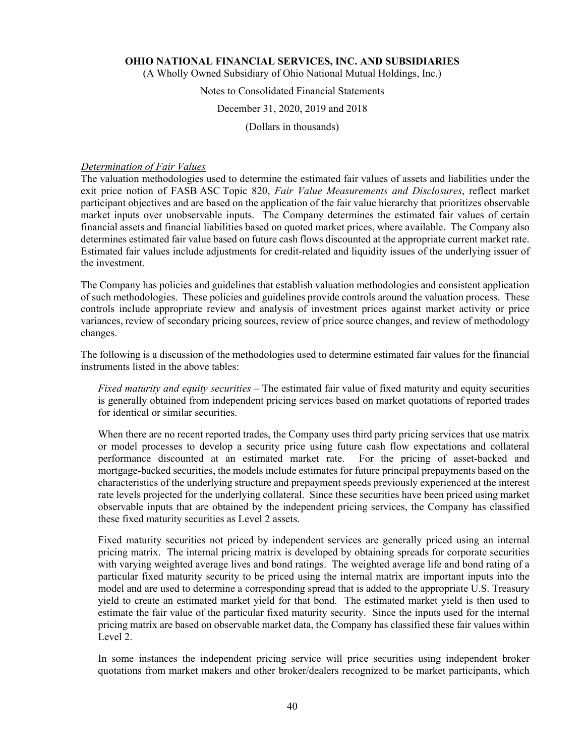(A Wholly Owned Subsidiary of Ohio National Mutual Holdings, Inc.)

# Notes to Consolidated Financial Statements

#### December 31, 2020, 2019 and 2018

(Dollars in thousands)

#### *Determination of Fair Values*

The valuation methodologies used to determine the estimated fair values of assets and liabilities under the exit price notion of FASB ASC Topic 820, *Fair Value Measurements and Disclosures*, reflect market participant objectives and are based on the application of the fair value hierarchy that prioritizes observable market inputs over unobservable inputs. The Company determines the estimated fair values of certain financial assets and financial liabilities based on quoted market prices, where available. The Company also determines estimated fair value based on future cash flows discounted at the appropriate current market rate. Estimated fair values include adjustments for credit-related and liquidity issues of the underlying issuer of the investment.

The Company has policies and guidelines that establish valuation methodologies and consistent application of such methodologies. These policies and guidelines provide controls around the valuation process. These controls include appropriate review and analysis of investment prices against market activity or price variances, review of secondary pricing sources, review of price source changes, and review of methodology changes.

The following is a discussion of the methodologies used to determine estimated fair values for the financial instruments listed in the above tables:

*Fixed maturity and equity securities –* The estimated fair value of fixed maturity and equity securities is generally obtained from independent pricing services based on market quotations of reported trades for identical or similar securities.

When there are no recent reported trades, the Company uses third party pricing services that use matrix or model processes to develop a security price using future cash flow expectations and collateral performance discounted at an estimated market rate. For the pricing of asset-backed and mortgage-backed securities, the models include estimates for future principal prepayments based on the characteristics of the underlying structure and prepayment speeds previously experienced at the interest rate levels projected for the underlying collateral. Since these securities have been priced using market observable inputs that are obtained by the independent pricing services, the Company has classified these fixed maturity securities as Level 2 assets.

Fixed maturity securities not priced by independent services are generally priced using an internal pricing matrix. The internal pricing matrix is developed by obtaining spreads for corporate securities with varying weighted average lives and bond ratings. The weighted average life and bond rating of a particular fixed maturity security to be priced using the internal matrix are important inputs into the model and are used to determine a corresponding spread that is added to the appropriate U.S. Treasury yield to create an estimated market yield for that bond. The estimated market yield is then used to estimate the fair value of the particular fixed maturity security. Since the inputs used for the internal pricing matrix are based on observable market data, the Company has classified these fair values within Level 2.

In some instances the independent pricing service will price securities using independent broker quotations from market makers and other broker/dealers recognized to be market participants, which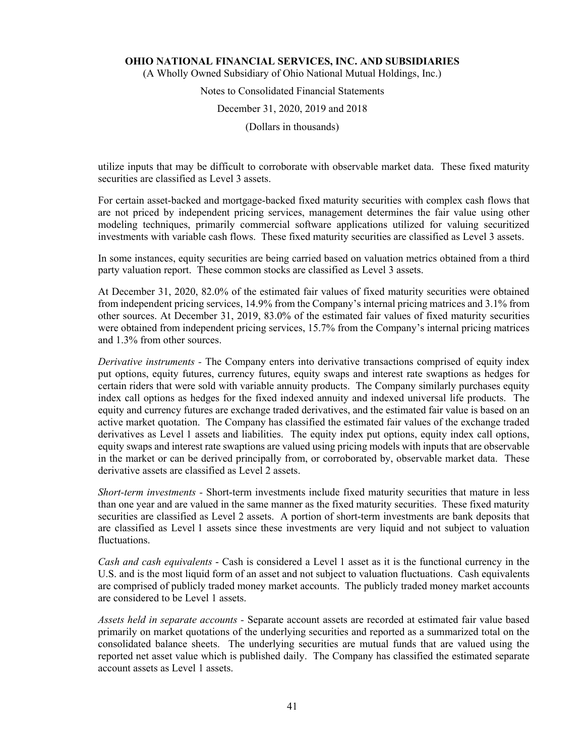(A Wholly Owned Subsidiary of Ohio National Mutual Holdings, Inc.)

# Notes to Consolidated Financial Statements December 31, 2020, 2019 and 2018 (Dollars in thousands)

utilize inputs that may be difficult to corroborate with observable market data. These fixed maturity securities are classified as Level 3 assets.

For certain asset-backed and mortgage-backed fixed maturity securities with complex cash flows that are not priced by independent pricing services, management determines the fair value using other modeling techniques, primarily commercial software applications utilized for valuing securitized investments with variable cash flows. These fixed maturity securities are classified as Level 3 assets.

In some instances, equity securities are being carried based on valuation metrics obtained from a third party valuation report. These common stocks are classified as Level 3 assets.

At December 31, 2020, 82.0% of the estimated fair values of fixed maturity securities were obtained from independent pricing services, 14.9% from the Company's internal pricing matrices and 3.1% from other sources. At December 31, 2019, 83.0% of the estimated fair values of fixed maturity securities were obtained from independent pricing services, 15.7% from the Company's internal pricing matrices and 1.3% from other sources.

*Derivative instruments -* The Company enters into derivative transactions comprised of equity index put options, equity futures, currency futures, equity swaps and interest rate swaptions as hedges for certain riders that were sold with variable annuity products. The Company similarly purchases equity index call options as hedges for the fixed indexed annuity and indexed universal life products. The equity and currency futures are exchange traded derivatives, and the estimated fair value is based on an active market quotation. The Company has classified the estimated fair values of the exchange traded derivatives as Level 1 assets and liabilities. The equity index put options, equity index call options, equity swaps and interest rate swaptions are valued using pricing models with inputs that are observable in the market or can be derived principally from, or corroborated by, observable market data. These derivative assets are classified as Level 2 assets.

*Short-term investments -* Short-term investments include fixed maturity securities that mature in less than one year and are valued in the same manner as the fixed maturity securities. These fixed maturity securities are classified as Level 2 assets. A portion of short-term investments are bank deposits that are classified as Level 1 assets since these investments are very liquid and not subject to valuation fluctuations.

*Cash and cash equivalents* - Cash is considered a Level 1 asset as it is the functional currency in the U.S. and is the most liquid form of an asset and not subject to valuation fluctuations. Cash equivalents are comprised of publicly traded money market accounts. The publicly traded money market accounts are considered to be Level 1 assets.

*Assets held in separate accounts -* Separate account assets are recorded at estimated fair value based primarily on market quotations of the underlying securities and reported as a summarized total on the consolidated balance sheets. The underlying securities are mutual funds that are valued using the reported net asset value which is published daily. The Company has classified the estimated separate account assets as Level 1 assets.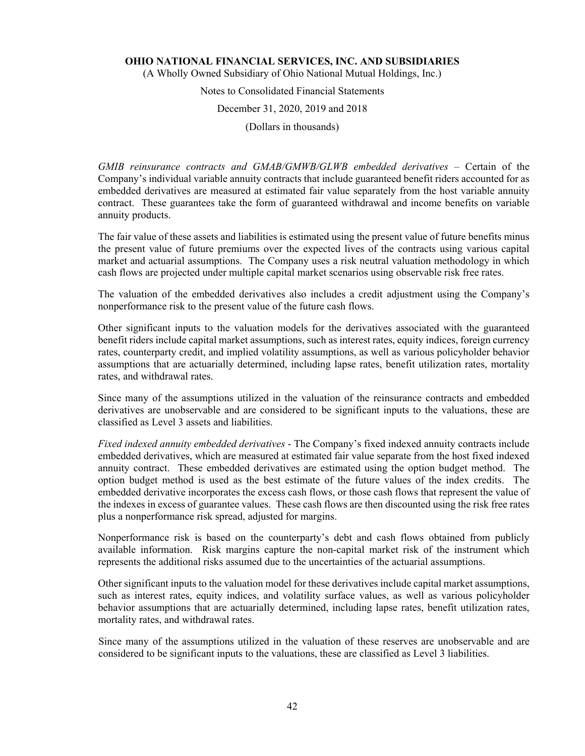(A Wholly Owned Subsidiary of Ohio National Mutual Holdings, Inc.)

# Notes to Consolidated Financial Statements

#### December 31, 2020, 2019 and 2018

(Dollars in thousands)

GMIB reinsurance contracts and GMAB/GMWB/GLWB embedded derivatives – Certain of the Company's individual variable annuity contracts that include guaranteed benefit riders accounted for as embedded derivatives are measured at estimated fair value separately from the host variable annuity contract. These guarantees take the form of guaranteed withdrawal and income benefits on variable annuity products.

The fair value of these assets and liabilities is estimated using the present value of future benefits minus the present value of future premiums over the expected lives of the contracts using various capital market and actuarial assumptions. The Company uses a risk neutral valuation methodology in which cash flows are projected under multiple capital market scenarios using observable risk free rates.

The valuation of the embedded derivatives also includes a credit adjustment using the Company's nonperformance risk to the present value of the future cash flows.

Other significant inputs to the valuation models for the derivatives associated with the guaranteed benefit riders include capital market assumptions, such as interest rates, equity indices, foreign currency rates, counterparty credit, and implied volatility assumptions, as well as various policyholder behavior assumptions that are actuarially determined, including lapse rates, benefit utilization rates, mortality rates, and withdrawal rates.

Since many of the assumptions utilized in the valuation of the reinsurance contracts and embedded derivatives are unobservable and are considered to be significant inputs to the valuations, these are classified as Level 3 assets and liabilities.

*Fixed indexed annuity embedded derivatives* - The Company's fixed indexed annuity contracts include embedded derivatives, which are measured at estimated fair value separate from the host fixed indexed annuity contract. These embedded derivatives are estimated using the option budget method. The option budget method is used as the best estimate of the future values of the index credits. The embedded derivative incorporates the excess cash flows, or those cash flows that represent the value of the indexes in excess of guarantee values. These cash flows are then discounted using the risk free rates plus a nonperformance risk spread, adjusted for margins.

Nonperformance risk is based on the counterparty's debt and cash flows obtained from publicly available information. Risk margins capture the non-capital market risk of the instrument which represents the additional risks assumed due to the uncertainties of the actuarial assumptions.

Other significant inputs to the valuation model for these derivatives include capital market assumptions, such as interest rates, equity indices, and volatility surface values, as well as various policyholder behavior assumptions that are actuarially determined, including lapse rates, benefit utilization rates, mortality rates, and withdrawal rates.

Since many of the assumptions utilized in the valuation of these reserves are unobservable and are considered to be significant inputs to the valuations, these are classified as Level 3 liabilities.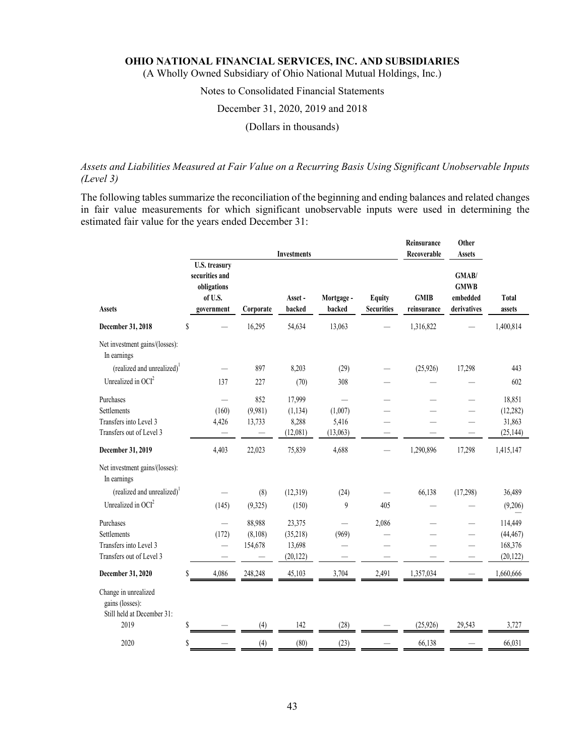(A Wholly Owned Subsidiary of Ohio National Mutual Holdings, Inc.)

# Notes to Consolidated Financial Statements

#### December 31, 2020, 2019 and 2018

#### (Dollars in thousands)

#### *Assets and Liabilities Measured at Fair Value on a Recurring Basis Using Significant Unobservable Inputs (Level 3)*

The following tables summarize the reconciliation of the beginning and ending balances and related changes in fair value measurements for which significant unobservable inputs were used in determining the estimated fair value for the years ended December 31:

|                                                                                                                           | <b>Investments</b> |                                                                                |                              |                                           |                              |                                    | Reinsurance<br>Recoverable | Other<br><b>Assets</b>                          |                                              |  |
|---------------------------------------------------------------------------------------------------------------------------|--------------------|--------------------------------------------------------------------------------|------------------------------|-------------------------------------------|------------------------------|------------------------------------|----------------------------|-------------------------------------------------|----------------------------------------------|--|
| <b>Assets</b>                                                                                                             |                    | <b>U.S. treasury</b><br>securities and<br>obligations<br>of U.S.<br>government | Corporate                    | Asset-<br>backed                          | Mortgage -<br>backed         | <b>Equity</b><br><b>Securities</b> | <b>GMIB</b><br>reinsurance | GMAB/<br><b>GMWB</b><br>embedded<br>derivatives | <b>Total</b><br>assets                       |  |
| December 31, 2018                                                                                                         | \$                 |                                                                                | 16,295                       | 54,634                                    | 13,063                       |                                    | 1,316,822                  |                                                 | 1,400,814                                    |  |
| Net investment gains/(losses):<br>In earnings<br>(realized and unrealized) <sup>1</sup><br>Unrealized in $OCI2$           |                    | 137                                                                            | 897<br>227                   | 8,203<br>(70)                             | (29)<br>308                  |                                    | (25,926)                   | 17,298                                          | 443<br>602                                   |  |
| Purchases<br>Settlements<br>Transfers into Level 3<br>Transfers out of Level 3                                            |                    | (160)<br>4,426                                                                 | 852<br>(9,981)<br>13,733     | 17,999<br>(1, 134)<br>8,288<br>(12,081)   | (1,007)<br>5,416<br>(13,063) |                                    |                            |                                                 | 18,851<br>(12, 282)<br>31,863<br>(25, 144)   |  |
| December 31, 2019                                                                                                         |                    | 4,403                                                                          | 22,023                       | 75,839                                    | 4,688                        |                                    | 1,290,896                  | 17,298                                          | 1,415,147                                    |  |
| Net investment gains/(losses):<br>In earnings<br>(realized and unrealized) <sup>1</sup><br>Unrealized in OCI <sup>2</sup> |                    | (145)                                                                          | (8)<br>(9,325)               | (12,319)<br>(150)                         | (24)<br>9                    | 405                                | 66,138                     | (17,298)                                        | 36,489<br>(9,206)                            |  |
| Purchases<br>Settlements<br>Transfers into Level 3<br>Transfers out of Level 3                                            |                    | (172)<br>$\overline{\phantom{0}}$                                              | 88,988<br>(8,108)<br>154,678 | 23,375<br>(35,218)<br>13,698<br>(20, 122) | (969)                        | 2,086                              |                            | $\equiv$<br>$\overline{\phantom{0}}$            | 114,449<br>(44, 467)<br>168,376<br>(20, 122) |  |
| December 31, 2020                                                                                                         | S                  | 4,086                                                                          | 248,248                      | 45,103                                    | 3,704                        | 2,491                              | 1,357,034                  |                                                 | 1,660,666                                    |  |
| Change in unrealized<br>gains (losses):<br>Still held at December 31:                                                     |                    |                                                                                |                              |                                           |                              |                                    |                            |                                                 |                                              |  |
| 2019                                                                                                                      | S                  |                                                                                | (4)                          | 142                                       | (28)                         |                                    | (25, 926)                  | 29,543                                          | 3,727                                        |  |
| 2020                                                                                                                      | \$                 |                                                                                | (4)                          | (80)                                      | (23)                         |                                    | 66,138                     |                                                 | 66,031                                       |  |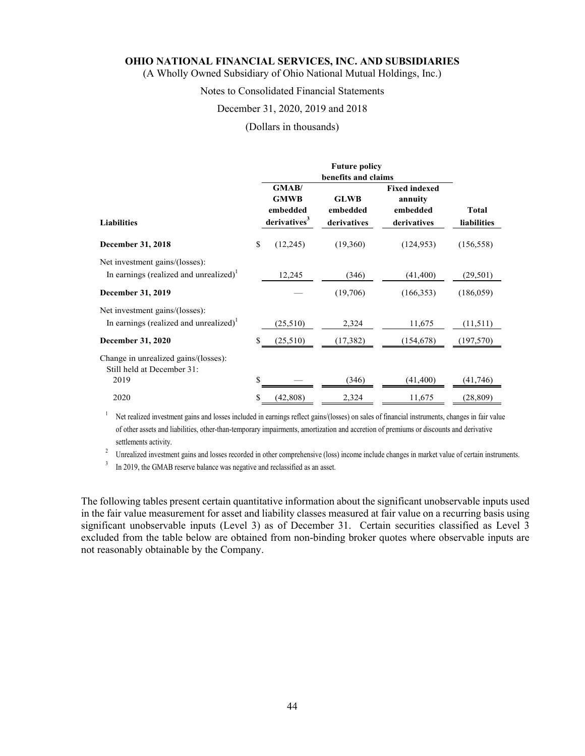(A Wholly Owned Subsidiary of Ohio National Mutual Holdings, Inc.)

# Notes to Consolidated Financial Statements

#### December 31, 2020, 2019 and 2018

#### (Dollars in thousands)

| <b>Liabilities</b>                                                                                               |    | GMAB/<br><b>GMWB</b><br>embedded<br>derivatives <sup>3</sup> | <b>GLWB</b><br>embedded<br>derivatives | <b>Fixed indexed</b><br>annuity<br>embedded<br>derivatives | <b>Total</b><br>liabilities |
|------------------------------------------------------------------------------------------------------------------|----|--------------------------------------------------------------|----------------------------------------|------------------------------------------------------------|-----------------------------|
| <b>December 31, 2018</b>                                                                                         | \$ | (12,245)                                                     | (19,360)                               | (124, 953)                                                 | (156, 558)                  |
| Net investment gains/(losses):<br>In earnings (realized and unrealized) <sup>1</sup><br><b>December 31, 2019</b> |    | 12,245                                                       | (346)<br>(19,706)                      | (41, 400)<br>(166, 353)                                    | (29, 501)<br>(186, 059)     |
| Net investment gains/(losses):<br>In earnings (realized and unrealized) <sup>1</sup>                             |    | (25,510)                                                     | 2,324                                  | 11,675                                                     | (11,511)                    |
| <b>December 31, 2020</b>                                                                                         |    | (25,510)                                                     | (17, 382)                              | (154, 678)                                                 | (197, 570)                  |
| Change in unrealized gains/(losses):<br>Still held at December 31:<br>2019                                       | \$ |                                                              | (346)                                  | (41, 400)                                                  | (41, 746)                   |
| 2020                                                                                                             | S  | (42, 808)                                                    | 2,324                                  | 11,675                                                     | (28, 809)                   |

<sup>1</sup> Net realized investment gains and losses included in earnings reflect gains/(losses) on sales of financial instruments, changes in fair value of other assets and liabilities, other-than-temporary impairments, amortization and accretion of premiums or discounts and derivative settlements activity.<br><sup>2</sup> Unrealized investment gains and losses recorded in other comprehensive (loss) income include changes in market value of certain instruments.

<sup>3</sup> In 2019, the GMAB reserve balance was negative and reclassified as an asset.

The following tables present certain quantitative information about the significant unobservable inputs used in the fair value measurement for asset and liability classes measured at fair value on a recurring basis using significant unobservable inputs (Level 3) as of December 31. Certain securities classified as Level 3 excluded from the table below are obtained from non-binding broker quotes where observable inputs are not reasonably obtainable by the Company.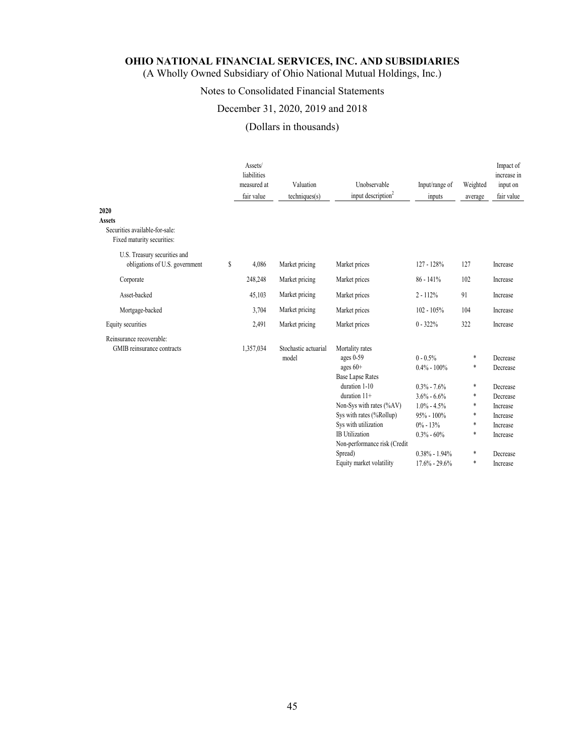(A Wholly Owned Subsidiary of Ohio National Mutual Holdings, Inc.)

# Notes to Consolidated Financial Statements

## December 31, 2020, 2019 and 2018

# (Dollars in thousands)

|                                                                                | Assets/<br>liabilities<br>measured at<br>fair value | Valuation<br>techniques(s)    | Unobservable<br>input description <sup>2</sup>                                                                                                                                                                                                  | Input/range of<br>inputs                                                                                                                   | Weighted<br>average                                 | Impact of<br>increase in<br>input on<br>fair value                                           |
|--------------------------------------------------------------------------------|-----------------------------------------------------|-------------------------------|-------------------------------------------------------------------------------------------------------------------------------------------------------------------------------------------------------------------------------------------------|--------------------------------------------------------------------------------------------------------------------------------------------|-----------------------------------------------------|----------------------------------------------------------------------------------------------|
| 2020<br>Assets<br>Securities available-for-sale:<br>Fixed maturity securities: |                                                     |                               |                                                                                                                                                                                                                                                 |                                                                                                                                            |                                                     |                                                                                              |
| U.S. Treasury securities and<br>obligations of U.S. government                 | \$<br>4.086                                         | Market pricing                | Market prices                                                                                                                                                                                                                                   | 127 - 128%                                                                                                                                 | 127                                                 | Increase                                                                                     |
| Corporate                                                                      | 248,248                                             | Market pricing                | Market prices                                                                                                                                                                                                                                   | $86 - 141%$                                                                                                                                | 102                                                 | Increase                                                                                     |
| Asset-backed                                                                   | 45,103                                              | Market pricing                | Market prices                                                                                                                                                                                                                                   | $2 - 112%$                                                                                                                                 | 91                                                  | Increase                                                                                     |
| Mortgage-backed                                                                | 3,704                                               | Market pricing                | Market prices                                                                                                                                                                                                                                   | $102 - 105%$                                                                                                                               | 104                                                 | Increase                                                                                     |
| Equity securities                                                              | 2,491                                               | Market pricing                | Market prices                                                                                                                                                                                                                                   | $0 - 322%$                                                                                                                                 | 322                                                 | Increase                                                                                     |
| Reinsurance recoverable:<br>GMIB reinsurance contracts                         | 1,357,034                                           | Stochastic actuarial<br>model | Mortality rates<br>ages 0-59<br>ages $60+$<br><b>Base Lapse Rates</b><br>duration 1-10<br>duration 11+<br>Non-Sys with rates (%AV)<br>Sys with rates (%Rollup)<br>Sys with utilization<br><b>IB</b> Utilization<br>Non-performance risk (Credit | $0 - 0.5%$<br>$0.4\% - 100\%$<br>$0.3\% - 7.6\%$<br>$3.6\% - 6.6\%$<br>$1.0\% - 4.5\%$<br>$95\% - 100\%$<br>$0\% - 13\%$<br>$0.3\% - 60\%$ | $\ast$<br>*<br>*<br>*<br>*<br>*<br>*<br>*<br>$\ast$ | Decrease<br>Decrease<br>Decrease<br>Decrease<br>Increase<br>Increase<br>Increase<br>Increase |
|                                                                                |                                                     |                               | Spread)<br>Equity market volatility                                                                                                                                                                                                             | $0.38\% - 1.94\%$<br>$17.6\% - 29.6\%$                                                                                                     | *                                                   | Decrease<br>Increase                                                                         |
|                                                                                |                                                     |                               |                                                                                                                                                                                                                                                 |                                                                                                                                            |                                                     |                                                                                              |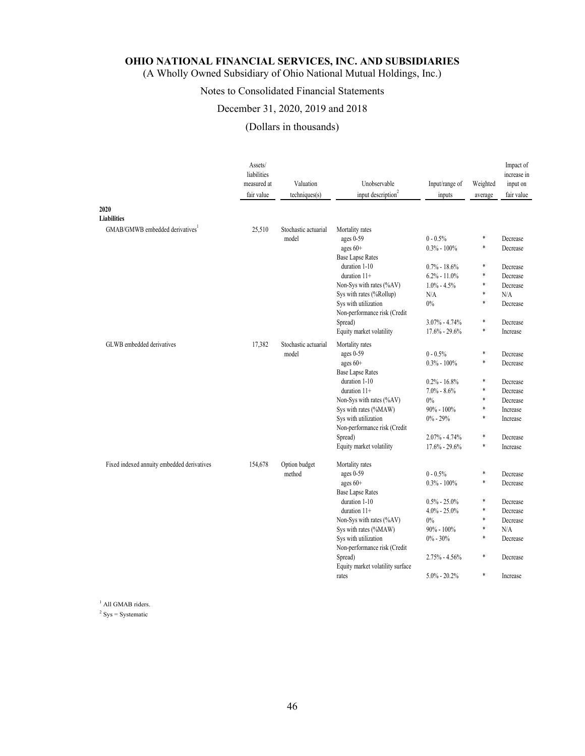(A Wholly Owned Subsidiary of Ohio National Mutual Holdings, Inc.)

# Notes to Consolidated Financial Statements

## December 31, 2020, 2019 and 2018

# (Dollars in thousands)

|                                             | Assets/<br>liabilities<br>measured at<br>fair value | Valuation<br>techniques(s) | Unobservable<br>input description <sup>2</sup> | Input/range of<br>inputs | Weighted<br>average | Impact of<br>increase in<br>input on<br>fair value |
|---------------------------------------------|-----------------------------------------------------|----------------------------|------------------------------------------------|--------------------------|---------------------|----------------------------------------------------|
| 2020                                        |                                                     |                            |                                                |                          |                     |                                                    |
| <b>Liabilities</b>                          |                                                     |                            |                                                |                          |                     |                                                    |
| GMAB/GMWB embedded derivatives <sup>1</sup> | 25,510                                              | Stochastic actuarial       | Mortality rates                                |                          |                     |                                                    |
|                                             |                                                     | model                      | ages 0-59                                      | $0 - 0.5\%$              | *                   | Decrease                                           |
|                                             |                                                     |                            | ages $60+$                                     | $0.3\% - 100\%$          | *                   | Decrease                                           |
|                                             |                                                     |                            | <b>Base Lapse Rates</b>                        |                          |                     |                                                    |
|                                             |                                                     |                            | duration 1-10                                  | $0.7\% - 18.6\%$         | $\ast$              | Decrease                                           |
|                                             |                                                     |                            | duration 11+                                   | $6.2\% - 11.0\%$         | *                   | Decrease                                           |
|                                             |                                                     |                            | Non-Sys with rates (%AV)                       | $1.0\% - 4.5\%$          | *                   | Decrease                                           |
|                                             |                                                     |                            | Sys with rates (%Rollup)                       | N/A                      | *                   | N/A                                                |
|                                             |                                                     |                            | Sys with utilization                           | $0\%$                    | $\ast$              | Decrease                                           |
|                                             |                                                     |                            | Non-performance risk (Credit                   |                          |                     |                                                    |
|                                             |                                                     |                            | Spread)                                        | $3.07\% - 4.74\%$        | $\ast$              | Decrease                                           |
|                                             |                                                     |                            | Equity market volatility                       | $17.6\% - 29.6\%$        | *                   | Increase                                           |
|                                             |                                                     |                            |                                                |                          |                     |                                                    |
| GLWB embedded derivatives                   | 17,382                                              | Stochastic actuarial       | Mortality rates                                |                          |                     |                                                    |
|                                             |                                                     | model                      | ages 0-59                                      | $0 - 0.5\%$              | $\ast$              | Decrease                                           |
|                                             |                                                     |                            | ages 60+                                       | $0.3\% - 100\%$          | *                   | Decrease                                           |
|                                             |                                                     |                            | <b>Base Lapse Rates</b>                        |                          | $\ast$              |                                                    |
|                                             |                                                     |                            | duration 1-10                                  | $0.2\% - 16.8\%$         | *                   | Decrease                                           |
|                                             |                                                     |                            | duration 11+                                   | $7.0\% - 8.6\%$          | *                   | Decrease                                           |
|                                             |                                                     |                            | Non-Sys with rates (%AV)                       | 0%                       | *                   | Decrease                                           |
|                                             |                                                     |                            | Sys with rates (%MAW)                          | $90\% - 100\%$           | *                   | Increase                                           |
|                                             |                                                     |                            | Sys with utilization                           | $0\% - 29\%$             |                     | Increase                                           |
|                                             |                                                     |                            | Non-performance risk (Credit<br>Spread)        |                          | $\ast$              |                                                    |
|                                             |                                                     |                            |                                                | $2.07\% - 4.74\%$        | *                   | Decrease                                           |
|                                             |                                                     |                            | Equity market volatility                       | $17.6\% - 29.6\%$        |                     | Increase                                           |
| Fixed indexed annuity embedded derivatives  | 154,678                                             | Option budget              | Mortality rates                                |                          |                     |                                                    |
|                                             |                                                     | method                     | ages 0-59                                      | $0 - 0.5%$               | *                   | Decrease                                           |
|                                             |                                                     |                            | ages 60+                                       | $0.3\% - 100\%$          | *                   | Decrease                                           |
|                                             |                                                     |                            | <b>Base Lapse Rates</b>                        |                          |                     |                                                    |
|                                             |                                                     |                            | duration 1-10                                  | $0.5\% - 25.0\%$         | $\ast$              | Decrease                                           |
|                                             |                                                     |                            | duration 11+                                   | $4.0\% - 25.0\%$         | *                   | Decrease                                           |
|                                             |                                                     |                            | Non-Sys with rates (%AV)                       | $0\%$                    | *                   | Decrease                                           |
|                                             |                                                     |                            | Sys with rates (%MAW)                          | $90\% - 100\%$           | *                   | N/A                                                |
|                                             |                                                     |                            | Sys with utilization                           | $0\% - 30\%$             | $\ast$              | Decrease                                           |
|                                             |                                                     |                            | Non-performance risk (Credit                   |                          |                     |                                                    |
|                                             |                                                     |                            | Spread)                                        | $2.75\% - 4.56\%$        | *                   | Decrease                                           |
|                                             |                                                     |                            | Equity market volatility surface               |                          |                     |                                                    |
|                                             |                                                     |                            | rates                                          | $5.0\% - 20.2\%$         | *                   | Increase                                           |

<sup>1</sup> All GMAB riders.

 $2$  Sys = Systematic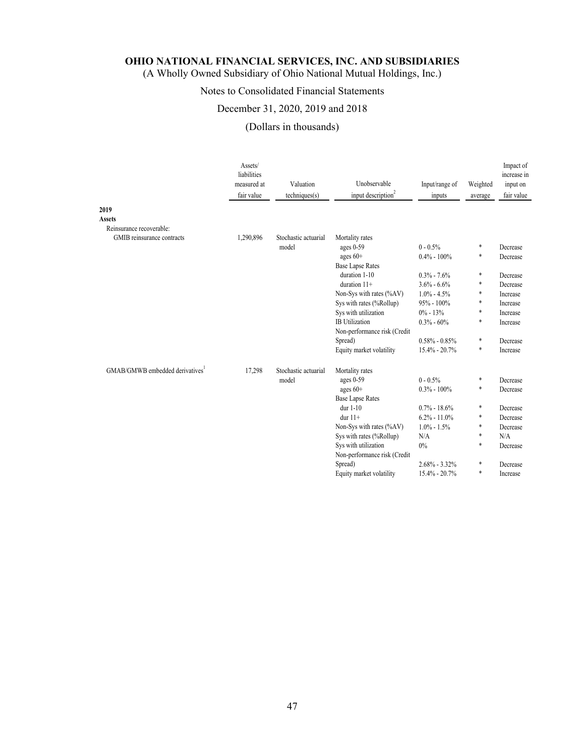(A Wholly Owned Subsidiary of Ohio National Mutual Holdings, Inc.)

# Notes to Consolidated Financial Statements

## December 31, 2020, 2019 and 2018

# (Dollars in thousands)

|                                             | Assets/<br>liabilities<br>measured at<br>fair value | Valuation<br>techniques(s) | Unobservable<br>input description <sup>2</sup> | Input/range of<br>inputs | Weighted<br>average | Impact of<br>increase in<br>input on<br>fair value |
|---------------------------------------------|-----------------------------------------------------|----------------------------|------------------------------------------------|--------------------------|---------------------|----------------------------------------------------|
| 2019                                        |                                                     |                            |                                                |                          |                     |                                                    |
| <b>Assets</b>                               |                                                     |                            |                                                |                          |                     |                                                    |
| Reinsurance recoverable:                    |                                                     |                            |                                                |                          |                     |                                                    |
| GMIB reinsurance contracts                  | 1,290,896                                           | Stochastic actuarial       | Mortality rates                                |                          |                     |                                                    |
|                                             |                                                     | model                      | ages 0-59                                      | $0 - 0.5\%$              | $\ast$              | Decrease                                           |
|                                             |                                                     |                            | ages $60+$                                     | $0.4\% - 100\%$          | *                   | Decrease                                           |
|                                             |                                                     |                            | <b>Base Lapse Rates</b>                        |                          | $\ast$              |                                                    |
|                                             |                                                     |                            | duration 1-10                                  | $0.3\% - 7.6\%$          | *                   | Decrease                                           |
|                                             |                                                     |                            | duration $11+$                                 | $3.6\% - 6.6\%$          | *                   | Decrease                                           |
|                                             |                                                     |                            | Non-Sys with rates (%AV)                       | $1.0\% - 4.5\%$          |                     | Increase                                           |
|                                             |                                                     |                            | Sys with rates (%Rollup)                       | $95\% - 100\%$           | *                   | Increase                                           |
|                                             |                                                     |                            | Sys with utilization                           | $0\% - 13\%$             | *                   | Increase                                           |
|                                             |                                                     |                            | <b>IB</b> Utilization                          | $0.3\% - 60\%$           | *                   | Increase                                           |
|                                             |                                                     |                            | Non-performance risk (Credit                   |                          |                     |                                                    |
|                                             |                                                     |                            | Spread)                                        | $0.58\% - 0.85\%$        | $\ast$              | Decrease                                           |
|                                             |                                                     |                            | Equity market volatility                       | 15.4% - 20.7%            | *                   | Increase                                           |
| GMAB/GMWB embedded derivatives <sup>1</sup> | 17,298                                              | Stochastic actuarial       | Mortality rates                                |                          |                     |                                                    |
|                                             |                                                     | model                      | ages 0-59                                      | $0 - 0.5\%$              | $\ast$              | Decrease                                           |
|                                             |                                                     |                            | ages $60+$                                     | $0.3\% - 100\%$          | *                   | Decrease                                           |
|                                             |                                                     |                            | <b>Base Lapse Rates</b>                        |                          |                     |                                                    |
|                                             |                                                     |                            | dur $1-10$                                     | $0.7\% - 18.6\%$         | $\ast$              | Decrease                                           |
|                                             |                                                     |                            | dur $11+$                                      | $6.2\% - 11.0\%$         | *                   | Decrease                                           |
|                                             |                                                     |                            | Non-Sys with rates (%AV)                       | $1.0\% - 1.5\%$          | *                   | Decrease                                           |
|                                             |                                                     |                            | Sys with rates (%Rollup)                       | N/A                      | $\ast$              | N/A                                                |
|                                             |                                                     |                            | Sys with utilization                           | $0\%$                    | $\ast$              | Decrease                                           |
|                                             |                                                     |                            | Non-performance risk (Credit                   |                          |                     |                                                    |
|                                             |                                                     |                            | Spread)                                        | $2.68\% - 3.32\%$        | *                   | Decrease                                           |
|                                             |                                                     |                            | Equity market volatility                       | $15.4\% - 20.7\%$        | *                   | Increase                                           |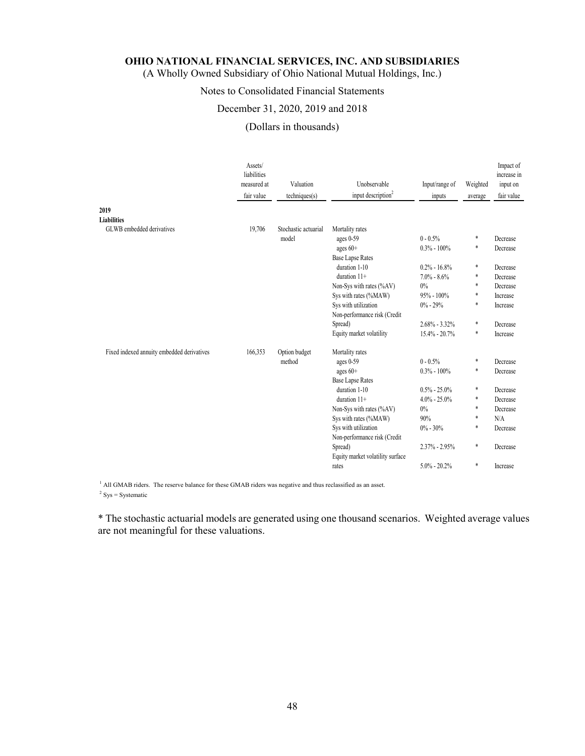(A Wholly Owned Subsidiary of Ohio National Mutual Holdings, Inc.)

## Notes to Consolidated Financial Statements

#### December 31, 2020, 2019 and 2018

#### (Dollars in thousands)

|                                            | Assets/<br>liabilities<br>measured at<br>fair value | Valuation<br>techniques(s) | Unobservable<br>input description <sup>2</sup> | Input/range of<br>inputs | Weighted<br>average | Impact of<br>increase in<br>input on<br>fair value |
|--------------------------------------------|-----------------------------------------------------|----------------------------|------------------------------------------------|--------------------------|---------------------|----------------------------------------------------|
| 2019                                       |                                                     |                            |                                                |                          |                     |                                                    |
| <b>Liabilities</b>                         |                                                     |                            |                                                |                          |                     |                                                    |
| GLWB embedded derivatives                  | 19,706                                              | Stochastic actuarial       | Mortality rates                                |                          |                     |                                                    |
|                                            |                                                     | model                      | ages 0-59                                      | $0 - 0.5\%$              | *                   | Decrease                                           |
|                                            |                                                     |                            | ages $60+$                                     | $0.3\% - 100\%$          | $\ast$              | Decrease                                           |
|                                            |                                                     |                            | <b>Base Lapse Rates</b>                        |                          |                     |                                                    |
|                                            |                                                     |                            | duration 1-10                                  | $0.2\% - 16.8\%$         | $\ast$              | Decrease                                           |
|                                            |                                                     |                            | duration $11+$                                 | $7.0\% - 8.6\%$          | $\ast$              | Decrease                                           |
|                                            |                                                     |                            | Non-Sys with rates (%AV)                       | $0\%$                    | *                   | Decrease                                           |
|                                            |                                                     |                            | Sys with rates (%MAW)                          | $95\% - 100\%$           | *                   | Increase                                           |
|                                            |                                                     |                            | Sys with utilization                           | $0\% - 29\%$             | *                   | Increase                                           |
|                                            |                                                     |                            | Non-performance risk (Credit                   |                          |                     |                                                    |
|                                            |                                                     |                            | Spread)                                        | $2.68\% - 3.32\%$        | *                   | Decrease                                           |
|                                            |                                                     |                            | Equity market volatility                       | $15.4\% - 20.7\%$        | *                   | Increase                                           |
| Fixed indexed annuity embedded derivatives | 166,353                                             | Option budget              | Mortality rates                                |                          |                     |                                                    |
|                                            |                                                     | method                     | ages 0-59                                      | $0 - 0.5\%$              | *                   | Decrease                                           |
|                                            |                                                     |                            | ages $60+$                                     | $0.3\% - 100\%$          | $\ast$              | Decrease                                           |
|                                            |                                                     |                            | <b>Base Lapse Rates</b>                        |                          |                     |                                                    |
|                                            |                                                     |                            | duration 1-10                                  | $0.5\% - 25.0\%$         | *                   | Decrease                                           |
|                                            |                                                     |                            | duration 11+                                   | $4.0\% - 25.0\%$         | $\ast$              | Decrease                                           |
|                                            |                                                     |                            | Non-Sys with rates (%AV)                       | $0\%$                    | *                   | Decrease                                           |
|                                            |                                                     |                            | Sys with rates (%MAW)                          | 90%                      | $\ast$              | N/A                                                |
|                                            |                                                     |                            | Sys with utilization                           | $0\% - 30\%$             | *                   | Decrease                                           |
|                                            |                                                     |                            | Non-performance risk (Credit                   |                          |                     |                                                    |
|                                            |                                                     |                            | Spread)                                        | $2.37\% - 2.95\%$        | *                   | Decrease                                           |
|                                            |                                                     |                            | Equity market volatility surface               |                          |                     |                                                    |
|                                            |                                                     |                            | rates                                          | $5.0\% - 20.2\%$         | $\ast$              | Increase                                           |

<sup>1</sup> All GMAB riders. The reserve balance for these GMAB riders was negative and thus reclassified as an asset.

 $2$  Sys = Systematic

\* The stochastic actuarial models are generated using one thousand scenarios. Weighted average values are not meaningful for these valuations.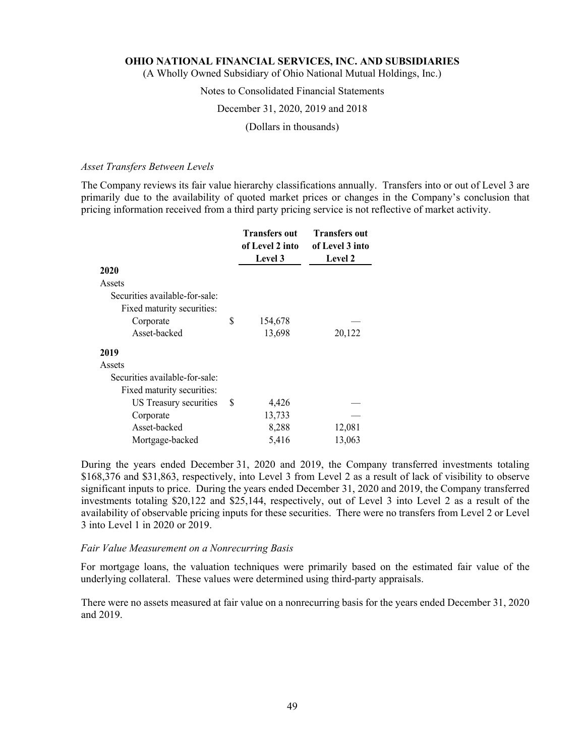(A Wholly Owned Subsidiary of Ohio National Mutual Holdings, Inc.)

# Notes to Consolidated Financial Statements

#### December 31, 2020, 2019 and 2018

(Dollars in thousands)

#### *Asset Transfers Between Levels*

The Company reviews its fair value hierarchy classifications annually. Transfers into or out of Level 3 are primarily due to the availability of quoted market prices or changes in the Company's conclusion that pricing information received from a third party pricing service is not reflective of market activity.

|                                                              |    | <b>Transfers out</b><br>of Level 2 into<br>Level 3 | <b>Transfers out</b><br>of Level 3 into<br><b>Level 2</b> |
|--------------------------------------------------------------|----|----------------------------------------------------|-----------------------------------------------------------|
| 2020                                                         |    |                                                    |                                                           |
| Assets                                                       |    |                                                    |                                                           |
| Securities available-for-sale:<br>Fixed maturity securities: |    |                                                    |                                                           |
| Corporate                                                    | \$ | 154,678                                            |                                                           |
| Asset-backed                                                 |    | 13,698                                             | 20,122                                                    |
| 2019                                                         |    |                                                    |                                                           |
| Assets                                                       |    |                                                    |                                                           |
| Securities available-for-sale:                               |    |                                                    |                                                           |
| Fixed maturity securities:                                   |    |                                                    |                                                           |
| US Treasury securities                                       | S  | 4,426                                              |                                                           |
| Corporate                                                    |    | 13,733                                             |                                                           |
| Asset-backed                                                 |    | 8,288                                              | 12,081                                                    |
| Mortgage-backed                                              |    | 5,416                                              | 13,063                                                    |

During the years ended December 31, 2020 and 2019, the Company transferred investments totaling \$168,376 and \$31,863, respectively, into Level 3 from Level 2 as a result of lack of visibility to observe significant inputs to price. During the years ended December 31, 2020 and 2019, the Company transferred investments totaling \$20,122 and \$25,144, respectively, out of Level 3 into Level 2 as a result of the availability of observable pricing inputs for these securities. There were no transfers from Level 2 or Level 3 into Level 1 in 2020 or 2019.

#### *Fair Value Measurement on a Nonrecurring Basis*

For mortgage loans, the valuation techniques were primarily based on the estimated fair value of the underlying collateral. These values were determined using third-party appraisals.

There were no assets measured at fair value on a nonrecurring basis for the years ended December 31, 2020 and 2019.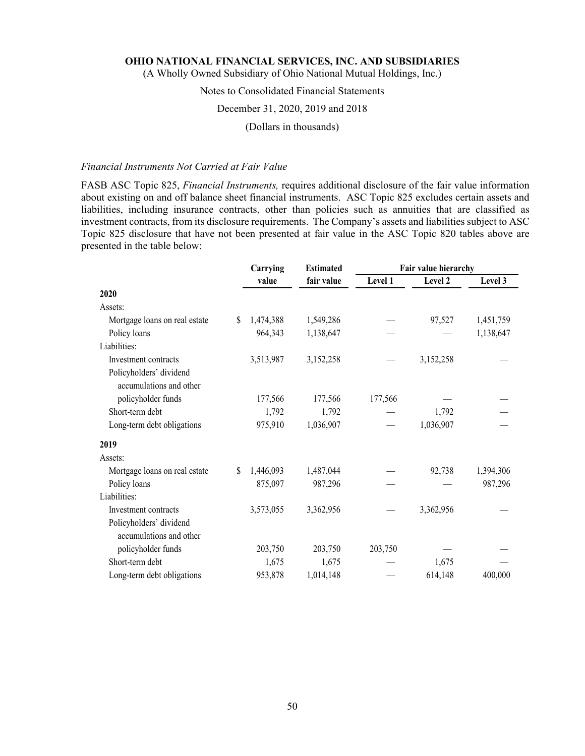(A Wholly Owned Subsidiary of Ohio National Mutual Holdings, Inc.)

# Notes to Consolidated Financial Statements

#### December 31, 2020, 2019 and 2018

(Dollars in thousands)

#### *Financial Instruments Not Carried at Fair Value*

FASB ASC Topic 825, *Financial Instruments,* requires additional disclosure of the fair value information about existing on and off balance sheet financial instruments. ASC Topic 825 excludes certain assets and liabilities, including insurance contracts, other than policies such as annuities that are classified as investment contracts, from its disclosure requirements. The Company's assets and liabilities subject to ASC Topic 825 disclosure that have not been presented at fair value in the ASC Topic 820 tables above are presented in the table below:

|                               |     | Carrying<br><b>Estimated</b> |            | Fair value hierarchy |           |           |  |
|-------------------------------|-----|------------------------------|------------|----------------------|-----------|-----------|--|
|                               |     | value                        | fair value | Level 1              | Level 2   | Level 3   |  |
| 2020                          |     |                              |            |                      |           |           |  |
| Assets:                       |     |                              |            |                      |           |           |  |
| Mortgage loans on real estate | \$. | 1,474,388                    | 1,549,286  |                      | 97,527    | 1,451,759 |  |
| Policy loans                  |     | 964,343                      | 1,138,647  |                      |           | 1,138,647 |  |
| Liabilities:                  |     |                              |            |                      |           |           |  |
| Investment contracts          |     | 3,513,987                    | 3,152,258  |                      | 3,152,258 |           |  |
| Policyholders' dividend       |     |                              |            |                      |           |           |  |
| accumulations and other       |     |                              |            |                      |           |           |  |
| policyholder funds            |     | 177,566                      | 177,566    | 177,566              |           |           |  |
| Short-term debt               |     | 1,792                        | 1,792      |                      | 1,792     |           |  |
| Long-term debt obligations    |     | 975,910                      | 1,036,907  |                      | 1,036,907 |           |  |
| 2019                          |     |                              |            |                      |           |           |  |
| Assets:                       |     |                              |            |                      |           |           |  |
| Mortgage loans on real estate | \$  | 1,446,093                    | 1,487,044  |                      | 92,738    | 1,394,306 |  |
| Policy loans                  |     | 875,097                      | 987,296    |                      |           | 987,296   |  |
| Liabilities:                  |     |                              |            |                      |           |           |  |
| Investment contracts          |     | 3,573,055                    | 3,362,956  |                      | 3,362,956 |           |  |
| Policyholders' dividend       |     |                              |            |                      |           |           |  |
| accumulations and other       |     |                              |            |                      |           |           |  |
| policyholder funds            |     | 203,750                      | 203,750    | 203,750              |           |           |  |
| Short-term debt               |     | 1,675                        | 1,675      |                      | 1,675     |           |  |
| Long-term debt obligations    |     | 953,878                      | 1,014,148  |                      | 614,148   | 400,000   |  |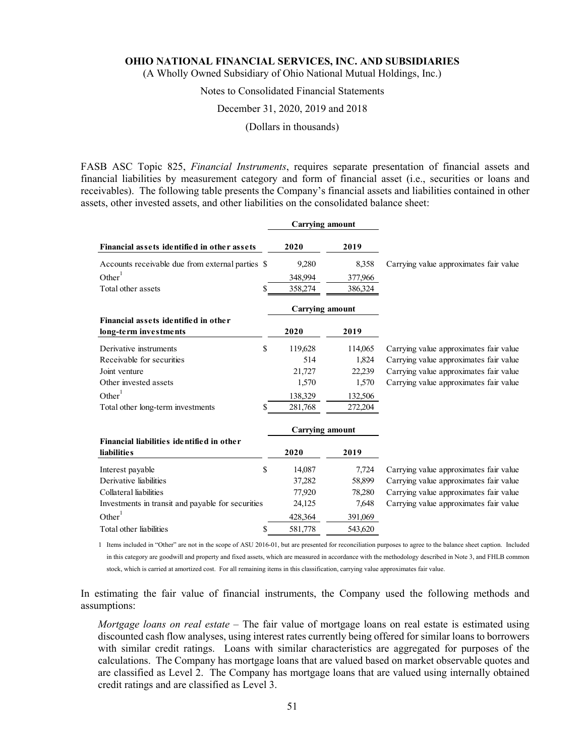(A Wholly Owned Subsidiary of Ohio National Mutual Holdings, Inc.)

# Notes to Consolidated Financial Statements

#### December 31, 2020, 2019 and 2018

(Dollars in thousands)

FASB ASC Topic 825, *Financial Instruments*, requires separate presentation of financial assets and financial liabilities by measurement category and form of financial asset (i.e., securities or loans and receivables). The following table presents the Company's financial assets and liabilities contained in other assets, other invested assets, and other liabilities on the consolidated balance sheet:

|                                                   |    |         | <b>Carrying amount</b> |                                        |
|---------------------------------------------------|----|---------|------------------------|----------------------------------------|
| Financial assets identified in other assets       |    | 2020    | 2019                   |                                        |
| Accounts receivable due from external parties \$  |    | 9,280   | 8,358                  | Carrying value approximates fair value |
| Other $1$                                         |    | 348,994 | 377,966                |                                        |
| Total other assets                                | S  | 358,274 | 386,324                |                                        |
|                                                   |    |         | <b>Carrying amount</b> |                                        |
| Financial assets identified in other              |    |         |                        |                                        |
| long-term investments                             |    | 2020    | 2019                   |                                        |
| Derivative instruments                            | \$ | 119,628 | 114,065                | Carrying value approximates fair value |
| Receivable for securities                         |    | 514     | 1,824                  | Carrying value approximates fair value |
| Joint venture                                     |    | 21,727  | 22,239                 | Carrying value approximates fair value |
| Other invested assets                             |    | 1,570   | 1,570                  | Carrying value approximates fair value |
| Other $1$                                         |    | 138,329 | 132,506                |                                        |
| Total other long-term investments                 | S  | 281,768 | 272,204                |                                        |
|                                                   |    |         | <b>Carrying amount</b> |                                        |
| Financial liabilities identified in other         |    |         |                        |                                        |
| <b>liabilities</b>                                |    | 2020    | 2019                   |                                        |
| Interest payable                                  | \$ | 14,087  | 7,724                  | Carrying value approximates fair value |
| Derivative liabilities                            |    | 37,282  | 58,899                 | Carrying value approximates fair value |
| Collateral liabilities                            |    | 77,920  | 78,280                 | Carrying value approximates fair value |
| Investments in transit and payable for securities |    | 24,125  | 7,648                  | Carrying value approximates fair value |
| Other $1$                                         |    | 428,364 | 391,069                |                                        |
| Total other liabilities                           | \$ | 581,778 | 543,620                |                                        |

1 Items included in "Other" are not in the scope of ASU 2016-01, but are presented for reconciliation purposes to agree to the balance sheet caption. Included in this category are goodwill and property and fixed assets, which are measured in accordance with the methodology described in Note 3, and FHLB common stock, which is carried at amortized cost. For all remaining items in this classification, carrying value approximates fair value.

In estimating the fair value of financial instruments, the Company used the following methods and assumptions:

*Mortgage loans on real estate* – The fair value of mortgage loans on real estate is estimated using discounted cash flow analyses, using interest rates currently being offered for similar loans to borrowers with similar credit ratings. Loans with similar characteristics are aggregated for purposes of the calculations. The Company has mortgage loans that are valued based on market observable quotes and are classified as Level 2. The Company has mortgage loans that are valued using internally obtained credit ratings and are classified as Level 3.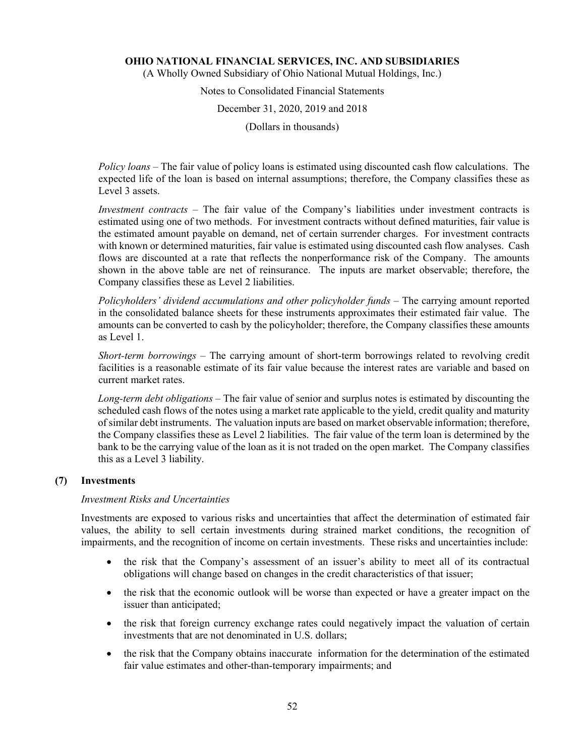(A Wholly Owned Subsidiary of Ohio National Mutual Holdings, Inc.)

# Notes to Consolidated Financial Statements

#### December 31, 2020, 2019 and 2018

(Dollars in thousands)

*Policy loans* – The fair value of policy loans is estimated using discounted cash flow calculations. The expected life of the loan is based on internal assumptions; therefore, the Company classifies these as Level 3 assets.

*Investment contracts* – The fair value of the Company's liabilities under investment contracts is estimated using one of two methods. For investment contracts without defined maturities, fair value is the estimated amount payable on demand, net of certain surrender charges. For investment contracts with known or determined maturities, fair value is estimated using discounted cash flow analyses. Cash flows are discounted at a rate that reflects the nonperformance risk of the Company. The amounts shown in the above table are net of reinsurance. The inputs are market observable; therefore, the Company classifies these as Level 2 liabilities.

*Policyholders' dividend accumulations and other policyholder funds* – The carrying amount reported in the consolidated balance sheets for these instruments approximates their estimated fair value. The amounts can be converted to cash by the policyholder; therefore, the Company classifies these amounts as Level 1.

*Short-term borrowings* – The carrying amount of short-term borrowings related to revolving credit facilities is a reasonable estimate of its fair value because the interest rates are variable and based on current market rates.

*Long-term debt obligations –* The fair value of senior and surplus notes is estimated by discounting the scheduled cash flows of the notes using a market rate applicable to the yield, credit quality and maturity of similar debt instruments. The valuation inputs are based on market observable information; therefore, the Company classifies these as Level 2 liabilities. The fair value of the term loan is determined by the bank to be the carrying value of the loan as it is not traded on the open market. The Company classifies this as a Level 3 liability.

#### **(7) Investments**

#### *Investment Risks and Uncertainties*

Investments are exposed to various risks and uncertainties that affect the determination of estimated fair values, the ability to sell certain investments during strained market conditions, the recognition of impairments, and the recognition of income on certain investments. These risks and uncertainties include:

- the risk that the Company's assessment of an issuer's ability to meet all of its contractual obligations will change based on changes in the credit characteristics of that issuer;
- the risk that the economic outlook will be worse than expected or have a greater impact on the issuer than anticipated;
- the risk that foreign currency exchange rates could negatively impact the valuation of certain investments that are not denominated in U.S. dollars;
- the risk that the Company obtains inaccurate information for the determination of the estimated fair value estimates and other-than-temporary impairments; and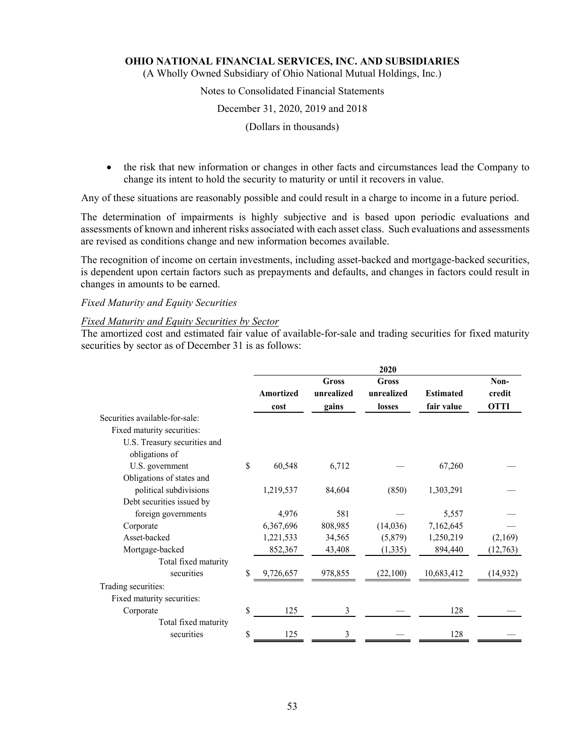(A Wholly Owned Subsidiary of Ohio National Mutual Holdings, Inc.)

# Notes to Consolidated Financial Statements

#### December 31, 2020, 2019 and 2018

(Dollars in thousands)

 the risk that new information or changes in other facts and circumstances lead the Company to change its intent to hold the security to maturity or until it recovers in value.

Any of these situations are reasonably possible and could result in a charge to income in a future period.

The determination of impairments is highly subjective and is based upon periodic evaluations and assessments of known and inherent risks associated with each asset class. Such evaluations and assessments are revised as conditions change and new information becomes available.

The recognition of income on certain investments, including asset-backed and mortgage-backed securities, is dependent upon certain factors such as prepayments and defaults, and changes in factors could result in changes in amounts to be earned.

#### *Fixed Maturity and Equity Securities*

# *Fixed Maturity and Equity Securities by Sector*

The amortized cost and estimated fair value of available-for-sale and trading securities for fixed maturity securities by sector as of December 31 is as follows:

|                                |                 |              | 2020       |                  |             |
|--------------------------------|-----------------|--------------|------------|------------------|-------------|
|                                |                 | <b>Gross</b> | Gross      |                  | Non-        |
|                                | Amortized       | unrealized   | unrealized | <b>Estimated</b> | credit      |
|                                | cost            | gains        | losses     | fair value       | <b>OTTI</b> |
| Securities available-for-sale: |                 |              |            |                  |             |
| Fixed maturity securities:     |                 |              |            |                  |             |
| U.S. Treasury securities and   |                 |              |            |                  |             |
| obligations of                 |                 |              |            |                  |             |
| U.S. government                | \$<br>60,548    | 6,712        |            | 67,260           |             |
| Obligations of states and      |                 |              |            |                  |             |
| political subdivisions         | 1,219,537       | 84,604       | (850)      | 1,303,291        |             |
| Debt securities issued by      |                 |              |            |                  |             |
| foreign governments            | 4,976           | 581          |            | 5,557            |             |
| Corporate                      | 6,367,696       | 808,985      | (14,036)   | 7,162,645        |             |
| Asset-backed                   | 1,221,533       | 34,565       | (5,879)    | 1,250,219        | (2,169)     |
| Mortgage-backed                | 852,367         | 43,408       | (1, 335)   | 894,440          | (12,763)    |
| Total fixed maturity           |                 |              |            |                  |             |
| securities                     | \$<br>9,726,657 | 978,855      | (22,100)   | 10,683,412       | (14,932)    |
| Trading securities:            |                 |              |            |                  |             |
| Fixed maturity securities:     |                 |              |            |                  |             |
| Corporate                      | \$<br>125       | 3            |            | 128              |             |
| Total fixed maturity           |                 |              |            |                  |             |
| securities                     | \$<br>125       | 3            |            | 128              |             |
|                                |                 |              |            |                  |             |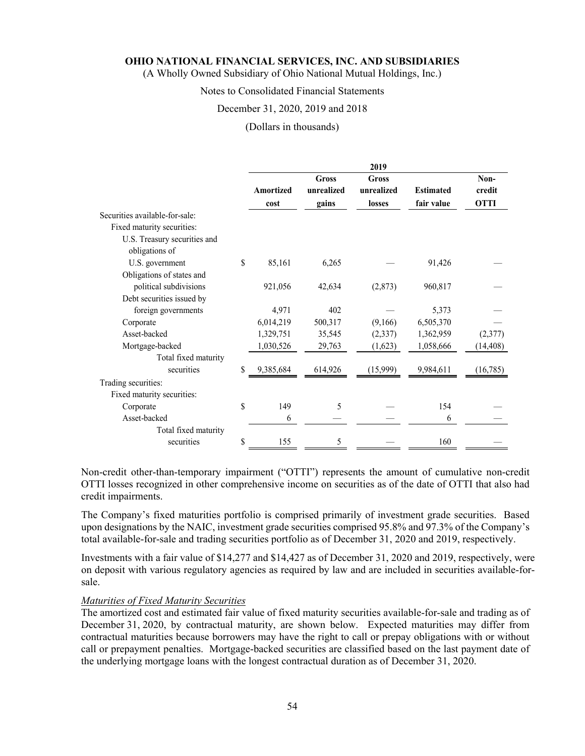(A Wholly Owned Subsidiary of Ohio National Mutual Holdings, Inc.)

# Notes to Consolidated Financial Statements

#### December 31, 2020, 2019 and 2018

#### (Dollars in thousands)

|                                |                  |              | 2019       |                  |             |
|--------------------------------|------------------|--------------|------------|------------------|-------------|
|                                |                  | <b>Gross</b> | Gross      |                  | Non-        |
|                                | <b>Amortized</b> | unrealized   | unrealized | <b>Estimated</b> | credit      |
|                                | cost             | gains        | losses     | fair value       | <b>OTTI</b> |
| Securities available-for-sale: |                  |              |            |                  |             |
| Fixed maturity securities:     |                  |              |            |                  |             |
| U.S. Treasury securities and   |                  |              |            |                  |             |
| obligations of                 |                  |              |            |                  |             |
| U.S. government                | \$<br>85,161     | 6,265        |            | 91,426           |             |
| Obligations of states and      |                  |              |            |                  |             |
| political subdivisions         | 921,056          | 42,634       | (2,873)    | 960,817          |             |
| Debt securities issued by      |                  |              |            |                  |             |
| foreign governments            | 4,971            | 402          |            | 5,373            |             |
| Corporate                      | 6,014,219        | 500,317      | (9,166)    | 6,505,370        |             |
| Asset-backed                   | 1,329,751        | 35,545       | (2,337)    | 1,362,959        | (2,377)     |
| Mortgage-backed                | 1,030,526        | 29,763       | (1,623)    | 1,058,666        | (14, 408)   |
| Total fixed maturity           |                  |              |            |                  |             |
| securities                     | \$<br>9,385,684  | 614,926      | (15,999)   | 9,984,611        | (16,785)    |
| Trading securities:            |                  |              |            |                  |             |
| Fixed maturity securities:     |                  |              |            |                  |             |
| Corporate                      | \$<br>149        | 5            |            | 154              |             |
| Asset-backed                   | 6                |              |            | 6                |             |
| Total fixed maturity           |                  |              |            |                  |             |
| securities                     | \$<br>155        | 5            |            | 160              |             |

Non-credit other-than-temporary impairment ("OTTI") represents the amount of cumulative non-credit OTTI losses recognized in other comprehensive income on securities as of the date of OTTI that also had credit impairments.

The Company's fixed maturities portfolio is comprised primarily of investment grade securities. Based upon designations by the NAIC, investment grade securities comprised 95.8% and 97.3% of the Company's total available-for-sale and trading securities portfolio as of December 31, 2020 and 2019, respectively.

Investments with a fair value of \$14,277 and \$14,427 as of December 31, 2020 and 2019, respectively, were on deposit with various regulatory agencies as required by law and are included in securities available-forsale.

#### *Maturities of Fixed Maturity Securities*

The amortized cost and estimated fair value of fixed maturity securities available-for-sale and trading as of December 31, 2020, by contractual maturity, are shown below. Expected maturities may differ from contractual maturities because borrowers may have the right to call or prepay obligations with or without call or prepayment penalties. Mortgage-backed securities are classified based on the last payment date of the underlying mortgage loans with the longest contractual duration as of December 31, 2020.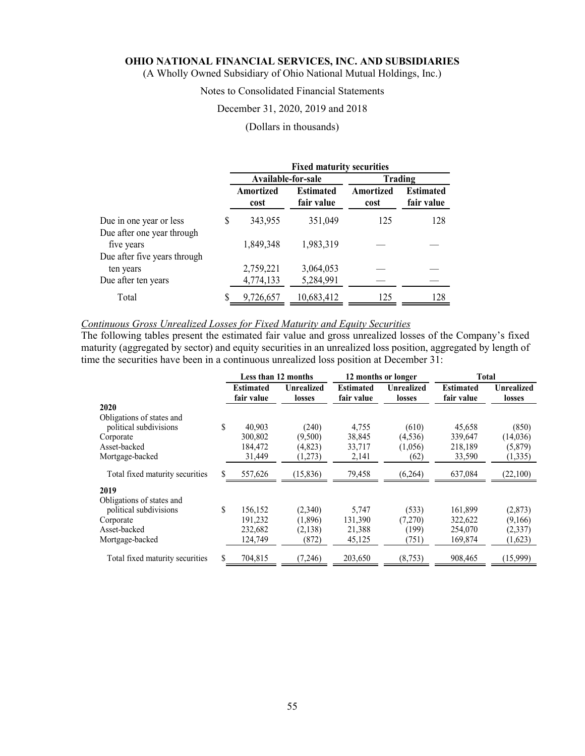(A Wholly Owned Subsidiary of Ohio National Mutual Holdings, Inc.)

# Notes to Consolidated Financial Statements

# December 31, 2020, 2019 and 2018

#### (Dollars in thousands)

|                                                       |   | <b>Fixed maturity securities</b> |                                |                          |                                |  |  |  |
|-------------------------------------------------------|---|----------------------------------|--------------------------------|--------------------------|--------------------------------|--|--|--|
|                                                       |   | Available-for-sale               |                                | Trading                  |                                |  |  |  |
|                                                       |   | Amortized<br>cost                | <b>Estimated</b><br>fair value | <b>Amortized</b><br>cost | <b>Estimated</b><br>fair value |  |  |  |
| Due in one year or less<br>Due after one year through | S | 343,955                          | 351,049                        | 125                      | 128                            |  |  |  |
| five years<br>Due after five years through            |   | 1,849,348                        | 1,983,319                      |                          |                                |  |  |  |
| ten years                                             |   | 2,759,221                        | 3,064,053                      |                          |                                |  |  |  |
| Due after ten years                                   |   | 4,774,133                        | 5,284,991                      |                          |                                |  |  |  |
| Total                                                 | S | 9,726,657                        | 10,683,412                     | 125                      | 128                            |  |  |  |

#### *Continuous Gross Unrealized Losses for Fixed Maturity and Equity Securities*

The following tables present the estimated fair value and gross unrealized losses of the Company's fixed maturity (aggregated by sector) and equity securities in an unrealized loss position, aggregated by length of time the securities have been in a continuous unrealized loss position at December 31:

|                                 | Less than 12 months            |                             |                                | 12 months or longer         | <b>Total</b>                   |                             |
|---------------------------------|--------------------------------|-----------------------------|--------------------------------|-----------------------------|--------------------------------|-----------------------------|
|                                 | <b>Estimated</b><br>fair value | <b>Unrealized</b><br>losses | <b>Estimated</b><br>fair value | <b>Unrealized</b><br>losses | <b>Estimated</b><br>fair value | <b>Unrealized</b><br>losses |
| 2020                            |                                |                             |                                |                             |                                |                             |
| Obligations of states and       |                                |                             |                                |                             |                                |                             |
| political subdivisions          | \$<br>40,903                   | (240)                       | 4,755                          | (610)                       | 45,658                         | (850)                       |
| Corporate                       | 300,802                        | (9,500)                     | 38,845                         | (4,536)                     | 339,647                        | (14,036)                    |
| Asset-backed                    | 184,472                        | (4,823)                     | 33,717                         | (1,056)                     | 218,189                        | (5,879)                     |
| Mortgage-backed                 | 31,449                         | (1,273)                     | 2,141                          | (62)                        | 33,590                         | (1, 335)                    |
| Total fixed maturity securities | 557,626                        | (15, 836)                   | 79,458                         | (6,264)                     | 637,084                        | (22,100)                    |
| 2019                            |                                |                             |                                |                             |                                |                             |
| Obligations of states and       |                                |                             |                                |                             |                                |                             |
| political subdivisions          | \$<br>156,152                  | (2,340)                     | 5,747                          | (533)                       | 161,899                        | (2,873)                     |
| Corporate                       | 191,232                        | (1,896)                     | 131,390                        | (7,270)                     | 322,622                        | (9,166)                     |
| Asset-backed                    | 232,682                        | (2,138)                     | 21,388                         | (199)                       | 254,070                        | (2,337)                     |
| Mortgage-backed                 | 124,749                        | (872)                       | 45,125                         | (751)                       | 169,874                        | (1,623)                     |
| Total fixed maturity securities | 704,815                        | (7,246)                     | 203,650                        | (8,753)                     | 908,465                        | (15,999)                    |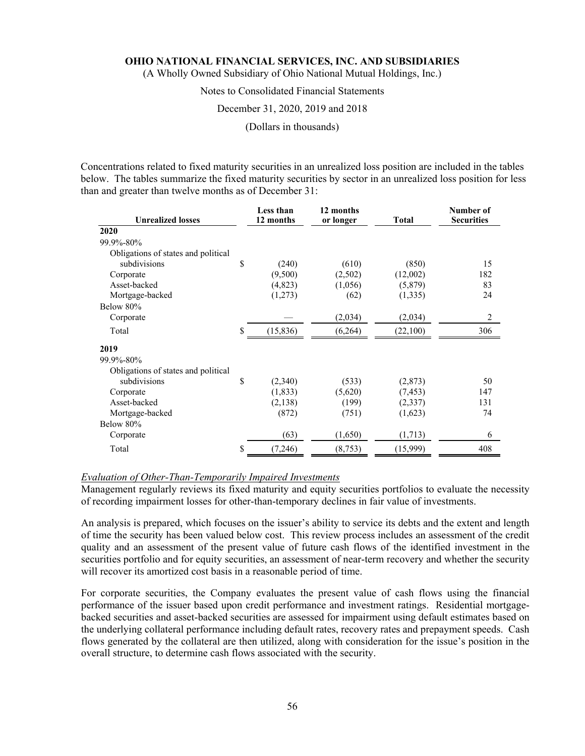(A Wholly Owned Subsidiary of Ohio National Mutual Holdings, Inc.)

# Notes to Consolidated Financial Statements

#### December 31, 2020, 2019 and 2018

#### (Dollars in thousands)

Concentrations related to fixed maturity securities in an unrealized loss position are included in the tables below. The tables summarize the fixed maturity securities by sector in an unrealized loss position for less than and greater than twelve months as of December 31:

| <b>Unrealized losses</b>            | <b>Less than</b><br>12 months | 12 months<br>or longer | <b>Total</b> | Number of<br><b>Securities</b> |
|-------------------------------------|-------------------------------|------------------------|--------------|--------------------------------|
| 2020                                |                               |                        |              |                                |
| 99.9%-80%                           |                               |                        |              |                                |
| Obligations of states and political |                               |                        |              |                                |
| subdivisions                        | \$<br>(240)                   | (610)                  | (850)        | 15                             |
| Corporate                           | (9,500)                       | (2,502)                | (12,002)     | 182                            |
| Asset-backed                        | (4,823)                       | (1,056)                | (5,879)      | 83                             |
| Mortgage-backed                     | (1,273)                       | (62)                   | (1, 335)     | 24                             |
| Below 80%                           |                               |                        |              |                                |
| Corporate                           |                               | (2,034)                | (2,034)      | 2                              |
| Total                               | \$<br>(15, 836)               | (6,264)                | (22,100)     | 306                            |
| 2019                                |                               |                        |              |                                |
| 99.9%-80%                           |                               |                        |              |                                |
| Obligations of states and political |                               |                        |              |                                |
| subdivisions                        | \$<br>(2,340)                 | (533)                  | (2,873)      | 50                             |
| Corporate                           | (1,833)                       | (5,620)                | (7, 453)     | 147                            |
| Asset-backed                        | (2,138)                       | (199)                  | (2, 337)     | 131                            |
| Mortgage-backed                     | (872)                         | (751)                  | (1,623)      | 74                             |
| Below 80%                           |                               |                        |              |                                |
| Corporate                           | (63)                          | (1,650)                | (1,713)      | 6                              |
| Total                               | \$<br>(7,246)                 | (8,753)                | (15,999)     | 408                            |

### *Evaluation of Other-Than-Temporarily Impaired Investments*

Management regularly reviews its fixed maturity and equity securities portfolios to evaluate the necessity of recording impairment losses for other-than-temporary declines in fair value of investments.

An analysis is prepared, which focuses on the issuer's ability to service its debts and the extent and length of time the security has been valued below cost. This review process includes an assessment of the credit quality and an assessment of the present value of future cash flows of the identified investment in the securities portfolio and for equity securities, an assessment of near-term recovery and whether the security will recover its amortized cost basis in a reasonable period of time.

For corporate securities, the Company evaluates the present value of cash flows using the financial performance of the issuer based upon credit performance and investment ratings. Residential mortgagebacked securities and asset-backed securities are assessed for impairment using default estimates based on the underlying collateral performance including default rates, recovery rates and prepayment speeds. Cash flows generated by the collateral are then utilized, along with consideration for the issue's position in the overall structure, to determine cash flows associated with the security.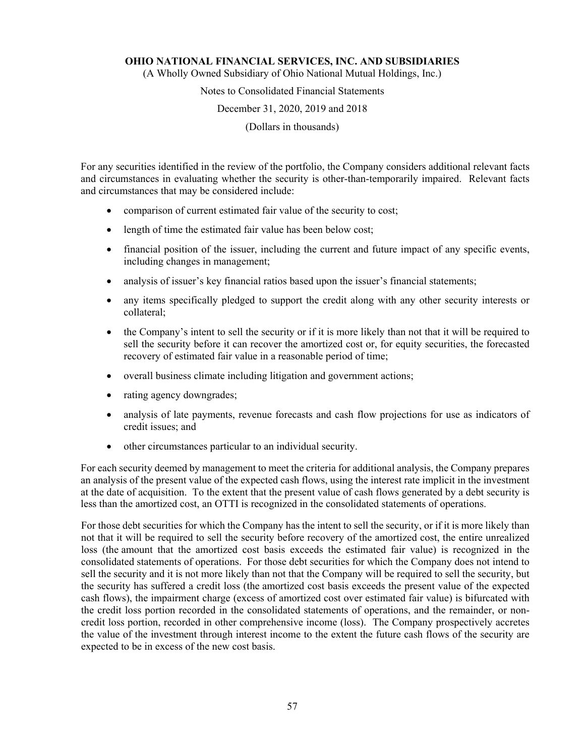(A Wholly Owned Subsidiary of Ohio National Mutual Holdings, Inc.)

# Notes to Consolidated Financial Statements

December 31, 2020, 2019 and 2018

(Dollars in thousands)

For any securities identified in the review of the portfolio, the Company considers additional relevant facts and circumstances in evaluating whether the security is other-than-temporarily impaired. Relevant facts and circumstances that may be considered include:

- comparison of current estimated fair value of the security to cost;
- length of time the estimated fair value has been below cost;
- financial position of the issuer, including the current and future impact of any specific events, including changes in management;
- analysis of issuer's key financial ratios based upon the issuer's financial statements;
- any items specifically pledged to support the credit along with any other security interests or collateral;
- the Company's intent to sell the security or if it is more likely than not that it will be required to sell the security before it can recover the amortized cost or, for equity securities, the forecasted recovery of estimated fair value in a reasonable period of time;
- overall business climate including litigation and government actions;
- rating agency downgrades;
- analysis of late payments, revenue forecasts and cash flow projections for use as indicators of credit issues; and
- other circumstances particular to an individual security.

For each security deemed by management to meet the criteria for additional analysis, the Company prepares an analysis of the present value of the expected cash flows, using the interest rate implicit in the investment at the date of acquisition. To the extent that the present value of cash flows generated by a debt security is less than the amortized cost, an OTTI is recognized in the consolidated statements of operations.

For those debt securities for which the Company has the intent to sell the security, or if it is more likely than not that it will be required to sell the security before recovery of the amortized cost, the entire unrealized loss (the amount that the amortized cost basis exceeds the estimated fair value) is recognized in the consolidated statements of operations. For those debt securities for which the Company does not intend to sell the security and it is not more likely than not that the Company will be required to sell the security, but the security has suffered a credit loss (the amortized cost basis exceeds the present value of the expected cash flows), the impairment charge (excess of amortized cost over estimated fair value) is bifurcated with the credit loss portion recorded in the consolidated statements of operations, and the remainder, or noncredit loss portion, recorded in other comprehensive income (loss). The Company prospectively accretes the value of the investment through interest income to the extent the future cash flows of the security are expected to be in excess of the new cost basis.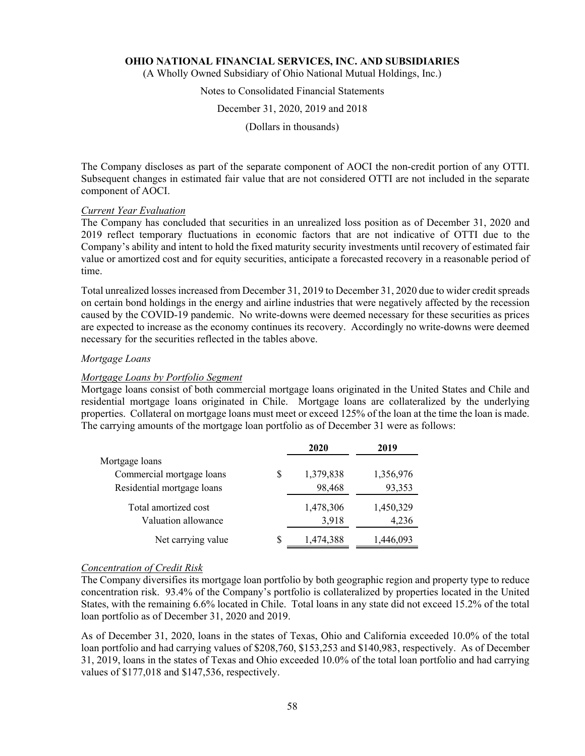(A Wholly Owned Subsidiary of Ohio National Mutual Holdings, Inc.)

# Notes to Consolidated Financial Statements

#### December 31, 2020, 2019 and 2018

(Dollars in thousands)

The Company discloses as part of the separate component of AOCI the non-credit portion of any OTTI. Subsequent changes in estimated fair value that are not considered OTTI are not included in the separate component of AOCI.

#### *Current Year Evaluation*

The Company has concluded that securities in an unrealized loss position as of December 31, 2020 and 2019 reflect temporary fluctuations in economic factors that are not indicative of OTTI due to the Company's ability and intent to hold the fixed maturity security investments until recovery of estimated fair value or amortized cost and for equity securities, anticipate a forecasted recovery in a reasonable period of time.

Total unrealized losses increased from December 31, 2019 to December 31, 2020 due to wider credit spreads on certain bond holdings in the energy and airline industries that were negatively affected by the recession caused by the COVID-19 pandemic. No write-downs were deemed necessary for these securities as prices are expected to increase as the economy continues its recovery. Accordingly no write-downs were deemed necessary for the securities reflected in the tables above.

#### *Mortgage Loans*

### *Mortgage Loans by Portfolio Segment*

Mortgage loans consist of both commercial mortgage loans originated in the United States and Chile and residential mortgage loans originated in Chile. Mortgage loans are collateralized by the underlying properties. Collateral on mortgage loans must meet or exceed 125% of the loan at the time the loan is made. The carrying amounts of the mortgage loan portfolio as of December 31 were as follows:

|                            | 2020      | 2019      |
|----------------------------|-----------|-----------|
| Mortgage loans             |           |           |
| Commercial mortgage loans  | 1,379,838 | 1,356,976 |
| Residential mortgage loans | 98,468    | 93,353    |
| Total amortized cost       | 1,478,306 | 1,450,329 |
| Valuation allowance        | 3,918     | 4,236     |
| Net carrying value         | 1,474,388 | 1,446,093 |

#### *Concentration of Credit Risk*

The Company diversifies its mortgage loan portfolio by both geographic region and property type to reduce concentration risk. 93.4% of the Company's portfolio is collateralized by properties located in the United States, with the remaining 6.6% located in Chile. Total loans in any state did not exceed 15.2% of the total loan portfolio as of December 31, 2020 and 2019.

As of December 31, 2020, loans in the states of Texas, Ohio and California exceeded 10.0% of the total loan portfolio and had carrying values of \$208,760, \$153,253 and \$140,983, respectively. As of December 31, 2019, loans in the states of Texas and Ohio exceeded 10.0% of the total loan portfolio and had carrying values of \$177,018 and \$147,536, respectively.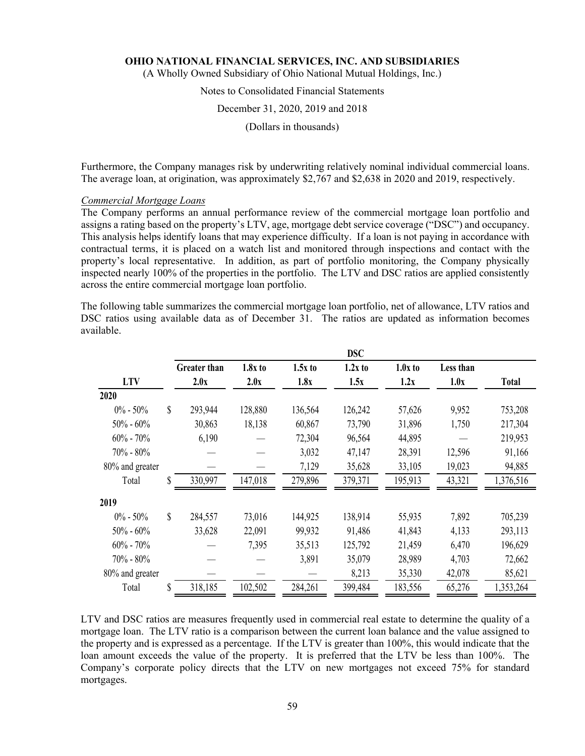(A Wholly Owned Subsidiary of Ohio National Mutual Holdings, Inc.)

# Notes to Consolidated Financial Statements

#### December 31, 2020, 2019 and 2018

(Dollars in thousands)

Furthermore, the Company manages risk by underwriting relatively nominal individual commercial loans. The average loan, at origination, was approximately \$2,767 and \$2,638 in 2020 and 2019, respectively.

#### *Commercial Mortgage Loans*

The Company performs an annual performance review of the commercial mortgage loan portfolio and assigns a rating based on the property's LTV, age, mortgage debt service coverage ("DSC") and occupancy. This analysis helps identify loans that may experience difficulty. If a loan is not paying in accordance with contractual terms, it is placed on a watch list and monitored through inspections and contact with the property's local representative. In addition, as part of portfolio monitoring, the Company physically inspected nearly 100% of the properties in the portfolio. The LTV and DSC ratios are applied consistently across the entire commercial mortgage loan portfolio.

The following table summarizes the commercial mortgage loan portfolio, net of allowance, LTV ratios and DSC ratios using available data as of December 31. The ratios are updated as information becomes available.

|                 |               |                     |           |           | <b>DSC</b> |           |           |              |
|-----------------|---------------|---------------------|-----------|-----------|------------|-----------|-----------|--------------|
|                 |               | <b>Greater than</b> | $1.8x$ to | $1.5x$ to | $1.2x$ to  | $1.0x$ to | Less than |              |
| <b>LTV</b>      |               | 2.0x                | 2.0x      | 1.8x      | 1.5x       | 1.2x      | 1.0x      | <b>Total</b> |
| 2020            |               |                     |           |           |            |           |           |              |
| $0\% - 50\%$    | \$            | 293,944             | 128,880   | 136,564   | 126,242    | 57,626    | 9,952     | 753,208      |
| $50\% - 60\%$   |               | 30,863              | 18,138    | 60,867    | 73,790     | 31,896    | 1,750     | 217,304      |
| $60\% - 70\%$   |               | 6,190               |           | 72,304    | 96,564     | 44,895    |           | 219,953      |
| $70\% - 80\%$   |               |                     |           | 3,032     | 47,147     | 28,391    | 12,596    | 91,166       |
| 80% and greater |               |                     |           | 7,129     | 35,628     | 33,105    | 19,023    | 94,885       |
| Total           | S             | 330,997             | 147,018   | 279,896   | 379,371    | 195,913   | 43,321    | 1,376,516    |
| 2019            |               |                     |           |           |            |           |           |              |
| $0\% - 50\%$    | $\mathcal{S}$ | 284,557             | 73,016    | 144,925   | 138,914    | 55,935    | 7,892     | 705,239      |
| $50\% - 60\%$   |               | 33,628              | 22,091    | 99,932    | 91,486     | 41,843    | 4,133     | 293,113      |
| $60\% - 70\%$   |               |                     | 7,395     | 35,513    | 125,792    | 21,459    | 6,470     | 196,629      |
| $70\% - 80\%$   |               |                     |           | 3,891     | 35,079     | 28,989    | 4,703     | 72,662       |
| 80% and greater |               |                     |           |           | 8,213      | 35,330    | 42,078    | 85,621       |
| Total           | S             | 318,185             | 102,502   | 284,261   | 399,484    | 183,556   | 65,276    | 1,353,264    |

LTV and DSC ratios are measures frequently used in commercial real estate to determine the quality of a mortgage loan. The LTV ratio is a comparison between the current loan balance and the value assigned to the property and is expressed as a percentage. If the LTV is greater than 100%, this would indicate that the loan amount exceeds the value of the property. It is preferred that the LTV be less than 100%. The Company's corporate policy directs that the LTV on new mortgages not exceed 75% for standard mortgages.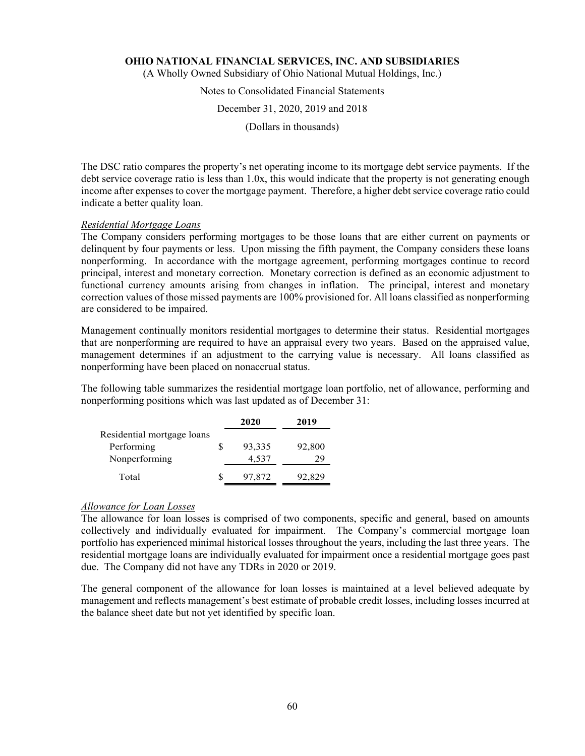(A Wholly Owned Subsidiary of Ohio National Mutual Holdings, Inc.)

# Notes to Consolidated Financial Statements

#### December 31, 2020, 2019 and 2018

(Dollars in thousands)

The DSC ratio compares the property's net operating income to its mortgage debt service payments. If the debt service coverage ratio is less than 1.0x, this would indicate that the property is not generating enough income after expenses to cover the mortgage payment. Therefore, a higher debt service coverage ratio could indicate a better quality loan.

#### *Residential Mortgage Loans*

The Company considers performing mortgages to be those loans that are either current on payments or delinquent by four payments or less. Upon missing the fifth payment, the Company considers these loans nonperforming. In accordance with the mortgage agreement, performing mortgages continue to record principal, interest and monetary correction. Monetary correction is defined as an economic adjustment to functional currency amounts arising from changes in inflation. The principal, interest and monetary correction values of those missed payments are 100% provisioned for. All loans classified as nonperforming are considered to be impaired.

Management continually monitors residential mortgages to determine their status. Residential mortgages that are nonperforming are required to have an appraisal every two years. Based on the appraised value, management determines if an adjustment to the carrying value is necessary. All loans classified as nonperforming have been placed on nonaccrual status.

The following table summarizes the residential mortgage loan portfolio, net of allowance, performing and nonperforming positions which was last updated as of December 31:

|                            |   | 2020   | 2019   |
|----------------------------|---|--------|--------|
| Residential mortgage loans |   |        |        |
| Performing                 | S | 93,335 | 92,800 |
| Nonperforming              |   | 4,537  | 29.    |
| Total                      |   | 97,872 | 92,829 |

#### *Allowance for Loan Losses*

The allowance for loan losses is comprised of two components, specific and general, based on amounts collectively and individually evaluated for impairment. The Company's commercial mortgage loan portfolio has experienced minimal historical losses throughout the years, including the last three years. The residential mortgage loans are individually evaluated for impairment once a residential mortgage goes past due. The Company did not have any TDRs in 2020 or 2019.

The general component of the allowance for loan losses is maintained at a level believed adequate by management and reflects management's best estimate of probable credit losses, including losses incurred at the balance sheet date but not yet identified by specific loan.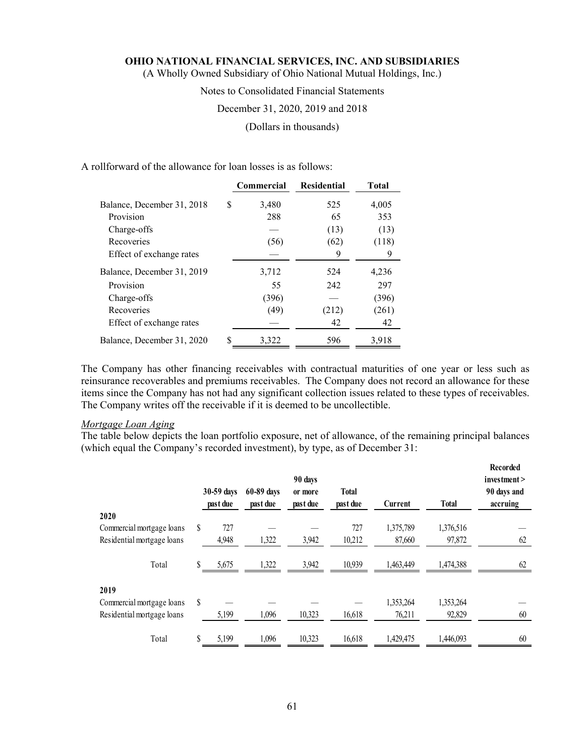(A Wholly Owned Subsidiary of Ohio National Mutual Holdings, Inc.)

# Notes to Consolidated Financial Statements

#### December 31, 2020, 2019 and 2018

(Dollars in thousands)

A rollforward of the allowance for loan losses is as follows:

|                            | Commercial  | <b>Residential</b> | <b>Total</b> |
|----------------------------|-------------|--------------------|--------------|
| Balance, December 31, 2018 | \$<br>3,480 | 525                | 4,005        |
| Provision                  | 288         | 65                 | 353          |
| Charge-offs                |             | (13)               | (13)         |
| Recoveries                 | (56)        | (62)               | (118)        |
| Effect of exchange rates   |             | 9                  | 9            |
| Balance, December 31, 2019 | 3,712       | 524                | 4,236        |
| Provision                  | 55          | 242                | 297          |
| Charge-offs                | (396)       |                    | (396)        |
| Recoveries                 | (49)        | (212)              | (261)        |
| Effect of exchange rates   |             | 42                 | 42           |
| Balance, December 31, 2020 | S<br>3.322  | 596                | 3.918        |

The Company has other financing receivables with contractual maturities of one year or less such as reinsurance recoverables and premiums receivables. The Company does not record an allowance for these items since the Company has not had any significant collection issues related to these types of receivables. The Company writes off the receivable if it is deemed to be uncollectible.

#### *Mortgage Loan Aging*

The table below depicts the loan portfolio exposure, net of allowance, of the remaining principal balances (which equal the Company's recorded investment), by type, as of December 31:

|                            |    | 30-59 days<br>past due | 60-89 days<br>past due | 90 days<br>or more<br>past due | <b>Total</b><br>past due | Current   | <b>Total</b> | Recorded<br>investment ><br>90 days and<br>accruing |
|----------------------------|----|------------------------|------------------------|--------------------------------|--------------------------|-----------|--------------|-----------------------------------------------------|
| 2020                       |    |                        |                        |                                |                          |           |              |                                                     |
| Commercial mortgage loans  | \$ | 727                    |                        |                                | 727                      | 1,375,789 | 1,376,516    |                                                     |
| Residential mortgage loans |    | 4,948                  | 1,322                  | 3,942                          | 10,212                   | 87,660    | 97,872       | 62                                                  |
| Total                      |    | 5,675                  | 1,322                  | 3,942                          | 10,939                   | 1,463,449 | 1,474,388    | 62                                                  |
| 2019                       |    |                        |                        |                                |                          |           |              |                                                     |
| Commercial mortgage loans  | \$ |                        |                        |                                |                          | 1,353,264 | 1,353,264    |                                                     |
| Residential mortgage loans |    | 5,199                  | 1,096                  | 10,323                         | 16,618                   | 76,211    | 92,829       | 60                                                  |
| Total                      | S  | 5,199                  | 1,096                  | 10,323                         | 16,618                   | 1,429,475 | 1,446,093    | 60                                                  |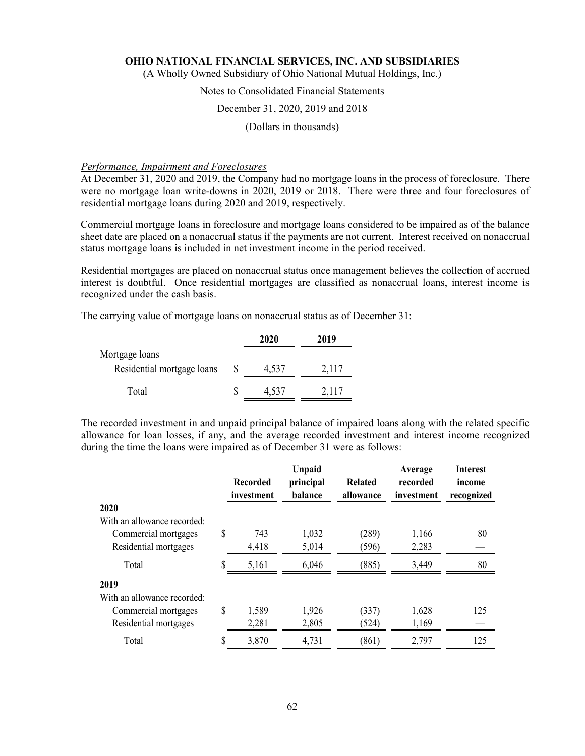(A Wholly Owned Subsidiary of Ohio National Mutual Holdings, Inc.)

# Notes to Consolidated Financial Statements

#### December 31, 2020, 2019 and 2018

(Dollars in thousands)

#### *Performance, Impairment and Foreclosures*

At December 31, 2020 and 2019, the Company had no mortgage loans in the process of foreclosure. There were no mortgage loan write-downs in 2020, 2019 or 2018. There were three and four foreclosures of residential mortgage loans during 2020 and 2019, respectively.

Commercial mortgage loans in foreclosure and mortgage loans considered to be impaired as of the balance sheet date are placed on a nonaccrual status if the payments are not current. Interest received on nonaccrual status mortgage loans is included in net investment income in the period received.

Residential mortgages are placed on nonaccrual status once management believes the collection of accrued interest is doubtful. Once residential mortgages are classified as nonaccrual loans, interest income is recognized under the cash basis.

The carrying value of mortgage loans on nonaccrual status as of December 31:

|                            | 2020  | 2019  |
|----------------------------|-------|-------|
| Mortgage loans             |       |       |
| Residential mortgage loans | 4,537 | 2,117 |
| Total                      | 4.537 | 2,117 |

The recorded investment in and unpaid principal balance of impaired loans along with the related specific allowance for loan losses, if any, and the average recorded investment and interest income recognized during the time the loans were impaired as of December 31 were as follows:

|                             | Recorded<br>investment | Unpaid<br>principal<br>balance | Related<br>allowance | Average<br>recorded<br>investment | <b>Interest</b><br>income<br>recognized |
|-----------------------------|------------------------|--------------------------------|----------------------|-----------------------------------|-----------------------------------------|
| 2020                        |                        |                                |                      |                                   |                                         |
| With an allowance recorded: |                        |                                |                      |                                   |                                         |
| Commercial mortgages        | \$<br>743              | 1,032                          | (289)                | 1,166                             | 80                                      |
| Residential mortgages       | 4,418                  | 5,014                          | (596)                | 2,283                             |                                         |
| Total                       | \$<br>5,161            | 6,046                          | (885)                | 3,449                             | 80                                      |
| 2019                        |                        |                                |                      |                                   |                                         |
| With an allowance recorded: |                        |                                |                      |                                   |                                         |
| Commercial mortgages        | \$<br>1,589            | 1,926                          | (337)                | 1,628                             | 125                                     |
| Residential mortgages       | 2,281                  | 2,805                          | (524)                | 1,169                             |                                         |
| Total                       | \$<br>3,870            | 4,731                          | (861)                | 2,797                             | 125                                     |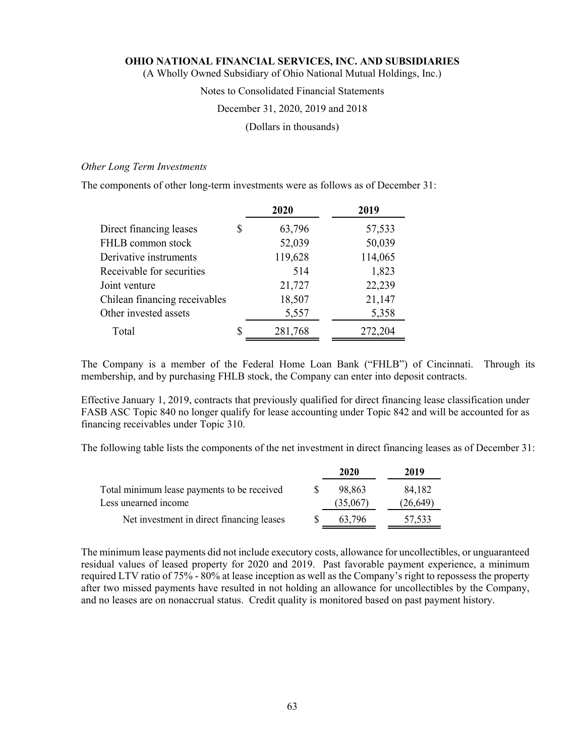(A Wholly Owned Subsidiary of Ohio National Mutual Holdings, Inc.)

### Notes to Consolidated Financial Statements

#### December 31, 2020, 2019 and 2018

(Dollars in thousands)

#### *Other Long Term Investments*

The components of other long-term investments were as follows as of December 31:

|                               |    | 2020    | 2019    |
|-------------------------------|----|---------|---------|
| Direct financing leases       | S  | 63,796  | 57,533  |
| FHLB common stock             |    | 52,039  | 50,039  |
| Derivative instruments        |    | 119,628 | 114,065 |
| Receivable for securities     |    | 514     | 1,823   |
| Joint venture                 |    | 21,727  | 22,239  |
| Chilean financing receivables |    | 18,507  | 21,147  |
| Other invested assets         |    | 5,557   | 5,358   |
| Total                         | \$ | 281,768 | 272,204 |

The Company is a member of the Federal Home Loan Bank ("FHLB") of Cincinnati. Through its membership, and by purchasing FHLB stock, the Company can enter into deposit contracts.

Effective January 1, 2019, contracts that previously qualified for direct financing lease classification under FASB ASC Topic 840 no longer qualify for lease accounting under Topic 842 and will be accounted for as financing receivables under Topic 310.

The following table lists the components of the net investment in direct financing leases as of December 31:

|                                             | 2020     | 2019      |
|---------------------------------------------|----------|-----------|
| Total minimum lease payments to be received | 98.863   | 84.182    |
| Less unearned income                        | (35,067) | (26, 649) |
| Net investment in direct financing leases   | 63.796   | 57,533    |

The minimum lease payments did not include executory costs, allowance for uncollectibles, or unguaranteed residual values of leased property for 2020 and 2019. Past favorable payment experience, a minimum required LTV ratio of 75% - 80% at lease inception as well as the Company's right to repossess the property after two missed payments have resulted in not holding an allowance for uncollectibles by the Company, and no leases are on nonaccrual status. Credit quality is monitored based on past payment history.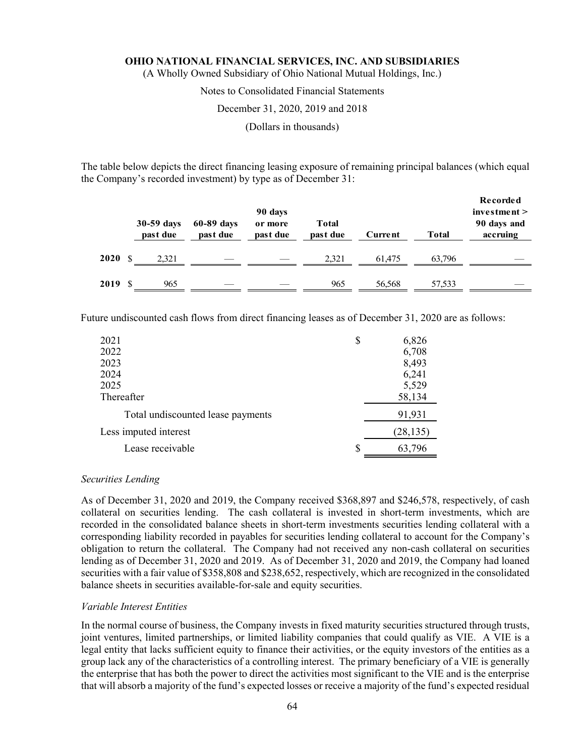(A Wholly Owned Subsidiary of Ohio National Mutual Holdings, Inc.)

# Notes to Consolidated Financial Statements

#### December 31, 2020, 2019 and 2018

(Dollars in thousands)

The table below depicts the direct financing leasing exposure of remaining principal balances (which equal the Company's recorded investment) by type as of December 31:

|      |    | 30-59 days<br>past due | 60-89 days<br>past due | 90 days<br>or more<br>past due | Total<br>past due | Current | <b>Total</b> | Recorded<br>investment ><br>90 days and<br>accruing |
|------|----|------------------------|------------------------|--------------------------------|-------------------|---------|--------------|-----------------------------------------------------|
| 2020 | -S | 2.321                  |                        |                                | 2.321             | 61.475  | 63.796       | __                                                  |
| 2019 | S  | 965                    |                        |                                | 965               | 56,568  | 57,533       |                                                     |

Future undiscounted cash flows from direct financing leases as of December 31, 2020 are as follows:

| 2021                              | \$ | 6,826     |
|-----------------------------------|----|-----------|
| 2022                              |    | 6,708     |
| 2023                              |    | 8,493     |
| 2024                              |    | 6,241     |
| 2025                              |    | 5,529     |
| Thereafter                        |    | 58,134    |
| Total undiscounted lease payments |    | 91,931    |
| Less imputed interest             |    | (28, 135) |
| Lease receivable                  | S  | 63,796    |

#### *Securities Lending*

As of December 31, 2020 and 2019, the Company received \$368,897 and \$246,578, respectively, of cash collateral on securities lending. The cash collateral is invested in short-term investments, which are recorded in the consolidated balance sheets in short-term investments securities lending collateral with a corresponding liability recorded in payables for securities lending collateral to account for the Company's obligation to return the collateral. The Company had not received any non-cash collateral on securities lending as of December 31, 2020 and 2019. As of December 31, 2020 and 2019, the Company had loaned securities with a fair value of \$358,808 and \$238,652, respectively, which are recognized in the consolidated balance sheets in securities available-for-sale and equity securities.

#### *Variable Interest Entities*

In the normal course of business, the Company invests in fixed maturity securities structured through trusts, joint ventures, limited partnerships, or limited liability companies that could qualify as VIE. A VIE is a legal entity that lacks sufficient equity to finance their activities, or the equity investors of the entities as a group lack any of the characteristics of a controlling interest. The primary beneficiary of a VIE is generally the enterprise that has both the power to direct the activities most significant to the VIE and is the enterprise that will absorb a majority of the fund's expected losses or receive a majority of the fund's expected residual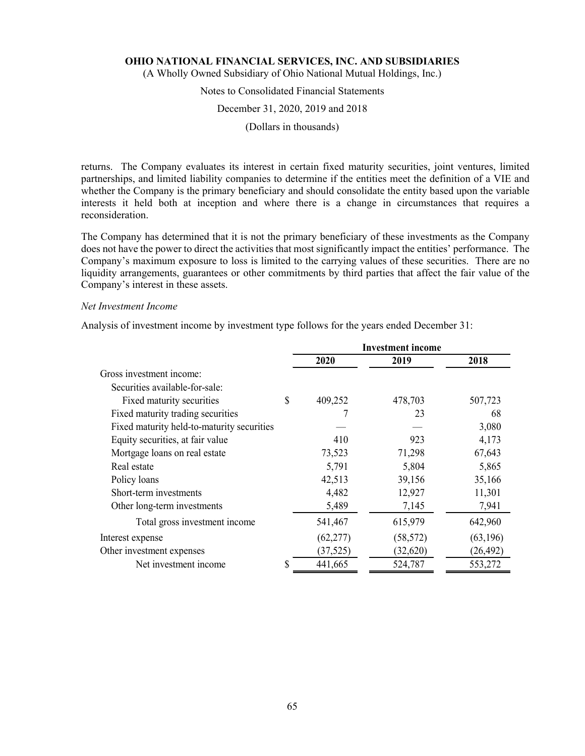(A Wholly Owned Subsidiary of Ohio National Mutual Holdings, Inc.)

# Notes to Consolidated Financial Statements

#### December 31, 2020, 2019 and 2018

(Dollars in thousands)

returns. The Company evaluates its interest in certain fixed maturity securities, joint ventures, limited partnerships, and limited liability companies to determine if the entities meet the definition of a VIE and whether the Company is the primary beneficiary and should consolidate the entity based upon the variable interests it held both at inception and where there is a change in circumstances that requires a reconsideration.

The Company has determined that it is not the primary beneficiary of these investments as the Company does not have the power to direct the activities that most significantly impact the entities' performance. The Company's maximum exposure to loss is limited to the carrying values of these securities. There are no liquidity arrangements, guarantees or other commitments by third parties that affect the fair value of the Company's interest in these assets.

#### *Net Investment Income*

Analysis of investment income by investment type follows for the years ended December 31:

|                                            | <b>Investment</b> income |           |           |  |
|--------------------------------------------|--------------------------|-----------|-----------|--|
|                                            | 2020                     | 2019      | 2018      |  |
| Gross investment income:                   |                          |           |           |  |
| Securities available-for-sale:             |                          |           |           |  |
| Fixed maturity securities                  | \$<br>409,252            | 478,703   | 507,723   |  |
| Fixed maturity trading securities          |                          | 23        | 68        |  |
| Fixed maturity held-to-maturity securities |                          |           | 3,080     |  |
| Equity securities, at fair value           | 410                      | 923       | 4,173     |  |
| Mortgage loans on real estate              | 73,523                   | 71,298    | 67,643    |  |
| Real estate                                | 5,791                    | 5,804     | 5,865     |  |
| Policy loans                               | 42,513                   | 39,156    | 35,166    |  |
| Short-term investments                     | 4,482                    | 12,927    | 11,301    |  |
| Other long-term investments                | 5,489                    | 7,145     | 7,941     |  |
| Total gross investment income              | 541,467                  | 615,979   | 642,960   |  |
| Interest expense                           | (62, 277)                | (58, 572) | (63, 196) |  |
| Other investment expenses                  | (37, 525)                | (32, 620) | (26, 492) |  |
| Net investment income                      | \$<br>441,665            | 524,787   | 553,272   |  |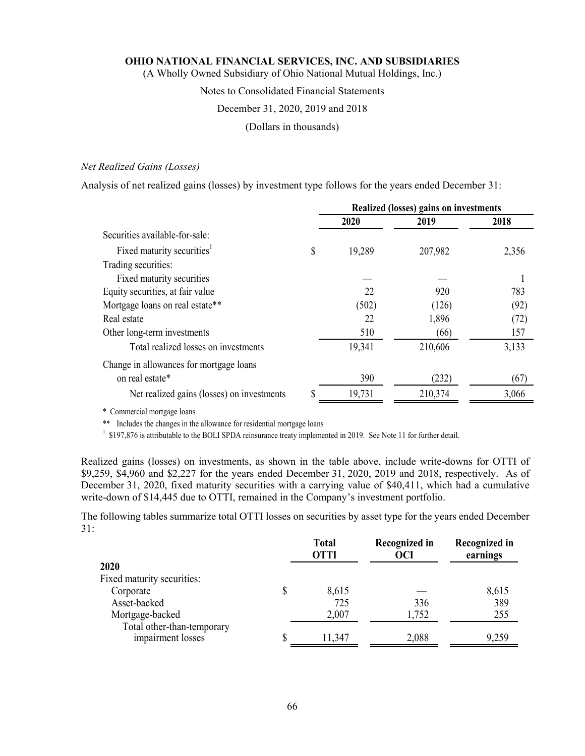(A Wholly Owned Subsidiary of Ohio National Mutual Holdings, Inc.)

# Notes to Consolidated Financial Statements

#### December 31, 2020, 2019 and 2018

(Dollars in thousands)

#### *Net Realized Gains (Losses)*

Analysis of net realized gains (losses) by investment type follows for the years ended December 31:

|                                            |     | Realized (losses) gains on investments |         |       |  |  |
|--------------------------------------------|-----|----------------------------------------|---------|-------|--|--|
|                                            |     | 2020                                   | 2019    | 2018  |  |  |
| Securities available-for-sale:             |     |                                        |         |       |  |  |
| Fixed maturity securities <sup>1</sup>     | \$  | 19,289                                 | 207,982 | 2,356 |  |  |
| Trading securities:                        |     |                                        |         |       |  |  |
| Fixed maturity securities                  |     |                                        |         |       |  |  |
| Equity securities, at fair value           |     | 22                                     | 920     | 783   |  |  |
| Mortgage loans on real estate**            |     | (502)                                  | (126)   | (92)  |  |  |
| Real estate                                |     | 22                                     | 1,896   | (72)  |  |  |
| Other long-term investments                |     | 510                                    | (66)    | 157   |  |  |
| Total realized losses on investments       |     | 19,341                                 | 210,606 | 3,133 |  |  |
| Change in allowances for mortgage loans    |     |                                        |         |       |  |  |
| on real estate*                            |     | 390                                    | (232)   | (67)  |  |  |
| Net realized gains (losses) on investments | \$. | 19,731                                 | 210,374 | 3,066 |  |  |

\* Commercial mortgage loans

\*\* Includes the changes in the allowance for residential mortgage loans

<sup>1</sup> \$197,876 is attributable to the BOLI SPDA reinsurance treaty implemented in 2019. See Note 11 for further detail.

Realized gains (losses) on investments, as shown in the table above, include write-downs for OTTI of \$9,259, \$4,960 and \$2,227 for the years ended December 31, 2020, 2019 and 2018, respectively. As of December 31, 2020, fixed maturity securities with a carrying value of \$40,411, which had a cumulative write-down of \$14,445 due to OTTI, remained in the Company's investment portfolio.

The following tables summarize total OTTI losses on securities by asset type for the years ended December 31:

|                                                 |    | <b>Total</b><br><b>OTTI</b> | Recognized in<br>OCI | Recognized in<br>earnings |
|-------------------------------------------------|----|-----------------------------|----------------------|---------------------------|
| 2020                                            |    |                             |                      |                           |
| Fixed maturity securities:                      |    |                             |                      |                           |
| Corporate                                       |    | 8,615                       |                      | 8,615                     |
| Asset-backed                                    |    | 725                         | 336                  | 389                       |
| Mortgage-backed                                 |    | 2,007                       | 1,752                | 255                       |
| Total other-than-temporary<br>impairment losses | J. | 11,347                      | 2,088                | 9,259                     |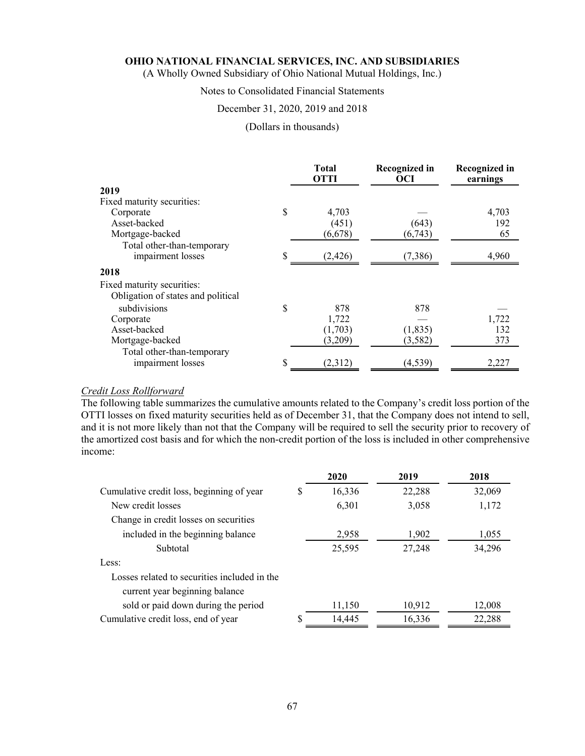(A Wholly Owned Subsidiary of Ohio National Mutual Holdings, Inc.)

# Notes to Consolidated Financial Statements

# December 31, 2020, 2019 and 2018

#### (Dollars in thousands)

|                                    | <b>Total</b><br><b>OTTI</b> | Recognized in<br><b>OCI</b> | <b>Recognized in</b><br>earnings |
|------------------------------------|-----------------------------|-----------------------------|----------------------------------|
| 2019                               |                             |                             |                                  |
| Fixed maturity securities:         |                             |                             |                                  |
| Corporate                          | \$<br>4,703                 |                             | 4,703                            |
| Asset-backed                       | (451)                       | (643)                       | 192                              |
| Mortgage-backed                    | (6,678)                     | (6,743)                     | 65                               |
| Total other-than-temporary         |                             |                             |                                  |
| impairment losses                  | (2, 426)                    | (7,386)                     | 4,960                            |
| 2018                               |                             |                             |                                  |
| Fixed maturity securities:         |                             |                             |                                  |
| Obligation of states and political |                             |                             |                                  |
| subdivisions                       | \$<br>878                   | 878                         |                                  |
| Corporate                          | 1,722                       |                             | 1,722                            |
| Asset-backed                       | (1,703)                     | (1, 835)                    | 132                              |
| Mortgage-backed                    | (3,209)                     | (3,582)                     | 373                              |
| Total other-than-temporary         |                             |                             |                                  |
| impairment losses                  | \$<br>(2,312)               | (4, 539)                    | 2,227                            |

#### *Credit Loss Rollforward*

The following table summarizes the cumulative amounts related to the Company's credit loss portion of the OTTI losses on fixed maturity securities held as of December 31, that the Company does not intend to sell, and it is not more likely than not that the Company will be required to sell the security prior to recovery of the amortized cost basis and for which the non-credit portion of the loss is included in other comprehensive income:

|                                              | 2020         | 2019   | 2018   |
|----------------------------------------------|--------------|--------|--------|
| Cumulative credit loss, beginning of year    | \$<br>16,336 | 22,288 | 32,069 |
| New credit losses                            | 6,301        | 3,058  | 1,172  |
| Change in credit losses on securities        |              |        |        |
| included in the beginning balance            | 2,958        | 1,902  | 1,055  |
| Subtotal                                     | 25,595       | 27,248 | 34,296 |
| Less:                                        |              |        |        |
| Losses related to securities included in the |              |        |        |
| current year beginning balance               |              |        |        |
| sold or paid down during the period          | 11,150       | 10,912 | 12,008 |
| Cumulative credit loss, end of year          | \$<br>14,445 | 16,336 | 22,288 |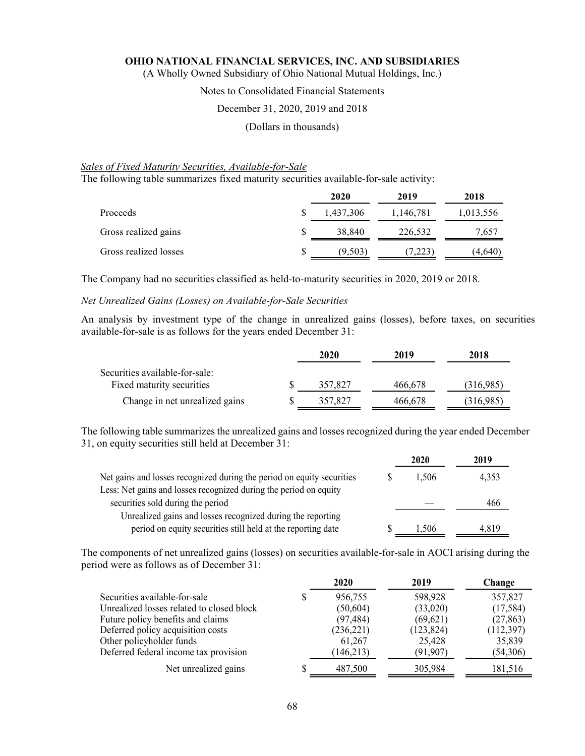(A Wholly Owned Subsidiary of Ohio National Mutual Holdings, Inc.)

# Notes to Consolidated Financial Statements

#### December 31, 2020, 2019 and 2018

(Dollars in thousands)

#### *Sales of Fixed Maturity Securities, Available-for-Sale*

The following table summarizes fixed maturity securities available-for-sale activity:

|                       |   | 2020      | 2019      | 2018      |
|-----------------------|---|-----------|-----------|-----------|
| Proceeds              |   | 1,437,306 | 1,146,781 | 1,013,556 |
| Gross realized gains  |   | 38,840    | 226,532   | 7.657     |
| Gross realized losses | S | (9,503)   | 7,223     | (4,640)   |

The Company had no securities classified as held-to-maturity securities in 2020, 2019 or 2018.

# *Net Unrealized Gains (Losses) on Available-for-Sale Securities*

An analysis by investment type of the change in unrealized gains (losses), before taxes, on securities available-for-sale is as follows for the years ended December 31:

| 2020<br>2019 |         | 2018    |           |
|--------------|---------|---------|-----------|
|              |         |         |           |
|              | 357,827 | 466,678 | (316,985) |
|              | 357.827 | 466,678 | (316,985) |
|              |         |         |           |

The following table summarizes the unrealized gains and losses recognized during the year ended December 31, on equity securities still held at December 31:

|                                                                        | 2020  | 2019  |
|------------------------------------------------------------------------|-------|-------|
| Net gains and losses recognized during the period on equity securities | 1.506 | 4.353 |
| Less: Net gains and losses recognized during the period on equity      |       |       |
| securities sold during the period                                      |       | 466   |
| Unrealized gains and losses recognized during the reporting            |       |       |
| period on equity securities still held at the reporting date           | 1.506 | 4.819 |

The components of net unrealized gains (losses) on securities available-for-sale in AOCI arising during the period were as follows as of December 31:

|                                           | 2020       | 2019       | Change    |
|-------------------------------------------|------------|------------|-----------|
| Securities available-for-sale             | 956,755    | 598,928    | 357,827   |
| Unrealized losses related to closed block | (50, 604)  | (33,020)   | (17, 584) |
| Future policy benefits and claims         | (97, 484)  | (69,621)   | (27, 863) |
| Deferred policy acquisition costs         | (236, 221) | (123, 824) | (112,397) |
| Other policyholder funds                  | 61,267     | 25,428     | 35,839    |
| Deferred federal income tax provision     | (146, 213) | (91, 907)  | (54,306)  |
| Net unrealized gains                      | 487,500    | 305,984    | 181,516   |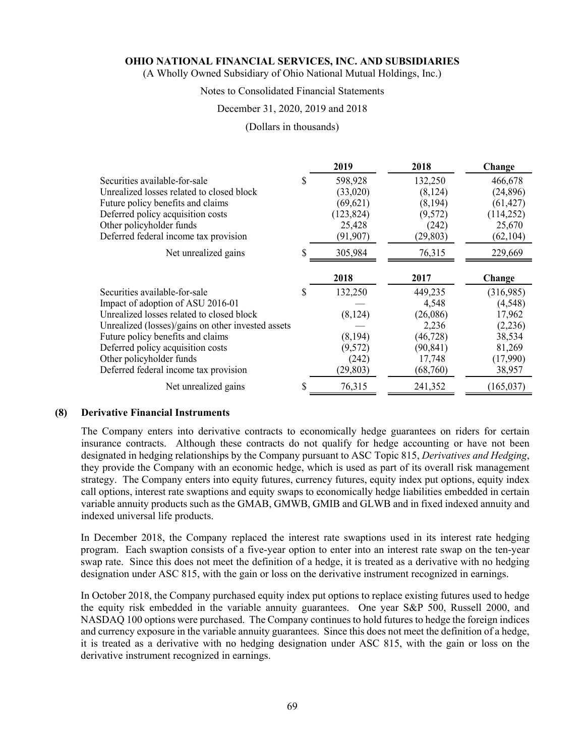(A Wholly Owned Subsidiary of Ohio National Mutual Holdings, Inc.)

#### Notes to Consolidated Financial Statements

#### December 31, 2020, 2019 and 2018

(Dollars in thousands)

|                                                    | 2019          | 2018      | Change     |
|----------------------------------------------------|---------------|-----------|------------|
| Securities available-for-sale                      | \$<br>598,928 | 132,250   | 466,678    |
| Unrealized losses related to closed block          | (33,020)      | (8, 124)  | (24,896)   |
| Future policy benefits and claims                  | (69, 621)     | (8, 194)  | (61, 427)  |
| Deferred policy acquisition costs                  | (123, 824)    | (9,572)   | (114, 252) |
| Other policyholder funds                           | 25,428        | (242)     | 25,670     |
| Deferred federal income tax provision              | (91, 907)     | (29, 803) | (62, 104)  |
| Net unrealized gains                               | 305,984       | 76,315    | 229,669    |
|                                                    | 2018          | 2017      | Change     |
| Securities available-for-sale                      | \$<br>132,250 | 449,235   | (316,985)  |
| Impact of adoption of ASU 2016-01                  |               | 4,548     | (4, 548)   |
| Unrealized losses related to closed block          | (8, 124)      | (26,086)  | 17,962     |
| Unrealized (losses)/gains on other invested assets |               | 2,236     | (2,236)    |
| Future policy benefits and claims                  | (8, 194)      | (46, 728) | 38,534     |
| Deferred policy acquisition costs                  | (9,572)       | (90, 841) | 81,269     |
| Other policyholder funds                           | (242)         | 17,748    | (17,990)   |
|                                                    |               |           |            |
| Deferred federal income tax provision              | (29, 803)     | (68,760)  | 38,957     |

#### **(8) Derivative Financial Instruments**

The Company enters into derivative contracts to economically hedge guarantees on riders for certain insurance contracts. Although these contracts do not qualify for hedge accounting or have not been designated in hedging relationships by the Company pursuant to ASC Topic 815, *Derivatives and Hedging*, they provide the Company with an economic hedge, which is used as part of its overall risk management strategy. The Company enters into equity futures, currency futures, equity index put options, equity index call options, interest rate swaptions and equity swaps to economically hedge liabilities embedded in certain variable annuity products such as the GMAB, GMWB, GMIB and GLWB and in fixed indexed annuity and indexed universal life products.

In December 2018, the Company replaced the interest rate swaptions used in its interest rate hedging program. Each swaption consists of a five-year option to enter into an interest rate swap on the ten-year swap rate. Since this does not meet the definition of a hedge, it is treated as a derivative with no hedging designation under ASC 815, with the gain or loss on the derivative instrument recognized in earnings.

In October 2018, the Company purchased equity index put options to replace existing futures used to hedge the equity risk embedded in the variable annuity guarantees. One year S&P 500, Russell 2000, and NASDAQ 100 options were purchased. The Company continues to hold futures to hedge the foreign indices and currency exposure in the variable annuity guarantees. Since this does not meet the definition of a hedge, it is treated as a derivative with no hedging designation under ASC 815, with the gain or loss on the derivative instrument recognized in earnings.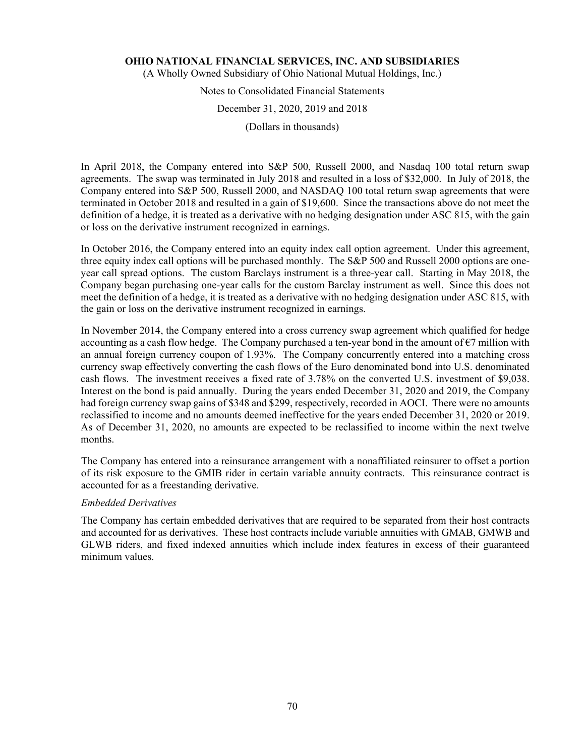(A Wholly Owned Subsidiary of Ohio National Mutual Holdings, Inc.)

# Notes to Consolidated Financial Statements

# December 31, 2020, 2019 and 2018

(Dollars in thousands)

In April 2018, the Company entered into S&P 500, Russell 2000, and Nasdaq 100 total return swap agreements. The swap was terminated in July 2018 and resulted in a loss of \$32,000. In July of 2018, the Company entered into S&P 500, Russell 2000, and NASDAQ 100 total return swap agreements that were terminated in October 2018 and resulted in a gain of \$19,600. Since the transactions above do not meet the definition of a hedge, it is treated as a derivative with no hedging designation under ASC 815, with the gain or loss on the derivative instrument recognized in earnings.

In October 2016, the Company entered into an equity index call option agreement. Under this agreement, three equity index call options will be purchased monthly. The S&P 500 and Russell 2000 options are oneyear call spread options. The custom Barclays instrument is a three-year call. Starting in May 2018, the Company began purchasing one-year calls for the custom Barclay instrument as well. Since this does not meet the definition of a hedge, it is treated as a derivative with no hedging designation under ASC 815, with the gain or loss on the derivative instrument recognized in earnings.

In November 2014, the Company entered into a cross currency swap agreement which qualified for hedge accounting as a cash flow hedge. The Company purchased a ten-year bond in the amount of  $\epsilon$ 7 million with an annual foreign currency coupon of 1.93%. The Company concurrently entered into a matching cross currency swap effectively converting the cash flows of the Euro denominated bond into U.S. denominated cash flows. The investment receives a fixed rate of 3.78% on the converted U.S. investment of \$9,038. Interest on the bond is paid annually. During the years ended December 31, 2020 and 2019, the Company had foreign currency swap gains of \$348 and \$299, respectively, recorded in AOCI. There were no amounts reclassified to income and no amounts deemed ineffective for the years ended December 31, 2020 or 2019. As of December 31, 2020, no amounts are expected to be reclassified to income within the next twelve months.

The Company has entered into a reinsurance arrangement with a nonaffiliated reinsurer to offset a portion of its risk exposure to the GMIB rider in certain variable annuity contracts. This reinsurance contract is accounted for as a freestanding derivative.

#### *Embedded Derivatives*

The Company has certain embedded derivatives that are required to be separated from their host contracts and accounted for as derivatives. These host contracts include variable annuities with GMAB, GMWB and GLWB riders, and fixed indexed annuities which include index features in excess of their guaranteed minimum values.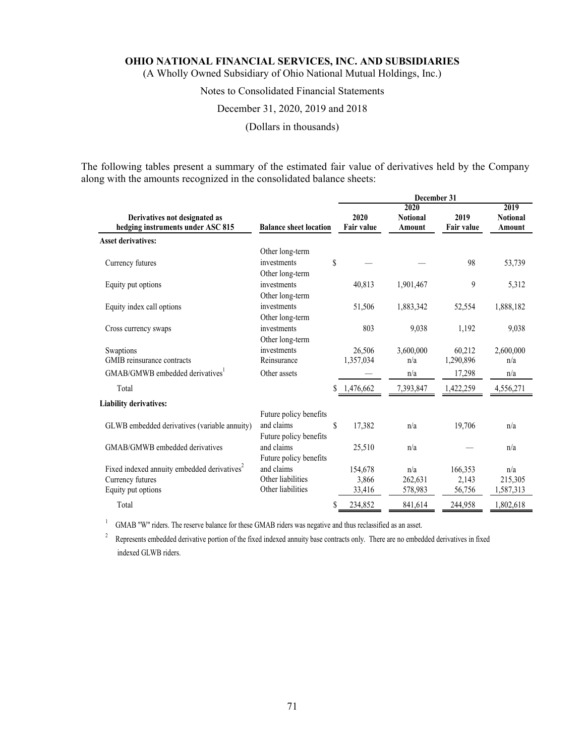(A Wholly Owned Subsidiary of Ohio National Mutual Holdings, Inc.)

# Notes to Consolidated Financial Statements

# December 31, 2020, 2019 and 2018

(Dollars in thousands)

The following tables present a summary of the estimated fair value of derivatives held by the Company along with the amounts recognized in the consolidated balance sheets:

|                                                                                                   |                                                                     | December 31                |                                   |                            |                                   |
|---------------------------------------------------------------------------------------------------|---------------------------------------------------------------------|----------------------------|-----------------------------------|----------------------------|-----------------------------------|
| Derivatives not designated as<br>hedging instruments under ASC 815                                | <b>Balance sheet location</b>                                       | 2020<br>Fair value         | 2020<br><b>Notional</b><br>Amount | 2019<br><b>Fair value</b>  | 2019<br><b>Notional</b><br>Amount |
| <b>Asset derivatives:</b>                                                                         |                                                                     |                            |                                   |                            |                                   |
| Currency futures                                                                                  | Other long-term<br>\$<br>investments<br>Other long-term             |                            |                                   | 98                         | 53,739                            |
| Equity put options                                                                                | investments<br>Other long-term                                      | 40,813                     | 1,901,467                         | 9                          | 5,312                             |
| Equity index call options                                                                         | investments<br>Other long-term                                      | 51,506                     | 1,883,342                         | 52,554                     | 1,888,182                         |
| Cross currency swaps                                                                              | investments<br>Other long-term                                      |                            | 803<br>9,038                      | 1,192                      | 9,038                             |
| Swaptions<br>GMIB reinsurance contracts                                                           | investments<br>Reinsurance                                          | 26.506<br>1,357,034        | 3,600,000<br>n/a                  | 60.212<br>1,290,896        | 2,600,000<br>n/a                  |
| GMAB/GMWB embedded derivatives <sup>1</sup>                                                       | Other assets                                                        |                            | n/a                               | 17,298                     | n/a                               |
| Total                                                                                             | \$                                                                  | 1,476,662                  | 7,393,847                         | 1,422,259                  | 4,556,271                         |
| <b>Liability derivatives:</b>                                                                     |                                                                     |                            |                                   |                            |                                   |
| GLWB embedded derivatives (variable annuity)                                                      | Future policy benefits<br>and claims<br>S<br>Future policy benefits | 17,382                     | n/a                               | 19,706                     | n/a                               |
| GMAB/GMWB embedded derivatives                                                                    | and claims<br>Future policy benefits                                | 25,510                     | n/a                               |                            | n/a                               |
| Fixed indexed annuity embedded derivatives <sup>2</sup><br>Currency futures<br>Equity put options | and claims<br>Other liabilities<br>Other liabilities                | 154,678<br>3,866<br>33,416 | n/a<br>262,631<br>578,983         | 166,353<br>2,143<br>56,756 | n/a<br>215,305<br>1,587,313       |
| Total                                                                                             | S                                                                   | 234,852                    | 841,614                           | 244,958                    | 1,802,618                         |

<sup>1</sup> GMAB "W" riders. The reserve balance for these GMAB riders was negative and thus reclassified as an asset.

<sup>2</sup> Represents embedded derivative portion of the fixed indexed annuity base contracts only. There are no embedded derivatives in fixed indexed GLWB riders.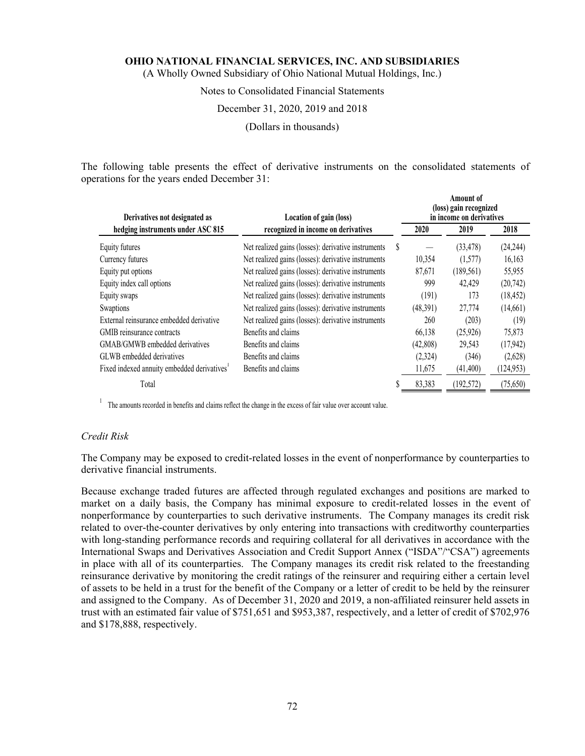(A Wholly Owned Subsidiary of Ohio National Mutual Holdings, Inc.)

### Notes to Consolidated Financial Statements

#### December 31, 2020, 2019 and 2018

(Dollars in thousands)

The following table presents the effect of derivative instruments on the consolidated statements of operations for the years ended December 31:

| Derivatives not designated as                           | Location of gain (loss)                             |   | Amount of<br>(loss) gain recognized<br>in income on derivatives |            |            |  |
|---------------------------------------------------------|-----------------------------------------------------|---|-----------------------------------------------------------------|------------|------------|--|
| hedging instruments under ASC 815                       | recognized in income on derivatives                 |   | 2020                                                            | 2019       | 2018       |  |
| Equity futures                                          | Net realized gains (losses): derivative instruments | S |                                                                 | (33, 478)  | (24, 244)  |  |
| Currency futures                                        | Net realized gains (losses): derivative instruments |   | 10,354                                                          | (1,577)    | 16,163     |  |
| Equity put options                                      | Net realized gains (losses): derivative instruments |   | 87.671                                                          | (189, 561) | 55,955     |  |
| Equity index call options                               | Net realized gains (losses): derivative instruments |   | 999                                                             | 42.429     | (20,742)   |  |
| Equity swaps                                            | Net realized gains (losses): derivative instruments |   | (191)                                                           | 173        | (18, 452)  |  |
| Swaptions                                               | Net realized gains (losses): derivative instruments |   | (48,391)                                                        | 27,774     | (14,661)   |  |
| External reinsurance embedded derivative                | Net realized gains (losses): derivative instruments |   | 260                                                             | (203)      | (19)       |  |
| GMIB reinsurance contracts                              | Benefits and claims                                 |   | 66,138                                                          | (25,926)   | 75,873     |  |
| GMAB/GMWB embedded derivatives                          | Benefits and claims                                 |   | (42,808)                                                        | 29,543     | (17, 942)  |  |
| GLWB embedded derivatives                               | Benefits and claims                                 |   | (2,324)                                                         | (346)      | (2,628)    |  |
| Fixed indexed annuity embedded derivatives <sup>1</sup> | Benefits and claims                                 |   | 11,675                                                          | (41, 400)  | (124, 953) |  |
| Total                                                   |                                                     |   | 83,383                                                          | (192, 572) | (75,650)   |  |

 $1$  The amounts recorded in benefits and claims reflect the change in the excess of fair value over account value.

### *Credit Risk*

The Company may be exposed to credit-related losses in the event of nonperformance by counterparties to derivative financial instruments.

Because exchange traded futures are affected through regulated exchanges and positions are marked to market on a daily basis, the Company has minimal exposure to credit-related losses in the event of nonperformance by counterparties to such derivative instruments. The Company manages its credit risk related to over-the-counter derivatives by only entering into transactions with creditworthy counterparties with long-standing performance records and requiring collateral for all derivatives in accordance with the International Swaps and Derivatives Association and Credit Support Annex ("ISDA"/"CSA") agreements in place with all of its counterparties. The Company manages its credit risk related to the freestanding reinsurance derivative by monitoring the credit ratings of the reinsurer and requiring either a certain level of assets to be held in a trust for the benefit of the Company or a letter of credit to be held by the reinsurer and assigned to the Company. As of December 31, 2020 and 2019, a non-affiliated reinsurer held assets in trust with an estimated fair value of \$751,651 and \$953,387, respectively, and a letter of credit of \$702,976 and \$178,888, respectively.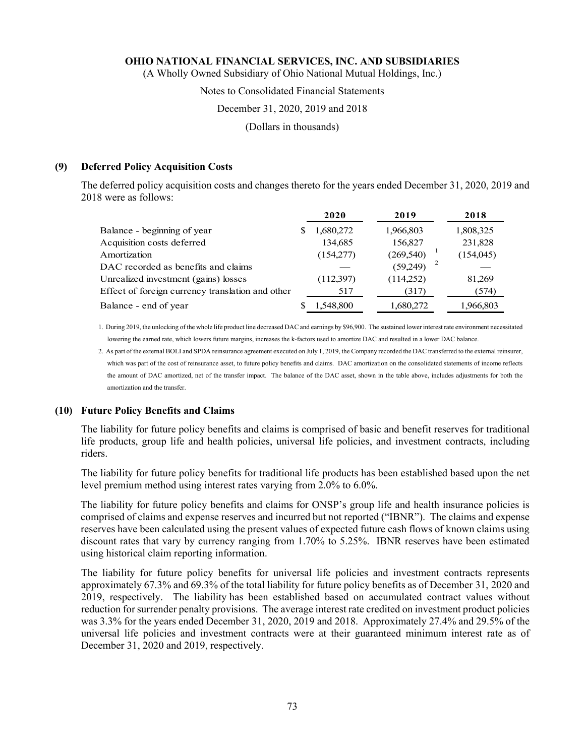(A Wholly Owned Subsidiary of Ohio National Mutual Holdings, Inc.)

### Notes to Consolidated Financial Statements

#### December 31, 2020, 2019 and 2018

(Dollars in thousands)

#### **(9) Deferred Policy Acquisition Costs**

The deferred policy acquisition costs and changes thereto for the years ended December 31, 2020, 2019 and 2018 were as follows:

|                                                  |   | 2020      | 2019       | 2018       |
|--------------------------------------------------|---|-----------|------------|------------|
| Balance - beginning of year                      | S | 1,680,272 | 1,966,803  | 1,808,325  |
| Acquisition costs deferred                       |   | 134,685   | 156,827    | 231,828    |
| Amortization                                     |   | (154,277) | (269, 540) | (154, 045) |
| DAC recorded as benefits and claims              |   |           | (59,249)   |            |
| Unrealized investment (gains) losses             |   | (112,397) | (114,252)  | 81,269     |
| Effect of foreign currency translation and other |   | 517       | (317)      | (574)      |
| Balance - end of year                            |   | 1,548,800 | 1,680,272  | 1,966,803  |

1. During 2019, the unlocking of the whole life product line decreased DAC and earnings by \$96,900. The sustained lower interest rate environment necessitated

lowering the earned rate, which lowers future margins, increases the k-factors used to amortize DAC and resulted in a lower DAC balance.<br>2. As part of the external BOLI and SPDA reinsurance agreement executed on July 1, 20 which was part of the cost of reinsurance asset, to future policy benefits and claims. DAC amortization on the consolidated statements of income reflects the amount of DAC amortized, net of the transfer impact. The balance of the DAC asset, shown in the table above, includes adjustments for both the amortization and the transfer.

#### **(10) Future Policy Benefits and Claims**

The liability for future policy benefits and claims is comprised of basic and benefit reserves for traditional life products, group life and health policies, universal life policies, and investment contracts, including riders.

The liability for future policy benefits for traditional life products has been established based upon the net level premium method using interest rates varying from 2.0% to 6.0%.

The liability for future policy benefits and claims for ONSP's group life and health insurance policies is comprised of claims and expense reserves and incurred but not reported ("IBNR"). The claims and expense reserves have been calculated using the present values of expected future cash flows of known claims using discount rates that vary by currency ranging from 1.70% to 5.25%. IBNR reserves have been estimated using historical claim reporting information.

The liability for future policy benefits for universal life policies and investment contracts represents approximately 67.3% and 69.3% of the total liability for future policy benefits as of December 31, 2020 and 2019, respectively. The liability has been established based on accumulated contract values without reduction for surrender penalty provisions. The average interest rate credited on investment product policies was 3.3% for the years ended December 31, 2020, 2019 and 2018. Approximately 27.4% and 29.5% of the universal life policies and investment contracts were at their guaranteed minimum interest rate as of December 31, 2020 and 2019, respectively.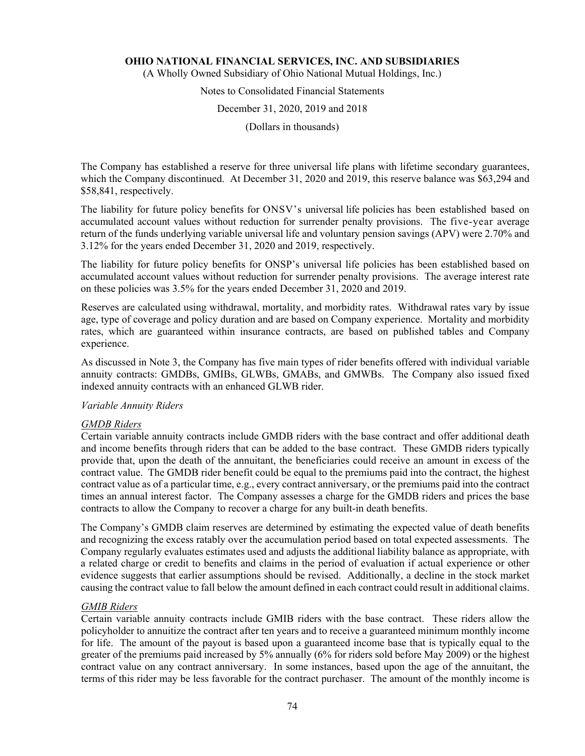(A Wholly Owned Subsidiary of Ohio National Mutual Holdings, Inc.)

### Notes to Consolidated Financial Statements

#### December 31, 2020, 2019 and 2018

(Dollars in thousands)

The Company has established a reserve for three universal life plans with lifetime secondary guarantees, which the Company discontinued. At December 31, 2020 and 2019, this reserve balance was \$63,294 and \$58,841, respectively.

The liability for future policy benefits for ONSV's universal life policies has been established based on accumulated account values without reduction for surrender penalty provisions. The five-year average return of the funds underlying variable universal life and voluntary pension savings (APV) were 2.70% and 3.12% for the years ended December 31, 2020 and 2019, respectively.

The liability for future policy benefits for ONSP's universal life policies has been established based on accumulated account values without reduction for surrender penalty provisions. The average interest rate on these policies was 3.5% for the years ended December 31, 2020 and 2019.

Reserves are calculated using withdrawal, mortality, and morbidity rates. Withdrawal rates vary by issue age, type of coverage and policy duration and are based on Company experience. Mortality and morbidity rates, which are guaranteed within insurance contracts, are based on published tables and Company experience.

As discussed in Note 3, the Company has five main types of rider benefits offered with individual variable annuity contracts: GMDBs, GMIBs, GLWBs, GMABs, and GMWBs. The Company also issued fixed indexed annuity contracts with an enhanced GLWB rider.

#### *Variable Annuity Riders*

### *GMDB Riders*

Certain variable annuity contracts include GMDB riders with the base contract and offer additional death and income benefits through riders that can be added to the base contract. These GMDB riders typically provide that, upon the death of the annuitant, the beneficiaries could receive an amount in excess of the contract value. The GMDB rider benefit could be equal to the premiums paid into the contract, the highest contract value as of a particular time, e.g., every contract anniversary, or the premiums paid into the contract times an annual interest factor. The Company assesses a charge for the GMDB riders and prices the base contracts to allow the Company to recover a charge for any built-in death benefits.

The Company's GMDB claim reserves are determined by estimating the expected value of death benefits and recognizing the excess ratably over the accumulation period based on total expected assessments. The Company regularly evaluates estimates used and adjusts the additional liability balance as appropriate, with a related charge or credit to benefits and claims in the period of evaluation if actual experience or other evidence suggests that earlier assumptions should be revised. Additionally, a decline in the stock market causing the contract value to fall below the amount defined in each contract could result in additional claims.

### *GMIB Riders*

Certain variable annuity contracts include GMIB riders with the base contract. These riders allow the policyholder to annuitize the contract after ten years and to receive a guaranteed minimum monthly income for life. The amount of the payout is based upon a guaranteed income base that is typically equal to the greater of the premiums paid increased by 5% annually (6% for riders sold before May 2009) or the highest contract value on any contract anniversary. In some instances, based upon the age of the annuitant, the terms of this rider may be less favorable for the contract purchaser. The amount of the monthly income is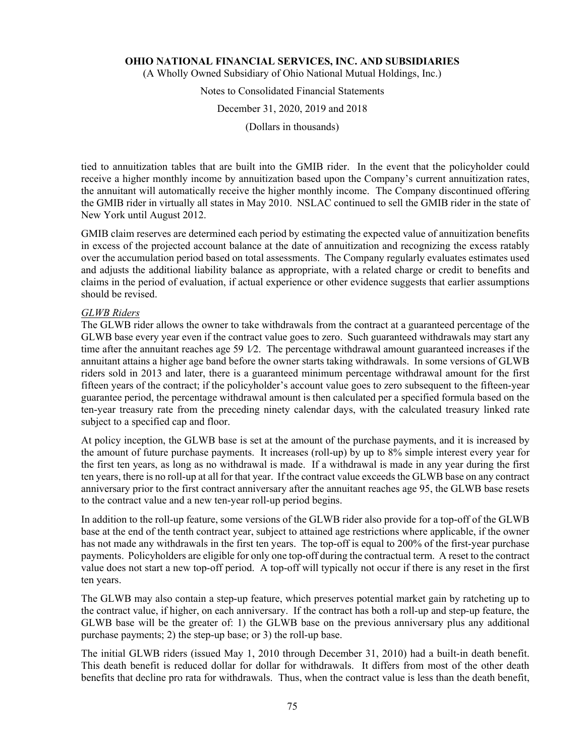(A Wholly Owned Subsidiary of Ohio National Mutual Holdings, Inc.)

# Notes to Consolidated Financial Statements

December 31, 2020, 2019 and 2018

(Dollars in thousands)

tied to annuitization tables that are built into the GMIB rider. In the event that the policyholder could receive a higher monthly income by annuitization based upon the Company's current annuitization rates, the annuitant will automatically receive the higher monthly income. The Company discontinued offering the GMIB rider in virtually all states in May 2010. NSLAC continued to sell the GMIB rider in the state of New York until August 2012.

GMIB claim reserves are determined each period by estimating the expected value of annuitization benefits in excess of the projected account balance at the date of annuitization and recognizing the excess ratably over the accumulation period based on total assessments. The Company regularly evaluates estimates used and adjusts the additional liability balance as appropriate, with a related charge or credit to benefits and claims in the period of evaluation, if actual experience or other evidence suggests that earlier assumptions should be revised.

#### *GLWB Riders*

The GLWB rider allows the owner to take withdrawals from the contract at a guaranteed percentage of the GLWB base every year even if the contract value goes to zero. Such guaranteed withdrawals may start any time after the annuitant reaches age 59 1∕2. The percentage withdrawal amount guaranteed increases if the annuitant attains a higher age band before the owner starts taking withdrawals. In some versions of GLWB riders sold in 2013 and later, there is a guaranteed minimum percentage withdrawal amount for the first fifteen years of the contract; if the policyholder's account value goes to zero subsequent to the fifteen-year guarantee period, the percentage withdrawal amount is then calculated per a specified formula based on the ten-year treasury rate from the preceding ninety calendar days, with the calculated treasury linked rate subject to a specified cap and floor.

At policy inception, the GLWB base is set at the amount of the purchase payments, and it is increased by the amount of future purchase payments. It increases (roll-up) by up to 8% simple interest every year for the first ten years, as long as no withdrawal is made. If a withdrawal is made in any year during the first ten years, there is no roll-up at all for that year. If the contract value exceeds the GLWB base on any contract anniversary prior to the first contract anniversary after the annuitant reaches age 95, the GLWB base resets to the contract value and a new ten-year roll-up period begins.

In addition to the roll-up feature, some versions of the GLWB rider also provide for a top-off of the GLWB base at the end of the tenth contract year, subject to attained age restrictions where applicable, if the owner has not made any withdrawals in the first ten years. The top-off is equal to 200% of the first-year purchase payments. Policyholders are eligible for only one top-off during the contractual term. A reset to the contract value does not start a new top-off period. A top-off will typically not occur if there is any reset in the first ten years.

The GLWB may also contain a step-up feature, which preserves potential market gain by ratcheting up to the contract value, if higher, on each anniversary. If the contract has both a roll-up and step-up feature, the GLWB base will be the greater of: 1) the GLWB base on the previous anniversary plus any additional purchase payments; 2) the step-up base; or 3) the roll-up base.

The initial GLWB riders (issued May 1, 2010 through December 31, 2010) had a built-in death benefit. This death benefit is reduced dollar for dollar for withdrawals. It differs from most of the other death benefits that decline pro rata for withdrawals. Thus, when the contract value is less than the death benefit,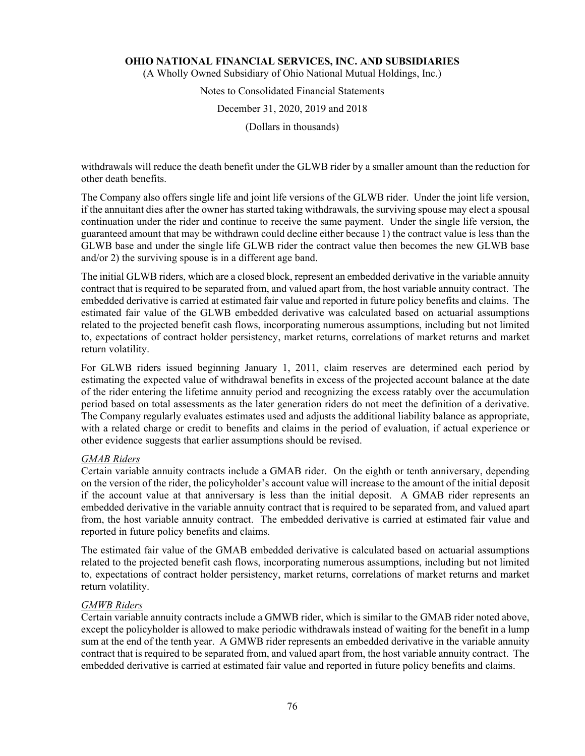(A Wholly Owned Subsidiary of Ohio National Mutual Holdings, Inc.)

# Notes to Consolidated Financial Statements December 31, 2020, 2019 and 2018

(Dollars in thousands)

withdrawals will reduce the death benefit under the GLWB rider by a smaller amount than the reduction for other death benefits.

The Company also offers single life and joint life versions of the GLWB rider. Under the joint life version, if the annuitant dies after the owner has started taking withdrawals, the surviving spouse may elect a spousal continuation under the rider and continue to receive the same payment. Under the single life version, the guaranteed amount that may be withdrawn could decline either because 1) the contract value is less than the GLWB base and under the single life GLWB rider the contract value then becomes the new GLWB base and/or 2) the surviving spouse is in a different age band.

The initial GLWB riders, which are a closed block, represent an embedded derivative in the variable annuity contract that is required to be separated from, and valued apart from, the host variable annuity contract. The embedded derivative is carried at estimated fair value and reported in future policy benefits and claims. The estimated fair value of the GLWB embedded derivative was calculated based on actuarial assumptions related to the projected benefit cash flows, incorporating numerous assumptions, including but not limited to, expectations of contract holder persistency, market returns, correlations of market returns and market return volatility.

For GLWB riders issued beginning January 1, 2011, claim reserves are determined each period by estimating the expected value of withdrawal benefits in excess of the projected account balance at the date of the rider entering the lifetime annuity period and recognizing the excess ratably over the accumulation period based on total assessments as the later generation riders do not meet the definition of a derivative. The Company regularly evaluates estimates used and adjusts the additional liability balance as appropriate, with a related charge or credit to benefits and claims in the period of evaluation, if actual experience or other evidence suggests that earlier assumptions should be revised.

#### *GMAB Riders*

Certain variable annuity contracts include a GMAB rider. On the eighth or tenth anniversary, depending on the version of the rider, the policyholder's account value will increase to the amount of the initial deposit if the account value at that anniversary is less than the initial deposit. A GMAB rider represents an embedded derivative in the variable annuity contract that is required to be separated from, and valued apart from, the host variable annuity contract. The embedded derivative is carried at estimated fair value and reported in future policy benefits and claims.

The estimated fair value of the GMAB embedded derivative is calculated based on actuarial assumptions related to the projected benefit cash flows, incorporating numerous assumptions, including but not limited to, expectations of contract holder persistency, market returns, correlations of market returns and market return volatility.

#### *GMWB Riders*

Certain variable annuity contracts include a GMWB rider, which is similar to the GMAB rider noted above, except the policyholder is allowed to make periodic withdrawals instead of waiting for the benefit in a lump sum at the end of the tenth year. A GMWB rider represents an embedded derivative in the variable annuity contract that is required to be separated from, and valued apart from, the host variable annuity contract. The embedded derivative is carried at estimated fair value and reported in future policy benefits and claims.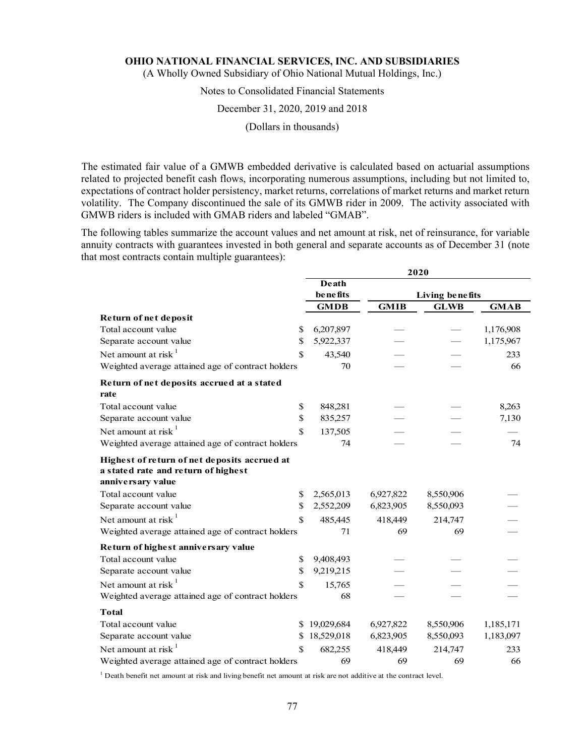(A Wholly Owned Subsidiary of Ohio National Mutual Holdings, Inc.)

### Notes to Consolidated Financial Statements

#### December 31, 2020, 2019 and 2018

(Dollars in thousands)

The estimated fair value of a GMWB embedded derivative is calculated based on actuarial assumptions related to projected benefit cash flows, incorporating numerous assumptions, including but not limited to, expectations of contract holder persistency, market returns, correlations of market returns and market return volatility. The Company discontinued the sale of its GMWB rider in 2009. The activity associated with GMWB riders is included with GMAB riders and labeled "GMAB".

The following tables summarize the account values and net amount at risk, net of reinsurance, for variable annuity contracts with guarantees invested in both general and separate accounts as of December 31 (note that most contracts contain multiple guarantees):

|                                                                                                          | 2020         |             |                 |             |  |  |
|----------------------------------------------------------------------------------------------------------|--------------|-------------|-----------------|-------------|--|--|
|                                                                                                          | Death        |             |                 |             |  |  |
|                                                                                                          | benefits     |             | Living benefits |             |  |  |
|                                                                                                          | <b>GMDB</b>  | <b>GMIB</b> | <b>GLWB</b>     | <b>GMAB</b> |  |  |
| <b>Return of net deposit</b>                                                                             |              |             |                 |             |  |  |
| Total account value<br>\$                                                                                | 6,207,897    |             |                 | 1,176,908   |  |  |
| \$<br>Separate account value                                                                             | 5,922,337    |             |                 | 1,175,967   |  |  |
| Net amount at risk $1$<br>\$                                                                             | 43,540       |             |                 | 233         |  |  |
| Weighted average attained age of contract holders                                                        | 70           |             |                 | 66          |  |  |
| Return of net deposits accrued at a stated<br>rate                                                       |              |             |                 |             |  |  |
| \$<br>Total account value                                                                                | 848,281      |             |                 | 8,263       |  |  |
| $\mathbf S$<br>Separate account value                                                                    | 835,257      |             |                 | 7,130       |  |  |
| Net amount at risk $1$<br>\$.                                                                            | 137,505      |             |                 |             |  |  |
| Weighted average attained age of contract holders                                                        | 74           |             |                 | 74          |  |  |
| Highest of return of net deposits accrued at<br>a stated rate and return of highest<br>anniversary value |              |             |                 |             |  |  |
| Total account value<br>\$                                                                                | 2,565,013    | 6,927,822   | 8,550,906       |             |  |  |
| \$<br>Separate account value                                                                             | 2,552,209    | 6,823,905   | 8,550,093       |             |  |  |
| Net amount at risk $1$<br>\$                                                                             | 485,445      | 418,449     | 214,747         |             |  |  |
| Weighted average attained age of contract holders                                                        | 71           | 69          | 69              |             |  |  |
| Return of highest anniversary value                                                                      |              |             |                 |             |  |  |
| Total account value<br>\$                                                                                | 9,408,493    |             |                 |             |  |  |
| \$<br>Separate account value                                                                             | 9,219,215    |             |                 |             |  |  |
| Net amount at risk $1$<br>\$                                                                             | 15,765       |             |                 |             |  |  |
| Weighted average attained age of contract holders                                                        | 68           |             |                 |             |  |  |
| <b>Total</b>                                                                                             |              |             |                 |             |  |  |
| Total account value                                                                                      | \$19,029,684 | 6,927,822   | 8,550,906       | 1,185,171   |  |  |
| Separate account value<br>\$                                                                             | 18,529,018   | 6,823,905   | 8,550,093       | 1,183,097   |  |  |
| Net amount at risk $1$<br>\$                                                                             | 682,255      | 418,449     | 214,747         | 233         |  |  |
| Weighted average attained age of contract holders                                                        | 69           | 69          | 69              | 66          |  |  |

<sup>1</sup> Death benefit net amount at risk and living benefit net amount at risk are not additive at the contract level.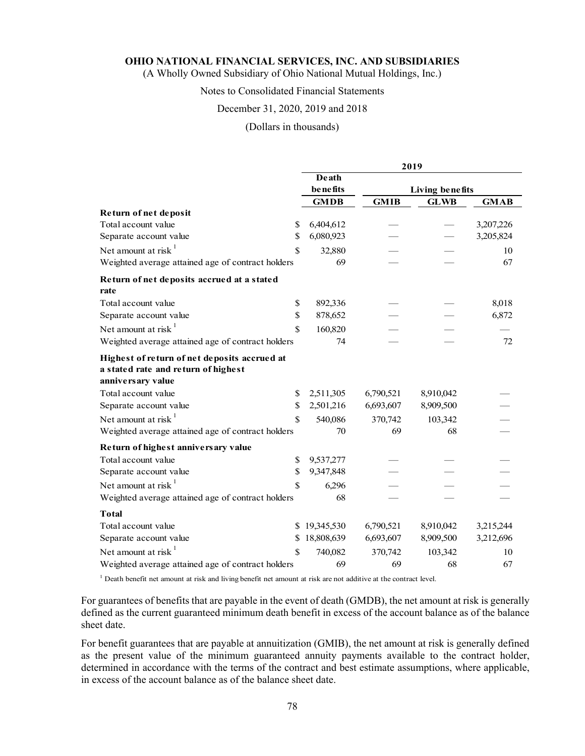(A Wholly Owned Subsidiary of Ohio National Mutual Holdings, Inc.)

### Notes to Consolidated Financial Statements

#### December 31, 2020, 2019 and 2018

#### (Dollars in thousands)

|                                                                                                           | 2019         |             |                 |             |  |  |
|-----------------------------------------------------------------------------------------------------------|--------------|-------------|-----------------|-------------|--|--|
|                                                                                                           | Death        |             |                 |             |  |  |
|                                                                                                           | be ne fits   |             | Living benefits |             |  |  |
|                                                                                                           | <b>GMDB</b>  | <b>GMIB</b> | <b>GLWB</b>     | <b>GMAB</b> |  |  |
| Return of net deposit                                                                                     |              |             |                 |             |  |  |
| Total account value<br>\$                                                                                 | 6,404,612    |             |                 | 3,207,226   |  |  |
| \$<br>Separate account value                                                                              | 6,080,923    |             |                 | 3,205,824   |  |  |
| Net amount at risk<br>\$                                                                                  | 32,880       |             |                 | 10          |  |  |
| Weighted average attained age of contract holders                                                         | 69           |             |                 | 67          |  |  |
| Return of net deposits accrued at a stated<br>rate                                                        |              |             |                 |             |  |  |
| Total account value<br>\$                                                                                 | 892,336      |             |                 | 8,018       |  |  |
| \$<br>Separate account value                                                                              | 878,652      |             |                 | 6,872       |  |  |
| Net amount at risk <sup>1</sup><br>\$                                                                     | 160,820      |             |                 |             |  |  |
| Weighted average attained age of contract holders                                                         | 74           |             |                 | 72          |  |  |
| Highest of return of net deposits accrued at<br>a stated rate and return of highest<br>annivers ary value |              |             |                 |             |  |  |
| Total account value<br>\$                                                                                 | 2,511,305    | 6,790,521   | 8,910,042       |             |  |  |
| \$<br>Separate account value                                                                              | 2,501,216    | 6,693,607   | 8,909,500       |             |  |  |
| Net amount at risk $1$<br>\$                                                                              | 540,086      | 370,742     | 103,342         |             |  |  |
| Weighted average attained age of contract holders                                                         | 70           | 69          | 68              |             |  |  |
| Return of highest anniversary value                                                                       |              |             |                 |             |  |  |
| Total account value<br>\$                                                                                 | 9,537,277    |             |                 |             |  |  |
| Separate account value<br>\$                                                                              | 9,347,848    |             |                 |             |  |  |
| Net amount at risk $1$<br>\$                                                                              | 6,296        |             |                 |             |  |  |
| Weighted average attained age of contract holders                                                         | 68           |             |                 |             |  |  |
| <b>Total</b>                                                                                              |              |             |                 |             |  |  |
| Total account value                                                                                       | \$19,345,530 | 6,790,521   | 8,910,042       | 3,215,244   |  |  |
| Separate account value<br>\$                                                                              | 18,808,639   | 6,693,607   | 8,909,500       | 3,212,696   |  |  |
| Net amount at risk $1$<br>\$                                                                              | 740,082      | 370,742     | 103,342         | 10          |  |  |
| Weighted average attained age of contract holders                                                         | 69           | 69          | 68              | 67          |  |  |

<sup>1</sup> Death benefit net amount at risk and living benefit net amount at risk are not additive at the contract level.

For guarantees of benefits that are payable in the event of death (GMDB), the net amount at risk is generally defined as the current guaranteed minimum death benefit in excess of the account balance as of the balance sheet date.

For benefit guarantees that are payable at annuitization (GMIB), the net amount at risk is generally defined as the present value of the minimum guaranteed annuity payments available to the contract holder, determined in accordance with the terms of the contract and best estimate assumptions, where applicable, in excess of the account balance as of the balance sheet date.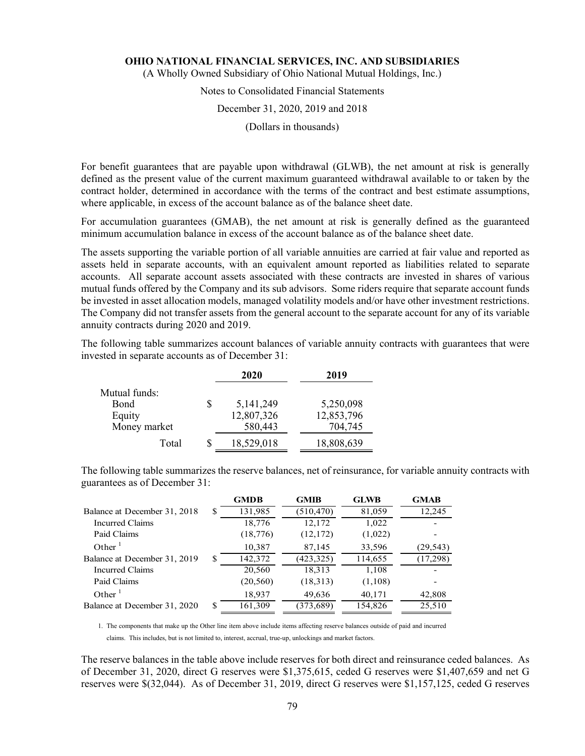(A Wholly Owned Subsidiary of Ohio National Mutual Holdings, Inc.)

### Notes to Consolidated Financial Statements

#### December 31, 2020, 2019 and 2018

(Dollars in thousands)

For benefit guarantees that are payable upon withdrawal (GLWB), the net amount at risk is generally defined as the present value of the current maximum guaranteed withdrawal available to or taken by the contract holder, determined in accordance with the terms of the contract and best estimate assumptions, where applicable, in excess of the account balance as of the balance sheet date.

For accumulation guarantees (GMAB), the net amount at risk is generally defined as the guaranteed minimum accumulation balance in excess of the account balance as of the balance sheet date.

The assets supporting the variable portion of all variable annuities are carried at fair value and reported as assets held in separate accounts, with an equivalent amount reported as liabilities related to separate accounts. All separate account assets associated with these contracts are invested in shares of various mutual funds offered by the Company and its sub advisors. Some riders require that separate account funds be invested in asset allocation models, managed volatility models and/or have other investment restrictions. The Company did not transfer assets from the general account to the separate account for any of its variable annuity contracts during 2020 and 2019.

The following table summarizes account balances of variable annuity contracts with guarantees that were invested in separate accounts as of December 31:

|               |    | 2020        | 2019       |
|---------------|----|-------------|------------|
| Mutual funds: |    |             |            |
| Bond          | \$ | 5, 141, 249 | 5,250,098  |
| Equity        |    | 12,807,326  | 12,853,796 |
| Money market  |    | 580,443     | 704,745    |
| Total         | S  | 18,529,018  | 18,808,639 |

The following table summarizes the reserve balances, net of reinsurance, for variable annuity contracts with guarantees as of December 31:

|                              |   | <b>GMDB</b> | <b>GMIB</b> | <b>GLWB</b> | <b>GMAB</b> |
|------------------------------|---|-------------|-------------|-------------|-------------|
| Balance at December 31, 2018 | S | 131,985     | (510, 470)  | 81,059      | 12,245      |
| Incurred Claims              |   | 18,776      | 12,172      | 1,022       |             |
| Paid Claims                  |   | (18,776)    | (12, 172)   | (1,022)     |             |
| Other $1$                    |   | 10,387      | 87,145      | 33,596      | (29, 543)   |
| Balance at December 31, 2019 | S | 142,372     | (423, 325)  | 114,655     | (17, 298)   |
| <b>Incurred Claims</b>       |   | 20,560      | 18,313      | 1,108       |             |
| Paid Claims                  |   | (20, 560)   | (18,313)    | (1,108)     |             |
| Other $1$                    |   | 18,937      | 49,636      | 40,171      | 42,808      |
| Balance at December 31, 2020 | S | 161,309     | (373, 689)  | 154,826     | 25,510      |

1. The components that make up the Other line item above include items affecting reserve balances outside of paid and incurred claims. This includes, but is not limited to, interest, accrual, true-up, unlockings and market factors.

The reserve balances in the table above include reserves for both direct and reinsurance ceded balances. As of December 31, 2020, direct G reserves were \$1,375,615, ceded G reserves were \$1,407,659 and net G reserves were \$(32,044). As of December 31, 2019, direct G reserves were \$1,157,125, ceded G reserves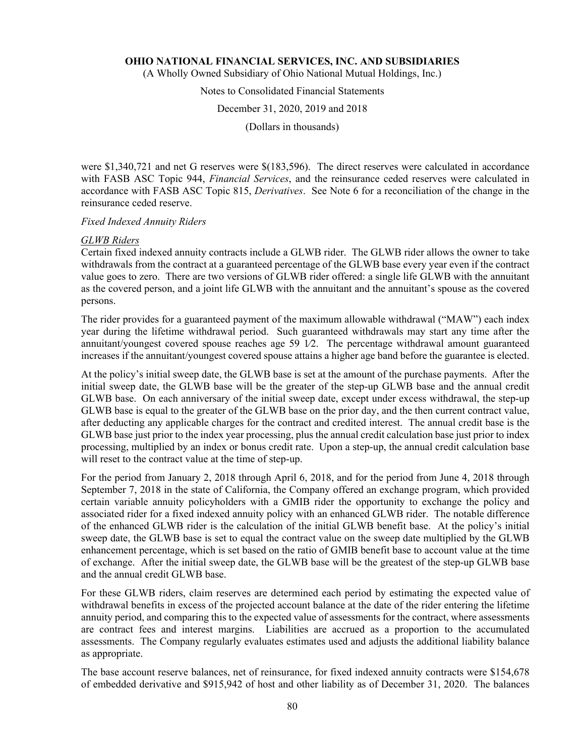(A Wholly Owned Subsidiary of Ohio National Mutual Holdings, Inc.)

### Notes to Consolidated Financial Statements

#### December 31, 2020, 2019 and 2018

(Dollars in thousands)

were \$1,340,721 and net G reserves were \$(183,596). The direct reserves were calculated in accordance with FASB ASC Topic 944, *Financial Services*, and the reinsurance ceded reserves were calculated in accordance with FASB ASC Topic 815, *Derivatives*. See Note 6 for a reconciliation of the change in the reinsurance ceded reserve.

#### *Fixed Indexed Annuity Riders*

#### *GLWB Riders*

Certain fixed indexed annuity contracts include a GLWB rider. The GLWB rider allows the owner to take withdrawals from the contract at a guaranteed percentage of the GLWB base every year even if the contract value goes to zero. There are two versions of GLWB rider offered: a single life GLWB with the annuitant as the covered person, and a joint life GLWB with the annuitant and the annuitant's spouse as the covered persons.

The rider provides for a guaranteed payment of the maximum allowable withdrawal ("MAW") each index year during the lifetime withdrawal period. Such guaranteed withdrawals may start any time after the annuitant/youngest covered spouse reaches age 59 1∕2. The percentage withdrawal amount guaranteed increases if the annuitant/youngest covered spouse attains a higher age band before the guarantee is elected.

At the policy's initial sweep date, the GLWB base is set at the amount of the purchase payments. After the initial sweep date, the GLWB base will be the greater of the step-up GLWB base and the annual credit GLWB base. On each anniversary of the initial sweep date, except under excess withdrawal, the step-up GLWB base is equal to the greater of the GLWB base on the prior day, and the then current contract value, after deducting any applicable charges for the contract and credited interest. The annual credit base is the GLWB base just prior to the index year processing, plus the annual credit calculation base just prior to index processing, multiplied by an index or bonus credit rate. Upon a step-up, the annual credit calculation base will reset to the contract value at the time of step-up.

For the period from January 2, 2018 through April 6, 2018, and for the period from June 4, 2018 through September 7, 2018 in the state of California, the Company offered an exchange program, which provided certain variable annuity policyholders with a GMIB rider the opportunity to exchange the policy and associated rider for a fixed indexed annuity policy with an enhanced GLWB rider. The notable difference of the enhanced GLWB rider is the calculation of the initial GLWB benefit base. At the policy's initial sweep date, the GLWB base is set to equal the contract value on the sweep date multiplied by the GLWB enhancement percentage, which is set based on the ratio of GMIB benefit base to account value at the time of exchange. After the initial sweep date, the GLWB base will be the greatest of the step-up GLWB base and the annual credit GLWB base.

For these GLWB riders, claim reserves are determined each period by estimating the expected value of withdrawal benefits in excess of the projected account balance at the date of the rider entering the lifetime annuity period, and comparing this to the expected value of assessments for the contract, where assessments are contract fees and interest margins. Liabilities are accrued as a proportion to the accumulated assessments. The Company regularly evaluates estimates used and adjusts the additional liability balance as appropriate.

The base account reserve balances, net of reinsurance, for fixed indexed annuity contracts were \$154,678 of embedded derivative and \$915,942 of host and other liability as of December 31, 2020. The balances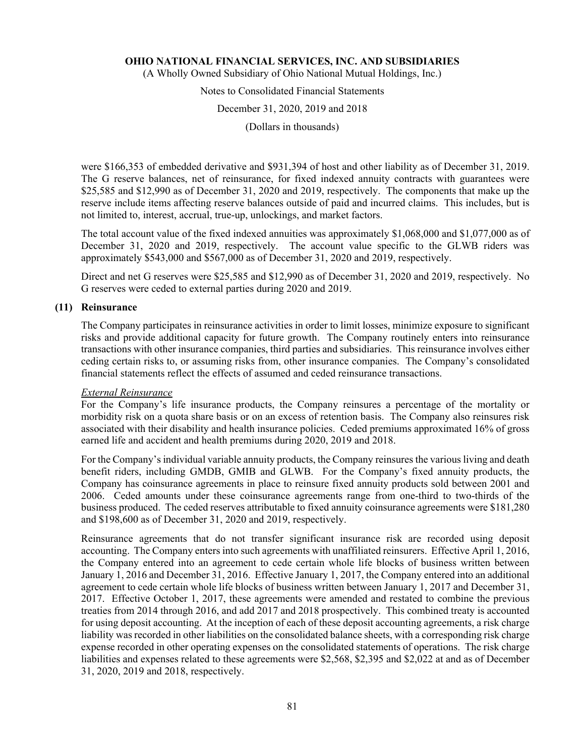(A Wholly Owned Subsidiary of Ohio National Mutual Holdings, Inc.)

### Notes to Consolidated Financial Statements

#### December 31, 2020, 2019 and 2018

(Dollars in thousands)

were \$166,353 of embedded derivative and \$931,394 of host and other liability as of December 31, 2019. The G reserve balances, net of reinsurance, for fixed indexed annuity contracts with guarantees were \$25,585 and \$12,990 as of December 31, 2020 and 2019, respectively. The components that make up the reserve include items affecting reserve balances outside of paid and incurred claims. This includes, but is not limited to, interest, accrual, true-up, unlockings, and market factors.

The total account value of the fixed indexed annuities was approximately \$1,068,000 and \$1,077,000 as of December 31, 2020 and 2019, respectively. The account value specific to the GLWB riders was approximately \$543,000 and \$567,000 as of December 31, 2020 and 2019, respectively.

Direct and net G reserves were \$25,585 and \$12,990 as of December 31, 2020 and 2019, respectively. No G reserves were ceded to external parties during 2020 and 2019.

### **(11) Reinsurance**

The Company participates in reinsurance activities in order to limit losses, minimize exposure to significant risks and provide additional capacity for future growth. The Company routinely enters into reinsurance transactions with other insurance companies, third parties and subsidiaries. This reinsurance involves either ceding certain risks to, or assuming risks from, other insurance companies. The Company's consolidated financial statements reflect the effects of assumed and ceded reinsurance transactions.

#### *External Reinsurance*

For the Company's life insurance products, the Company reinsures a percentage of the mortality or morbidity risk on a quota share basis or on an excess of retention basis. The Company also reinsures risk associated with their disability and health insurance policies. Ceded premiums approximated 16% of gross earned life and accident and health premiums during 2020, 2019 and 2018.

For the Company's individual variable annuity products, the Company reinsures the various living and death benefit riders, including GMDB, GMIB and GLWB. For the Company's fixed annuity products, the Company has coinsurance agreements in place to reinsure fixed annuity products sold between 2001 and 2006. Ceded amounts under these coinsurance agreements range from one-third to two-thirds of the business produced. The ceded reserves attributable to fixed annuity coinsurance agreements were \$181,280 and \$198,600 as of December 31, 2020 and 2019, respectively.

Reinsurance agreements that do not transfer significant insurance risk are recorded using deposit accounting. The Company enters into such agreements with unaffiliated reinsurers. Effective April 1, 2016, the Company entered into an agreement to cede certain whole life blocks of business written between January 1, 2016 and December 31, 2016. Effective January 1, 2017, the Company entered into an additional agreement to cede certain whole life blocks of business written between January 1, 2017 and December 31, 2017. Effective October 1, 2017, these agreements were amended and restated to combine the previous treaties from 2014 through 2016, and add 2017 and 2018 prospectively. This combined treaty is accounted for using deposit accounting. At the inception of each of these deposit accounting agreements, a risk charge liability was recorded in other liabilities on the consolidated balance sheets, with a corresponding risk charge expense recorded in other operating expenses on the consolidated statements of operations. The risk charge liabilities and expenses related to these agreements were \$2,568, \$2,395 and \$2,022 at and as of December 31, 2020, 2019 and 2018, respectively.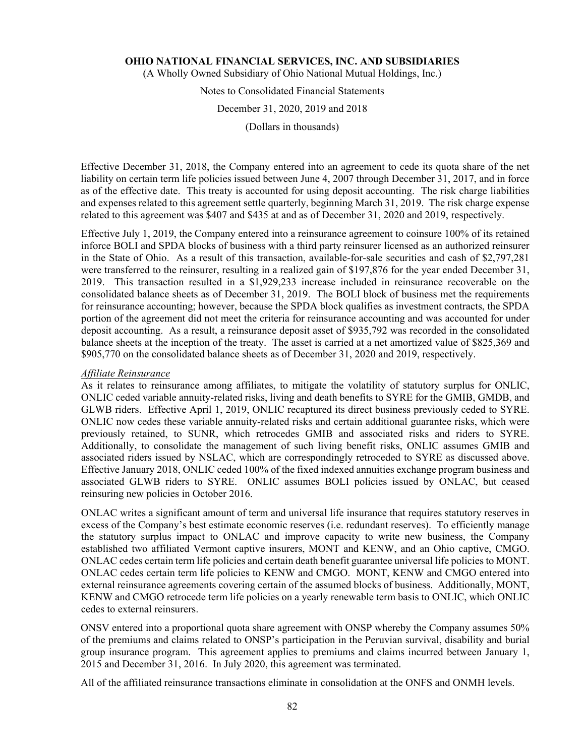(A Wholly Owned Subsidiary of Ohio National Mutual Holdings, Inc.)

### Notes to Consolidated Financial Statements

#### December 31, 2020, 2019 and 2018

(Dollars in thousands)

Effective December 31, 2018, the Company entered into an agreement to cede its quota share of the net liability on certain term life policies issued between June 4, 2007 through December 31, 2017, and in force as of the effective date. This treaty is accounted for using deposit accounting. The risk charge liabilities and expenses related to this agreement settle quarterly, beginning March 31, 2019. The risk charge expense related to this agreement was \$407 and \$435 at and as of December 31, 2020 and 2019, respectively.

Effective July 1, 2019, the Company entered into a reinsurance agreement to coinsure 100% of its retained inforce BOLI and SPDA blocks of business with a third party reinsurer licensed as an authorized reinsurer in the State of Ohio. As a result of this transaction, available-for-sale securities and cash of \$2,797,281 were transferred to the reinsurer, resulting in a realized gain of \$197,876 for the year ended December 31, 2019. This transaction resulted in a \$1,929,233 increase included in reinsurance recoverable on the consolidated balance sheets as of December 31, 2019. The BOLI block of business met the requirements for reinsurance accounting; however, because the SPDA block qualifies as investment contracts, the SPDA portion of the agreement did not meet the criteria for reinsurance accounting and was accounted for under deposit accounting. As a result, a reinsurance deposit asset of \$935,792 was recorded in the consolidated balance sheets at the inception of the treaty. The asset is carried at a net amortized value of \$825,369 and \$905,770 on the consolidated balance sheets as of December 31, 2020 and 2019, respectively.

### *Affiliate Reinsurance*

As it relates to reinsurance among affiliates, to mitigate the volatility of statutory surplus for ONLIC, ONLIC ceded variable annuity-related risks, living and death benefits to SYRE for the GMIB, GMDB, and GLWB riders. Effective April 1, 2019, ONLIC recaptured its direct business previously ceded to SYRE. ONLIC now cedes these variable annuity-related risks and certain additional guarantee risks, which were previously retained, to SUNR, which retrocedes GMIB and associated risks and riders to SYRE. Additionally, to consolidate the management of such living benefit risks, ONLIC assumes GMIB and associated riders issued by NSLAC, which are correspondingly retroceded to SYRE as discussed above. Effective January 2018, ONLIC ceded 100% of the fixed indexed annuities exchange program business and associated GLWB riders to SYRE. ONLIC assumes BOLI policies issued by ONLAC, but ceased reinsuring new policies in October 2016.

ONLAC writes a significant amount of term and universal life insurance that requires statutory reserves in excess of the Company's best estimate economic reserves (i.e. redundant reserves). To efficiently manage the statutory surplus impact to ONLAC and improve capacity to write new business, the Company established two affiliated Vermont captive insurers, MONT and KENW, and an Ohio captive, CMGO. ONLAC cedes certain term life policies and certain death benefit guarantee universal life policies to MONT. ONLAC cedes certain term life policies to KENW and CMGO. MONT, KENW and CMGO entered into external reinsurance agreements covering certain of the assumed blocks of business. Additionally, MONT, KENW and CMGO retrocede term life policies on a yearly renewable term basis to ONLIC, which ONLIC cedes to external reinsurers.

ONSV entered into a proportional quota share agreement with ONSP whereby the Company assumes 50% of the premiums and claims related to ONSP's participation in the Peruvian survival, disability and burial group insurance program. This agreement applies to premiums and claims incurred between January 1, 2015 and December 31, 2016. In July 2020, this agreement was terminated.

All of the affiliated reinsurance transactions eliminate in consolidation at the ONFS and ONMH levels.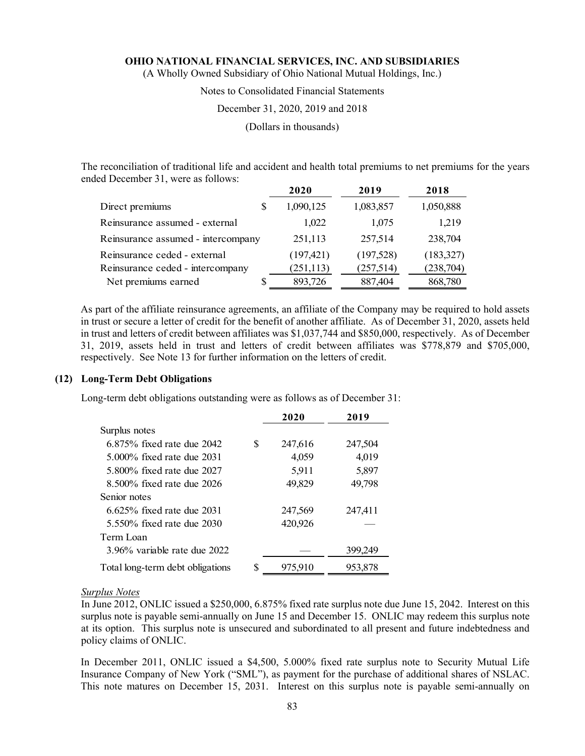(A Wholly Owned Subsidiary of Ohio National Mutual Holdings, Inc.)

Notes to Consolidated Financial Statements

December 31, 2020, 2019 and 2018

(Dollars in thousands)

The reconciliation of traditional life and accident and health total premiums to net premiums for the years ended December 31, were as follows:

|                                    | 2020            | 2019      | 2018      |
|------------------------------------|-----------------|-----------|-----------|
| Direct premiums                    | \$<br>1,090,125 | 1,083,857 | 1,050,888 |
| Reinsurance assumed - external     | 1,022           | 1,075     | 1,219     |
| Reinsurance assumed - intercompany | 251,113         | 257,514   | 238,704   |
| Reinsurance ceded - external       | (197, 421)      | (197,528) | (183,327) |
| Reinsurance ceded - intercompany   | (251, 113)      | (257,514) | (238,704) |
| Net premiums earned                | 893,726         | 887,404   | 868,780   |

As part of the affiliate reinsurance agreements, an affiliate of the Company may be required to hold assets in trust or secure a letter of credit for the benefit of another affiliate. As of December 31, 2020, assets held in trust and letters of credit between affiliates was \$1,037,744 and \$850,000, respectively. As of December 31, 2019, assets held in trust and letters of credit between affiliates was \$778,879 and \$705,000, respectively. See Note 13 for further information on the letters of credit.

### **(12) Long-Term Debt Obligations**

Long-term debt obligations outstanding were as follows as of December 31:

|                                  |    | 2020    | 2019    |
|----------------------------------|----|---------|---------|
| Surplus notes                    |    |         |         |
| 6.875% fixed rate due 2042       | S  | 247,616 | 247,504 |
| 5,000% fixed rate due 2031       |    | 4,059   | 4,019   |
| 5,800% fixed rate due 2027       |    | 5,911   | 5,897   |
| 8.500% fixed rate due 2026       |    | 49,829  | 49,798  |
| Senior notes                     |    |         |         |
| $6.625\%$ fixed rate due 2031    |    | 247,569 | 247,411 |
| 5.550\% fixed rate due 2030      |    | 420,926 |         |
| Term Loan                        |    |         |         |
| 3.96% variable rate due 2022     |    |         | 399,249 |
| Total long-term debt obligations | \$ | 975,910 | 953,878 |

#### *Surplus Notes*

In June 2012, ONLIC issued a \$250,000, 6.875% fixed rate surplus note due June 15, 2042. Interest on this surplus note is payable semi-annually on June 15 and December 15. ONLIC may redeem this surplus note at its option. This surplus note is unsecured and subordinated to all present and future indebtedness and policy claims of ONLIC.

In December 2011, ONLIC issued a \$4,500, 5.000% fixed rate surplus note to Security Mutual Life Insurance Company of New York ("SML"), as payment for the purchase of additional shares of NSLAC. This note matures on December 15, 2031. Interest on this surplus note is payable semi-annually on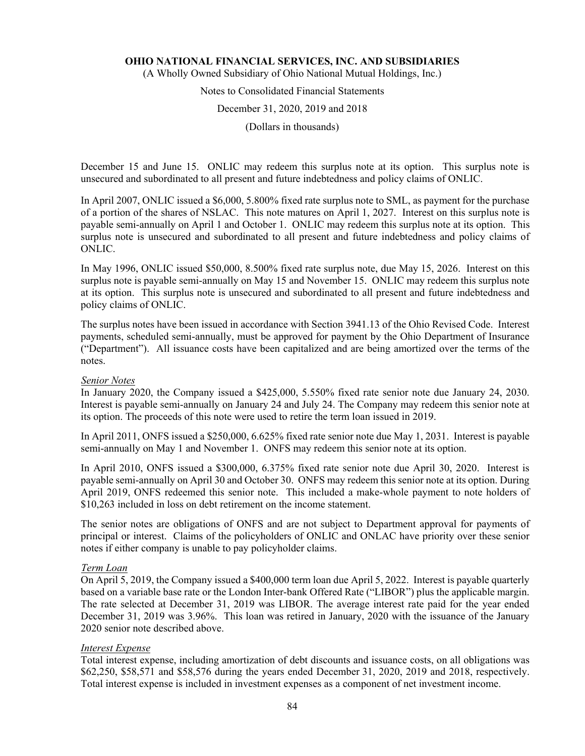(A Wholly Owned Subsidiary of Ohio National Mutual Holdings, Inc.)

# Notes to Consolidated Financial Statements

### December 31, 2020, 2019 and 2018

(Dollars in thousands)

December 15 and June 15. ONLIC may redeem this surplus note at its option. This surplus note is unsecured and subordinated to all present and future indebtedness and policy claims of ONLIC.

In April 2007, ONLIC issued a \$6,000, 5.800% fixed rate surplus note to SML, as payment for the purchase of a portion of the shares of NSLAC. This note matures on April 1, 2027. Interest on this surplus note is payable semi-annually on April 1 and October 1. ONLIC may redeem this surplus note at its option. This surplus note is unsecured and subordinated to all present and future indebtedness and policy claims of ONLIC.

In May 1996, ONLIC issued \$50,000, 8.500% fixed rate surplus note, due May 15, 2026. Interest on this surplus note is payable semi-annually on May 15 and November 15. ONLIC may redeem this surplus note at its option. This surplus note is unsecured and subordinated to all present and future indebtedness and policy claims of ONLIC.

The surplus notes have been issued in accordance with Section 3941.13 of the Ohio Revised Code. Interest payments, scheduled semi-annually, must be approved for payment by the Ohio Department of Insurance ("Department"). All issuance costs have been capitalized and are being amortized over the terms of the notes.

#### *Senior Notes*

In January 2020, the Company issued a \$425,000, 5.550% fixed rate senior note due January 24, 2030. Interest is payable semi-annually on January 24 and July 24. The Company may redeem this senior note at its option. The proceeds of this note were used to retire the term loan issued in 2019.

In April 2011, ONFS issued a \$250,000, 6.625% fixed rate senior note due May 1, 2031. Interest is payable semi-annually on May 1 and November 1. ONFS may redeem this senior note at its option.

In April 2010, ONFS issued a \$300,000, 6.375% fixed rate senior note due April 30, 2020. Interest is payable semi-annually on April 30 and October 30. ONFS may redeem this senior note at its option. During April 2019, ONFS redeemed this senior note. This included a make-whole payment to note holders of \$10,263 included in loss on debt retirement on the income statement.

The senior notes are obligations of ONFS and are not subject to Department approval for payments of principal or interest. Claims of the policyholders of ONLIC and ONLAC have priority over these senior notes if either company is unable to pay policyholder claims.

#### *Term Loan*

On April 5, 2019, the Company issued a \$400,000 term loan due April 5, 2022. Interest is payable quarterly based on a variable base rate or the London Inter-bank Offered Rate ("LIBOR") plus the applicable margin. The rate selected at December 31, 2019 was LIBOR. The average interest rate paid for the year ended December 31, 2019 was 3.96%. This loan was retired in January, 2020 with the issuance of the January 2020 senior note described above.

#### *Interest Expense*

Total interest expense, including amortization of debt discounts and issuance costs, on all obligations was \$62,250, \$58,571 and \$58,576 during the years ended December 31, 2020, 2019 and 2018, respectively. Total interest expense is included in investment expenses as a component of net investment income.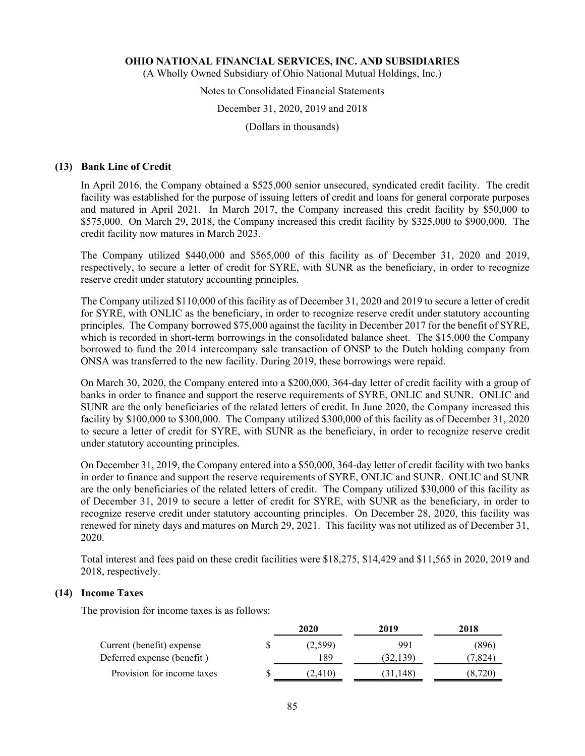(A Wholly Owned Subsidiary of Ohio National Mutual Holdings, Inc.)

### Notes to Consolidated Financial Statements

#### December 31, 2020, 2019 and 2018

(Dollars in thousands)

#### **(13) Bank Line of Credit**

In April 2016, the Company obtained a \$525,000 senior unsecured, syndicated credit facility. The credit facility was established for the purpose of issuing letters of credit and loans for general corporate purposes and matured in April 2021. In March 2017, the Company increased this credit facility by \$50,000 to \$575,000. On March 29, 2018, the Company increased this credit facility by \$325,000 to \$900,000. The credit facility now matures in March 2023.

The Company utilized \$440,000 and \$565,000 of this facility as of December 31, 2020 and 2019, respectively, to secure a letter of credit for SYRE, with SUNR as the beneficiary, in order to recognize reserve credit under statutory accounting principles.

The Company utilized \$110,000 of this facility as of December 31, 2020 and 2019 to secure a letter of credit for SYRE, with ONLIC as the beneficiary, in order to recognize reserve credit under statutory accounting principles. The Company borrowed \$75,000 against the facility in December 2017 for the benefit of SYRE, which is recorded in short-term borrowings in the consolidated balance sheet. The \$15,000 the Company borrowed to fund the 2014 intercompany sale transaction of ONSP to the Dutch holding company from ONSA was transferred to the new facility. During 2019, these borrowings were repaid.

On March 30, 2020, the Company entered into a \$200,000, 364-day letter of credit facility with a group of banks in order to finance and support the reserve requirements of SYRE, ONLIC and SUNR. ONLIC and SUNR are the only beneficiaries of the related letters of credit. In June 2020, the Company increased this facility by \$100,000 to \$300,000. The Company utilized \$300,000 of this facility as of December 31, 2020 to secure a letter of credit for SYRE, with SUNR as the beneficiary, in order to recognize reserve credit under statutory accounting principles.

On December 31, 2019, the Company entered into a \$50,000, 364-day letter of credit facility with two banks in order to finance and support the reserve requirements of SYRE, ONLIC and SUNR. ONLIC and SUNR are the only beneficiaries of the related letters of credit. The Company utilized \$30,000 of this facility as of December 31, 2019 to secure a letter of credit for SYRE, with SUNR as the beneficiary, in order to recognize reserve credit under statutory accounting principles. On December 28, 2020, this facility was renewed for ninety days and matures on March 29, 2021. This facility was not utilized as of December 31, 2020.

Total interest and fees paid on these credit facilities were \$18,275, \$14,429 and \$11,565 in 2020, 2019 and 2018, respectively.

### **(14) Income Taxes**

The provision for income taxes is as follows:

|                            | 2020    | 2019     | 2018    |  |
|----------------------------|---------|----------|---------|--|
| Current (benefit) expense  | (2,599) | 991      | (896)   |  |
| Deferred expense (benefit) | 189     | (32,139) | (7,824) |  |
| Provision for income taxes | (2.410) | (31,148) | (8.720  |  |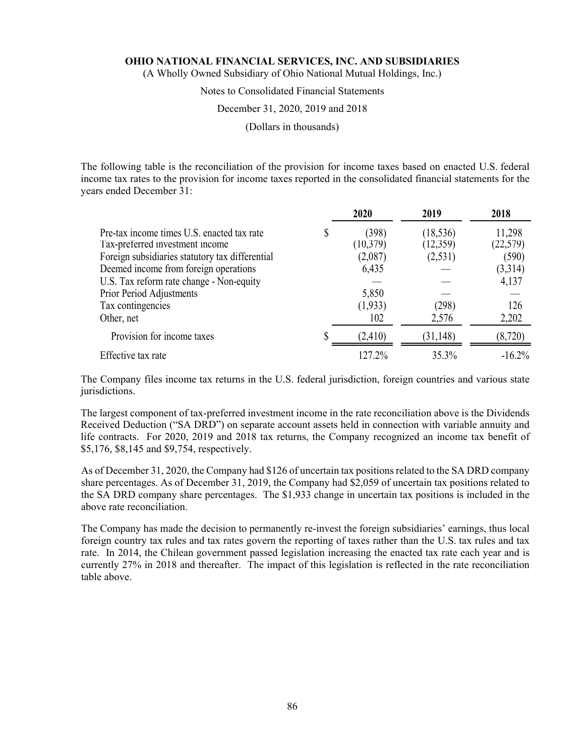(A Wholly Owned Subsidiary of Ohio National Mutual Holdings, Inc.)

### Notes to Consolidated Financial Statements

#### December 31, 2020, 2019 and 2018

(Dollars in thousands)

The following table is the reconciliation of the provision for income taxes based on enacted U.S. federal income tax rates to the provision for income taxes reported in the consolidated financial statements for the years ended December 31:

|                                                 |    | 2020      | 2019      | 2018      |
|-------------------------------------------------|----|-----------|-----------|-----------|
| Pre-tax income times U.S. enacted tax rate      | J) | (398)     | (18, 536) | 11,298    |
| Tax-preferred investment income                 |    | (10, 379) | (12,359)  | (22, 579) |
| Foreign subsidiaries statutory tax differential |    | (2,087)   | (2,531)   | (590)     |
| Deemed income from foreign operations           |    | 6,435     |           | (3,314)   |
| U.S. Tax reform rate change - Non-equity        |    |           |           | 4,137     |
| Prior Period Adjustments                        |    | 5,850     |           |           |
| Tax contingencies                               |    | (1,933)   | (298)     | 126       |
| Other, net                                      |    | 102       | 2,576     | 2,202     |
| Provision for income taxes                      |    | (2,410)   | (31, 148) | (8,720)   |
| Effective tax rate                              |    | 127.2%    | 35.3%     | $-16.2\%$ |

The Company files income tax returns in the U.S. federal jurisdiction, foreign countries and various state jurisdictions.

The largest component of tax-preferred investment income in the rate reconciliation above is the Dividends Received Deduction ("SA DRD") on separate account assets held in connection with variable annuity and life contracts. For 2020, 2019 and 2018 tax returns, the Company recognized an income tax benefit of \$5,176, \$8,145 and \$9,754, respectively.

As of December 31, 2020, the Company had \$126 of uncertain tax positions related to the SA DRD company share percentages. As of December 31, 2019, the Company had \$2,059 of uncertain tax positions related to the SA DRD company share percentages. The \$1,933 change in uncertain tax positions is included in the above rate reconciliation.

The Company has made the decision to permanently re-invest the foreign subsidiaries' earnings, thus local foreign country tax rules and tax rates govern the reporting of taxes rather than the U.S. tax rules and tax rate. In 2014, the Chilean government passed legislation increasing the enacted tax rate each year and is currently 27% in 2018 and thereafter. The impact of this legislation is reflected in the rate reconciliation table above.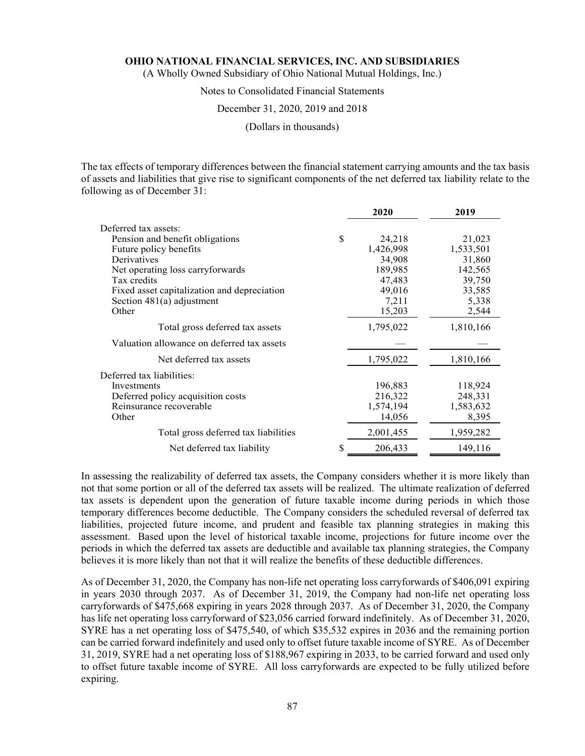(A Wholly Owned Subsidiary of Ohio National Mutual Holdings, Inc.)

### Notes to Consolidated Financial Statements

#### December 31, 2020, 2019 and 2018

(Dollars in thousands)

The tax effects of temporary differences between the financial statement carrying amounts and the tax basis of assets and liabilities that give rise to significant components of the net deferred tax liability relate to the following as of December 31:

|                                             |    | 2020      | 2019      |
|---------------------------------------------|----|-----------|-----------|
| Deferred tax assets:                        |    |           |           |
| Pension and benefit obligations             | \$ | 24,218    | 21,023    |
| Future policy benefits                      |    | 1,426,998 | 1,533,501 |
| Derivatives                                 |    | 34,908    | 31,860    |
| Net operating loss carryforwards            |    | 189,985   | 142,565   |
| Tax credits                                 |    | 47,483    | 39,750    |
| Fixed asset capitalization and depreciation |    | 49,016    | 33,585    |
| Section $481(a)$ adjustment                 |    | 7,211     | 5,338     |
| Other                                       |    | 15,203    | 2,544     |
| Total gross deferred tax assets             |    | 1,795,022 | 1,810,166 |
| Valuation allowance on deferred tax assets  |    |           |           |
| Net deferred tax assets                     |    | 1,795,022 | 1,810,166 |
| Deferred tax liabilities:                   |    |           |           |
| Investments                                 |    | 196,883   | 118,924   |
| Deferred policy acquisition costs           |    | 216,322   | 248,331   |
| Reinsurance recoverable                     |    | 1,574,194 | 1,583,632 |
| Other                                       |    | 14,056    | 8,395     |
| Total gross deferred tax liabilities        |    | 2,001,455 | 1,959,282 |
| Net deferred tax liability                  | S  | 206,433   | 149,116   |

In assessing the realizability of deferred tax assets, the Company considers whether it is more likely than not that some portion or all of the deferred tax assets will be realized. The ultimate realization of deferred tax assets is dependent upon the generation of future taxable income during periods in which those temporary differences become deductible. The Company considers the scheduled reversal of deferred tax liabilities, projected future income, and prudent and feasible tax planning strategies in making this assessment. Based upon the level of historical taxable income, projections for future income over the periods in which the deferred tax assets are deductible and available tax planning strategies, the Company believes it is more likely than not that it will realize the benefits of these deductible differences.

As of December 31, 2020, the Company has non-life net operating loss carryforwards of \$406,091 expiring in years 2030 through 2037. As of December 31, 2019, the Company had non-life net operating loss carryforwards of \$475,668 expiring in years 2028 through 2037. As of December 31, 2020, the Company has life net operating loss carryforward of \$23,056 carried forward indefinitely. As of December 31, 2020, SYRE has a net operating loss of \$475,540, of which \$35,532 expires in 2036 and the remaining portion can be carried forward indefinitely and used only to offset future taxable income of SYRE. As of December 31, 2019, SYRE had a net operating loss of \$188,967 expiring in 2033, to be carried forward and used only to offset future taxable income of SYRE. All loss carryforwards are expected to be fully utilized before expiring.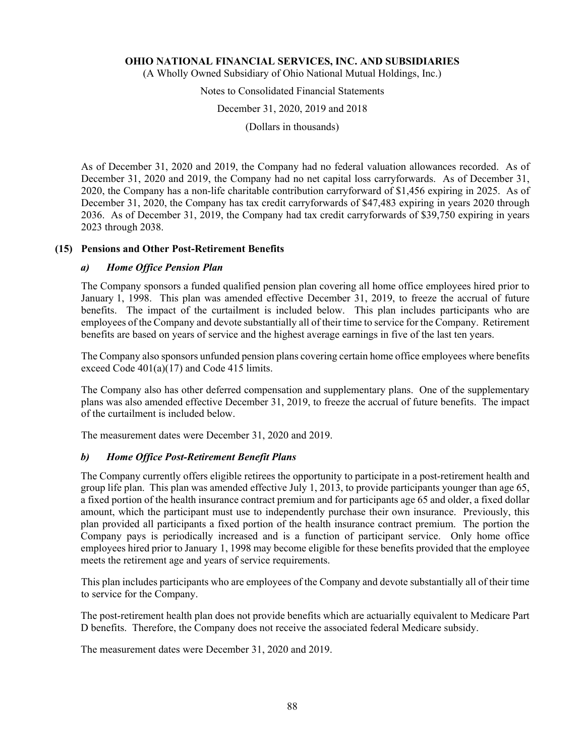(A Wholly Owned Subsidiary of Ohio National Mutual Holdings, Inc.)

Notes to Consolidated Financial Statements

December 31, 2020, 2019 and 2018

(Dollars in thousands)

As of December 31, 2020 and 2019, the Company had no federal valuation allowances recorded. As of December 31, 2020 and 2019, the Company had no net capital loss carryforwards. As of December 31, 2020, the Company has a non-life charitable contribution carryforward of \$1,456 expiring in 2025. As of December 31, 2020, the Company has tax credit carryforwards of \$47,483 expiring in years 2020 through 2036. As of December 31, 2019, the Company had tax credit carryforwards of \$39,750 expiring in years 2023 through 2038.

### **(15) Pensions and Other Post-Retirement Benefits**

### *a) Home Office Pension Plan*

The Company sponsors a funded qualified pension plan covering all home office employees hired prior to January 1, 1998. This plan was amended effective December 31, 2019, to freeze the accrual of future benefits. The impact of the curtailment is included below. This plan includes participants who are employees of the Company and devote substantially all of their time to service for the Company. Retirement benefits are based on years of service and the highest average earnings in five of the last ten years.

The Company also sponsors unfunded pension plans covering certain home office employees where benefits exceed Code 401(a)(17) and Code 415 limits.

The Company also has other deferred compensation and supplementary plans. One of the supplementary plans was also amended effective December 31, 2019, to freeze the accrual of future benefits. The impact of the curtailment is included below.

The measurement dates were December 31, 2020 and 2019.

### *b) Home Office Post-Retirement Benefit Plans*

The Company currently offers eligible retirees the opportunity to participate in a post-retirement health and group life plan. This plan was amended effective July 1, 2013, to provide participants younger than age 65, a fixed portion of the health insurance contract premium and for participants age 65 and older, a fixed dollar amount, which the participant must use to independently purchase their own insurance. Previously, this plan provided all participants a fixed portion of the health insurance contract premium. The portion the Company pays is periodically increased and is a function of participant service. Only home office employees hired prior to January 1, 1998 may become eligible for these benefits provided that the employee meets the retirement age and years of service requirements.

This plan includes participants who are employees of the Company and devote substantially all of their time to service for the Company.

The post-retirement health plan does not provide benefits which are actuarially equivalent to Medicare Part D benefits. Therefore, the Company does not receive the associated federal Medicare subsidy.

The measurement dates were December 31, 2020 and 2019.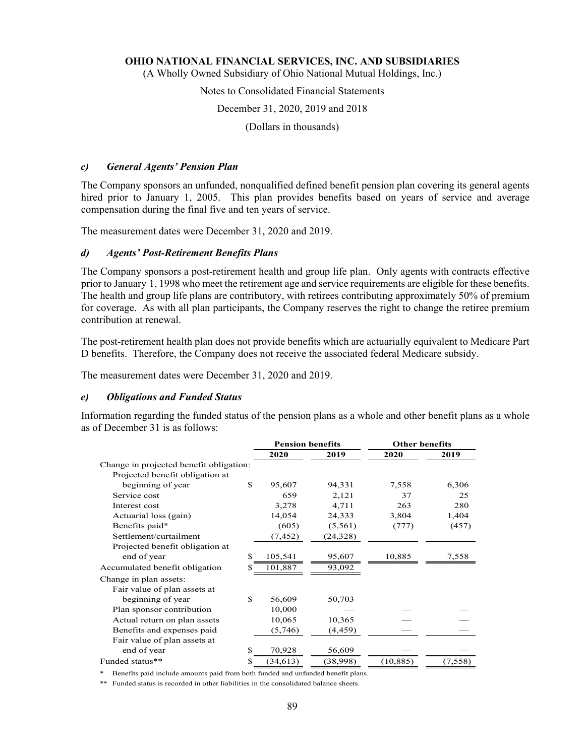(A Wholly Owned Subsidiary of Ohio National Mutual Holdings, Inc.)

### Notes to Consolidated Financial Statements

#### December 31, 2020, 2019 and 2018

(Dollars in thousands)

#### *c) General Agents' Pension Plan*

The Company sponsors an unfunded, nonqualified defined benefit pension plan covering its general agents hired prior to January 1, 2005. This plan provides benefits based on years of service and average compensation during the final five and ten years of service.

The measurement dates were December 31, 2020 and 2019.

### *d) Agents' Post-Retirement Benefits Plans*

The Company sponsors a post-retirement health and group life plan. Only agents with contracts effective prior to January 1, 1998 who meet the retirement age and service requirements are eligible for these benefits. The health and group life plans are contributory, with retirees contributing approximately 50% of premium for coverage. As with all plan participants, the Company reserves the right to change the retiree premium contribution at renewal.

The post-retirement health plan does not provide benefits which are actuarially equivalent to Medicare Part D benefits. Therefore, the Company does not receive the associated federal Medicare subsidy.

The measurement dates were December 31, 2020 and 2019.

#### *e) Obligations and Funded Status*

Information regarding the funded status of the pension plans as a whole and other benefit plans as a whole as of December 31 is as follows:

|                                         |    | <b>Pension benefits</b> |           | <b>Other benefits</b> |          |  |
|-----------------------------------------|----|-------------------------|-----------|-----------------------|----------|--|
|                                         |    | 2020                    | 2019      | 2020                  | 2019     |  |
| Change in projected benefit obligation: |    |                         |           |                       |          |  |
| Projected benefit obligation at         |    |                         |           |                       |          |  |
| beginning of year                       | S. | 95,607                  | 94,331    | 7,558                 | 6,306    |  |
| Service cost                            |    | 659                     | 2,121     | 37                    | 25       |  |
| Interest cost                           |    | 3,278                   | 4,711     | 263                   | 280      |  |
| Actuarial loss (gain)                   |    | 14,054                  | 24,333    | 3,804                 | 1,404    |  |
| Benefits paid*                          |    | (605)                   | (5,561)   | (777)                 | (457)    |  |
| Settlement/curtailment                  |    | (7, 452)                | (24, 328) |                       |          |  |
| Projected benefit obligation at         |    |                         |           |                       |          |  |
| end of year                             | S  | 105,541                 | 95,607    | 10,885                | 7,558    |  |
| Accumulated benefit obligation          | S  | 101,887                 | 93,092    |                       |          |  |
| Change in plan assets:                  |    |                         |           |                       |          |  |
| Fair value of plan assets at            |    |                         |           |                       |          |  |
| beginning of year                       | \$ | 56,609                  | 50,703    |                       |          |  |
| Plan sponsor contribution               |    | 10,000                  |           |                       |          |  |
| Actual return on plan assets            |    | 10,065                  | 10,365    |                       |          |  |
| Benefits and expenses paid              |    | (5,746)                 | (4, 459)  |                       |          |  |
| Fair value of plan assets at            |    |                         |           |                       |          |  |
| end of year                             | \$ | 70,928                  | 56,609    |                       |          |  |
| Funded status**                         | S  | (34, 613)               | (38,998)  | (10, 885)             | (7, 558) |  |

\* Benefits paid include amounts paid from both funded and unfunded benefit plans.

\*\* Funded status is recorded in other liabilities in the consolidated balance sheets.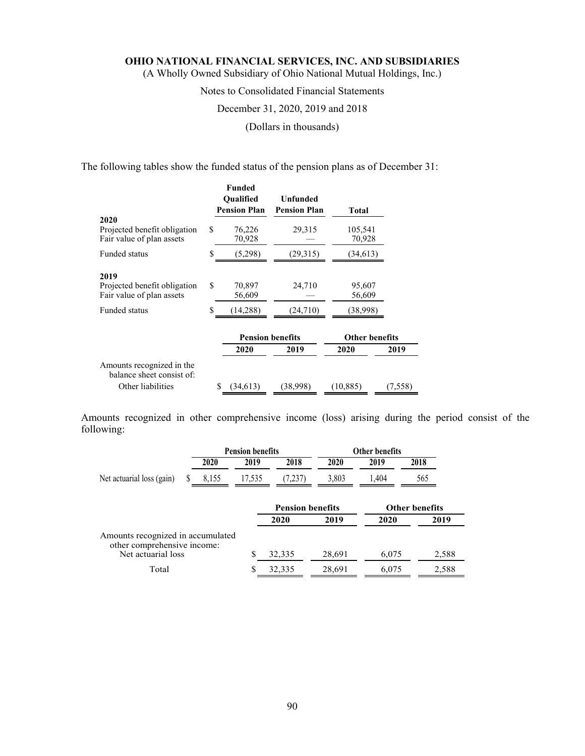(A Wholly Owned Subsidiary of Ohio National Mutual Holdings, Inc.)

### Notes to Consolidated Financial Statements

December 31, 2020, 2019 and 2018

(Dollars in thousands)

The following tables show the funded status of the pension plans as of December 31:

|                                                                                    |        | <b>Funded</b><br><b>Oualified</b><br><b>Pension Plan</b> | Unfunded<br><b>Pension Plan</b> | <b>Total</b>                 |         |
|------------------------------------------------------------------------------------|--------|----------------------------------------------------------|---------------------------------|------------------------------|---------|
| 2020<br>Projected benefit obligation<br>Fair value of plan assets                  | \$.    | 76,226<br>70,928                                         | 29,315                          | 105,541<br>70,928            |         |
| Funded status                                                                      | \$     | (5,298)                                                  | (29,315)                        | (34, 613)                    |         |
| 2019<br>Projected benefit obligation<br>Fair value of plan assets<br>Funded status | S<br>S | 70,897<br>56,609<br>(14, 288)                            | 24,710<br>(24, 710)             | 95,607<br>56,609<br>(38,998) |         |
|                                                                                    |        |                                                          | <b>Pension benefits</b>         | <b>Other benefits</b>        |         |
|                                                                                    |        | 2020                                                     | 2019                            | 2020                         | 2019    |
| Amounts recognized in the<br>balance sheet consist of:<br>Other liabilities        | S      | (34, 613)                                                | (38,998)                        | (10, 885)                    | (7,558) |

Amounts recognized in other comprehensive income (loss) arising during the period consist of the following:

|                                                                  |       | <b>Pension benefits</b> |                         |        | <b>Other benefits</b> |                       |  |
|------------------------------------------------------------------|-------|-------------------------|-------------------------|--------|-----------------------|-----------------------|--|
|                                                                  | 2020  | 2019                    | 2018                    | 2020   | 2019                  | 2018                  |  |
| Net actuarial loss (gain)                                        | 8,155 | 17,535                  | (7,237)                 | 3.803  | 1.404                 | 565                   |  |
|                                                                  |       |                         | <b>Pension benefits</b> |        |                       | <b>Other benefits</b> |  |
|                                                                  |       |                         | 2020                    | 2019   | 2020                  | 2019                  |  |
| Amounts recognized in accumulated<br>other comprehensive income: |       |                         |                         |        |                       |                       |  |
| Net actuarial loss                                               |       | S                       | 32,335                  | 28,691 | 6,075                 | 2,588                 |  |
| Total                                                            |       | S                       | 32,335                  | 28,691 | 6,075                 | 2,588                 |  |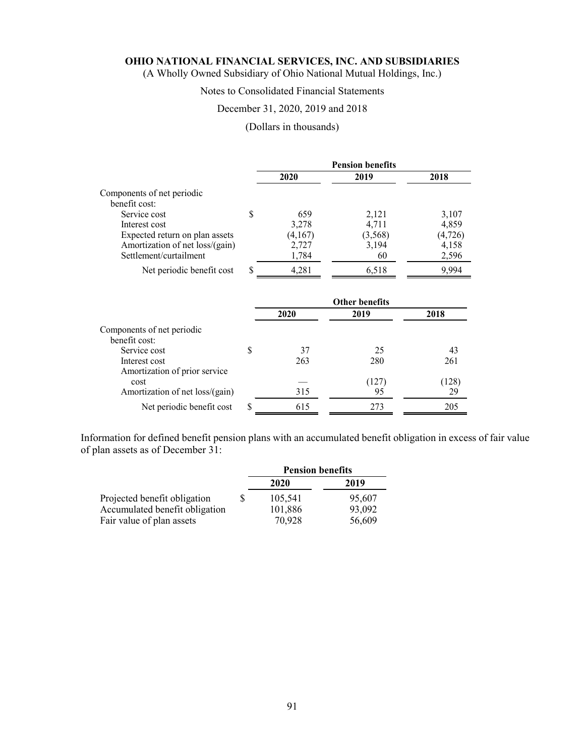(A Wholly Owned Subsidiary of Ohio National Mutual Holdings, Inc.)

### Notes to Consolidated Financial Statements

### December 31, 2020, 2019 and 2018

### (Dollars in thousands)

|                                             |    |             | <b>Pension benefits</b> |             |
|---------------------------------------------|----|-------------|-------------------------|-------------|
|                                             |    | 2020        | 2019                    | 2018        |
| Components of net periodic<br>benefit cost: |    |             |                         |             |
| Service cost                                | \$ | 659         | 2,121                   | 3,107       |
| Interest cost                               |    | 3,278       | 4,711                   | 4,859       |
| Expected return on plan assets              |    | (4,167)     | (3, 568)                | (4, 726)    |
| Amortization of net loss/(gain)             |    | 2,727       | 3,194                   | 4,158       |
| Settlement/curtailment                      |    | 1,784       | 60                      | 2,596       |
| Net periodic benefit cost                   | S  | 4,281       | 6,518                   | 9,994       |
|                                             |    |             | <b>Other benefits</b>   |             |
|                                             |    | <b>2020</b> | <b>2010</b>             | <b>2010</b> |

|   | 2020 | 2019  | 2018           |
|---|------|-------|----------------|
|   |      |       |                |
|   |      |       |                |
| S | 37   | 25    | 43             |
|   | 263  | 280   | 261            |
|   |      |       |                |
|   |      | (127) | <sup>128</sup> |
|   | 315  | 95    | 29             |
| S | 615  | 273   | 205            |
|   |      |       |                |

Information for defined benefit pension plans with an accumulated benefit obligation in excess of fair value of plan assets as of December 31:

|                                | <b>Pension benefits</b> |        |  |
|--------------------------------|-------------------------|--------|--|
|                                | 2020                    | 2019   |  |
| Projected benefit obligation   | 105,541                 | 95,607 |  |
| Accumulated benefit obligation | 101,886                 | 93,092 |  |
| Fair value of plan assets      | 70,928                  | 56,609 |  |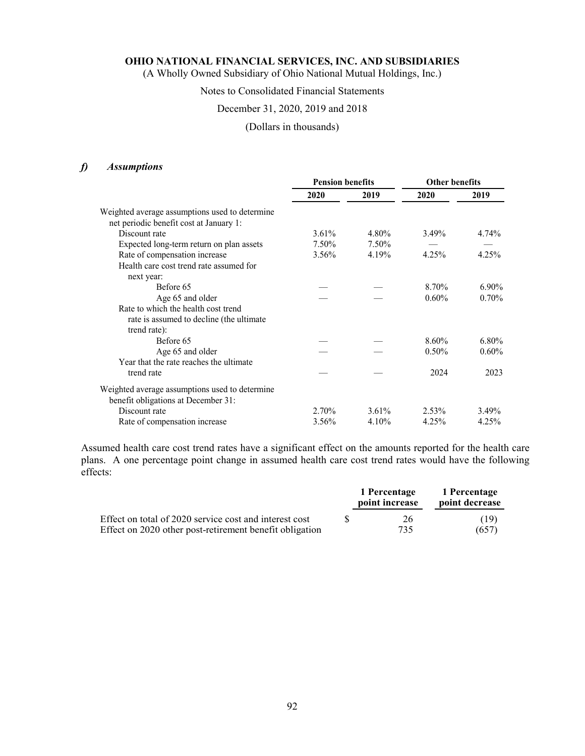(A Wholly Owned Subsidiary of Ohio National Mutual Holdings, Inc.)

### Notes to Consolidated Financial Statements

### December 31, 2020, 2019 and 2018

#### (Dollars in thousands)

### *f) Assumptions*

|                                                | <b>Pension benefits</b> |          | <b>Other benefits</b> |          |
|------------------------------------------------|-------------------------|----------|-----------------------|----------|
|                                                | 2020                    | 2019     | 2020                  | 2019     |
| Weighted average assumptions used to determine |                         |          |                       |          |
| net periodic benefit cost at January 1:        |                         |          |                       |          |
| Discount rate                                  | $3.61\%$                | 4.80%    | 3.49%                 | 4.74%    |
| Expected long-term return on plan assets       | 7.50%                   | 7.50%    |                       |          |
| Rate of compensation increase                  | $3.56\%$                | 4.19%    | 4.25%                 | 4.25%    |
| Health care cost trend rate assumed for        |                         |          |                       |          |
| next year:                                     |                         |          |                       |          |
| Before 65                                      |                         |          | 8.70%                 | $6.90\%$ |
| Age 65 and older                               |                         |          | $0.60\%$              | $0.70\%$ |
| Rate to which the health cost trend            |                         |          |                       |          |
| rate is assumed to decline (the ultimate       |                         |          |                       |          |
| trend rate):                                   |                         |          |                       |          |
| Before 65                                      |                         |          | 8.60%                 | $6.80\%$ |
| Age 65 and older                               |                         |          | $0.50\%$              | $0.60\%$ |
| Year that the rate reaches the ultimate        |                         |          |                       |          |
| trend rate                                     |                         |          | 2024                  | 2023     |
| Weighted average assumptions used to determine |                         |          |                       |          |
| benefit obligations at December 31:            |                         |          |                       |          |
| Discount rate                                  | 2.70%                   | $3.61\%$ | 2.53%                 | 3.49%    |
| Rate of compensation increase                  | 3.56%                   | 4.10%    | 4.25%                 | 4.25%    |

Assumed health care cost trend rates have a significant effect on the amounts reported for the health care plans. A one percentage point change in assumed health care cost trend rates would have the following effects:

|                                                         | 1 Percentage<br>point increase | 1 Percentage<br>point decrease |
|---------------------------------------------------------|--------------------------------|--------------------------------|
| Effect on total of 2020 service cost and interest cost  | 26                             | (19)                           |
| Effect on 2020 other post-retirement benefit obligation | 735                            | (657)                          |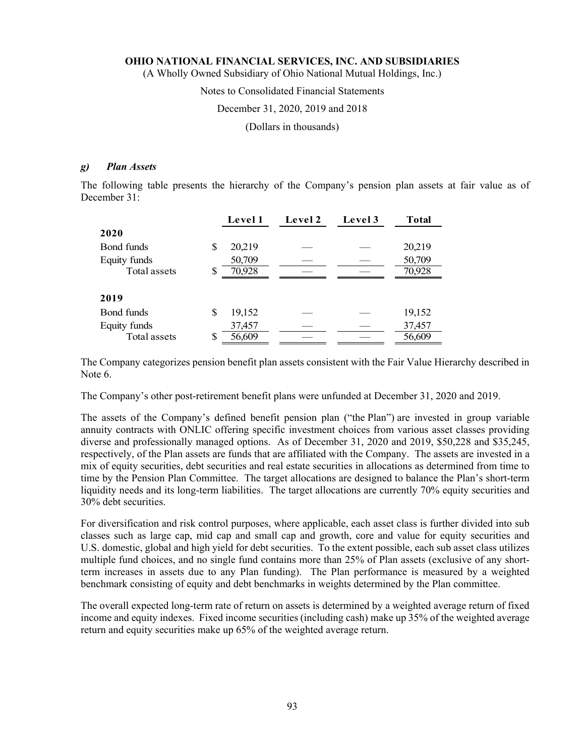(A Wholly Owned Subsidiary of Ohio National Mutual Holdings, Inc.)

Notes to Consolidated Financial Statements

December 31, 2020, 2019 and 2018

(Dollars in thousands)

#### *g) Plan Assets*

The following table presents the hierarchy of the Company's pension plan assets at fair value as of December 31:

|              |   | Level 1 | Level 2 | Level 3 | <b>Total</b> |
|--------------|---|---------|---------|---------|--------------|
| 2020         |   |         |         |         |              |
| Bond funds   | S | 20,219  |         |         | 20,219       |
| Equity funds |   | 50,709  |         |         | 50,709       |
| Total assets | S | 70,928  |         |         | 70,928       |
|              |   |         |         |         |              |
| 2019         |   |         |         |         |              |
| Bond funds   | S | 19,152  |         |         | 19,152       |
| Equity funds |   | 37,457  |         |         | 37,457       |
| Total assets | S | 56,609  |         |         | 56,609       |

The Company categorizes pension benefit plan assets consistent with the Fair Value Hierarchy described in Note 6.

The Company's other post-retirement benefit plans were unfunded at December 31, 2020 and 2019.

The assets of the Company's defined benefit pension plan ("the Plan") are invested in group variable annuity contracts with ONLIC offering specific investment choices from various asset classes providing diverse and professionally managed options. As of December 31, 2020 and 2019, \$50,228 and \$35,245, respectively, of the Plan assets are funds that are affiliated with the Company. The assets are invested in a mix of equity securities, debt securities and real estate securities in allocations as determined from time to time by the Pension Plan Committee. The target allocations are designed to balance the Plan's short-term liquidity needs and its long-term liabilities. The target allocations are currently 70% equity securities and 30% debt securities.

For diversification and risk control purposes, where applicable, each asset class is further divided into sub classes such as large cap, mid cap and small cap and growth, core and value for equity securities and U.S. domestic, global and high yield for debt securities. To the extent possible, each sub asset class utilizes multiple fund choices, and no single fund contains more than 25% of Plan assets (exclusive of any shortterm increases in assets due to any Plan funding). The Plan performance is measured by a weighted benchmark consisting of equity and debt benchmarks in weights determined by the Plan committee.

The overall expected long-term rate of return on assets is determined by a weighted average return of fixed income and equity indexes. Fixed income securities (including cash) make up 35% of the weighted average return and equity securities make up 65% of the weighted average return.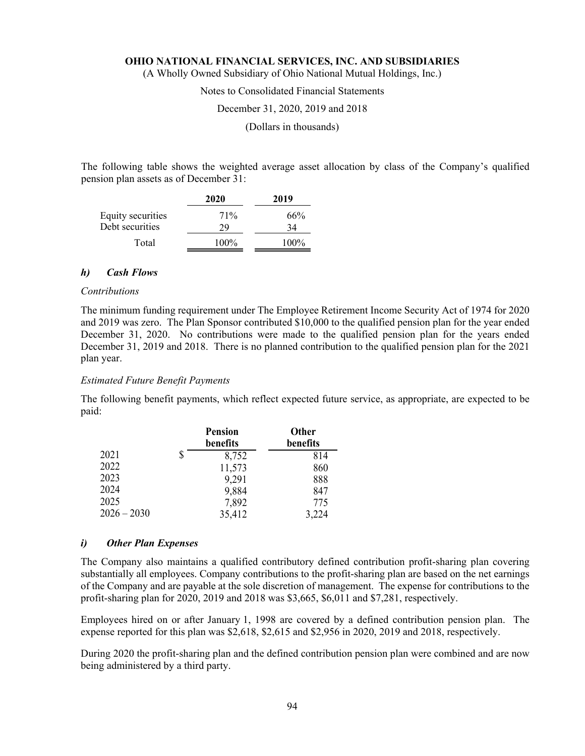(A Wholly Owned Subsidiary of Ohio National Mutual Holdings, Inc.)

### Notes to Consolidated Financial Statements

#### December 31, 2020, 2019 and 2018

(Dollars in thousands)

The following table shows the weighted average asset allocation by class of the Company's qualified pension plan assets as of December 31:

|                                      | 2020      | 2019      |
|--------------------------------------|-----------|-----------|
| Equity securities<br>Debt securities | 71%<br>29 | 66%<br>34 |
| Total                                | $100\%$   | $100\%$   |

### *h) Cash Flows*

#### *Contributions*

The minimum funding requirement under The Employee Retirement Income Security Act of 1974 for 2020 and 2019 was zero. The Plan Sponsor contributed \$10,000 to the qualified pension plan for the year ended December 31, 2020. No contributions were made to the qualified pension plan for the years ended December 31, 2019 and 2018. There is no planned contribution to the qualified pension plan for the 2021 plan year.

#### *Estimated Future Benefit Payments*

The following benefit payments, which reflect expected future service, as appropriate, are expected to be paid:

|               |    | <b>Pension</b><br>benefits | <b>Other</b><br>benefits |  |
|---------------|----|----------------------------|--------------------------|--|
| 2021          | \$ | 8,752                      | 814                      |  |
| 2022          |    | 11,573                     | 860                      |  |
| 2023          |    | 9,291                      | 888                      |  |
| 2024          |    | 9,884                      | 847                      |  |
| 2025          |    | 7,892                      | 775                      |  |
| $2026 - 2030$ |    | 35,412                     | 3,224                    |  |

#### *i) Other Plan Expenses*

The Company also maintains a qualified contributory defined contribution profit-sharing plan covering substantially all employees. Company contributions to the profit-sharing plan are based on the net earnings of the Company and are payable at the sole discretion of management. The expense for contributions to the profit-sharing plan for 2020, 2019 and 2018 was \$3,665, \$6,011 and \$7,281, respectively.

Employees hired on or after January 1, 1998 are covered by a defined contribution pension plan. The expense reported for this plan was \$2,618, \$2,615 and \$2,956 in 2020, 2019 and 2018, respectively.

During 2020 the profit-sharing plan and the defined contribution pension plan were combined and are now being administered by a third party.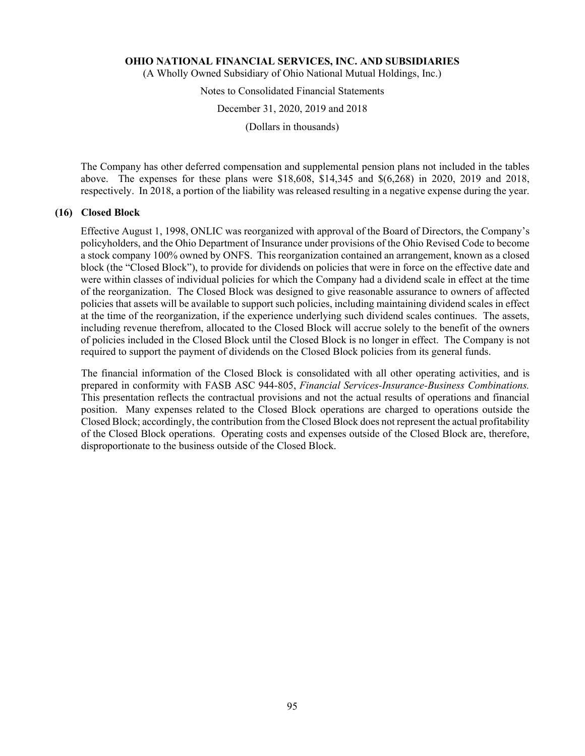(A Wholly Owned Subsidiary of Ohio National Mutual Holdings, Inc.)

### Notes to Consolidated Financial Statements

December 31, 2020, 2019 and 2018

(Dollars in thousands)

The Company has other deferred compensation and supplemental pension plans not included in the tables above. The expenses for these plans were \$18,608, \$14,345 and \$(6,268) in 2020, 2019 and 2018, respectively. In 2018, a portion of the liability was released resulting in a negative expense during the year.

### **(16) Closed Block**

Effective August 1, 1998, ONLIC was reorganized with approval of the Board of Directors, the Company's policyholders, and the Ohio Department of Insurance under provisions of the Ohio Revised Code to become a stock company 100% owned by ONFS. This reorganization contained an arrangement, known as a closed block (the "Closed Block"), to provide for dividends on policies that were in force on the effective date and were within classes of individual policies for which the Company had a dividend scale in effect at the time of the reorganization. The Closed Block was designed to give reasonable assurance to owners of affected policies that assets will be available to support such policies, including maintaining dividend scales in effect at the time of the reorganization, if the experience underlying such dividend scales continues. The assets, including revenue therefrom, allocated to the Closed Block will accrue solely to the benefit of the owners of policies included in the Closed Block until the Closed Block is no longer in effect. The Company is not required to support the payment of dividends on the Closed Block policies from its general funds.

The financial information of the Closed Block is consolidated with all other operating activities, and is prepared in conformity with FASB ASC 944-805, *Financial Services-Insurance-Business Combinations.*  This presentation reflects the contractual provisions and not the actual results of operations and financial position. Many expenses related to the Closed Block operations are charged to operations outside the Closed Block; accordingly, the contribution from the Closed Block does not represent the actual profitability of the Closed Block operations. Operating costs and expenses outside of the Closed Block are, therefore, disproportionate to the business outside of the Closed Block.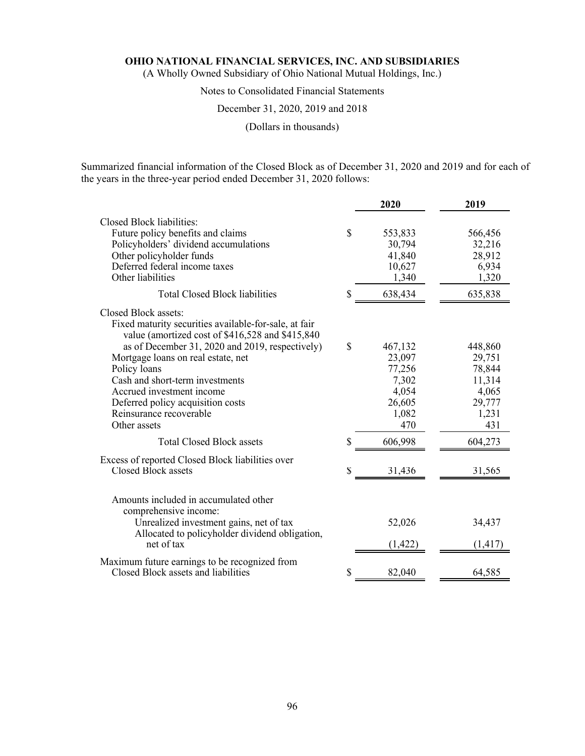(A Wholly Owned Subsidiary of Ohio National Mutual Holdings, Inc.)

# Notes to Consolidated Financial Statements

### December 31, 2020, 2019 and 2018

(Dollars in thousands)

Summarized financial information of the Closed Block as of December 31, 2020 and 2019 and for each of the years in the three-year period ended December 31, 2020 follows:

|                                                                                                                                                                                                                                                                                                                                                                                             |               | 2020                                                                    | 2019                                                                     |
|---------------------------------------------------------------------------------------------------------------------------------------------------------------------------------------------------------------------------------------------------------------------------------------------------------------------------------------------------------------------------------------------|---------------|-------------------------------------------------------------------------|--------------------------------------------------------------------------|
| Closed Block liabilities:<br>Future policy benefits and claims<br>Policyholders' dividend accumulations<br>Other policyholder funds<br>Deferred federal income taxes<br>Other liabilities                                                                                                                                                                                                   | \$            | 553,833<br>30,794<br>41,840<br>10,627<br>1,340                          | 566,456<br>32,216<br>28,912<br>6,934<br>1,320                            |
| <b>Total Closed Block liabilities</b>                                                                                                                                                                                                                                                                                                                                                       | \$            | 638,434                                                                 | 635,838                                                                  |
| Closed Block assets:<br>Fixed maturity securities available-for-sale, at fair<br>value (amortized cost of \$416,528 and \$415,840)<br>as of December 31, 2020 and 2019, respectively)<br>Mortgage loans on real estate, net<br>Policy loans<br>Cash and short-term investments<br>Accrued investment income<br>Deferred policy acquisition costs<br>Reinsurance recoverable<br>Other assets | $\mathcal{S}$ | 467,132<br>23,097<br>77,256<br>7,302<br>4,054<br>26,605<br>1,082<br>470 | 448,860<br>29,751<br>78,844<br>11,314<br>4,065<br>29,777<br>1,231<br>431 |
| <b>Total Closed Block assets</b>                                                                                                                                                                                                                                                                                                                                                            | \$            | 606,998                                                                 | 604,273                                                                  |
| Excess of reported Closed Block liabilities over<br><b>Closed Block assets</b>                                                                                                                                                                                                                                                                                                              | S             | 31,436                                                                  | 31,565                                                                   |
| Amounts included in accumulated other<br>comprehensive income:<br>Unrealized investment gains, net of tax<br>Allocated to policyholder dividend obligation,<br>net of tax                                                                                                                                                                                                                   |               | 52,026<br>(1,422)                                                       | 34,437<br>(1, 417)                                                       |
| Maximum future earnings to be recognized from<br>Closed Block assets and liabilities                                                                                                                                                                                                                                                                                                        | \$            | 82,040                                                                  | 64,585                                                                   |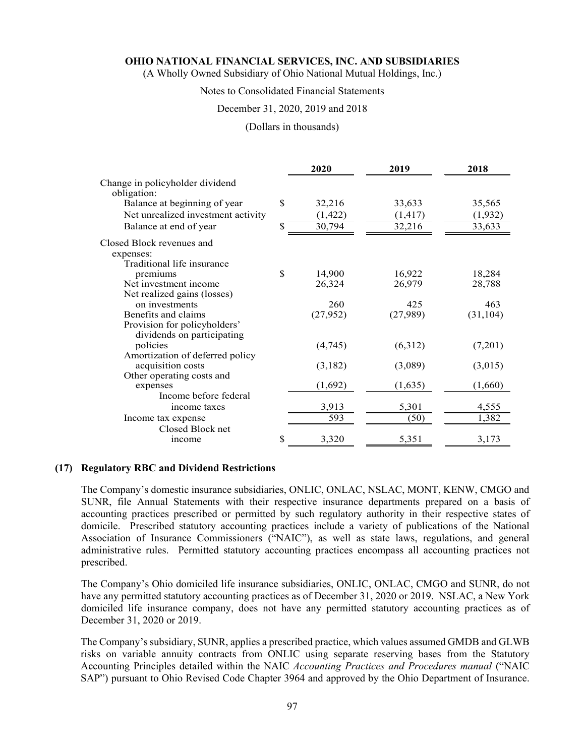(A Wholly Owned Subsidiary of Ohio National Mutual Holdings, Inc.)

### Notes to Consolidated Financial Statements

#### December 31, 2020, 2019 and 2018

(Dollars in thousands)

|                                    | 2020         | 2019     | 2018      |
|------------------------------------|--------------|----------|-----------|
| Change in policyholder dividend    |              |          |           |
| obligation:                        |              |          |           |
| Balance at beginning of year       | \$<br>32,216 | 33,633   | 35,565    |
| Net unrealized investment activity | (1, 422)     | (1, 417) | (1,932)   |
| Balance at end of year             | \$<br>30,794 | 32,216   | 33,633    |
| Closed Block revenues and          |              |          |           |
| expenses:                          |              |          |           |
| Traditional life insurance         |              |          |           |
| premiums                           | \$<br>14,900 | 16,922   | 18,284    |
| Net investment income              | 26,324       | 26,979   | 28,788    |
| Net realized gains (losses)        |              |          |           |
| on investments                     | 260          | 425      | 463       |
| Benefits and claims                | (27, 952)    | (27,989) | (31, 104) |
| Provision for policyholders'       |              |          |           |
| dividends on participating         |              |          |           |
| policies                           | (4,745)      | (6,312)  | (7,201)   |
| Amortization of deferred policy    |              |          |           |
| acquisition costs                  | (3,182)      | (3,089)  | (3,015)   |
| Other operating costs and          |              |          |           |
| expenses                           | (1,692)      | (1,635)  | (1,660)   |
| Income before federal              |              |          |           |
| income taxes                       | 3,913        | 5,301    | 4,555     |
| Income tax expense                 | 593          | (50)     | 1,382     |
| Closed Block net                   |              |          |           |
| income                             | \$<br>3,320  | 5,351    | 3,173     |

#### **(17) Regulatory RBC and Dividend Restrictions**

The Company's domestic insurance subsidiaries, ONLIC, ONLAC, NSLAC, MONT, KENW, CMGO and SUNR, file Annual Statements with their respective insurance departments prepared on a basis of accounting practices prescribed or permitted by such regulatory authority in their respective states of domicile. Prescribed statutory accounting practices include a variety of publications of the National Association of Insurance Commissioners ("NAIC"), as well as state laws, regulations, and general administrative rules. Permitted statutory accounting practices encompass all accounting practices not prescribed.

The Company's Ohio domiciled life insurance subsidiaries, ONLIC, ONLAC, CMGO and SUNR, do not have any permitted statutory accounting practices as of December 31, 2020 or 2019. NSLAC, a New York domiciled life insurance company, does not have any permitted statutory accounting practices as of December 31, 2020 or 2019.

The Company's subsidiary, SUNR, applies a prescribed practice, which values assumed GMDB and GLWB risks on variable annuity contracts from ONLIC using separate reserving bases from the Statutory Accounting Principles detailed within the NAIC *Accounting Practices and Procedures manual* ("NAIC SAP") pursuant to Ohio Revised Code Chapter 3964 and approved by the Ohio Department of Insurance.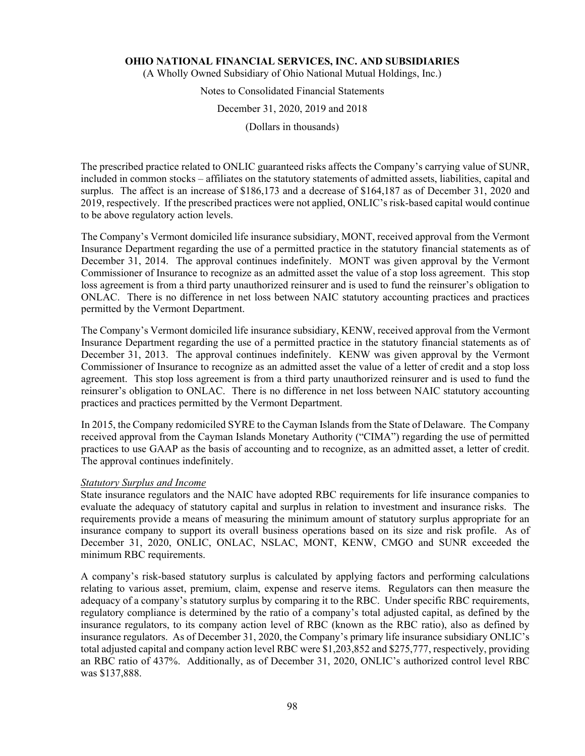(A Wholly Owned Subsidiary of Ohio National Mutual Holdings, Inc.)

# Notes to Consolidated Financial Statements December 31, 2020, 2019 and 2018

(Dollars in thousands)

The prescribed practice related to ONLIC guaranteed risks affects the Company's carrying value of SUNR, included in common stocks – affiliates on the statutory statements of admitted assets, liabilities, capital and surplus. The affect is an increase of \$186,173 and a decrease of \$164,187 as of December 31, 2020 and 2019, respectively. If the prescribed practices were not applied, ONLIC's risk-based capital would continue to be above regulatory action levels.

The Company's Vermont domiciled life insurance subsidiary, MONT, received approval from the Vermont Insurance Department regarding the use of a permitted practice in the statutory financial statements as of December 31, 2014. The approval continues indefinitely. MONT was given approval by the Vermont Commissioner of Insurance to recognize as an admitted asset the value of a stop loss agreement. This stop loss agreement is from a third party unauthorized reinsurer and is used to fund the reinsurer's obligation to ONLAC. There is no difference in net loss between NAIC statutory accounting practices and practices permitted by the Vermont Department.

The Company's Vermont domiciled life insurance subsidiary, KENW, received approval from the Vermont Insurance Department regarding the use of a permitted practice in the statutory financial statements as of December 31, 2013. The approval continues indefinitely. KENW was given approval by the Vermont Commissioner of Insurance to recognize as an admitted asset the value of a letter of credit and a stop loss agreement. This stop loss agreement is from a third party unauthorized reinsurer and is used to fund the reinsurer's obligation to ONLAC. There is no difference in net loss between NAIC statutory accounting practices and practices permitted by the Vermont Department.

In 2015, the Company redomiciled SYRE to the Cayman Islands from the State of Delaware. The Company received approval from the Cayman Islands Monetary Authority ("CIMA") regarding the use of permitted practices to use GAAP as the basis of accounting and to recognize, as an admitted asset, a letter of credit. The approval continues indefinitely.

#### *Statutory Surplus and Income*

State insurance regulators and the NAIC have adopted RBC requirements for life insurance companies to evaluate the adequacy of statutory capital and surplus in relation to investment and insurance risks. The requirements provide a means of measuring the minimum amount of statutory surplus appropriate for an insurance company to support its overall business operations based on its size and risk profile. As of December 31, 2020, ONLIC, ONLAC, NSLAC, MONT, KENW, CMGO and SUNR exceeded the minimum RBC requirements.

A company's risk-based statutory surplus is calculated by applying factors and performing calculations relating to various asset, premium, claim, expense and reserve items. Regulators can then measure the adequacy of a company's statutory surplus by comparing it to the RBC. Under specific RBC requirements, regulatory compliance is determined by the ratio of a company's total adjusted capital, as defined by the insurance regulators, to its company action level of RBC (known as the RBC ratio), also as defined by insurance regulators. As of December 31, 2020, the Company's primary life insurance subsidiary ONLIC's total adjusted capital and company action level RBC were \$1,203,852 and \$275,777, respectively, providing an RBC ratio of 437%. Additionally, as of December 31, 2020, ONLIC's authorized control level RBC was \$137,888.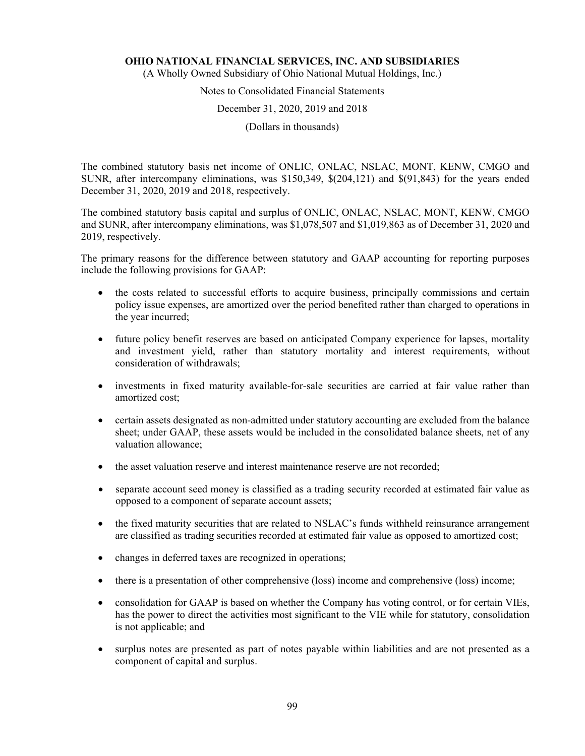(A Wholly Owned Subsidiary of Ohio National Mutual Holdings, Inc.)

### Notes to Consolidated Financial Statements

#### December 31, 2020, 2019 and 2018

(Dollars in thousands)

The combined statutory basis net income of ONLIC, ONLAC, NSLAC, MONT, KENW, CMGO and SUNR, after intercompany eliminations, was \$150,349, \$(204,121) and \$(91,843) for the years ended December 31, 2020, 2019 and 2018, respectively.

The combined statutory basis capital and surplus of ONLIC, ONLAC, NSLAC, MONT, KENW, CMGO and SUNR, after intercompany eliminations, was \$1,078,507 and \$1,019,863 as of December 31, 2020 and 2019, respectively.

The primary reasons for the difference between statutory and GAAP accounting for reporting purposes include the following provisions for GAAP:

- the costs related to successful efforts to acquire business, principally commissions and certain policy issue expenses, are amortized over the period benefited rather than charged to operations in the year incurred;
- future policy benefit reserves are based on anticipated Company experience for lapses, mortality and investment yield, rather than statutory mortality and interest requirements, without consideration of withdrawals;
- investments in fixed maturity available-for-sale securities are carried at fair value rather than amortized cost;
- certain assets designated as non-admitted under statutory accounting are excluded from the balance sheet; under GAAP, these assets would be included in the consolidated balance sheets, net of any valuation allowance;
- the asset valuation reserve and interest maintenance reserve are not recorded;
- separate account seed money is classified as a trading security recorded at estimated fair value as opposed to a component of separate account assets;
- the fixed maturity securities that are related to NSLAC's funds withheld reinsurance arrangement are classified as trading securities recorded at estimated fair value as opposed to amortized cost;
- changes in deferred taxes are recognized in operations;
- there is a presentation of other comprehensive (loss) income and comprehensive (loss) income;
- consolidation for GAAP is based on whether the Company has voting control, or for certain VIEs, has the power to direct the activities most significant to the VIE while for statutory, consolidation is not applicable; and
- surplus notes are presented as part of notes payable within liabilities and are not presented as a component of capital and surplus.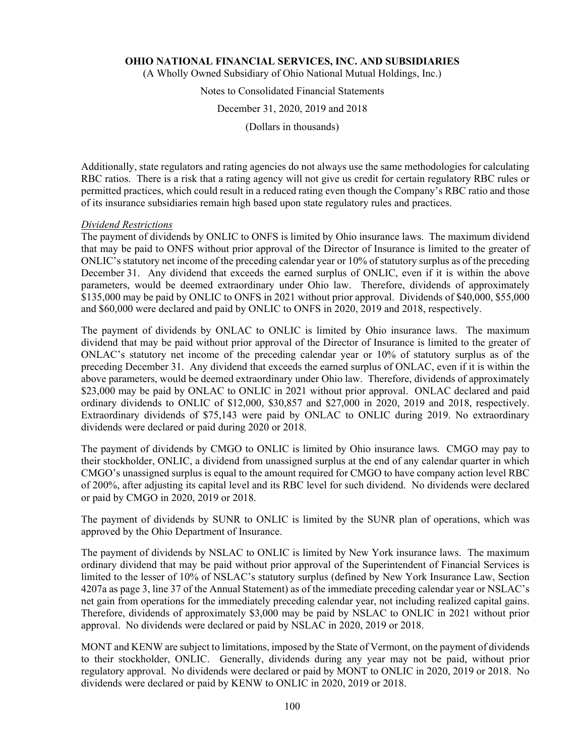(A Wholly Owned Subsidiary of Ohio National Mutual Holdings, Inc.)

### Notes to Consolidated Financial Statements

#### December 31, 2020, 2019 and 2018

(Dollars in thousands)

Additionally, state regulators and rating agencies do not always use the same methodologies for calculating RBC ratios. There is a risk that a rating agency will not give us credit for certain regulatory RBC rules or permitted practices, which could result in a reduced rating even though the Company's RBC ratio and those of its insurance subsidiaries remain high based upon state regulatory rules and practices.

#### *Dividend Restrictions*

The payment of dividends by ONLIC to ONFS is limited by Ohio insurance laws. The maximum dividend that may be paid to ONFS without prior approval of the Director of Insurance is limited to the greater of ONLIC's statutory net income of the preceding calendar year or 10% of statutory surplus as of the preceding December 31. Any dividend that exceeds the earned surplus of ONLIC, even if it is within the above parameters, would be deemed extraordinary under Ohio law. Therefore, dividends of approximately \$135,000 may be paid by ONLIC to ONFS in 2021 without prior approval. Dividends of \$40,000, \$55,000 and \$60,000 were declared and paid by ONLIC to ONFS in 2020, 2019 and 2018, respectively.

The payment of dividends by ONLAC to ONLIC is limited by Ohio insurance laws. The maximum dividend that may be paid without prior approval of the Director of Insurance is limited to the greater of ONLAC's statutory net income of the preceding calendar year or 10% of statutory surplus as of the preceding December 31. Any dividend that exceeds the earned surplus of ONLAC, even if it is within the above parameters, would be deemed extraordinary under Ohio law. Therefore, dividends of approximately \$23,000 may be paid by ONLAC to ONLIC in 2021 without prior approval. ONLAC declared and paid ordinary dividends to ONLIC of \$12,000, \$30,857 and \$27,000 in 2020, 2019 and 2018, respectively. Extraordinary dividends of \$75,143 were paid by ONLAC to ONLIC during 2019. No extraordinary dividends were declared or paid during 2020 or 2018.

The payment of dividends by CMGO to ONLIC is limited by Ohio insurance laws. CMGO may pay to their stockholder, ONLIC, a dividend from unassigned surplus at the end of any calendar quarter in which CMGO's unassigned surplus is equal to the amount required for CMGO to have company action level RBC of 200%, after adjusting its capital level and its RBC level for such dividend. No dividends were declared or paid by CMGO in 2020, 2019 or 2018.

The payment of dividends by SUNR to ONLIC is limited by the SUNR plan of operations, which was approved by the Ohio Department of Insurance.

The payment of dividends by NSLAC to ONLIC is limited by New York insurance laws. The maximum ordinary dividend that may be paid without prior approval of the Superintendent of Financial Services is limited to the lesser of 10% of NSLAC's statutory surplus (defined by New York Insurance Law, Section 4207a as page 3, line 37 of the Annual Statement) as of the immediate preceding calendar year or NSLAC's net gain from operations for the immediately preceding calendar year, not including realized capital gains. Therefore, dividends of approximately \$3,000 may be paid by NSLAC to ONLIC in 2021 without prior approval. No dividends were declared or paid by NSLAC in 2020, 2019 or 2018.

MONT and KENW are subject to limitations, imposed by the State of Vermont, on the payment of dividends to their stockholder, ONLIC. Generally, dividends during any year may not be paid, without prior regulatory approval. No dividends were declared or paid by MONT to ONLIC in 2020, 2019 or 2018. No dividends were declared or paid by KENW to ONLIC in 2020, 2019 or 2018.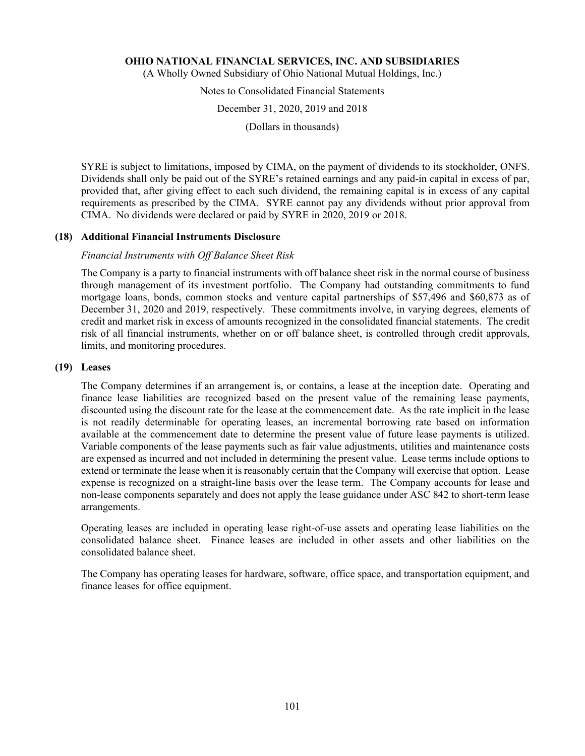(A Wholly Owned Subsidiary of Ohio National Mutual Holdings, Inc.)

### Notes to Consolidated Financial Statements

December 31, 2020, 2019 and 2018

(Dollars in thousands)

SYRE is subject to limitations, imposed by CIMA, on the payment of dividends to its stockholder, ONFS. Dividends shall only be paid out of the SYRE's retained earnings and any paid-in capital in excess of par, provided that, after giving effect to each such dividend, the remaining capital is in excess of any capital requirements as prescribed by the CIMA. SYRE cannot pay any dividends without prior approval from CIMA. No dividends were declared or paid by SYRE in 2020, 2019 or 2018.

#### **(18) Additional Financial Instruments Disclosure**

#### *Financial Instruments with Off Balance Sheet Risk*

The Company is a party to financial instruments with off balance sheet risk in the normal course of business through management of its investment portfolio. The Company had outstanding commitments to fund mortgage loans, bonds, common stocks and venture capital partnerships of \$57,496 and \$60,873 as of December 31, 2020 and 2019, respectively. These commitments involve, in varying degrees, elements of credit and market risk in excess of amounts recognized in the consolidated financial statements. The credit risk of all financial instruments, whether on or off balance sheet, is controlled through credit approvals, limits, and monitoring procedures.

### **(19) Leases**

The Company determines if an arrangement is, or contains, a lease at the inception date. Operating and finance lease liabilities are recognized based on the present value of the remaining lease payments, discounted using the discount rate for the lease at the commencement date. As the rate implicit in the lease is not readily determinable for operating leases, an incremental borrowing rate based on information available at the commencement date to determine the present value of future lease payments is utilized. Variable components of the lease payments such as fair value adjustments, utilities and maintenance costs are expensed as incurred and not included in determining the present value. Lease terms include options to extend or terminate the lease when it is reasonably certain that the Company will exercise that option. Lease expense is recognized on a straight-line basis over the lease term. The Company accounts for lease and non-lease components separately and does not apply the lease guidance under ASC 842 to short-term lease arrangements.

Operating leases are included in operating lease right-of-use assets and operating lease liabilities on the consolidated balance sheet. Finance leases are included in other assets and other liabilities on the consolidated balance sheet.

The Company has operating leases for hardware, software, office space, and transportation equipment, and finance leases for office equipment.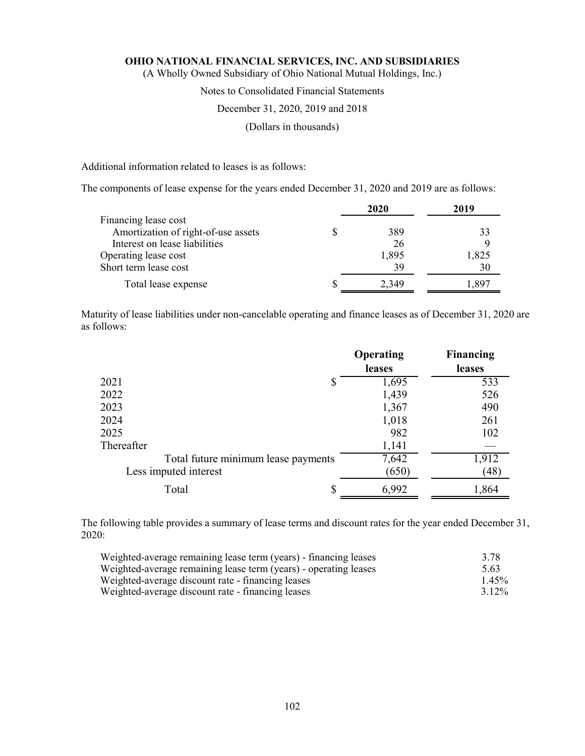(A Wholly Owned Subsidiary of Ohio National Mutual Holdings, Inc.)

### Notes to Consolidated Financial Statements

#### December 31, 2020, 2019 and 2018

(Dollars in thousands)

Additional information related to leases is as follows:

The components of lease expense for the years ended December 31, 2020 and 2019 are as follows:

|                                     | 2020  | 2019  |
|-------------------------------------|-------|-------|
| Financing lease cost                |       |       |
| Amortization of right-of-use assets | 389   | 33    |
| Interest on lease liabilities       | 26    |       |
| Operating lease cost                | 1,895 | 1,825 |
| Short term lease cost               | 39    | 30    |
| Total lease expense                 | 2.349 |       |

Maturity of lease liabilities under non-cancelable operating and finance leases as of December 31, 2020 are as follows:

|                                     | Operating<br>leases | <b>Financing</b><br>leases |
|-------------------------------------|---------------------|----------------------------|
| 2021<br>\$                          | 1,695               | 533                        |
| 2022                                | 1,439               | 526                        |
| 2023                                | 1,367               | 490                        |
| 2024                                | 1,018               | 261                        |
| 2025                                | 982                 | 102                        |
| Thereafter                          | 1,141               |                            |
| Total future minimum lease payments | 7,642               | 1,912                      |
| Less imputed interest               | (650)               | (48)                       |
| \$<br>Total                         | 6,992               | 1,864                      |

The following table provides a summary of lease terms and discount rates for the year ended December 31, 2020:

| Weighted-average remaining lease term (years) - financing leases | 3.78     |
|------------------------------------------------------------------|----------|
| Weighted-average remaining lease term (years) - operating leases | 5.63     |
| Weighted-average discount rate - financing leases                | $1.45\%$ |
| Weighted-average discount rate - financing leases                | 3.12%    |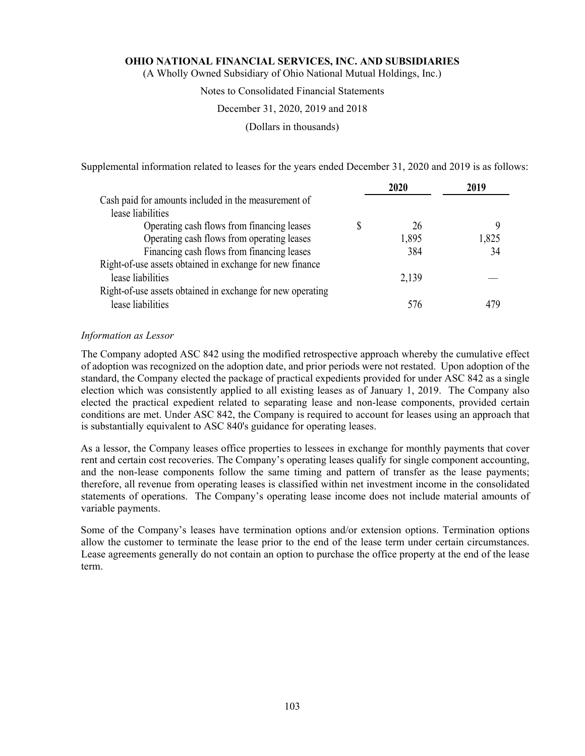(A Wholly Owned Subsidiary of Ohio National Mutual Holdings, Inc.)

### Notes to Consolidated Financial Statements

#### December 31, 2020, 2019 and 2018

(Dollars in thousands)

Supplemental information related to leases for the years ended December 31, 2020 and 2019 is as follows:

|                                                            | 2020  | 2019  |
|------------------------------------------------------------|-------|-------|
| Cash paid for amounts included in the measurement of       |       |       |
| lease liabilities                                          |       |       |
| Operating cash flows from financing leases                 | 26    |       |
| Operating cash flows from operating leases                 | 1,895 | 1,825 |
| Financing cash flows from financing leases                 | 384   | 34    |
| Right-of-use assets obtained in exchange for new finance   |       |       |
| lease liabilities                                          | 2,139 |       |
| Right-of-use assets obtained in exchange for new operating |       |       |
| lease liabilities                                          | 576   |       |

#### *Information as Lessor*

The Company adopted ASC 842 using the modified retrospective approach whereby the cumulative effect of adoption was recognized on the adoption date, and prior periods were not restated. Upon adoption of the standard, the Company elected the package of practical expedients provided for under ASC 842 as a single election which was consistently applied to all existing leases as of January 1, 2019. The Company also elected the practical expedient related to separating lease and non-lease components, provided certain conditions are met. Under ASC 842, the Company is required to account for leases using an approach that is substantially equivalent to ASC 840's guidance for operating leases.

As a lessor, the Company leases office properties to lessees in exchange for monthly payments that cover rent and certain cost recoveries. The Company's operating leases qualify for single component accounting, and the non-lease components follow the same timing and pattern of transfer as the lease payments; therefore, all revenue from operating leases is classified within net investment income in the consolidated statements of operations. The Company's operating lease income does not include material amounts of variable payments.

Some of the Company's leases have termination options and/or extension options. Termination options allow the customer to terminate the lease prior to the end of the lease term under certain circumstances. Lease agreements generally do not contain an option to purchase the office property at the end of the lease term.